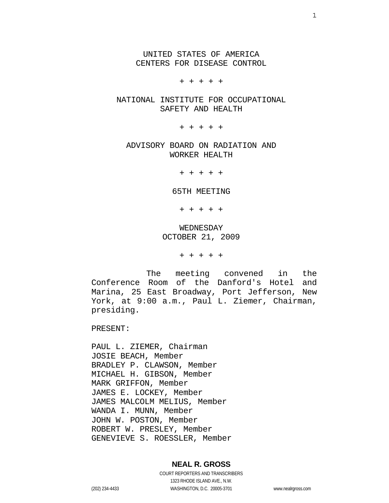UNITED STATES OF AMERICA CENTERS FOR DISEASE CONTROL

+ + + + +

 NATIONAL INSTITUTE FOR OCCUPATIONAL SAFETY AND HEALTH

+ + + + +

 ADVISORY BOARD ON RADIATION AND WORKER HEALTH

+ + + + +

65TH MEETING

+ + + + +

 WEDNESDAY OCTOBER 21, 2009

+ + + + +

 The meeting convened in the Conference Room of the Danford's Hotel and Marina, 25 East Broadway, Port Jefferson, New York, at 9:00 a.m., Paul L. Ziemer, Chairman, presiding.

PRESENT:

PAUL L. ZIEMER, Chairman JOSIE BEACH, Member BRADLEY P. CLAWSON, Member MICHAEL H. GIBSON, Member MARK GRIFFON, Member JAMES E. LOCKEY, Member JAMES MALCOLM MELIUS, Member WANDA I. MUNN, Member JOHN W. POSTON, Member ROBERT W. PRESLEY, Member GENEVIEVE S. ROESSLER, Member

### **NEAL R. GROSS**

COURT REPORTERS AND TRANSCRIBERS 1323 RHODE ISLAND AVE., N.W. (202) 234-4433 WASHINGTON, D.C. 20005-3701 www.nealrgross.com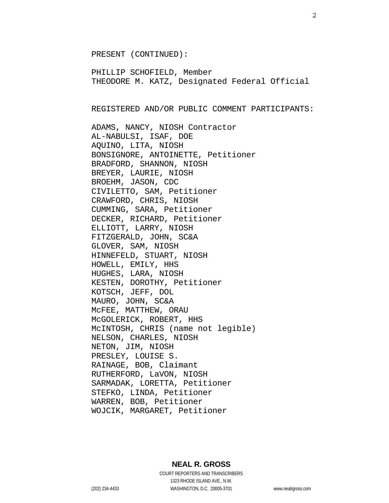PRESENT (CONTINUED):

PHILLIP SCHOFIELD, Member THEODORE M. KATZ, Designated Federal Official

REGISTERED AND/OR PUBLIC COMMENT PARTICIPANTS:

ADAMS, NANCY, NIOSH Contractor AL-NABULSI, ISAF, DOE AQUINO, LITA, NIOSH BONSIGNORE, ANTOINETTE, Petitioner BRADFORD, SHANNON, NIOSH BREYER, LAURIE, NIOSH BROEHM, JASON, CDC CIVILETTO, SAM, Petitioner CRAWFORD, CHRIS, NIOSH CUMMING, SARA, Petitioner DECKER, RICHARD, Petitioner ELLIOTT, LARRY, NIOSH FITZGERALD, JOHN, SC&A GLOVER, SAM, NIOSH HINNEFELD, STUART, NIOSH HOWELL, EMILY, HHS HUGHES, LARA, NIOSH KESTEN, DOROTHY, Petitioner KOTSCH, JEFF, DOL MAURO, JOHN, SC&A McFEE, MATTHEW, ORAU McGOLERICK, ROBERT, HHS McINTOSH, CHRIS (name not legible) NELSON, CHARLES, NIOSH NETON, JIM, NIOSH PRESLEY, LOUISE S. RAINAGE, BOB, Claimant RUTHERFORD, LaVON, NIOSH SARMADAK, LORETTA, Petitioner STEFKO, LINDA, Petitioner WARREN, BOB, Petitioner WOJCIK, MARGARET, Petitioner

## **NEAL R. GROSS**

COURT REPORTERS AND TRANSCRIBERS 1323 RHODE ISLAND AVE., N.W. (202) 234-4433 WASHINGTON, D.C. 20005-3701 www.nealrgross.com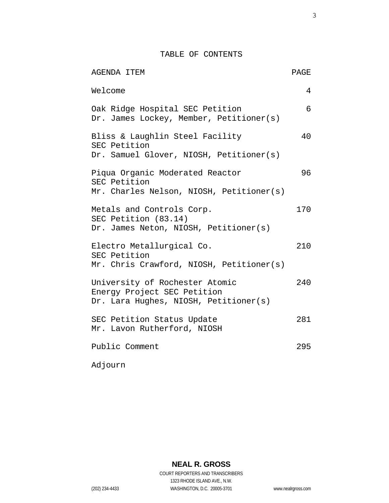TABLE OF CONTENTS

| AGENDA ITEM                                                                                            | <b>PAGE</b> |
|--------------------------------------------------------------------------------------------------------|-------------|
| Welcome                                                                                                | 4           |
| Oak Ridge Hospital SEC Petition<br>Dr. James Lockey, Member, Petitioner(s)                             | 6           |
| Bliss & Laughlin Steel Facility<br>SEC Petition<br>Dr. Samuel Glover, NIOSH, Petitioner(s)             | 40          |
| Piqua Organic Moderated Reactor<br>SEC Petition<br>Mr. Charles Nelson, NIOSH, Petitioner(s)            | 96          |
| Metals and Controls Corp.<br>SEC Petition (83.14)<br>Dr. James Neton, NIOSH, Petitioner(s)             | 170         |
| Electro Metallurgical Co.<br>SEC Petition<br>Mr. Chris Crawford, NIOSH, Petitioner(s)                  | 210         |
| University of Rochester Atomic<br>Energy Project SEC Petition<br>Dr. Lara Hughes, NIOSH, Petitioner(s) | 240         |
| SEC Petition Status Update<br>Mr. Lavon Rutherford, NIOSH                                              | 281         |
| Public Comment                                                                                         | 295         |

Adjourn

**NEAL R. GROSS** COURT REPORTERS AND TRANSCRIBERS 1323 RHODE ISLAND AVE., N.W. (202) 234-4433 WASHINGTON, D.C. 20005-3701 www.nealrgross.com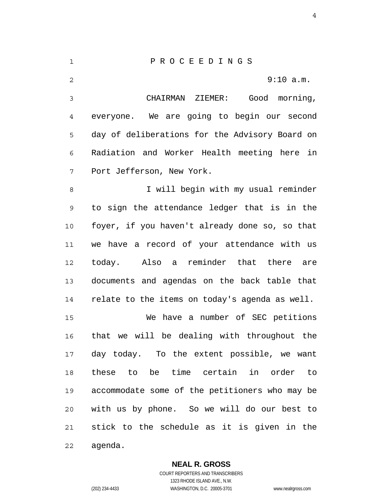1 2 3 4 5 6 7 8 9 10 11 12 13 14 15 16 17 18 19 20 21 22 P R O C E E D I N G S 9:10 a.m. CHAIRMAN ZIEMER: Good morning, everyone. We are going to begin our second day of deliberations for the Advisory Board on Radiation and Worker Health meeting here in Port Jefferson, New York. I will begin with my usual reminder to sign the attendance ledger that is in the foyer, if you haven't already done so, so that we have a record of your attendance with us today. Also a reminder that there are documents and agendas on the back table that relate to the items on today's agenda as well. We have a number of SEC petitions that we will be dealing with throughout the day today. To the extent possible, we want these to be time certain in order to accommodate some of the petitioners who may be with us by phone. So we will do our best to stick to the schedule as it is given in the agenda.

**NEAL R. GROSS**

COURT REPORTERS AND TRANSCRIBERS 1323 RHODE ISLAND AVE., N.W. (202) 234-4433 WASHINGTON, D.C. 20005-3701 www.nealrgross.com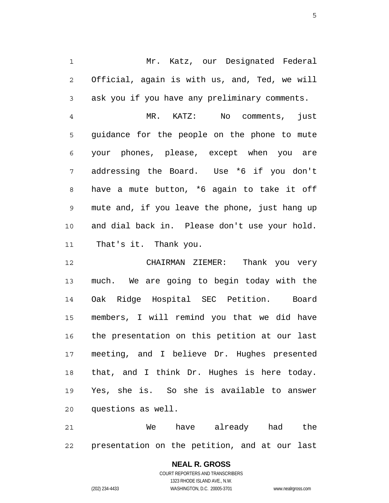1 2 3 Mr. Katz, our Designated Federal Official, again is with us, and, Ted, we will ask you if you have any preliminary comments.

4 5 6 7 8 9 10 11 MR. KATZ: No comments, just guidance for the people on the phone to mute your phones, please, except when you are addressing the Board. Use \*6 if you don't have a mute button, \*6 again to take it off mute and, if you leave the phone, just hang up and dial back in. Please don't use your hold. That's it. Thank you.

12 13 14 15 16 17 18 19 20 CHAIRMAN ZIEMER: Thank you very much. We are going to begin today with the Oak Ridge Hospital SEC Petition. Board members, I will remind you that we did have the presentation on this petition at our last meeting, and I believe Dr. Hughes presented that, and I think Dr. Hughes is here today. Yes, she is. So she is available to answer questions as well.

21 22 We have already had the presentation on the petition, and at our last

> **NEAL R. GROSS** COURT REPORTERS AND TRANSCRIBERS 1323 RHODE ISLAND AVE., N.W. (202) 234-4433 WASHINGTON, D.C. 20005-3701 www.nealrgross.com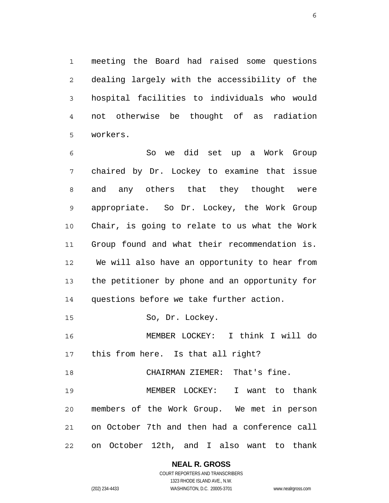1 2 3 4 5 meeting the Board had raised some questions dealing largely with the accessibility of the hospital facilities to individuals who would not otherwise be thought of as radiation workers.

6 7 8 9 10 11 12 13 14 So we did set up a Work Group chaired by Dr. Lockey to examine that issue and any others that they thought were appropriate. So Dr. Lockey, the Work Group Chair, is going to relate to us what the Work Group found and what their recommendation is. We will also have an opportunity to hear from the petitioner by phone and an opportunity for questions before we take further action.

15 So, Dr. Lockey.

16 17 MEMBER LOCKEY: I think I will do this from here. Is that all right?

18 CHAIRMAN ZIEMER: That's fine.

19 20 21 22 MEMBER LOCKEY: I want to thank members of the Work Group. We met in person on October 7th and then had a conference call on October 12th, and I also want to thank

> **NEAL R. GROSS** COURT REPORTERS AND TRANSCRIBERS 1323 RHODE ISLAND AVE., N.W.

(202) 234-4433 WASHINGTON, D.C. 20005-3701 www.nealrgross.com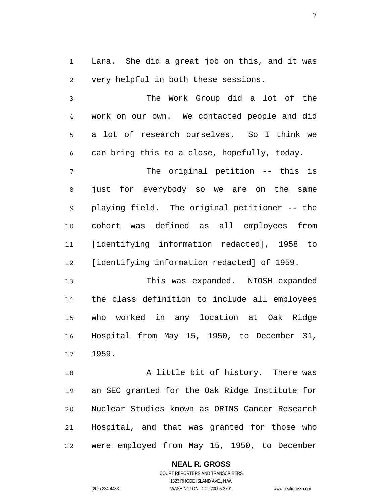1 2 Lara. She did a great job on this, and it was very helpful in both these sessions.

3 4 5 6 The Work Group did a lot of the work on our own. We contacted people and did a lot of research ourselves. So I think we can bring this to a close, hopefully, today.

7 8 9 10 11 12 The original petition -- this is just for everybody so we are on the same playing field. The original petitioner -- the cohort was defined as all employees from [identifying information redacted], 1958 to [identifying information redacted] of 1959.

13 14 15 16 17 This was expanded. NIOSH expanded the class definition to include all employees who worked in any location at Oak Ridge Hospital from May 15, 1950, to December 31, 1959.

18 19 20 21 22 A little bit of history. There was an SEC granted for the Oak Ridge Institute for Nuclear Studies known as ORINS Cancer Research Hospital, and that was granted for those who were employed from May 15, 1950, to December

## **NEAL R. GROSS**

COURT REPORTERS AND TRANSCRIBERS 1323 RHODE ISLAND AVE., N.W. (202) 234-4433 WASHINGTON, D.C. 20005-3701 www.nealrgross.com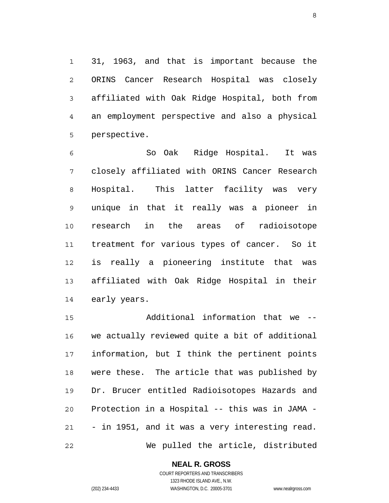1 2 3 4 5 31, 1963, and that is important because the ORINS Cancer Research Hospital was closely affiliated with Oak Ridge Hospital, both from an employment perspective and also a physical perspective.

6 7 8 9 10 11 12 13 14 So Oak Ridge Hospital. It was closely affiliated with ORINS Cancer Research Hospital. This latter facility was very unique in that it really was a pioneer in research in the areas of radioisotope treatment for various types of cancer. So it is really a pioneering institute that was affiliated with Oak Ridge Hospital in their early years.

15 16 17 18 19 20 21 22 Additional information that we - we actually reviewed quite a bit of additional information, but I think the pertinent points were these. The article that was published by Dr. Brucer entitled Radioisotopes Hazards and Protection in a Hospital -- this was in JAMA - - in 1951, and it was a very interesting read. We pulled the article, distributed

### **NEAL R. GROSS**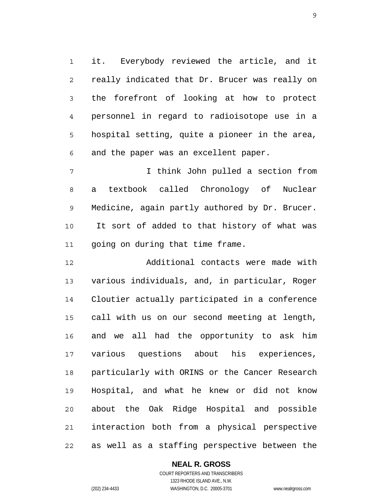1 2 3 4 5 6 it. Everybody reviewed the article, and it really indicated that Dr. Brucer was really on the forefront of looking at how to protect personnel in regard to radioisotope use in a hospital setting, quite a pioneer in the area, and the paper was an excellent paper.

7 8 9 10 11 I think John pulled a section from a textbook called Chronology of Nuclear Medicine, again partly authored by Dr. Brucer. It sort of added to that history of what was going on during that time frame.

12 13 14 15 16 17 18 19 20 21 22 Additional contacts were made with various individuals, and, in particular, Roger Cloutier actually participated in a conference call with us on our second meeting at length, and we all had the opportunity to ask him various questions about his experiences, particularly with ORINS or the Cancer Research Hospital, and what he knew or did not know about the Oak Ridge Hospital and possible interaction both from a physical perspective as well as a staffing perspective between the

### **NEAL R. GROSS**

COURT REPORTERS AND TRANSCRIBERS 1323 RHODE ISLAND AVE., N.W. (202) 234-4433 WASHINGTON, D.C. 20005-3701 www.nealrgross.com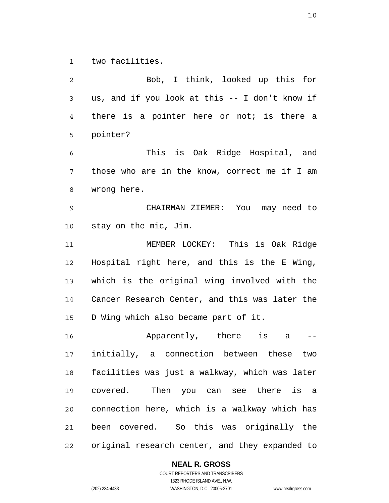1 two facilities.

2 3 4 5 6 7 8 9 10 11 12 13 14 15 16 17 18 19 20 21 22 Bob, I think, looked up this for us, and if you look at this -- I don't know if there is a pointer here or not; is there a pointer? This is Oak Ridge Hospital, and those who are in the know, correct me if I am wrong here. CHAIRMAN ZIEMER: You may need to stay on the mic, Jim. MEMBER LOCKEY: This is Oak Ridge Hospital right here, and this is the E Wing, which is the original wing involved with the Cancer Research Center, and this was later the D Wing which also became part of it. Apparently, there is a - initially, a connection between these two facilities was just a walkway, which was later covered. Then you can see there is a connection here, which is a walkway which has been covered. So this was originally the original research center, and they expanded to

**NEAL R. GROSS**

COURT REPORTERS AND TRANSCRIBERS 1323 RHODE ISLAND AVE., N.W. (202) 234-4433 WASHINGTON, D.C. 20005-3701 www.nealrgross.com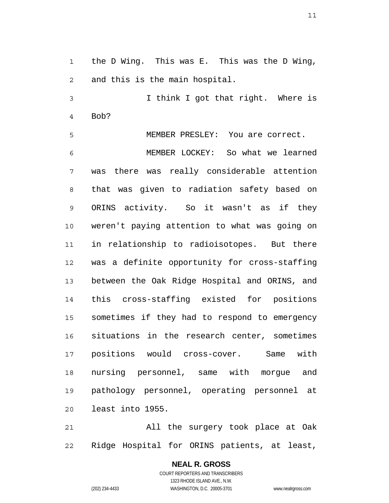1 2 the D Wing. This was E. This was the D Wing, and this is the main hospital.

3 4 I think I got that right. Where is Bob?

5 MEMBER PRESLEY: You are correct.

6 7 8 9 10 11 12 13 14 15 16 17 18 19 20 MEMBER LOCKEY: So what we learned was there was really considerable attention that was given to radiation safety based on ORINS activity. So it wasn't as if they weren't paying attention to what was going on in relationship to radioisotopes. But there was a definite opportunity for cross-staffing between the Oak Ridge Hospital and ORINS, and this cross-staffing existed for positions sometimes if they had to respond to emergency situations in the research center, sometimes positions would cross-cover. Same with nursing personnel, same with morgue and pathology personnel, operating personnel at least into 1955.

21 22 All the surgery took place at Oak Ridge Hospital for ORINS patients, at least,

> **NEAL R. GROSS** COURT REPORTERS AND TRANSCRIBERS 1323 RHODE ISLAND AVE., N.W. (202) 234-4433 WASHINGTON, D.C. 20005-3701 www.nealrgross.com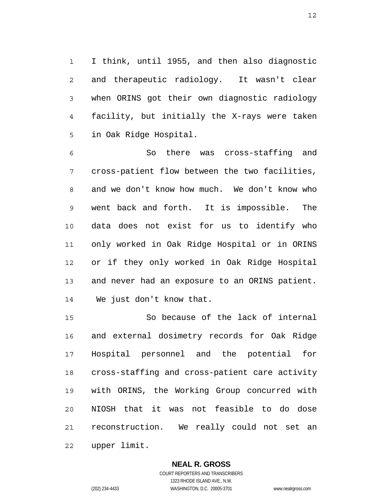1 2 3 4 5 I think, until 1955, and then also diagnostic and therapeutic radiology. It wasn't clear when ORINS got their own diagnostic radiology facility, but initially the X-rays were taken in Oak Ridge Hospital.

6 7 8 9 10 11 12 13 14 So there was cross-staffing and cross-patient flow between the two facilities, and we don't know how much. We don't know who went back and forth. It is impossible. The data does not exist for us to identify who only worked in Oak Ridge Hospital or in ORINS or if they only worked in Oak Ridge Hospital and never had an exposure to an ORINS patient. We just don't know that.

15 16 17 18 19 20 21 22 So because of the lack of internal and external dosimetry records for Oak Ridge Hospital personnel and the potential for cross-staffing and cross-patient care activity with ORINS, the Working Group concurred with NIOSH that it was not feasible to do dose reconstruction. We really could not set an upper limit.

#### **NEAL R. GROSS**

COURT REPORTERS AND TRANSCRIBERS 1323 RHODE ISLAND AVE., N.W. (202) 234-4433 WASHINGTON, D.C. 20005-3701 www.nealrgross.com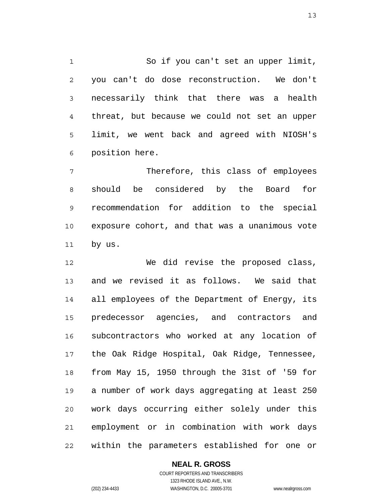1 2 3 4 5 6 So if you can't set an upper limit, you can't do dose reconstruction. We don't necessarily think that there was a health threat, but because we could not set an upper limit, we went back and agreed with NIOSH's position here.

7 8 9 10 11 Therefore, this class of employees should be considered by the Board for recommendation for addition to the special exposure cohort, and that was a unanimous vote by us.

12 13 14 15 16 17 18 19 20 21 22 We did revise the proposed class, and we revised it as follows. We said that all employees of the Department of Energy, its predecessor agencies, and contractors and subcontractors who worked at any location of the Oak Ridge Hospital, Oak Ridge, Tennessee, from May 15, 1950 through the 31st of '59 for a number of work days aggregating at least 250 work days occurring either solely under this employment or in combination with work days within the parameters established for one or

### **NEAL R. GROSS**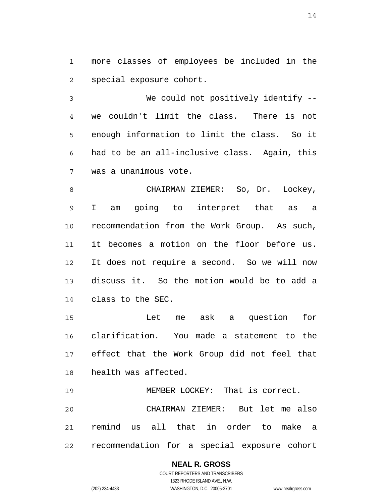1 2 more classes of employees be included in the special exposure cohort.

3 4 5 6 7 We could not positively identify -we couldn't limit the class. There is not enough information to limit the class. So it had to be an all-inclusive class. Again, this was a unanimous vote.

8 9 10 11 12 13 14 CHAIRMAN ZIEMER: So, Dr. Lockey, I am going to interpret that as a recommendation from the Work Group. As such, it becomes a motion on the floor before us. It does not require a second. So we will now discuss it. So the motion would be to add a class to the SEC.

15 16 17 18 Let me ask a question for clarification. You made a statement to the effect that the Work Group did not feel that health was affected.

19 20 21 22 MEMBER LOCKEY: That is correct. CHAIRMAN ZIEMER: But let me also remind us all that in order to make a recommendation for a special exposure cohort

## **NEAL R. GROSS**

COURT REPORTERS AND TRANSCRIBERS 1323 RHODE ISLAND AVE., N.W. (202) 234-4433 WASHINGTON, D.C. 20005-3701 www.nealrgross.com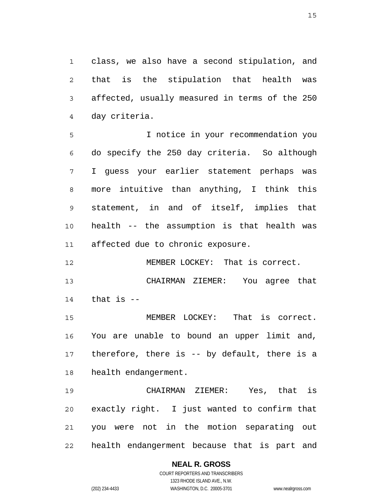1 2 3 4 class, we also have a second stipulation, and that is the stipulation that health was affected, usually measured in terms of the 250 day criteria.

5 6 7 8 9 10 11 I notice in your recommendation you do specify the 250 day criteria. So although I guess your earlier statement perhaps was more intuitive than anything, I think this statement, in and of itself, implies that health -- the assumption is that health was affected due to chronic exposure.

12 MEMBER LOCKEY: That is correct.

13 14 CHAIRMAN ZIEMER: You agree that that is --

15 16 17 18 MEMBER LOCKEY: That is correct. You are unable to bound an upper limit and, therefore, there is -- by default, there is a health endangerment.

19 20 21 22 CHAIRMAN ZIEMER: Yes, that is exactly right. I just wanted to confirm that you were not in the motion separating out health endangerment because that is part and

## **NEAL R. GROSS**

COURT REPORTERS AND TRANSCRIBERS 1323 RHODE ISLAND AVE., N.W. (202) 234-4433 WASHINGTON, D.C. 20005-3701 www.nealrgross.com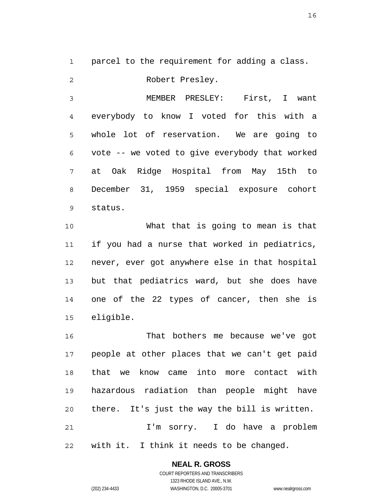1 parcel to the requirement for adding a class.

2 Robert Presley.

3 4 5 6 7 8 9 MEMBER PRESLEY: First, I want everybody to know I voted for this with a whole lot of reservation. We are going to vote -- we voted to give everybody that worked at Oak Ridge Hospital from May 15th to December 31, 1959 special exposure cohort status.

10 11 12 13 14 15 What that is going to mean is that if you had a nurse that worked in pediatrics, never, ever got anywhere else in that hospital but that pediatrics ward, but she does have one of the 22 types of cancer, then she is eligible.

16 17 18 19 20 21 22 That bothers me because we've got people at other places that we can't get paid that we know came into more contact with hazardous radiation than people might have there. It's just the way the bill is written. I'm sorry. I do have a problem with it. I think it needs to be changed.

# **NEAL R. GROSS**

COURT REPORTERS AND TRANSCRIBERS 1323 RHODE ISLAND AVE., N.W. (202) 234-4433 WASHINGTON, D.C. 20005-3701 www.nealrgross.com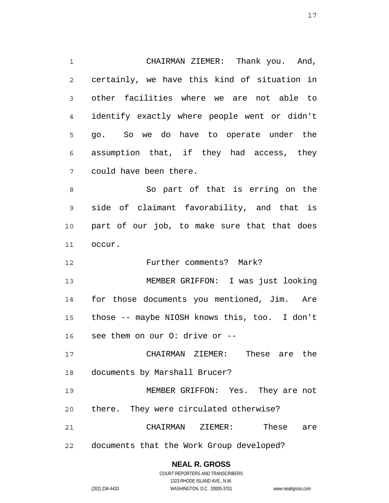1 2 3 4 5 6 7 8 9 10 11 CHAIRMAN ZIEMER: Thank you. And, certainly, we have this kind of situation in other facilities where we are not able to identify exactly where people went or didn't go. So we do have to operate under the assumption that, if they had access, they could have been there. So part of that is erring on the side of claimant favorability, and that is part of our job, to make sure that that does occur.

12 Further comments? Mark?

13 14 15 16 MEMBER GRIFFON: I was just looking for those documents you mentioned, Jim. Are those -- maybe NIOSH knows this, too. I don't see them on our O: drive or --

17 18 CHAIRMAN ZIEMER: These are the documents by Marshall Brucer?

19 20 MEMBER GRIFFON: Yes. They are not there. They were circulated otherwise?

21 CHAIRMAN ZIEMER: These are

22 documents that the Work Group developed?

# **NEAL R. GROSS**

COURT REPORTERS AND TRANSCRIBERS 1323 RHODE ISLAND AVE., N.W. (202) 234-4433 WASHINGTON, D.C. 20005-3701 www.nealrgross.com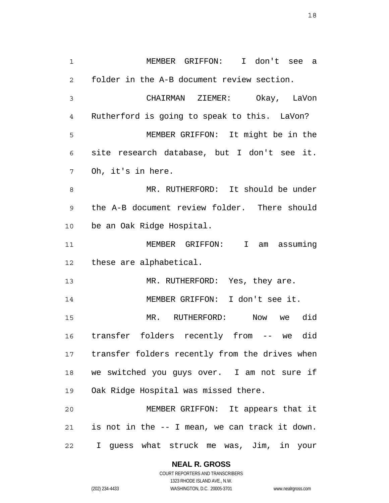1 2 3 4 5 6 7 8 9 10 11 12 13 14 15 16 17 18 19 20 21 22 MEMBER GRIFFON: I don't see a folder in the A-B document review section. CHAIRMAN ZIEMER: Okay, LaVon Rutherford is going to speak to this. LaVon? MEMBER GRIFFON: It might be in the site research database, but I don't see it. Oh, it's in here. MR. RUTHERFORD: It should be under the A-B document review folder. There should be an Oak Ridge Hospital. MEMBER GRIFFON: I am assuming these are alphabetical. MR. RUTHERFORD: Yes, they are. MEMBER GRIFFON: I don't see it. MR. RUTHERFORD: Now we did transfer folders recently from -- we did transfer folders recently from the drives when we switched you guys over. I am not sure if Oak Ridge Hospital was missed there. MEMBER GRIFFON: It appears that it is not in the -- I mean, we can track it down. I guess what struck me was, Jim, in your

> **NEAL R. GROSS** COURT REPORTERS AND TRANSCRIBERS 1323 RHODE ISLAND AVE., N.W.

(202) 234-4433 WASHINGTON, D.C. 20005-3701 www.nealrgross.com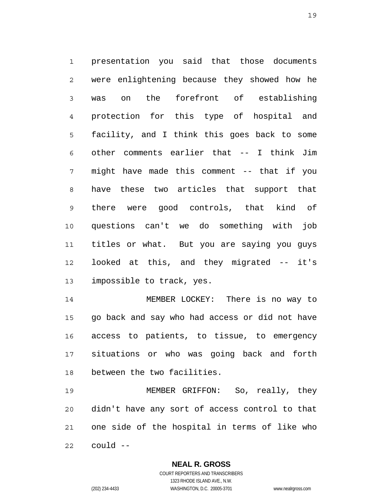1 2 3 4 5 6 7 8 9 10 11 12 13 presentation you said that those documents were enlightening because they showed how he was on the forefront of establishing protection for this type of hospital and facility, and I think this goes back to some other comments earlier that -- I think Jim might have made this comment -- that if you have these two articles that support that there were good controls, that kind of questions can't we do something with job titles or what. But you are saying you guys looked at this, and they migrated -- it's impossible to track, yes.

14 15 16 17 18 MEMBER LOCKEY: There is no way to go back and say who had access or did not have access to patients, to tissue, to emergency situations or who was going back and forth between the two facilities.

19 20 21 22 MEMBER GRIFFON: So, really, they didn't have any sort of access control to that one side of the hospital in terms of like who could --

> **NEAL R. GROSS** COURT REPORTERS AND TRANSCRIBERS

> > 1323 RHODE ISLAND AVE., N.W.

(202) 234-4433 WASHINGTON, D.C. 20005-3701 www.nealrgross.com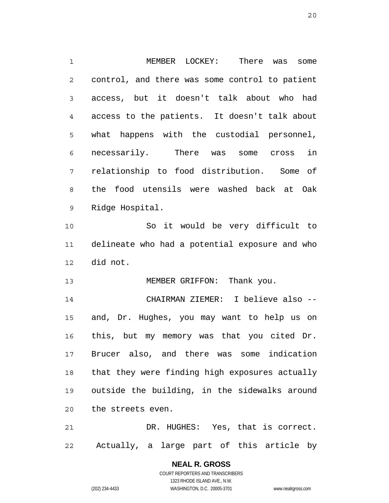1 2 3 4 5 6 7 8 9 10 11 12 13 14 15 16 17 18 19 20 MEMBER LOCKEY: There was some control, and there was some control to patient access, but it doesn't talk about who had access to the patients. It doesn't talk about what happens with the custodial personnel, necessarily. There was some cross in relationship to food distribution. Some of the food utensils were washed back at Oak Ridge Hospital. So it would be very difficult to delineate who had a potential exposure and who did not. MEMBER GRIFFON: Thank you. CHAIRMAN ZIEMER: I believe also - and, Dr. Hughes, you may want to help us on this, but my memory was that you cited Dr. Brucer also, and there was some indication that they were finding high exposures actually outside the building, in the sidewalks around the streets even.

21 22 DR. HUGHES: Yes, that is correct. Actually, a large part of this article by

> **NEAL R. GROSS** COURT REPORTERS AND TRANSCRIBERS 1323 RHODE ISLAND AVE., N.W. (202) 234-4433 WASHINGTON, D.C. 20005-3701 www.nealrgross.com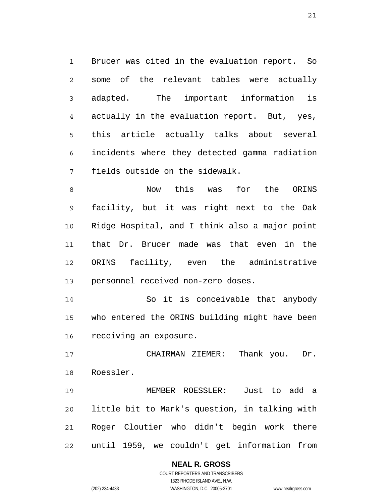1 2 3 4 5 6 7 Brucer was cited in the evaluation report. So some of the relevant tables were actually adapted. The important information is actually in the evaluation report. But, yes, this article actually talks about several incidents where they detected gamma radiation fields outside on the sidewalk.

8 9 10 11 12 13 Now this was for the ORINS facility, but it was right next to the Oak Ridge Hospital, and I think also a major point that Dr. Brucer made was that even in the ORINS facility, even the administrative personnel received non-zero doses.

14 15 16 So it is conceivable that anybody who entered the ORINS building might have been receiving an exposure.

17 18 CHAIRMAN ZIEMER: Thank you. Dr. Roessler.

19 20 21 22 MEMBER ROESSLER: Just to add a little bit to Mark's question, in talking with Roger Cloutier who didn't begin work there until 1959, we couldn't get information from

### **NEAL R. GROSS**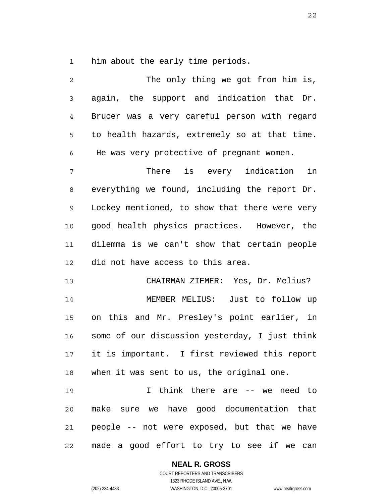1 him about the early time periods.

2 3 4 5 6 7 8 9 10 11 12 13 14 15 16 17 18 19 20 21 22 The only thing we got from him is, again, the support and indication that Dr. Brucer was a very careful person with regard to health hazards, extremely so at that time. He was very protective of pregnant women. There is every indication in everything we found, including the report Dr. Lockey mentioned, to show that there were very good health physics practices. However, the dilemma is we can't show that certain people did not have access to this area. CHAIRMAN ZIEMER: Yes, Dr. Melius? MEMBER MELIUS: Just to follow up on this and Mr. Presley's point earlier, in some of our discussion yesterday, I just think it is important. I first reviewed this report when it was sent to us, the original one. I think there are -- we need to make sure we have good documentation that people -- not were exposed, but that we have made a good effort to try to see if we can

### **NEAL R. GROSS**

COURT REPORTERS AND TRANSCRIBERS 1323 RHODE ISLAND AVE., N.W. (202) 234-4433 WASHINGTON, D.C. 20005-3701 www.nealrgross.com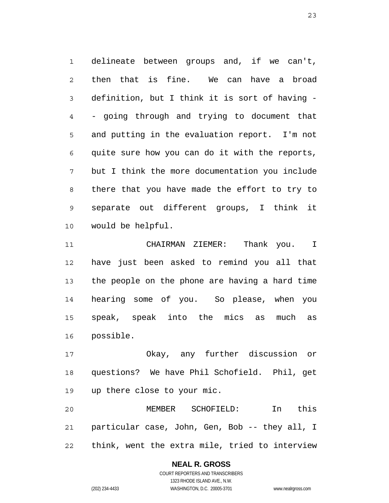1 2 3 4 5 6 7 8 9 10 delineate between groups and, if we can't, then that is fine. We can have a broad definition, but I think it is sort of having - - going through and trying to document that and putting in the evaluation report. I'm not quite sure how you can do it with the reports, but I think the more documentation you include there that you have made the effort to try to separate out different groups, I think it would be helpful.

11 12 13 14 15 16 CHAIRMAN ZIEMER: Thank you. I have just been asked to remind you all that the people on the phone are having a hard time hearing some of you. So please, when you speak, speak into the mics as much as possible.

17 18 19 Okay, any further discussion or questions? We have Phil Schofield. Phil, get up there close to your mic.

20 21 22 MEMBER SCHOFIELD: In this particular case, John, Gen, Bob -- they all, I think, went the extra mile, tried to interview

## **NEAL R. GROSS**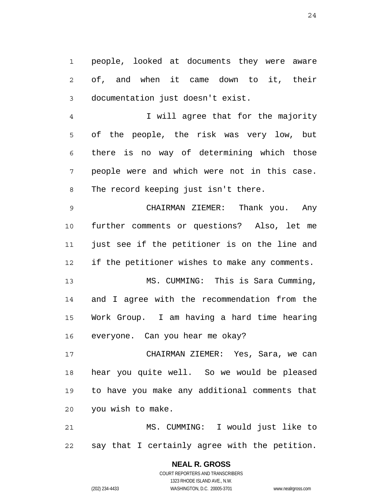1 2 3 people, looked at documents they were aware of, and when it came down to it, their documentation just doesn't exist.

4 5 6 7 8 I will agree that for the majority of the people, the risk was very low, but there is no way of determining which those people were and which were not in this case. The record keeping just isn't there.

9 10 11 12 CHAIRMAN ZIEMER: Thank you. Any further comments or questions? Also, let me just see if the petitioner is on the line and if the petitioner wishes to make any comments.

13 14 15 16 MS. CUMMING: This is Sara Cumming, and I agree with the recommendation from the Work Group. I am having a hard time hearing everyone. Can you hear me okay?

17 18 19 20 CHAIRMAN ZIEMER: Yes, Sara, we can hear you quite well. So we would be pleased to have you make any additional comments that you wish to make.

21 22 MS. CUMMING: I would just like to say that I certainly agree with the petition.

> **NEAL R. GROSS** COURT REPORTERS AND TRANSCRIBERS 1323 RHODE ISLAND AVE., N.W. (202) 234-4433 WASHINGTON, D.C. 20005-3701 www.nealrgross.com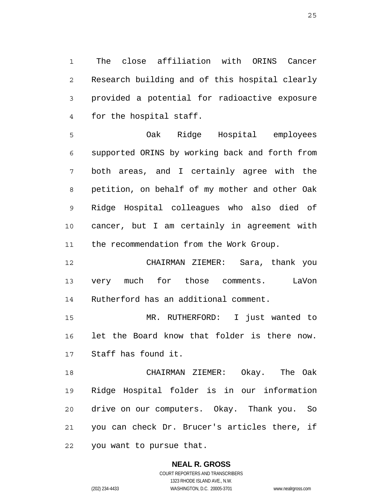1 2 3 4 The close affiliation with ORINS Cancer Research building and of this hospital clearly provided a potential for radioactive exposure for the hospital staff.

5 6 7 8 9 10 11 Oak Ridge Hospital employees supported ORINS by working back and forth from both areas, and I certainly agree with the petition, on behalf of my mother and other Oak Ridge Hospital colleagues who also died of cancer, but I am certainly in agreement with the recommendation from the Work Group.

12 13 14 CHAIRMAN ZIEMER: Sara, thank you very much for those comments. LaVon Rutherford has an additional comment.

15 16 17 MR. RUTHERFORD: I just wanted to let the Board know that folder is there now. Staff has found it.

18 19 20 21 22 CHAIRMAN ZIEMER: Okay. The Oak Ridge Hospital folder is in our information drive on our computers. Okay. Thank you. So you can check Dr. Brucer's articles there, if you want to pursue that.

> **NEAL R. GROSS** COURT REPORTERS AND TRANSCRIBERS 1323 RHODE ISLAND AVE., N.W. (202) 234-4433 WASHINGTON, D.C. 20005-3701 www.nealrgross.com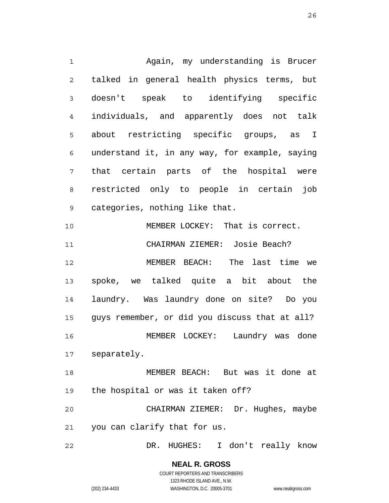1 2 3 4 5 6 7 8 9 10 11 12 13 14 15 16 17 18 19 20 21 Again, my understanding is Brucer talked in general health physics terms, but doesn't speak to identifying specific individuals, and apparently does not talk about restricting specific groups, as I understand it, in any way, for example, saying that certain parts of the hospital were restricted only to people in certain job categories, nothing like that. MEMBER LOCKEY: That is correct. CHAIRMAN ZIEMER: Josie Beach? MEMBER BEACH: The last time we spoke, we talked quite a bit about the laundry. Was laundry done on site? Do you guys remember, or did you discuss that at all? MEMBER LOCKEY: Laundry was done separately. MEMBER BEACH: But was it done at the hospital or was it taken off? CHAIRMAN ZIEMER: Dr. Hughes, maybe you can clarify that for us.

22 DR. HUGHES: I don't really know

> **NEAL R. GROSS** COURT REPORTERS AND TRANSCRIBERS 1323 RHODE ISLAND AVE., N.W.

(202) 234-4433 WASHINGTON, D.C. 20005-3701 www.nealrgross.com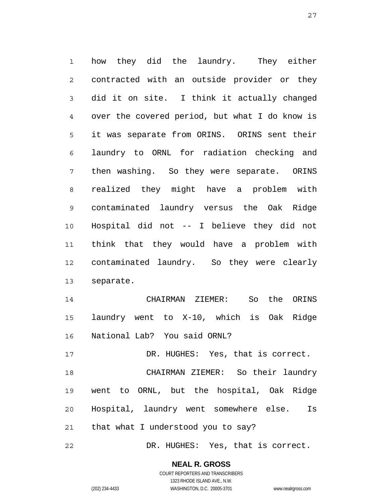1 2 3 4 5 6 7 8 9 10 11 12 13 how they did the laundry. They either contracted with an outside provider or they did it on site. I think it actually changed over the covered period, but what I do know is it was separate from ORINS. ORINS sent their laundry to ORNL for radiation checking and then washing. So they were separate. ORINS realized they might have a problem with contaminated laundry versus the Oak Ridge Hospital did not -- I believe they did not think that they would have a problem with contaminated laundry. So they were clearly separate.

14 15 16 CHAIRMAN ZIEMER: So the ORINS laundry went to X-10, which is Oak Ridge National Lab? You said ORNL?

17 18 19 20 21 DR. HUGHES: Yes, that is correct. CHAIRMAN ZIEMER: So their laundry went to ORNL, but the hospital, Oak Ridge Hospital, laundry went somewhere else. Is that what I understood you to say?

22 DR. HUGHES: Yes, that is correct.

### **NEAL R. GROSS**

COURT REPORTERS AND TRANSCRIBERS 1323 RHODE ISLAND AVE., N.W. (202) 234-4433 WASHINGTON, D.C. 20005-3701 www.nealrgross.com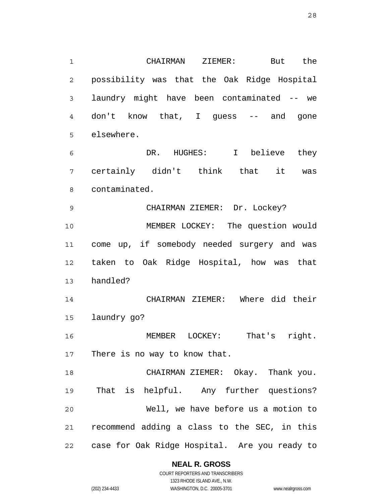1 2 3 4 5 CHAIRMAN ZIEMER: But the possibility was that the Oak Ridge Hospital laundry might have been contaminated -- we don't know that, I guess -- and gone elsewhere.

6 7 8 DR. HUGHES: I believe they certainly didn't think that it was contaminated.

9 10 11 12 13 CHAIRMAN ZIEMER: Dr. Lockey? MEMBER LOCKEY: The question would come up, if somebody needed surgery and was taken to Oak Ridge Hospital, how was that handled?

14 15 CHAIRMAN ZIEMER: Where did their laundry go?

16 17 MEMBER LOCKEY: That's right. There is no way to know that.

18 19 20 21 22 CHAIRMAN ZIEMER: Okay. Thank you. That is helpful. Any further questions? Well, we have before us a motion to recommend adding a class to the SEC, in this case for Oak Ridge Hospital. Are you ready to

**NEAL R. GROSS**

COURT REPORTERS AND TRANSCRIBERS 1323 RHODE ISLAND AVE., N.W. (202) 234-4433 WASHINGTON, D.C. 20005-3701 www.nealrgross.com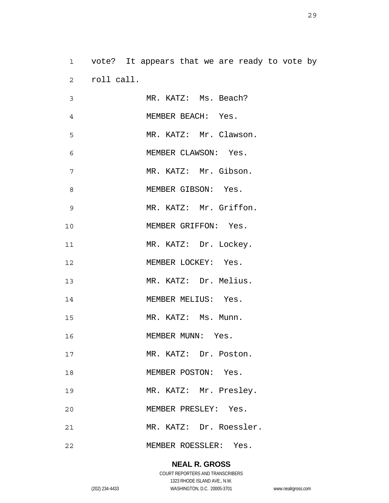1 2 vote? It appears that we are ready to vote by roll call.

| 3  | MR. KATZ: Ms. Beach?    |
|----|-------------------------|
| 4  | MEMBER BEACH: Yes.      |
| 5  | MR. KATZ: Mr. Clawson.  |
| 6  | MEMBER CLAWSON: Yes.    |
| 7  | MR. KATZ: Mr. Gibson.   |
| 8  | MEMBER GIBSON: Yes.     |
| 9  | MR. KATZ: Mr. Griffon.  |
| 10 | MEMBER GRIFFON: Yes.    |
| 11 | MR. KATZ: Dr. Lockey.   |
| 12 | MEMBER LOCKEY: Yes.     |
| 13 | MR. KATZ: Dr. Melius.   |
| 14 | MEMBER MELIUS: Yes.     |
| 15 | MR. KATZ: Ms. Munn.     |
| 16 | MEMBER MUNN: Yes.       |
| 17 | MR. KATZ: Dr. Poston.   |
| 18 | MEMBER POSTON: Yes.     |
| 19 | MR. KATZ: Mr. Presley.  |
| 20 | MEMBER PRESLEY: Yes.    |
| 21 | MR. KATZ: Dr. Roessler. |
| 22 | MEMBER ROESSLER: Yes.   |

### **NEAL R. GROSS**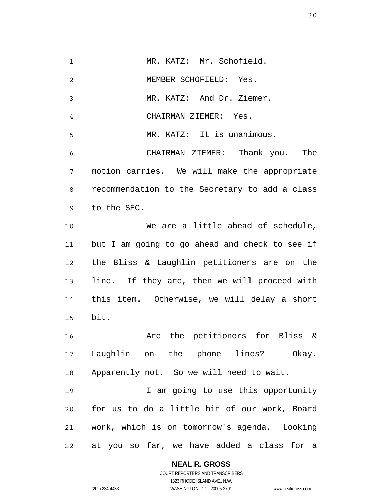1 2 3 4 5 6 7 8 9 10 11 12 13 14 15 16 17 18 19 20 21 22 MR. KATZ: Mr. Schofield. MEMBER SCHOFIELD: Yes. MR. KATZ: And Dr. Ziemer. CHAIRMAN ZIEMER: Yes. MR. KATZ: It is unanimous. CHAIRMAN ZIEMER: Thank you. The motion carries. We will make the appropriate recommendation to the Secretary to add a class to the SEC. We are a little ahead of schedule, but I am going to go ahead and check to see if the Bliss & Laughlin petitioners are on the line. If they are, then we will proceed with this item. Otherwise, we will delay a short bit. Are the petitioners for Bliss & Laughlin on the phone lines? Okay. Apparently not. So we will need to wait. I am going to use this opportunity for us to do a little bit of our work, Board work, which is on tomorrow's agenda. Looking at you so far, we have added a class for a

**NEAL R. GROSS**

COURT REPORTERS AND TRANSCRIBERS 1323 RHODE ISLAND AVE., N.W. (202) 234-4433 WASHINGTON, D.C. 20005-3701 www.nealrgross.com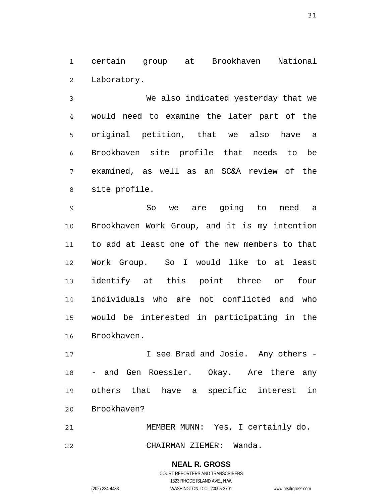1 2 certain group at Brookhaven National Laboratory.

3 4 5 6 7 8 We also indicated yesterday that we would need to examine the later part of the original petition, that we also have a Brookhaven site profile that needs to be examined, as well as an SC&A review of the site profile.

9 10 11 12 13 14 15 16 So we are going to need a Brookhaven Work Group, and it is my intention to add at least one of the new members to that Work Group. So I would like to at least identify at this point three or four individuals who are not conflicted and who would be interested in participating in the Brookhaven.

17 18 19 20 I see Brad and Josie. Any others - - and Gen Roessler. Okay. Are there any others that have a specific interest in Brookhaven?

21 22 MEMBER MUNN: Yes, I certainly do. CHAIRMAN ZIEMER: Wanda.

> **NEAL R. GROSS** COURT REPORTERS AND TRANSCRIBERS 1323 RHODE ISLAND AVE., N.W. (202) 234-4433 WASHINGTON, D.C. 20005-3701 www.nealrgross.com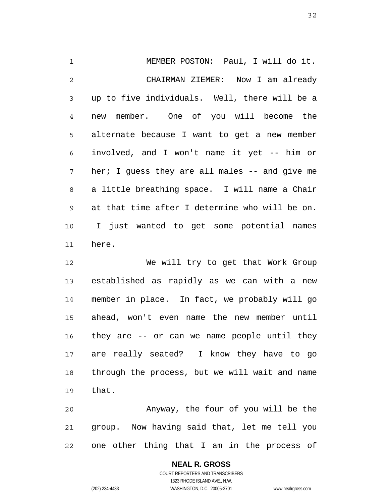1 2 3 4 5 6 7 8 9 10 11 MEMBER POSTON: Paul, I will do it. CHAIRMAN ZIEMER: Now I am already up to five individuals. Well, there will be a new member. One of you will become the alternate because I want to get a new member involved, and I won't name it yet -- him or her; I guess they are all males -- and give me a little breathing space. I will name a Chair at that time after I determine who will be on. I just wanted to get some potential names here.

12 13 14 15 16 17 18 19 We will try to get that Work Group established as rapidly as we can with a new member in place. In fact, we probably will go ahead, won't even name the new member until they are -- or can we name people until they are really seated? I know they have to go through the process, but we will wait and name that.

20 21 22 Anyway, the four of you will be the group. Now having said that, let me tell you one other thing that I am in the process of

## **NEAL R. GROSS**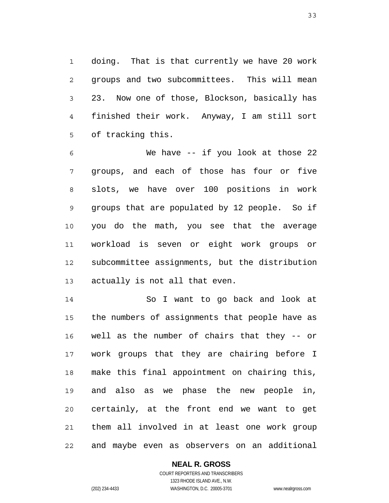1 2 3 4 5 doing. That is that currently we have 20 work groups and two subcommittees. This will mean 23. Now one of those, Blockson, basically has finished their work. Anyway, I am still sort of tracking this.

6 7 8 9 10 11 12 13 We have -- if you look at those 22 groups, and each of those has four or five slots, we have over 100 positions in work groups that are populated by 12 people. So if you do the math, you see that the average workload is seven or eight work groups or subcommittee assignments, but the distribution actually is not all that even.

14 15 16 17 18 19 20 21 22 So I want to go back and look at the numbers of assignments that people have as well as the number of chairs that they -- or work groups that they are chairing before I make this final appointment on chairing this, and also as we phase the new people in, certainly, at the front end we want to get them all involved in at least one work group and maybe even as observers on an additional

### **NEAL R. GROSS**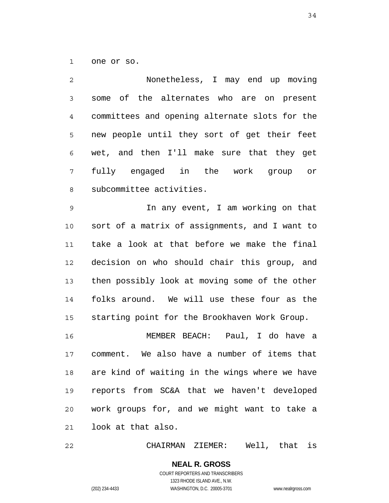1 one or so.

2 3 4 5 6 7 8 9 10 11 12 13 14 15 16 Nonetheless, I may end up moving some of the alternates who are on present committees and opening alternate slots for the new people until they sort of get their feet wet, and then I'll make sure that they get fully engaged in the work group or subcommittee activities. In any event, I am working on that sort of a matrix of assignments, and I want to take a look at that before we make the final decision on who should chair this group, and then possibly look at moving some of the other folks around. We will use these four as the starting point for the Brookhaven Work Group. MEMBER BEACH: Paul, I do have a

17 18 19 20 21 comment. We also have a number of items that are kind of waiting in the wings where we have reports from SC&A that we haven't developed work groups for, and we might want to take a look at that also.

22 CHAIRMAN ZIEMER: Well, that is

> **NEAL R. GROSS** COURT REPORTERS AND TRANSCRIBERS 1323 RHODE ISLAND AVE., N.W. (202) 234-4433 WASHINGTON, D.C. 20005-3701 www.nealrgross.com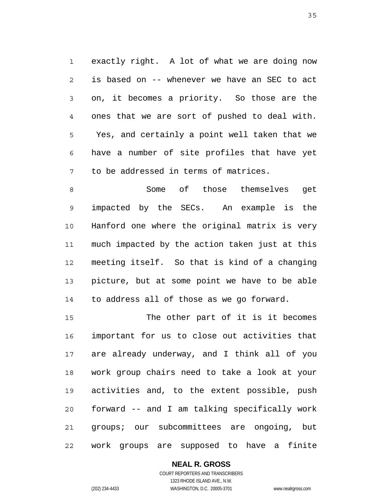1 2 3 4 5 6 7 exactly right. A lot of what we are doing now is based on -- whenever we have an SEC to act on, it becomes a priority. So those are the ones that we are sort of pushed to deal with. Yes, and certainly a point well taken that we have a number of site profiles that have yet to be addressed in terms of matrices.

8 9 10 11 12 13 14 Some of those themselves get impacted by the SECs. An example is the Hanford one where the original matrix is very much impacted by the action taken just at this meeting itself. So that is kind of a changing picture, but at some point we have to be able to address all of those as we go forward.

15 16 17 18 19 20 21 22 The other part of it is it becomes important for us to close out activities that are already underway, and I think all of you work group chairs need to take a look at your activities and, to the extent possible, push forward -- and I am talking specifically work groups; our subcommittees are ongoing, but work groups are supposed to have a finite

## **NEAL R. GROSS**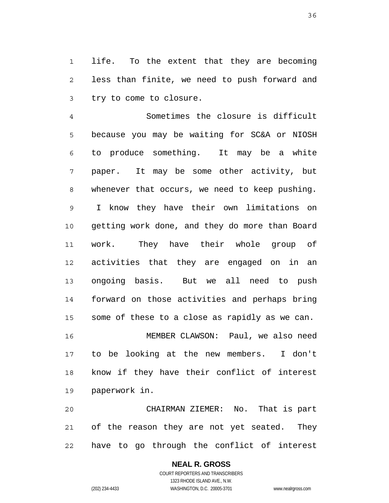1 2 3 life. To the extent that they are becoming less than finite, we need to push forward and try to come to closure.

4 5 6 7 8 9 10 11 12 13 14 15 Sometimes the closure is difficult because you may be waiting for SC&A or NIOSH to produce something. It may be a white paper. It may be some other activity, but whenever that occurs, we need to keep pushing. I know they have their own limitations on getting work done, and they do more than Board work. They have their whole group of activities that they are engaged on in an ongoing basis. But we all need to push forward on those activities and perhaps bring some of these to a close as rapidly as we can.

16 17 18 19 MEMBER CLAWSON: Paul, we also need to be looking at the new members. I don't know if they have their conflict of interest paperwork in.

20 21 22 CHAIRMAN ZIEMER: No. That is part of the reason they are not yet seated. They have to go through the conflict of interest

#### **NEAL R. GROSS** COURT REPORTERS AND TRANSCRIBERS

1323 RHODE ISLAND AVE., N.W. (202) 234-4433 WASHINGTON, D.C. 20005-3701 www.nealrgross.com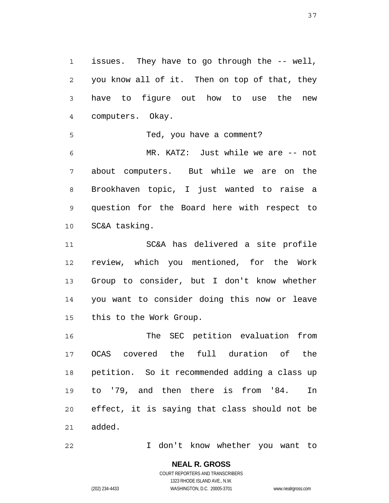1 2 3 4 issues. They have to go through the -- well, you know all of it. Then on top of that, they have to figure out how to use the new computers. Okay.

5 6 7 8 9 10 Ted, you have a comment? MR. KATZ: Just while we are -- not about computers. But while we are on the Brookhaven topic, I just wanted to raise a question for the Board here with respect to SC&A tasking.

11 12 13 14 15 SC&A has delivered a site profile review, which you mentioned, for the Work Group to consider, but I don't know whether you want to consider doing this now or leave this to the Work Group.

16 17 18 19 20 21 The SEC petition evaluation from OCAS covered the full duration of the petition. So it recommended adding a class up to '79, and then there is from '84. In effect, it is saying that class should not be added.

22 I don't know whether you want to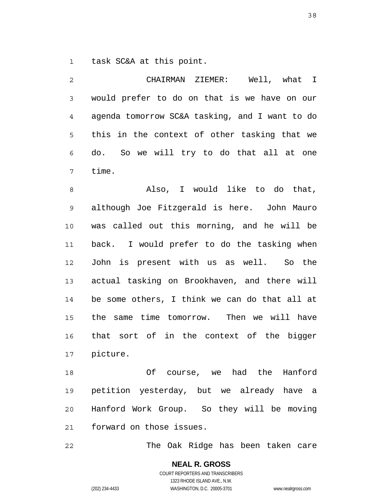1 task SC&A at this point.

| $\overline{c}$ | CHAIRMAN ZIEMER: Well, what I                  |
|----------------|------------------------------------------------|
| 3              | would prefer to do on that is we have on our   |
| $\overline{4}$ | agenda tomorrow SC&A tasking, and I want to do |
| 5              | this in the context of other tasking that we   |
| 6              | do. So we will try to do that all at one       |
| 7              | time.                                          |
| 8              | Also, I would like to do that,                 |
| $\mathsf 9$    | although Joe Fitzgerald is here. John Mauro    |
| 10             | was called out this morning, and he will be    |
| 11             | back. I would prefer to do the tasking when    |
| 12             | John is present with us as well.<br>So the     |
| 13             | actual tasking on Brookhaven, and there will   |
| 14             | be some others, I think we can do that all at  |
| 15             | the same time tomorrow. Then we will have      |
| 16             | that sort of in the context of the bigger      |
| 17             | picture.                                       |
| 18             | Of course, we had the<br>Hanford               |
| 19             | petition yesterday, but we already have<br>a   |

20 21 Hanford Work Group. So they will be moving forward on those issues.

22 The Oak Ridge has been taken care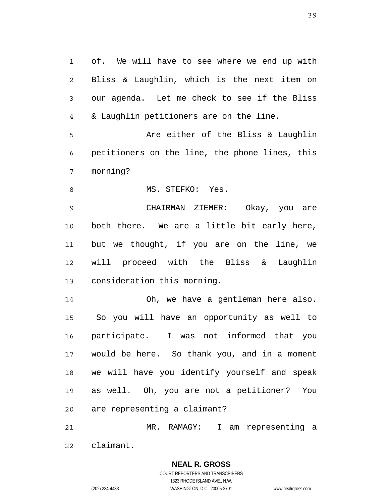1 2 3 4 of. We will have to see where we end up with Bliss & Laughlin, which is the next item on our agenda. Let me check to see if the Bliss & Laughlin petitioners are on the line.

5 6 7 Are either of the Bliss & Laughlin petitioners on the line, the phone lines, this morning?

8 MS. STEFKO: Yes.

9 10 11 12 13 CHAIRMAN ZIEMER: Okay, you are both there. We are a little bit early here, but we thought, if you are on the line, we will proceed with the Bliss & Laughlin consideration this morning.

14 15 16 17 18 19 20 Oh, we have a gentleman here also. So you will have an opportunity as well to participate. I was not informed that you would be here. So thank you, and in a moment we will have you identify yourself and speak as well. Oh, you are not a petitioner? You are representing a claimant?

21 22 MR. RAMAGY: I am representing a claimant.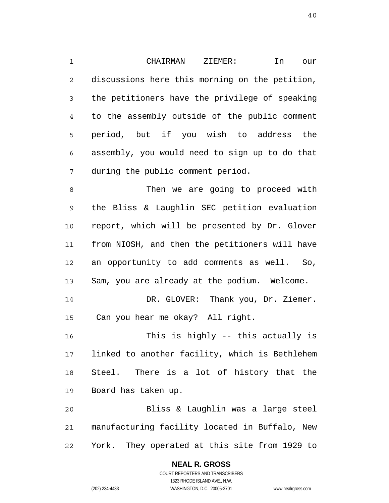1 2 3 4 5 6 7 CHAIRMAN ZIEMER: In our discussions here this morning on the petition, the petitioners have the privilege of speaking to the assembly outside of the public comment period, but if you wish to address the assembly, you would need to sign up to do that during the public comment period.

8 9 10 11 12 13 14 15 Then we are going to proceed with the Bliss & Laughlin SEC petition evaluation report, which will be presented by Dr. Glover from NIOSH, and then the petitioners will have an opportunity to add comments as well. So, Sam, you are already at the podium. Welcome. DR. GLOVER: Thank you, Dr. Ziemer. Can you hear me okay? All right.

16 17 18 19 This is highly -- this actually is linked to another facility, which is Bethlehem Steel. There is a lot of history that the Board has taken up.

20 21 22 Bliss & Laughlin was a large steel manufacturing facility located in Buffalo, New York. They operated at this site from 1929 to

#### **NEAL R. GROSS** COURT REPORTERS AND TRANSCRIBERS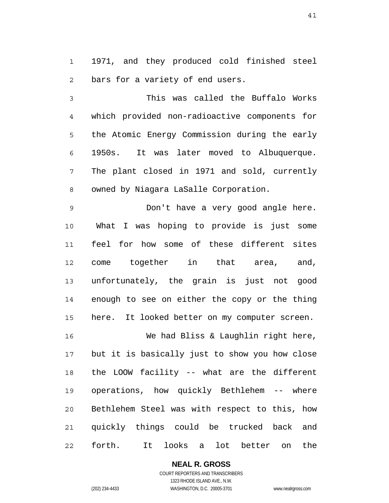1 2 1971, and they produced cold finished steel bars for a variety of end users.

3 4 5 6 7 8 This was called the Buffalo Works which provided non-radioactive components for the Atomic Energy Commission during the early 1950s. It was later moved to Albuquerque. The plant closed in 1971 and sold, currently owned by Niagara LaSalle Corporation.

9 10 11 12 13 14 15 Don't have a very good angle here. What I was hoping to provide is just some feel for how some of these different sites come together in that area, and, unfortunately, the grain is just not good enough to see on either the copy or the thing here. It looked better on my computer screen.

16 17 18 19 20 21 22 We had Bliss & Laughlin right here, but it is basically just to show you how close the LOOW facility -- what are the different operations, how quickly Bethlehem -- where Bethlehem Steel was with respect to this, how quickly things could be trucked back and forth. It looks a lot better on the

**NEAL R. GROSS**

COURT REPORTERS AND TRANSCRIBERS 1323 RHODE ISLAND AVE., N.W. (202) 234-4433 WASHINGTON, D.C. 20005-3701 www.nealrgross.com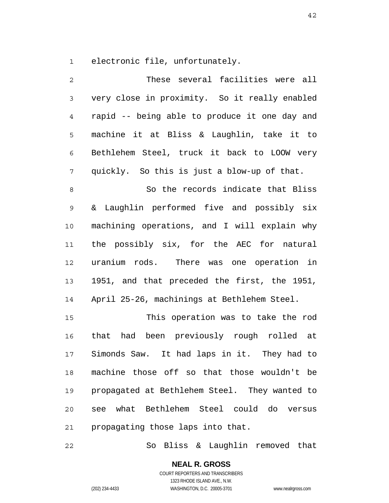1 electronic file, unfortunately.

| 2           | These several facilities were all             |
|-------------|-----------------------------------------------|
| $\mathsf 3$ | very close in proximity. So it really enabled |
| 4           | rapid -- being able to produce it one day and |
| 5           | machine it at Bliss & Laughlin, take it to    |
| 6           | Bethlehem Steel, truck it back to LOOW very   |
| 7           | quickly. So this is just a blow-up of that.   |
| $\,8\,$     | So the records indicate that Bliss            |
| 9           | & Laughlin performed five and possibly six    |
| 10          | machining operations, and I will explain why  |
| 11          | the possibly six, for the AEC for natural     |
| 12          | uranium rods. There was one operation in      |
| 13          | 1951, and that preceded the first, the 1951,  |
| 14          | April 25-26, machinings at Bethlehem Steel.   |
| 15          | This operation was to take the rod            |
| 16          | that had been previously rough rolled at      |
| 17          | Simonds Saw. It had laps in it. They had to   |
| 18          | machine those off so that those wouldn't be   |
| 19          | propagated at Bethlehem Steel. They wanted to |
| 20          | see what Bethlehem Steel could do versus      |
| 21          | propagating those laps into that.             |

22 So Bliss & Laughlin removed that

> **NEAL R. GROSS** COURT REPORTERS AND TRANSCRIBERS 1323 RHODE ISLAND AVE., N.W. (202) 234-4433 WASHINGTON, D.C. 20005-3701 www.nealrgross.com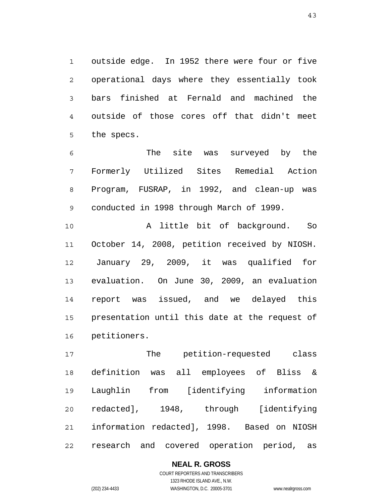1 2 3 4 5 outside edge. In 1952 there were four or five operational days where they essentially took bars finished at Fernald and machined the outside of those cores off that didn't meet the specs.

6 7 8 9 The site was surveyed by the Formerly Utilized Sites Remedial Action Program, FUSRAP, in 1992, and clean-up was conducted in 1998 through March of 1999.

10 11 12 13 14 15 16 A little bit of background. So October 14, 2008, petition received by NIOSH. January 29, 2009, it was qualified for evaluation. On June 30, 2009, an evaluation report was issued, and we delayed this presentation until this date at the request of petitioners.

17 18 19 20 21 22 The petition-requested class definition was all employees of Bliss & Laughlin from [identifying information redacted], 1948, through [identifying information redacted], 1998. Based on NIOSH research and covered operation period, as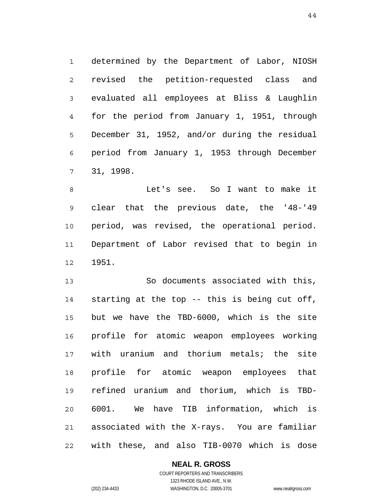1 2 3 4 5 6 7 determined by the Department of Labor, NIOSH revised the petition-requested class and evaluated all employees at Bliss & Laughlin for the period from January 1, 1951, through December 31, 1952, and/or during the residual period from January 1, 1953 through December 31, 1998.

8 9 10 11 12 Let's see. So I want to make it clear that the previous date, the '48-'49 period, was revised, the operational period. Department of Labor revised that to begin in 1951.

13 14 15 16 17 18 19 20 21 22 So documents associated with this, starting at the top -- this is being cut off, but we have the TBD-6000, which is the site profile for atomic weapon employees working with uranium and thorium metals; the site profile for atomic weapon employees that refined uranium and thorium, which is TBD-6001. We have TIB information, which is associated with the X-rays. You are familiar with these, and also TIB-0070 which is dose

**NEAL R. GROSS**

COURT REPORTERS AND TRANSCRIBERS 1323 RHODE ISLAND AVE., N.W. (202) 234-4433 WASHINGTON, D.C. 20005-3701 www.nealrgross.com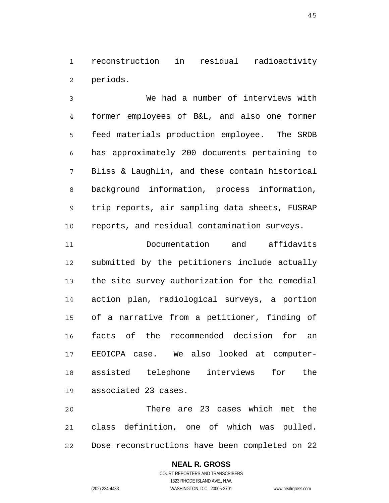1 2 reconstruction in residual radioactivity periods.

3 4 5 6 7 8 9 10 We had a number of interviews with former employees of B&L, and also one former feed materials production employee. The SRDB has approximately 200 documents pertaining to Bliss & Laughlin, and these contain historical background information, process information, trip reports, air sampling data sheets, FUSRAP reports, and residual contamination surveys.

11 12 13 14 15 16 17 18 19 Documentation and affidavits submitted by the petitioners include actually the site survey authorization for the remedial action plan, radiological surveys, a portion of a narrative from a petitioner, finding of facts of the recommended decision for an EEOICPA case. We also looked at computerassisted telephone interviews for the associated 23 cases.

20 21 22 There are 23 cases which met the class definition, one of which was pulled. Dose reconstructions have been completed on 22

# **NEAL R. GROSS**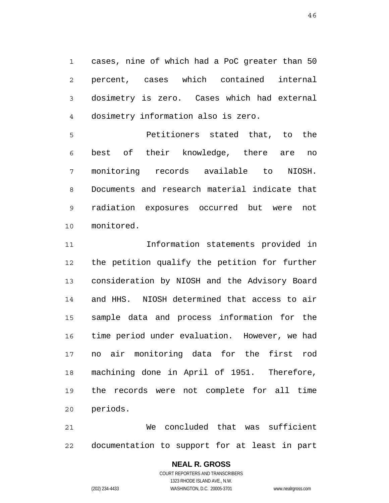1 2 3 4 cases, nine of which had a PoC greater than 50 percent, cases which contained internal dosimetry is zero. Cases which had external dosimetry information also is zero.

5 6 7 8 9 10 Petitioners stated that, to the best of their knowledge, there are no monitoring records available to NIOSH. Documents and research material indicate that radiation exposures occurred but were not monitored.

11 12 13 14 15 16 17 18 19 20 Information statements provided in the petition qualify the petition for further consideration by NIOSH and the Advisory Board and HHS. NIOSH determined that access to air sample data and process information for the time period under evaluation. However, we had no air monitoring data for the first rod machining done in April of 1951. Therefore, the records were not complete for all time periods.

21 22 We concluded that was sufficient documentation to support for at least in part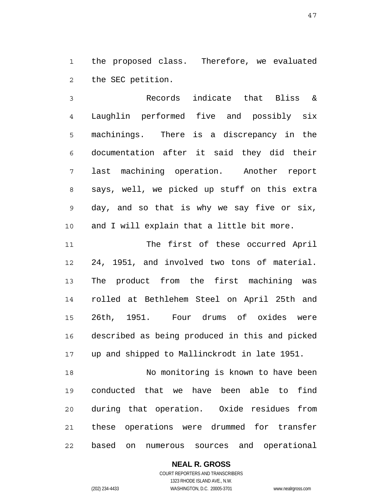1 2 the proposed class. Therefore, we evaluated the SEC petition.

3 4 5 6 7 8 9 10 Records indicate that Bliss & Laughlin performed five and possibly six machinings. There is a discrepancy in the documentation after it said they did their last machining operation. Another report says, well, we picked up stuff on this extra day, and so that is why we say five or six, and I will explain that a little bit more.

11 12 13 14 15 16 17 The first of these occurred April 24, 1951, and involved two tons of material. The product from the first machining was rolled at Bethlehem Steel on April 25th and 26th, 1951. Four drums of oxides were described as being produced in this and picked up and shipped to Mallinckrodt in late 1951.

18 19 20 21 22 No monitoring is known to have been conducted that we have been able to find during that operation. Oxide residues from these operations were drummed for transfer based on numerous sources and operational

**NEAL R. GROSS**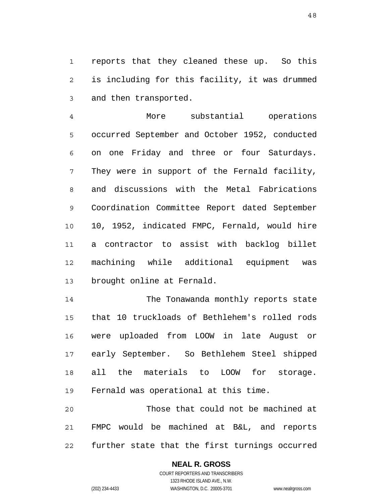1 2 3 reports that they cleaned these up. So this is including for this facility, it was drummed and then transported.

4 5 6 7 8 9 10 11 12 13 More substantial operations occurred September and October 1952, conducted on one Friday and three or four Saturdays. They were in support of the Fernald facility, and discussions with the Metal Fabrications Coordination Committee Report dated September 10, 1952, indicated FMPC, Fernald, would hire a contractor to assist with backlog billet machining while additional equipment was brought online at Fernald.

14 15 16 17 18 19 The Tonawanda monthly reports state that 10 truckloads of Bethlehem's rolled rods were uploaded from LOOW in late August or early September. So Bethlehem Steel shipped all the materials to LOOW for storage. Fernald was operational at this time.

20 21 22 Those that could not be machined at FMPC would be machined at B&L, and reports further state that the first turnings occurred

# **NEAL R. GROSS**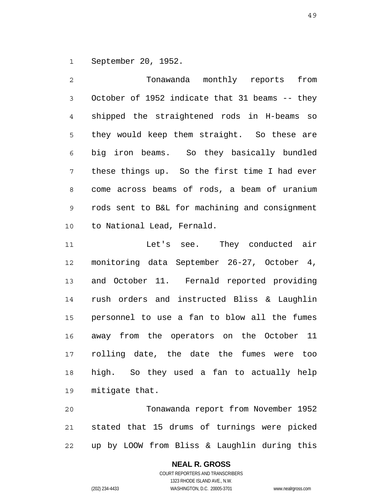1 September 20, 1952.

2 3 4 5 6 7 8 9 10 Tonawanda monthly reports from October of 1952 indicate that 31 beams -- they shipped the straightened rods in H-beams so they would keep them straight. So these are big iron beams. So they basically bundled these things up. So the first time I had ever come across beams of rods, a beam of uranium rods sent to B&L for machining and consignment to National Lead, Fernald.

11 12 13 14 15 16 17 18 19 Let's see. They conducted air monitoring data September 26-27, October 4, and October 11. Fernald reported providing rush orders and instructed Bliss & Laughlin personnel to use a fan to blow all the fumes away from the operators on the October 11 rolling date, the date the fumes were too high. So they used a fan to actually help mitigate that.

20 21 22 Tonawanda report from November 1952 stated that 15 drums of turnings were picked up by LOOW from Bliss & Laughlin during this

#### **NEAL R. GROSS** COURT REPORTERS AND TRANSCRIBERS

1323 RHODE ISLAND AVE., N.W. (202) 234-4433 WASHINGTON, D.C. 20005-3701 www.nealrgross.com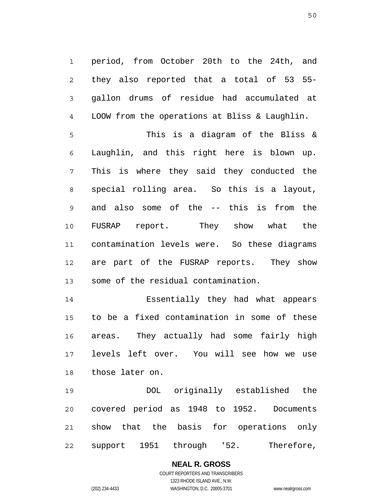1 2 3 4 period, from October 20th to the 24th, and they also reported that a total of 53 55 gallon drums of residue had accumulated at LOOW from the operations at Bliss & Laughlin.

5 6 7 8 9 10 11 12 13 This is a diagram of the Bliss & Laughlin, and this right here is blown up. This is where they said they conducted the special rolling area. So this is a layout, and also some of the -- this is from the FUSRAP report. They show what the contamination levels were. So these diagrams are part of the FUSRAP reports. They show some of the residual contamination.

14 15 16 17 18 Essentially they had what appears to be a fixed contamination in some of these areas. They actually had some fairly high levels left over. You will see how we use those later on.

19 20 21 22 DOL originally established the covered period as 1948 to 1952. Documents show that the basis for operations only support 1951 through '52. Therefore,

#### **NEAL R. GROSS** COURT REPORTERS AND TRANSCRIBERS 1323 RHODE ISLAND AVE., N.W.

(202) 234-4433 WASHINGTON, D.C. 20005-3701 www.nealrgross.com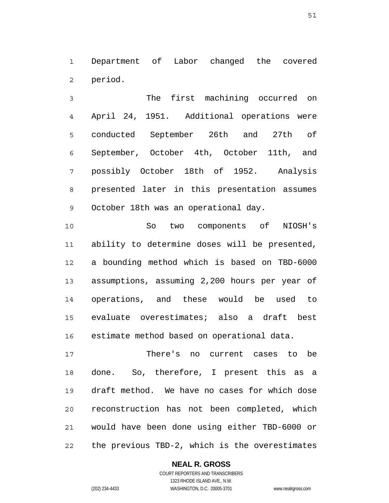1 2 Department of Labor changed the covered period.

3 4 5 6 7 8 9 The first machining occurred on April 24, 1951. Additional operations were conducted September 26th and 27th of September, October 4th, October 11th, and possibly October 18th of 1952. Analysis presented later in this presentation assumes October 18th was an operational day.

10 11 12 13 14 15 16 So two components of NIOSH's ability to determine doses will be presented, a bounding method which is based on TBD-6000 assumptions, assuming 2,200 hours per year of operations, and these would be used to evaluate overestimates; also a draft best estimate method based on operational data.

17 18 19 20 21 22 There's no current cases to be done. So, therefore, I present this as a draft method. We have no cases for which dose reconstruction has not been completed, which would have been done using either TBD-6000 or the previous TBD-2, which is the overestimates

## **NEAL R. GROSS**

COURT REPORTERS AND TRANSCRIBERS 1323 RHODE ISLAND AVE., N.W. (202) 234-4433 WASHINGTON, D.C. 20005-3701 www.nealrgross.com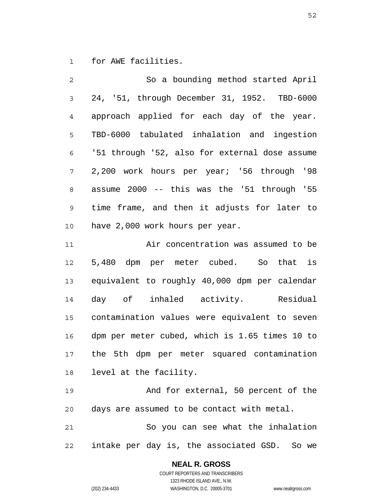1 for AWE facilities.

| $\overline{2}$ | So a bounding method started April             |
|----------------|------------------------------------------------|
| $\mathsf{3}$   | 24, '51, through December 31, 1952. TBD-6000   |
| 4              | approach applied for each day of the year.     |
| 5              | TBD-6000 tabulated inhalation and ingestion    |
| 6              | '51 through '52, also for external dose assume |
| 7              | 2,200 work hours per year; '56 through '98     |
| 8              | assume 2000 -- this was the '51 through '55    |
| 9              | time frame, and then it adjusts for later to   |
| 10             | have 2,000 work hours per year.                |

11 12 13 14 15 16 17 18 Air concentration was assumed to be 5,480 dpm per meter cubed. So that is equivalent to roughly 40,000 dpm per calendar day of inhaled activity. Residual contamination values were equivalent to seven dpm per meter cubed, which is 1.65 times 10 to the 5th dpm per meter squared contamination level at the facility.

19 20 And for external, 50 percent of the days are assumed to be contact with metal.

21 22 So you can see what the inhalation intake per day is, the associated GSD. So we

> **NEAL R. GROSS** COURT REPORTERS AND TRANSCRIBERS 1323 RHODE ISLAND AVE., N.W.

(202) 234-4433 WASHINGTON, D.C. 20005-3701 www.nealrgross.com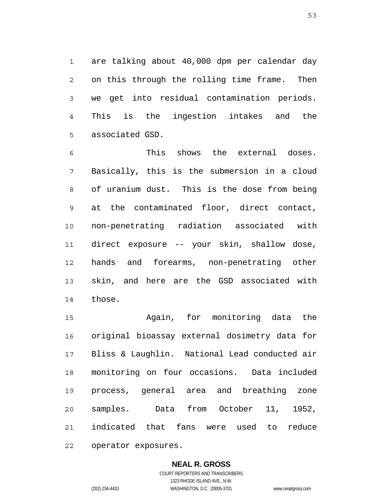1 2 3 4 5 are talking about 40,000 dpm per calendar day on this through the rolling time frame. Then we get into residual contamination periods. This is the ingestion intakes and the associated GSD.

6 7 8 9 10 11 12 13 14 This shows the external doses. Basically, this is the submersion in a cloud of uranium dust. This is the dose from being at the contaminated floor, direct contact, non-penetrating radiation associated with direct exposure -- your skin, shallow dose, hands and forearms, non-penetrating other skin, and here are the GSD associated with those.

15 16 17 18 19 20 21 22 Again, for monitoring data the original bioassay external dosimetry data for Bliss & Laughlin. National Lead conducted air monitoring on four occasions. Data included process, general area and breathing zone samples. Data from October 11, 1952, indicated that fans were used to reduce operator exposures.

> **NEAL R. GROSS** COURT REPORTERS AND TRANSCRIBERS 1323 RHODE ISLAND AVE., N.W. (202) 234-4433 WASHINGTON, D.C. 20005-3701 www.nealrgross.com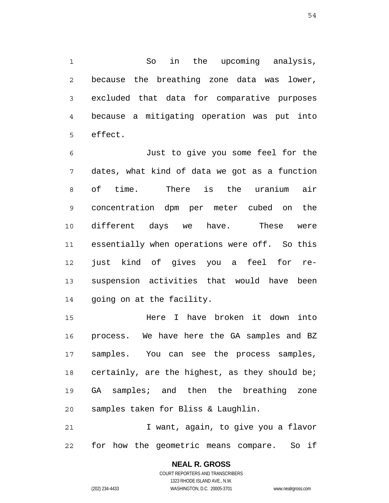1 2 3 4 5 So in the upcoming analysis, because the breathing zone data was lower, excluded that data for comparative purposes because a mitigating operation was put into effect.

6 7 8 9 10 11 12 13 14 Just to give you some feel for the dates, what kind of data we got as a function of time. There is the uranium air concentration dpm per meter cubed on the different days we have. These were essentially when operations were off. So this just kind of gives you a feel for resuspension activities that would have been going on at the facility.

15 16 17 18 19 20 Here I have broken it down into process. We have here the GA samples and BZ samples. You can see the process samples, certainly, are the highest, as they should be; GA samples; and then the breathing zone samples taken for Bliss & Laughlin.

21 22 I want, again, to give you a flavor for how the geometric means compare. So if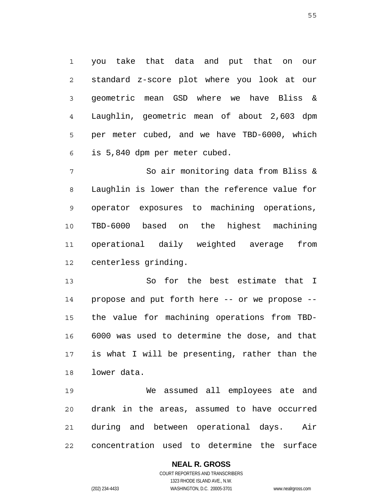1 2 3 4 5 6 you take that data and put that on our standard z-score plot where you look at our geometric mean GSD where we have Bliss & Laughlin, geometric mean of about 2,603 dpm per meter cubed, and we have TBD-6000, which is 5,840 dpm per meter cubed.

7 8 9 10 11 12 So air monitoring data from Bliss & Laughlin is lower than the reference value for operator exposures to machining operations, TBD-6000 based on the highest machining operational daily weighted average from centerless grinding.

13 14 15 16 17 18 So for the best estimate that I propose and put forth here -- or we propose - the value for machining operations from TBD-6000 was used to determine the dose, and that is what I will be presenting, rather than the lower data.

19 20 21 22 We assumed all employees ate and drank in the areas, assumed to have occurred during and between operational days. Air concentration used to determine the surface

# **NEAL R. GROSS**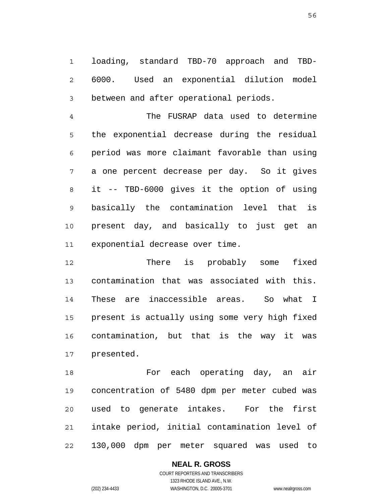1 2 3 loading, standard TBD-70 approach and TBD-6000. Used an exponential dilution model between and after operational periods.

4 5 6 7 8 9 10 11 The FUSRAP data used to determine the exponential decrease during the residual period was more claimant favorable than using a one percent decrease per day. So it gives it -- TBD-6000 gives it the option of using basically the contamination level that is present day, and basically to just get an exponential decrease over time.

12 13 14 15 16 17 There is probably some fixed contamination that was associated with this. These are inaccessible areas. So what I present is actually using some very high fixed contamination, but that is the way it was presented.

18 19 20 21 22 For each operating day, an air concentration of 5480 dpm per meter cubed was used to generate intakes. For the first intake period, initial contamination level of 130,000 dpm per meter squared was used to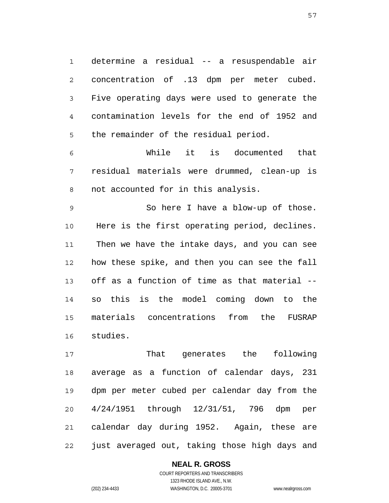1 2 3 4 5 determine a residual -- a resuspendable air concentration of .13 dpm per meter cubed. Five operating days were used to generate the contamination levels for the end of 1952 and the remainder of the residual period.

6 7 8 While it is documented that residual materials were drummed, clean-up is not accounted for in this analysis.

9 10 11 12 13 14 15 16 So here I have a blow-up of those. Here is the first operating period, declines. Then we have the intake days, and you can see how these spike, and then you can see the fall off as a function of time as that material - so this is the model coming down to the materials concentrations from the FUSRAP studies.

17 18 19 20 21 22 That generates the following average as a function of calendar days, 231 dpm per meter cubed per calendar day from the 4/24/1951 through 12/31/51, 796 dpm per calendar day during 1952. Again, these are just averaged out, taking those high days and

**NEAL R. GROSS**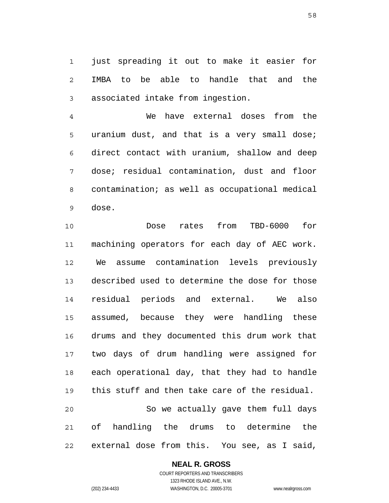1 2 3 just spreading it out to make it easier for IMBA to be able to handle that and the associated intake from ingestion.

4 5 6 7 8 9 We have external doses from the uranium dust, and that is a very small dose; direct contact with uranium, shallow and deep dose; residual contamination, dust and floor contamination; as well as occupational medical dose.

10 11 12 13 14 15 16 17 18 19 20 21 22 Dose rates from TBD-6000 for machining operators for each day of AEC work. We assume contamination levels previously described used to determine the dose for those residual periods and external. We also assumed, because they were handling these drums and they documented this drum work that two days of drum handling were assigned for each operational day, that they had to handle this stuff and then take care of the residual. So we actually gave them full days of handling the drums to determine the external dose from this. You see, as I said,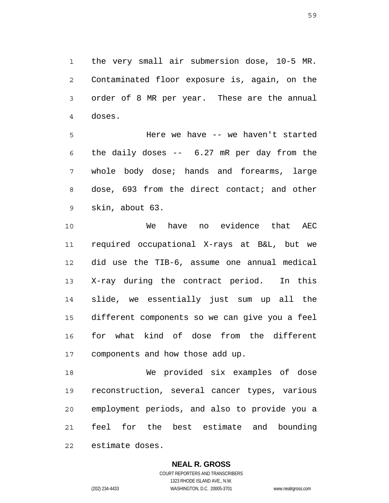1 2 3 4 the very small air submersion dose, 10-5 MR. Contaminated floor exposure is, again, on the order of 8 MR per year. These are the annual doses.

5 6 7 8 9 Here we have -- we haven't started the daily doses -- 6.27 mR per day from the whole body dose; hands and forearms, large dose, 693 from the direct contact; and other skin, about 63.

10 11 12 13 14 15 16 17 We have no evidence that AEC required occupational X-rays at B&L, but we did use the TIB-6, assume one annual medical X-ray during the contract period. In this slide, we essentially just sum up all the different components so we can give you a feel for what kind of dose from the different components and how those add up.

18 19 20 21 22 We provided six examples of dose reconstruction, several cancer types, various employment periods, and also to provide you a feel for the best estimate and bounding estimate doses.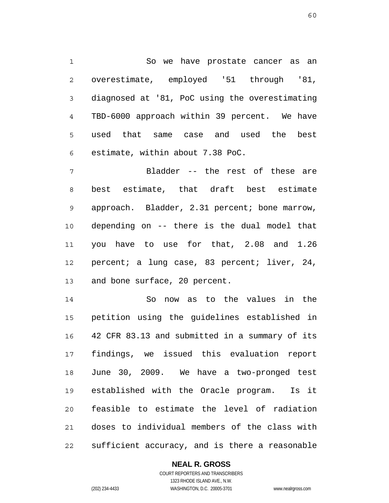1 2 3 4 5 6 So we have prostate cancer as an overestimate, employed '51 through '81, diagnosed at '81, PoC using the overestimating TBD-6000 approach within 39 percent. We have used that same case and used the best estimate, within about 7.38 PoC.

7 8 9 10 11 12 13 Bladder -- the rest of these are best estimate, that draft best estimate approach. Bladder, 2.31 percent; bone marrow, depending on -- there is the dual model that you have to use for that, 2.08 and 1.26 percent; a lung case, 83 percent; liver, 24, and bone surface, 20 percent.

14 15 16 17 18 19 20 21 22 So now as to the values in the petition using the guidelines established in 42 CFR 83.13 and submitted in a summary of its findings, we issued this evaluation report June 30, 2009. We have a two-pronged test established with the Oracle program. Is it feasible to estimate the level of radiation doses to individual members of the class with sufficient accuracy, and is there a reasonable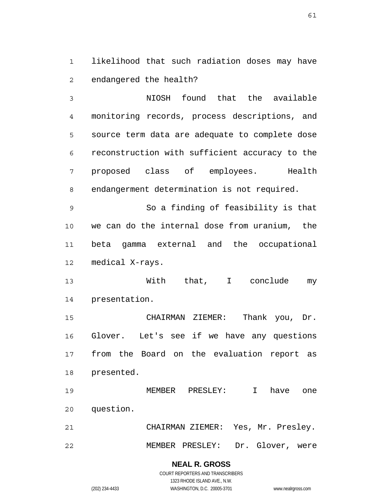1 2 likelihood that such radiation doses may have endangered the health?

3 4 5 6 7 8 NIOSH found that the available monitoring records, process descriptions, and source term data are adequate to complete dose reconstruction with sufficient accuracy to the proposed class of employees. Health endangerment determination is not required.

9 10 11 12 So a finding of feasibility is that we can do the internal dose from uranium, the beta gamma external and the occupational medical X-rays.

13 14 With that, I conclude my presentation.

15 16 17 18 CHAIRMAN ZIEMER: Thank you, Dr. Glover. Let's see if we have any questions from the Board on the evaluation report as presented.

19 20 MEMBER PRESLEY: I have one question.

21 22 CHAIRMAN ZIEMER: Yes, Mr. Presley. MEMBER PRESLEY: Dr. Glover, were

> **NEAL R. GROSS** COURT REPORTERS AND TRANSCRIBERS

1323 RHODE ISLAND AVE., N.W. (202) 234-4433 WASHINGTON, D.C. 20005-3701 www.nealrgross.com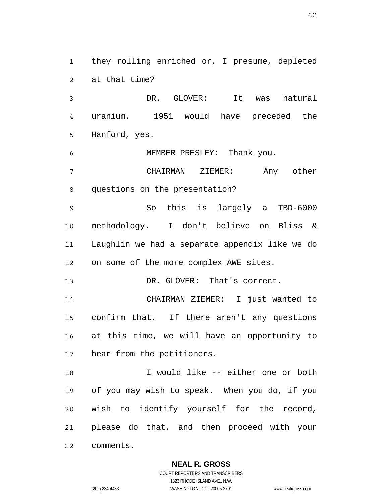1 2 they rolling enriched or, I presume, depleted at that time?

3 4 5 DR. GLOVER: It was natural uranium. 1951 would have preceded the Hanford, yes.

6 7 8 MEMBER PRESLEY: Thank you. CHAIRMAN ZIEMER: Any other questions on the presentation?

9 10 11 12 So this is largely a TBD-6000 methodology. I don't believe on Bliss & Laughlin we had a separate appendix like we do on some of the more complex AWE sites.

13 DR. GLOVER: That's correct.

14 15 16 17 CHAIRMAN ZIEMER: I just wanted to confirm that. If there aren't any questions at this time, we will have an opportunity to hear from the petitioners.

18 19 20 21 22 I would like -- either one or both of you may wish to speak. When you do, if you wish to identify yourself for the record, please do that, and then proceed with your comments.

**NEAL R. GROSS**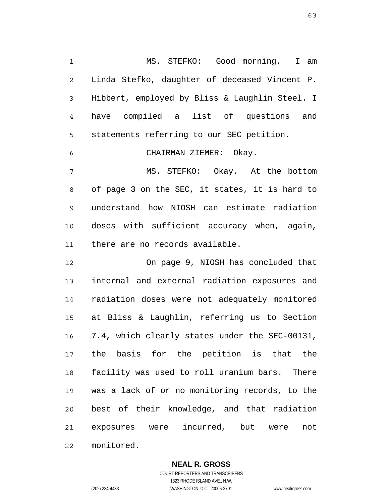1 2 3 4 5 6 MS. STEFKO: Good morning. I am Linda Stefko, daughter of deceased Vincent P. Hibbert, employed by Bliss & Laughlin Steel. I have compiled a list of questions and statements referring to our SEC petition. CHAIRMAN ZIEMER: Okay.

7 8 9 10 11 MS. STEFKO: Okay. At the bottom of page 3 on the SEC, it states, it is hard to understand how NIOSH can estimate radiation doses with sufficient accuracy when, again, there are no records available.

12 13 14 15 16 17 18 19 20 21 22 On page 9, NIOSH has concluded that internal and external radiation exposures and radiation doses were not adequately monitored at Bliss & Laughlin, referring us to Section 7.4, which clearly states under the SEC-00131, the basis for the petition is that the facility was used to roll uranium bars. There was a lack of or no monitoring records, to the best of their knowledge, and that radiation exposures were incurred, but were not monitored.

> **NEAL R. GROSS** COURT REPORTERS AND TRANSCRIBERS

> > 1323 RHODE ISLAND AVE., N.W.

(202) 234-4433 WASHINGTON, D.C. 20005-3701 www.nealrgross.com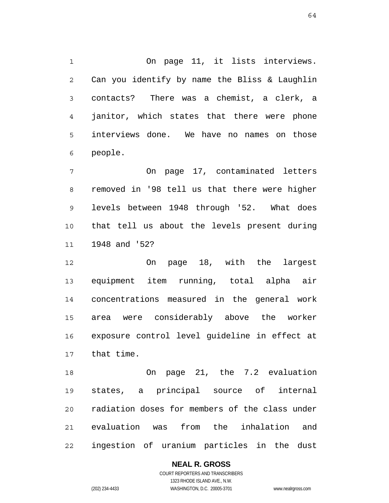1 2 3 4 5 6 On page 11, it lists interviews. Can you identify by name the Bliss & Laughlin contacts? There was a chemist, a clerk, a janitor, which states that there were phone interviews done. We have no names on those people.

7 8 9 10 11 On page 17, contaminated letters removed in '98 tell us that there were higher levels between 1948 through '52. What does that tell us about the levels present during 1948 and '52?

12 13 14 15 16 17 On page 18, with the largest equipment item running, total alpha air concentrations measured in the general work area were considerably above the worker exposure control level guideline in effect at that time.

18 19 20 21 22 On page 21, the 7.2 evaluation states, a principal source of internal radiation doses for members of the class under evaluation was from the inhalation and ingestion of uranium particles in the dust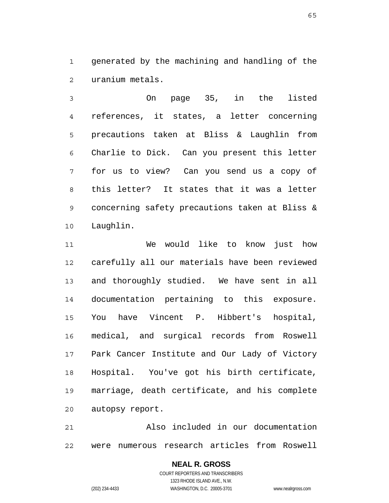1 2 generated by the machining and handling of the uranium metals.

3 4 5 6 7 8 9 10 On page 35, in the listed references, it states, a letter concerning precautions taken at Bliss & Laughlin from Charlie to Dick. Can you present this letter for us to view? Can you send us a copy of this letter? It states that it was a letter concerning safety precautions taken at Bliss & Laughlin.

11 12 13 14 15 16 17 18 19 20 We would like to know just how carefully all our materials have been reviewed and thoroughly studied. We have sent in all documentation pertaining to this exposure. You have Vincent P. Hibbert's hospital, medical, and surgical records from Roswell Park Cancer Institute and Our Lady of Victory Hospital. You've got his birth certificate, marriage, death certificate, and his complete autopsy report.

21 22 Also included in our documentation were numerous research articles from Roswell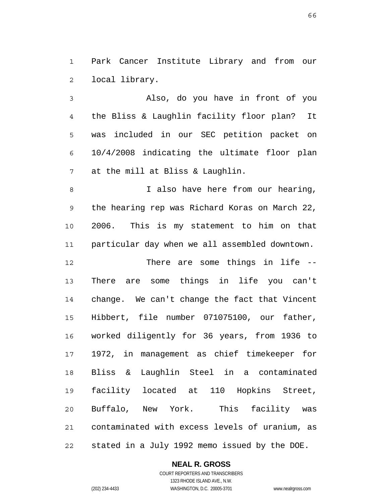1 2 Park Cancer Institute Library and from our local library.

3 4 5 6 7 Also, do you have in front of you the Bliss & Laughlin facility floor plan? It was included in our SEC petition packet on 10/4/2008 indicating the ultimate floor plan at the mill at Bliss & Laughlin.

8 9 10 11 I also have here from our hearing, the hearing rep was Richard Koras on March 22, 2006. This is my statement to him on that particular day when we all assembled downtown.

12 13 14 15 16 17 18 19 20 21 22 There are some things in life -- There are some things in life you can't change. We can't change the fact that Vincent Hibbert, file number 071075100, our father, worked diligently for 36 years, from 1936 to 1972, in management as chief timekeeper for Bliss & Laughlin Steel in a contaminated facility located at 110 Hopkins Street, Buffalo, New York. This facility was contaminated with excess levels of uranium, as stated in a July 1992 memo issued by the DOE.

**NEAL R. GROSS**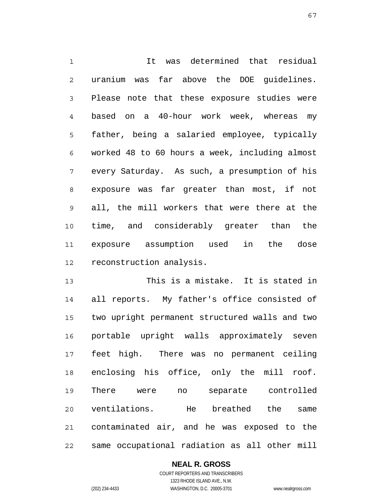1 2 3 4 5 6 7 8 9 10 11 12 It was determined that residual uranium was far above the DOE guidelines. Please note that these exposure studies were based on a 40-hour work week, whereas my father, being a salaried employee, typically worked 48 to 60 hours a week, including almost every Saturday. As such, a presumption of his exposure was far greater than most, if not all, the mill workers that were there at the time, and considerably greater than the exposure assumption used in the dose reconstruction analysis.

13 14 15 16 17 18 19 20 21 22 This is a mistake. It is stated in all reports. My father's office consisted of two upright permanent structured walls and two portable upright walls approximately seven feet high. There was no permanent ceiling enclosing his office, only the mill roof. There were no separate controlled ventilations. He breathed the same contaminated air, and he was exposed to the same occupational radiation as all other mill

**NEAL R. GROSS**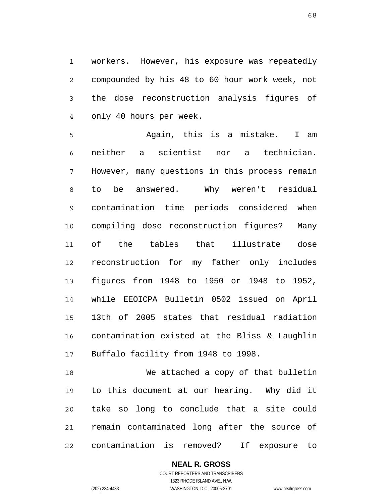1 2 3 4 workers. However, his exposure was repeatedly compounded by his 48 to 60 hour work week, not the dose reconstruction analysis figures of only 40 hours per week.

5 6 7 8 9 10 11 12 13 14 15 16 17 Again, this is a mistake. I am neither a scientist nor a technician. However, many questions in this process remain to be answered. Why weren't residual contamination time periods considered when compiling dose reconstruction figures? Many of the tables that illustrate dose reconstruction for my father only includes figures from 1948 to 1950 or 1948 to 1952, while EEOICPA Bulletin 0502 issued on April 13th of 2005 states that residual radiation contamination existed at the Bliss & Laughlin Buffalo facility from 1948 to 1998.

18 19 20 21 22 We attached a copy of that bulletin to this document at our hearing. Why did it take so long to conclude that a site could remain contaminated long after the source of contamination is removed? If exposure to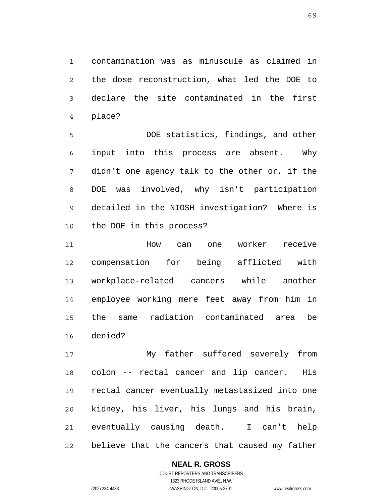1 2 3 4 contamination was as minuscule as claimed in the dose reconstruction, what led the DOE to declare the site contaminated in the first place?

5 6 7 8 9 10 DOE statistics, findings, and other input into this process are absent. Why didn't one agency talk to the other or, if the DOE was involved, why isn't participation detailed in the NIOSH investigation? Where is the DOE in this process?

11 12 13 14 15 16 How can one worker receive compensation for being afflicted with workplace-related cancers while another employee working mere feet away from him in the same radiation contaminated area be denied?

17 18 19 20 21 22 My father suffered severely from colon -- rectal cancer and lip cancer. His rectal cancer eventually metastasized into one kidney, his liver, his lungs and his brain, eventually causing death. I can't help believe that the cancers that caused my father

# **NEAL R. GROSS**

COURT REPORTERS AND TRANSCRIBERS 1323 RHODE ISLAND AVE., N.W. (202) 234-4433 WASHINGTON, D.C. 20005-3701 www.nealrgross.com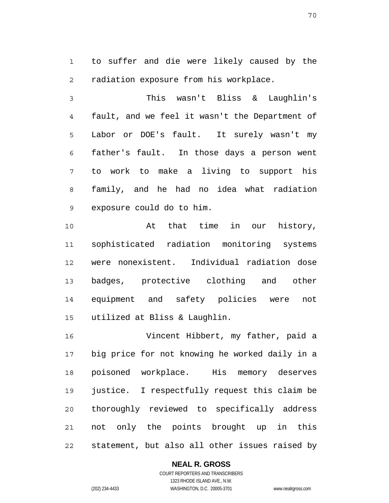1 2 to suffer and die were likely caused by the radiation exposure from his workplace.

3 4 5 6 7 8 9 This wasn't Bliss & Laughlin's fault, and we feel it wasn't the Department of Labor or DOE's fault. It surely wasn't my father's fault. In those days a person went to work to make a living to support his family, and he had no idea what radiation exposure could do to him.

10 11 12 13 14 15 At that time in our history, sophisticated radiation monitoring systems were nonexistent. Individual radiation dose badges, protective clothing and other equipment and safety policies were not utilized at Bliss & Laughlin.

16 17 18 19 20 21 22 Vincent Hibbert, my father, paid a big price for not knowing he worked daily in a poisoned workplace. His memory deserves justice. I respectfully request this claim be thoroughly reviewed to specifically address not only the points brought up in this statement, but also all other issues raised by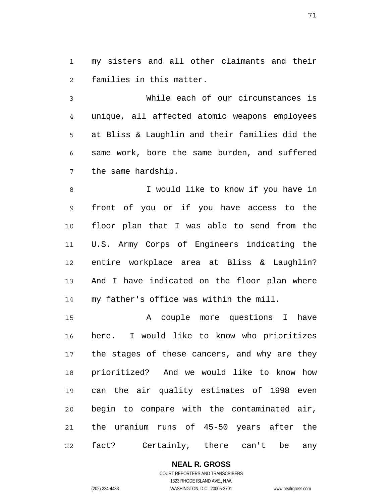1 2 my sisters and all other claimants and their families in this matter.

3 4 5 6 7 While each of our circumstances is unique, all affected atomic weapons employees at Bliss & Laughlin and their families did the same work, bore the same burden, and suffered the same hardship.

8 9 10 11 12 13 14 I would like to know if you have in front of you or if you have access to the floor plan that I was able to send from the U.S. Army Corps of Engineers indicating the entire workplace area at Bliss & Laughlin? And I have indicated on the floor plan where my father's office was within the mill.

15 16 17 18 19 20 21 22 A couple more questions I have here. I would like to know who prioritizes the stages of these cancers, and why are they prioritized? And we would like to know how can the air quality estimates of 1998 even begin to compare with the contaminated air, the uranium runs of 45-50 years after the fact? Certainly, there can't be any

## **NEAL R. GROSS**

COURT REPORTERS AND TRANSCRIBERS 1323 RHODE ISLAND AVE., N.W. (202) 234-4433 WASHINGTON, D.C. 20005-3701 www.nealrgross.com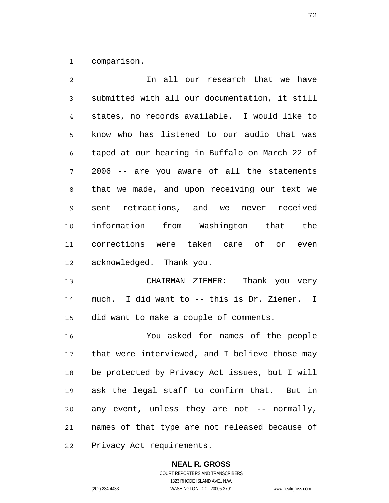1 comparison.

| $\overline{2}$ | In all our research that we have               |
|----------------|------------------------------------------------|
| 3              | submitted with all our documentation, it still |
| 4              | states, no records available. I would like to  |
| 5              | know who has listened to our audio that was    |
| 6              | taped at our hearing in Buffalo on March 22 of |
| 7              | 2006 -- are you aware of all the statements    |
| 8              | that we made, and upon receiving our text we   |
| 9              | sent retractions, and we never received        |
| 10             | information from Washington that the           |
| 11             | corrections were taken care of or even         |
| 12             | acknowledged. Thank you.                       |
| 13             | CHAIRMAN ZIEMER: Thank you very                |
| 14             | much. I did want to -- this is Dr. Ziemer. I   |
| 15             | did want to make a couple of comments.         |
| 16             | You asked for names of the people              |
| 17             | that were interviewed, and I believe those may |
| 1 Q            | he protected by Driveay Act iggues but I will  |

18 19 20 21 be protected by Privacy Act issues, but I will ask the legal staff to confirm that. But in any event, unless they are not -- normally, names of that type are not released because of

22 Privacy Act requirements.

# **NEAL R. GROSS**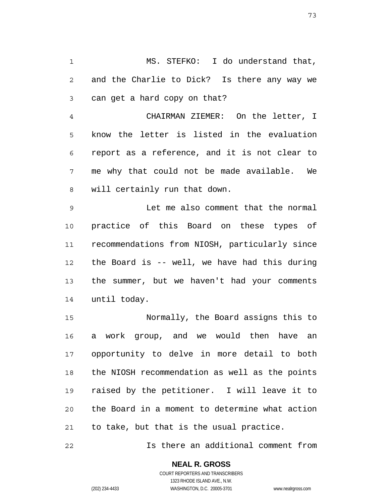1 2 3 MS. STEFKO: I do understand that, and the Charlie to Dick? Is there any way we can get a hard copy on that?

4 5 6 7 8 CHAIRMAN ZIEMER: On the letter, I know the letter is listed in the evaluation report as a reference, and it is not clear to me why that could not be made available. We will certainly run that down.

9 10 11 12 13 14 Let me also comment that the normal practice of this Board on these types of recommendations from NIOSH, particularly since the Board is -- well, we have had this during the summer, but we haven't had your comments until today.

15 16 17 18 19 20 21 Normally, the Board assigns this to a work group, and we would then have an opportunity to delve in more detail to both the NIOSH recommendation as well as the points raised by the petitioner. I will leave it to the Board in a moment to determine what action to take, but that is the usual practice.

22 Is there an additional comment from

> **NEAL R. GROSS** COURT REPORTERS AND TRANSCRIBERS

1323 RHODE ISLAND AVE., N.W. (202) 234-4433 WASHINGTON, D.C. 20005-3701 www.nealrgross.com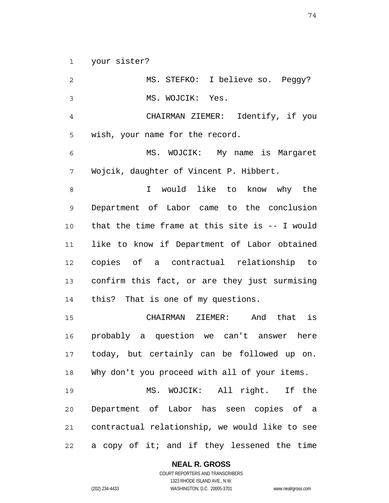1 your sister?

2 3 4 5 6 7 8 9 10 11 12 13 14 15 16 17 18 19 20 21 22 MS. STEFKO: I believe so. Peggy? MS. WOJCIK: Yes. CHAIRMAN ZIEMER: Identify, if you wish, your name for the record. MS. WOJCIK: My name is Margaret Wojcik, daughter of Vincent P. Hibbert. I would like to know why the Department of Labor came to the conclusion that the time frame at this site is -- I would like to know if Department of Labor obtained copies of a contractual relationship to confirm this fact, or are they just surmising this? That is one of my questions. CHAIRMAN ZIEMER: And that is probably a question we can't answer here today, but certainly can be followed up on. Why don't you proceed with all of your items. MS. WOJCIK: All right. If the Department of Labor has seen copies of a contractual relationship, we would like to see a copy of it; and if they lessened the time

**NEAL R. GROSS**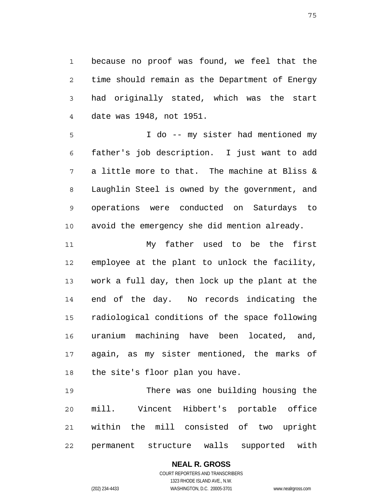1 2 3 4 because no proof was found, we feel that the time should remain as the Department of Energy had originally stated, which was the start date was 1948, not 1951.

5 6 7 8 9 10 I do -- my sister had mentioned my father's job description. I just want to add a little more to that. The machine at Bliss & Laughlin Steel is owned by the government, and operations were conducted on Saturdays to avoid the emergency she did mention already.

11 12 13 14 15 16 17 18 My father used to be the first employee at the plant to unlock the facility, work a full day, then lock up the plant at the end of the day. No records indicating the radiological conditions of the space following uranium machining have been located, and, again, as my sister mentioned, the marks of the site's floor plan you have.

19 20 21 22 There was one building housing the mill. Vincent Hibbert's portable office within the mill consisted of two upright permanent structure walls supported with

# **NEAL R. GROSS**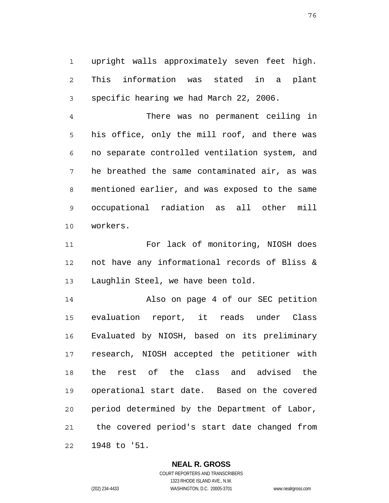1 2 3 upright walls approximately seven feet high. This information was stated in a plant specific hearing we had March 22, 2006.

4 5 6 7 8 9 10 There was no permanent ceiling in his office, only the mill roof, and there was no separate controlled ventilation system, and he breathed the same contaminated air, as was mentioned earlier, and was exposed to the same occupational radiation as all other mill workers.

11 12 13 For lack of monitoring, NIOSH does not have any informational records of Bliss & Laughlin Steel, we have been told.

14 15 16 17 18 19 20 21 22 Also on page 4 of our SEC petition evaluation report, it reads under Class Evaluated by NIOSH, based on its preliminary research, NIOSH accepted the petitioner with the rest of the class and advised the operational start date. Based on the covered period determined by the Department of Labor, the covered period's start date changed from 1948 to '51.

### **NEAL R. GROSS**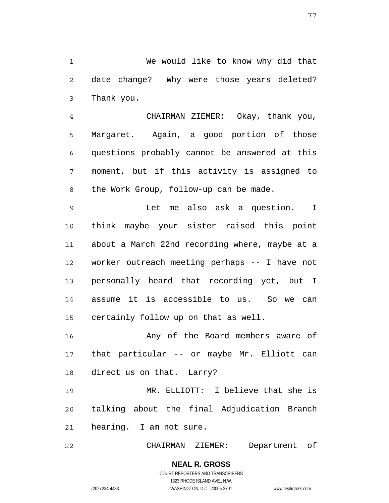1 2 3 We would like to know why did that date change? Why were those years deleted? Thank you.

4 5 6 7 8 CHAIRMAN ZIEMER: Okay, thank you, Margaret. Again, a good portion of those questions probably cannot be answered at this moment, but if this activity is assigned to the Work Group, follow-up can be made.

9 10 11 12 13 14 15 Let me also ask a question. I think maybe your sister raised this point about a March 22nd recording where, maybe at a worker outreach meeting perhaps -- I have not personally heard that recording yet, but I assume it is accessible to us. So we can certainly follow up on that as well.

16 17 18 Any of the Board members aware of that particular -- or maybe Mr. Elliott can direct us on that. Larry?

19 20 21 MR. ELLIOTT: I believe that she is talking about the final Adjudication Branch hearing. I am not sure.

22 CHAIRMAN ZIEMER: Department of

> **NEAL R. GROSS** COURT REPORTERS AND TRANSCRIBERS 1323 RHODE ISLAND AVE., N.W. (202) 234-4433 WASHINGTON, D.C. 20005-3701 www.nealrgross.com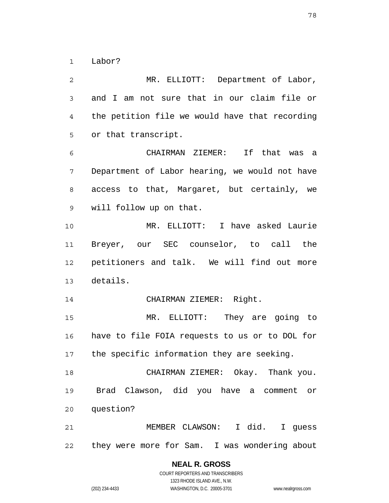1 Labor?

2 3 4 5 6 7 8 9 10 11 12 13 14 15 16 17 18 19 20 21 22 MR. ELLIOTT: Department of Labor, and I am not sure that in our claim file or the petition file we would have that recording or that transcript. CHAIRMAN ZIEMER: If that was a Department of Labor hearing, we would not have access to that, Margaret, but certainly, we will follow up on that. MR. ELLIOTT: I have asked Laurie Breyer, our SEC counselor, to call the petitioners and talk. We will find out more details. CHAIRMAN ZIEMER: Right. MR. ELLIOTT: They are going to have to file FOIA requests to us or to DOL for the specific information they are seeking. CHAIRMAN ZIEMER: Okay. Thank you. Brad Clawson, did you have a comment or question? MEMBER CLAWSON: I did. I guess they were more for Sam. I was wondering about

78

COURT REPORTERS AND TRANSCRIBERS 1323 RHODE ISLAND AVE., N.W. (202) 234-4433 WASHINGTON, D.C. 20005-3701 www.nealrgross.com

**NEAL R. GROSS**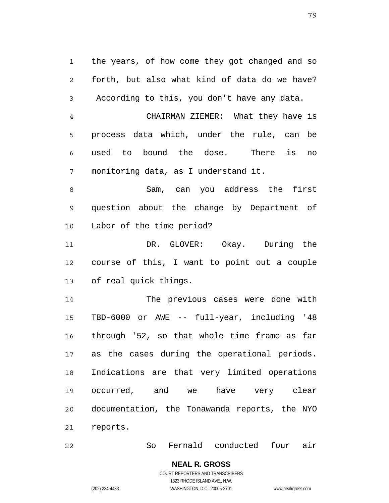1 2 3 the years, of how come they got changed and so forth, but also what kind of data do we have? According to this, you don't have any data.

4 5 6 7 CHAIRMAN ZIEMER: What they have is process data which, under the rule, can be used to bound the dose. There is no monitoring data, as I understand it.

8 9 10 Sam, can you address the first question about the change by Department of Labor of the time period?

11 12 13 DR. GLOVER: Okay. During the course of this, I want to point out a couple of real quick things.

14 15 16 17 18 19 20 21 The previous cases were done with TBD-6000 or AWE -- full-year, including '48 through '52, so that whole time frame as far as the cases during the operational periods. Indications are that very limited operations occurred, and we have very clear documentation, the Tonawanda reports, the NYO reports.

22 So Fernald conducted four air

**NEAL R. GROSS**

COURT REPORTERS AND TRANSCRIBERS 1323 RHODE ISLAND AVE., N.W.

(202) 234-4433 WASHINGTON, D.C. 20005-3701 www.nealrgross.com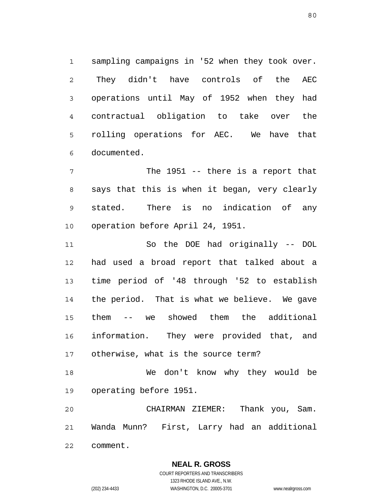1 2 3 4 5 6 sampling campaigns in '52 when they took over. They didn't have controls of the AEC operations until May of 1952 when they had contractual obligation to take over the rolling operations for AEC. We have that documented.

7 8 9 10 The 1951 -- there is a report that says that this is when it began, very clearly stated. There is no indication of any operation before April 24, 1951.

11 12 13 14 15 16 17 So the DOE had originally -- DOL had used a broad report that talked about a time period of '48 through '52 to establish the period. That is what we believe. We gave them -- we showed them the additional information. They were provided that, and otherwise, what is the source term?

18 19 We don't know why they would be operating before 1951.

20 21 22 CHAIRMAN ZIEMER: Thank you, Sam. Wanda Munn? First, Larry had an additional comment.

> **NEAL R. GROSS** COURT REPORTERS AND TRANSCRIBERS 1323 RHODE ISLAND AVE., N.W.

(202) 234-4433 WASHINGTON, D.C. 20005-3701 www.nealrgross.com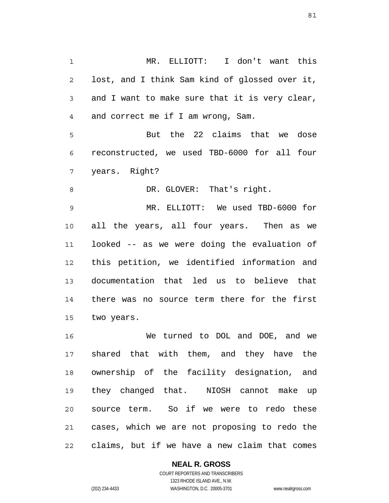1 2 3 4 5 6 7 8 9 MR. ELLIOTT: I don't want this lost, and I think Sam kind of glossed over it, and I want to make sure that it is very clear, and correct me if I am wrong, Sam. But the 22 claims that we dose reconstructed, we used TBD-6000 for all four years. Right? DR. GLOVER: That's right. MR. ELLIOTT: We used TBD-6000 for

10 11 12 13 14 15 all the years, all four years. Then as we looked -- as we were doing the evaluation of this petition, we identified information and documentation that led us to believe that there was no source term there for the first two years.

16 17 18 19 20 21 22 We turned to DOL and DOE, and we shared that with them, and they have the ownership of the facility designation, and they changed that. NIOSH cannot make up source term. So if we were to redo these cases, which we are not proposing to redo the claims, but if we have a new claim that comes

## **NEAL R. GROSS**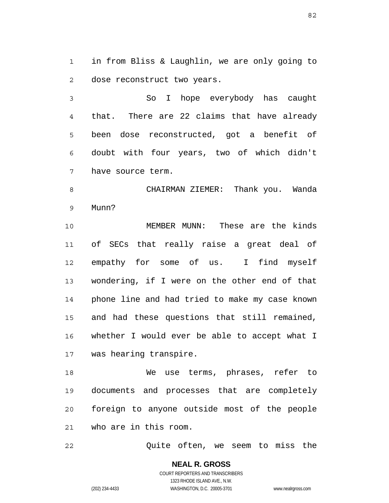1 2 in from Bliss & Laughlin, we are only going to dose reconstruct two years.

3 4 5 6 7 So I hope everybody has caught that. There are 22 claims that have already been dose reconstructed, got a benefit of doubt with four years, two of which didn't have source term.

8 9 CHAIRMAN ZIEMER: Thank you. Wanda Munn?

10 11 12 13 14 15 16 17 MEMBER MUNN: These are the kinds of SECs that really raise a great deal of empathy for some of us. I find myself wondering, if I were on the other end of that phone line and had tried to make my case known and had these questions that still remained, whether I would ever be able to accept what I was hearing transpire.

18 19 20 21 We use terms, phrases, refer to documents and processes that are completely foreign to anyone outside most of the people who are in this room.

22 Quite often, we seem to miss the

> **NEAL R. GROSS** COURT REPORTERS AND TRANSCRIBERS 1323 RHODE ISLAND AVE., N.W. (202) 234-4433 WASHINGTON, D.C. 20005-3701 www.nealrgross.com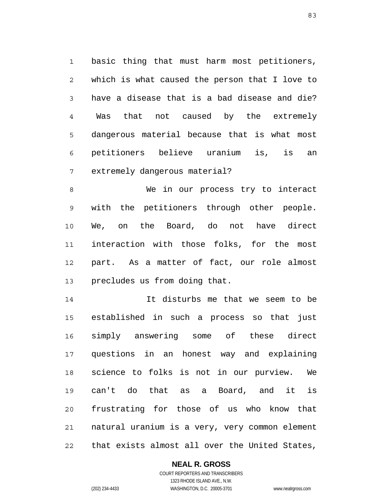1 2 3 4 5 6 7 basic thing that must harm most petitioners, which is what caused the person that I love to have a disease that is a bad disease and die? Was that not caused by the extremely dangerous material because that is what most petitioners believe uranium is, is an extremely dangerous material?

8 9 10 11 12 13 We in our process try to interact with the petitioners through other people. We, on the Board, do not have direct interaction with those folks, for the most part. As a matter of fact, our role almost precludes us from doing that.

14 15 16 17 18 19 20 21 22 It disturbs me that we seem to be established in such a process so that just simply answering some of these direct questions in an honest way and explaining science to folks is not in our purview. We can't do that as a Board, and it is frustrating for those of us who know that natural uranium is a very, very common element that exists almost all over the United States,

# **NEAL R. GROSS**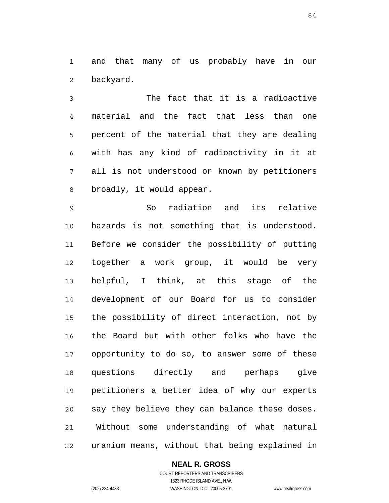1 2 and that many of us probably have in our backyard.

3 4 5 6 7 8 The fact that it is a radioactive material and the fact that less than one percent of the material that they are dealing with has any kind of radioactivity in it at all is not understood or known by petitioners broadly, it would appear.

9 10 11 12 13 14 15 16 17 18 19 20 21 22 So radiation and its relative hazards is not something that is understood. Before we consider the possibility of putting together a work group, it would be very helpful, I think, at this stage of the development of our Board for us to consider the possibility of direct interaction, not by the Board but with other folks who have the opportunity to do so, to answer some of these questions directly and perhaps give petitioners a better idea of why our experts say they believe they can balance these doses. Without some understanding of what natural uranium means, without that being explained in

### **NEAL R. GROSS**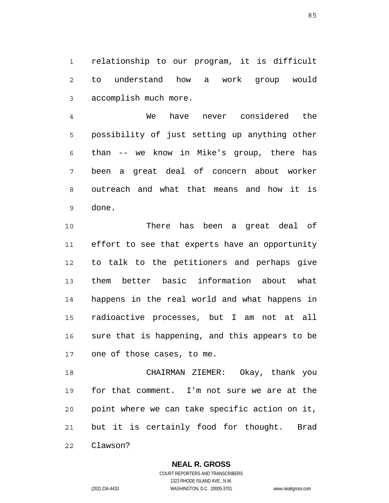1 2 3 relationship to our program, it is difficult to understand how a work group would accomplish much more.

4 5 6 7 8 9 We have never considered the possibility of just setting up anything other than -- we know in Mike's group, there has been a great deal of concern about worker outreach and what that means and how it is done.

10 11 12 13 14 15 16 17 There has been a great deal of effort to see that experts have an opportunity to talk to the petitioners and perhaps give them better basic information about what happens in the real world and what happens in radioactive processes, but I am not at all sure that is happening, and this appears to be one of those cases, to me.

18 19 20 21 22 CHAIRMAN ZIEMER: Okay, thank you for that comment. I'm not sure we are at the point where we can take specific action on it, but it is certainly food for thought. Brad Clawson?

> **NEAL R. GROSS** COURT REPORTERS AND TRANSCRIBERS

> > 1323 RHODE ISLAND AVE., N.W.

(202) 234-4433 WASHINGTON, D.C. 20005-3701 www.nealrgross.com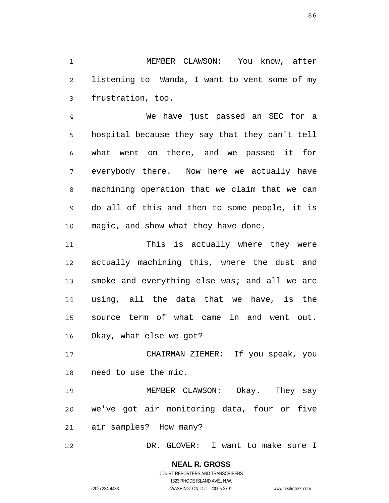1 2 3 MEMBER CLAWSON: You know, after listening to Wanda, I want to vent some of my frustration, too.

4 5 6 7 8 9 10 We have just passed an SEC for a hospital because they say that they can't tell what went on there, and we passed it for everybody there. Now here we actually have machining operation that we claim that we can do all of this and then to some people, it is magic, and show what they have done.

11 12 13 14 15 16 This is actually where they were actually machining this, where the dust and smoke and everything else was; and all we are using, all the data that we have, is the source term of what came in and went out. Okay, what else we got?

17 18 CHAIRMAN ZIEMER: If you speak, you need to use the mic.

19 20 21 MEMBER CLAWSON: Okay. They say we've got air monitoring data, four or five air samples? How many?

22 DR. GLOVER: I want to make sure I

### **NEAL R. GROSS** COURT REPORTERS AND TRANSCRIBERS 1323 RHODE ISLAND AVE., N.W.

(202) 234-4433 WASHINGTON, D.C. 20005-3701 www.nealrgross.com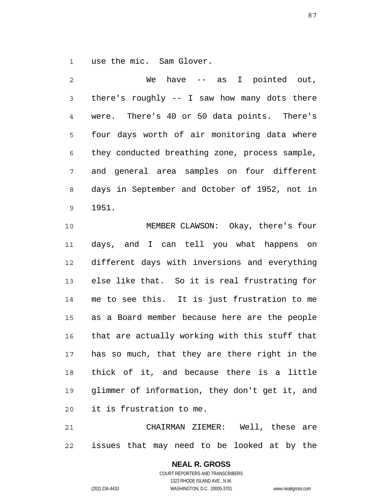1 use the mic. Sam Glover.

2 3 4 5 6 7 8 9 We have -- as I pointed out, there's roughly -- I saw how many dots there were. There's 40 or 50 data points. There's four days worth of air monitoring data where they conducted breathing zone, process sample, and general area samples on four different days in September and October of 1952, not in 1951.

10 11 12 13 14 15 16 17 18 19 20 MEMBER CLAWSON: Okay, there's four days, and I can tell you what happens on different days with inversions and everything else like that. So it is real frustrating for me to see this. It is just frustration to me as a Board member because here are the people that are actually working with this stuff that has so much, that they are there right in the thick of it, and because there is a little glimmer of information, they don't get it, and it is frustration to me.

21 22 CHAIRMAN ZIEMER: Well, these are issues that may need to be looked at by the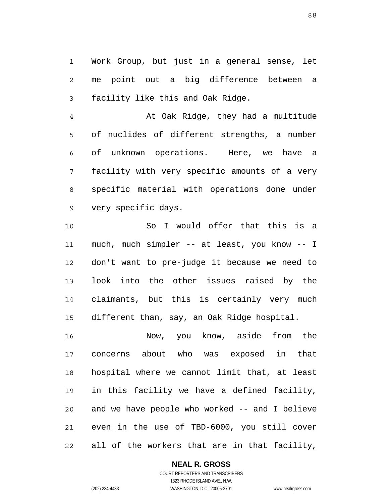1 2 3 Work Group, but just in a general sense, let me point out a big difference between a facility like this and Oak Ridge.

4 5 6 7 8 9 At Oak Ridge, they had a multitude of nuclides of different strengths, a number of unknown operations. Here, we have a facility with very specific amounts of a very specific material with operations done under very specific days.

10 11 12 13 14 15 So I would offer that this is a much, much simpler -- at least, you know -- I don't want to pre-judge it because we need to look into the other issues raised by the claimants, but this is certainly very much different than, say, an Oak Ridge hospital.

16 17 18 19 20 21 22 Now, you know, aside from the concerns about who was exposed in that hospital where we cannot limit that, at least in this facility we have a defined facility, and we have people who worked -- and I believe even in the use of TBD-6000, you still cover all of the workers that are in that facility,

**NEAL R. GROSS**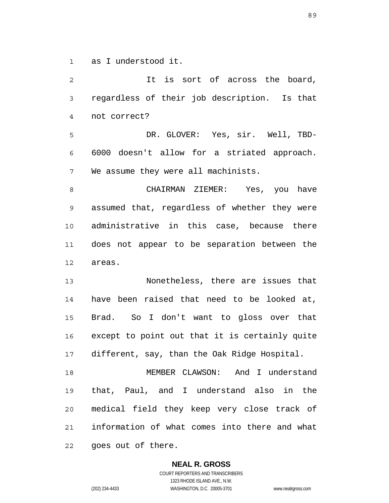1 as I understood it.

2 3 4 5 6 7 8 9 10 11 12 13 14 15 16 17 18 19 20 21 22 It is sort of across the board, regardless of their job description. Is that not correct? DR. GLOVER: Yes, sir. Well, TBD-6000 doesn't allow for a striated approach. We assume they were all machinists. CHAIRMAN ZIEMER: Yes, you have assumed that, regardless of whether they were administrative in this case, because there does not appear to be separation between the areas. Nonetheless, there are issues that have been raised that need to be looked at, Brad. So I don't want to gloss over that except to point out that it is certainly quite different, say, than the Oak Ridge Hospital. MEMBER CLAWSON: And I understand that, Paul, and I understand also in the medical field they keep very close track of information of what comes into there and what goes out of there.

> **NEAL R. GROSS** COURT REPORTERS AND TRANSCRIBERS 1323 RHODE ISLAND AVE., N.W.

(202) 234-4433 WASHINGTON, D.C. 20005-3701 www.nealrgross.com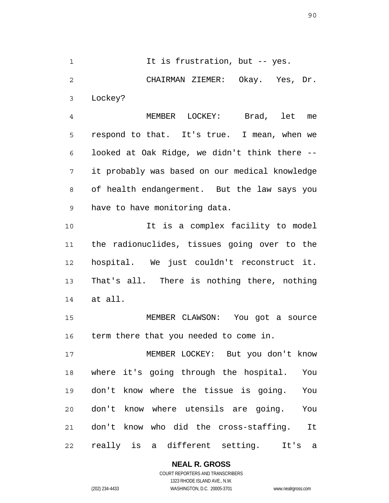1 2 3 It is frustration, but -- yes. CHAIRMAN ZIEMER: Okay. Yes, Dr. Lockey?

4 5 6 7 8 9 MEMBER LOCKEY: Brad, let me respond to that. It's true. I mean, when we looked at Oak Ridge, we didn't think there - it probably was based on our medical knowledge of health endangerment. But the law says you have to have monitoring data.

10 11 12 13 14 It is a complex facility to model the radionuclides, tissues going over to the hospital. We just couldn't reconstruct it. That's all. There is nothing there, nothing at all.

15 16 MEMBER CLAWSON: You got a source term there that you needed to come in.

17 18 19 20 21 22 MEMBER LOCKEY: But you don't know where it's going through the hospital. You don't know where the tissue is going. You don't know where utensils are going. You don't know who did the cross-staffing. It really is a different setting. It's a

## **NEAL R. GROSS**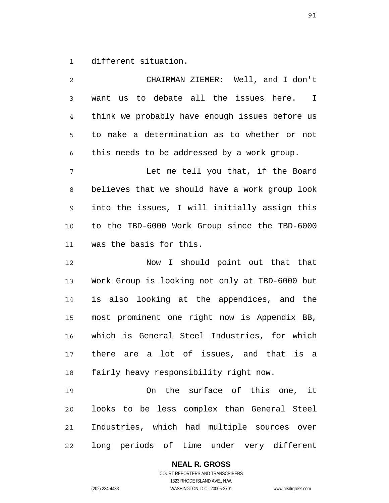1 different situation.

2 3 4 5 6 7 8 9 10 11 12 13 14 15 16 17 18 19 20 21 22 CHAIRMAN ZIEMER: Well, and I don't want us to debate all the issues here. I think we probably have enough issues before us to make a determination as to whether or not this needs to be addressed by a work group. Let me tell you that, if the Board believes that we should have a work group look into the issues, I will initially assign this to the TBD-6000 Work Group since the TBD-6000 was the basis for this. Now I should point out that that Work Group is looking not only at TBD-6000 but is also looking at the appendices, and the most prominent one right now is Appendix BB, which is General Steel Industries, for which there are a lot of issues, and that is a fairly heavy responsibility right now. On the surface of this one, it looks to be less complex than General Steel Industries, which had multiple sources over long periods of time under very different

**NEAL R. GROSS**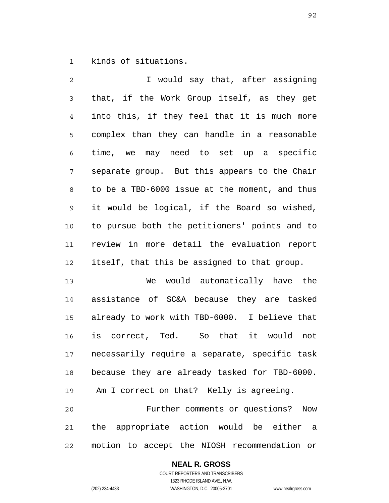1 kinds of situations.

2 3 4 5 6 7 8 9 10 11 12 I would say that, after assigning that, if the Work Group itself, as they get into this, if they feel that it is much more complex than they can handle in a reasonable time, we may need to set up a specific separate group. But this appears to the Chair to be a TBD-6000 issue at the moment, and thus it would be logical, if the Board so wished, to pursue both the petitioners' points and to review in more detail the evaluation report itself, that this be assigned to that group.

13 14 15 16 17 18 19 We would automatically have the assistance of SC&A because they are tasked already to work with TBD-6000. I believe that is correct, Ted. So that it would not necessarily require a separate, specific task because they are already tasked for TBD-6000. Am I correct on that? Kelly is agreeing.

20 21 22 Further comments or questions? Now the appropriate action would be either a motion to accept the NIOSH recommendation or

### **NEAL R. GROSS**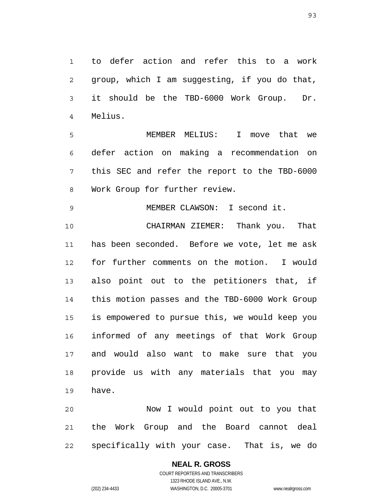1 2 3 4 to defer action and refer this to a work group, which I am suggesting, if you do that, it should be the TBD-6000 Work Group. Dr. Melius.

5 6 7 8 MEMBER MELIUS: I move that we defer action on making a recommendation on this SEC and refer the report to the TBD-6000 Work Group for further review.

9 MEMBER CLAWSON: I second it.

10 11 12 13 14 15 16 17 18 19 CHAIRMAN ZIEMER: Thank you. That has been seconded. Before we vote, let me ask for further comments on the motion. I would also point out to the petitioners that, if this motion passes and the TBD-6000 Work Group is empowered to pursue this, we would keep you informed of any meetings of that Work Group and would also want to make sure that you provide us with any materials that you may have.

20 21 22 Now I would point out to you that the Work Group and the Board cannot deal specifically with your case. That is, we do

# **NEAL R. GROSS**

COURT REPORTERS AND TRANSCRIBERS 1323 RHODE ISLAND AVE., N.W. (202) 234-4433 WASHINGTON, D.C. 20005-3701 www.nealrgross.com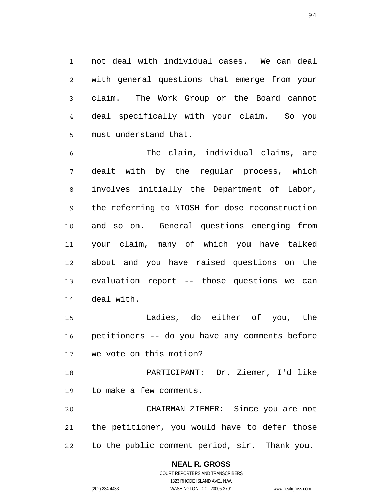1 2 3 4 5 not deal with individual cases. We can deal with general questions that emerge from your claim. The Work Group or the Board cannot deal specifically with your claim. So you must understand that.

6 7 8 9 10 11 12 13 14 The claim, individual claims, are dealt with by the regular process, which involves initially the Department of Labor, the referring to NIOSH for dose reconstruction and so on. General questions emerging from your claim, many of which you have talked about and you have raised questions on the evaluation report -- those questions we can deal with.

15 16 17 Ladies, do either of you, the petitioners -- do you have any comments before we vote on this motion?

18 19 PARTICIPANT: Dr. Ziemer, I'd like to make a few comments.

20 21 22 CHAIRMAN ZIEMER: Since you are not the petitioner, you would have to defer those to the public comment period, sir. Thank you.

## **NEAL R. GROSS**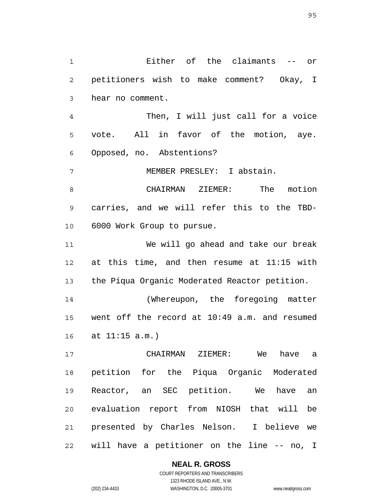1 2 3 4 5 6 7 8 9 10 11 12 13 14 15 16 17 18 19 20 21 22 Either of the claimants -- or petitioners wish to make comment? Okay, I hear no comment. Then, I will just call for a voice vote. All in favor of the motion, aye. Opposed, no. Abstentions? MEMBER PRESLEY: I abstain. CHAIRMAN ZIEMER: The motion carries, and we will refer this to the TBD-6000 Work Group to pursue. We will go ahead and take our break at this time, and then resume at 11:15 with the Piqua Organic Moderated Reactor petition. (Whereupon, the foregoing matter went off the record at 10:49 a.m. and resumed at 11:15 a.m.) CHAIRMAN ZIEMER: We have a petition for the Piqua Organic Moderated Reactor, an SEC petition. We have an evaluation report from NIOSH that will be presented by Charles Nelson. I believe we will have a petitioner on the line -- no, I

**NEAL R. GROSS**

COURT REPORTERS AND TRANSCRIBERS 1323 RHODE ISLAND AVE., N.W. (202) 234-4433 WASHINGTON, D.C. 20005-3701 www.nealrgross.com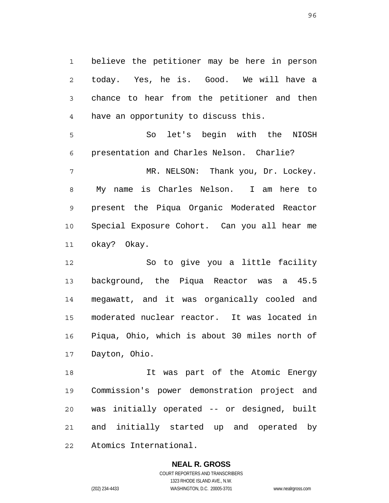1 2 3 4 believe the petitioner may be here in person today. Yes, he is. Good. We will have a chance to hear from the petitioner and then have an opportunity to discuss this.

5 6 7 8 9 So let's begin with the NIOSH presentation and Charles Nelson. Charlie? MR. NELSON: Thank you, Dr. Lockey. My name is Charles Nelson. I am here to present the Piqua Organic Moderated Reactor

10 11 Special Exposure Cohort. Can you all hear me okay? Okay.

12 13 14 15 16 17 So to give you a little facility background, the Piqua Reactor was a 45.5 megawatt, and it was organically cooled and moderated nuclear reactor. It was located in Piqua, Ohio, which is about 30 miles north of Dayton, Ohio.

18 19 20 21 22 It was part of the Atomic Energy Commission's power demonstration project and was initially operated -- or designed, built and initially started up and operated by Atomics International.

# **NEAL R. GROSS**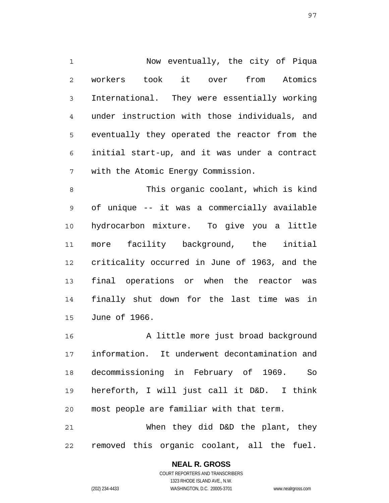1 2 3 4 5 6 7 Now eventually, the city of Piqua workers took it over from Atomics International. They were essentially working under instruction with those individuals, and eventually they operated the reactor from the initial start-up, and it was under a contract with the Atomic Energy Commission.

8 9 10 11 12 13 14 15 This organic coolant, which is kind of unique -- it was a commercially available hydrocarbon mixture. To give you a little more facility background, the initial criticality occurred in June of 1963, and the final operations or when the reactor was finally shut down for the last time was in June of 1966.

16 17 18 19 20 A little more just broad background information. It underwent decontamination and decommissioning in February of 1969. So hereforth, I will just call it D&D. I think most people are familiar with that term.

21 22 When they did D&D the plant, they removed this organic coolant, all the fuel.

> **NEAL R. GROSS** COURT REPORTERS AND TRANSCRIBERS 1323 RHODE ISLAND AVE., N.W.

(202) 234-4433 WASHINGTON, D.C. 20005-3701 www.nealrgross.com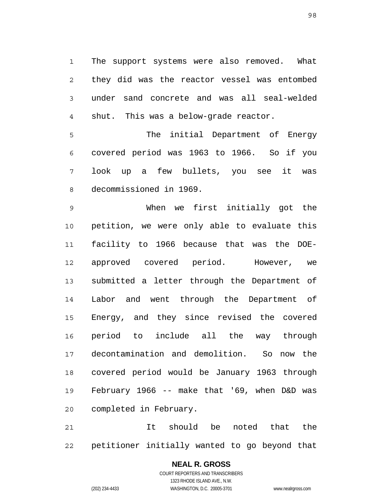1 2 3 4 The support systems were also removed. What they did was the reactor vessel was entombed under sand concrete and was all seal-welded shut. This was a below-grade reactor.

5 6 7 8 The initial Department of Energy covered period was 1963 to 1966. So if you look up a few bullets, you see it was decommissioned in 1969.

9 10 11 12 13 14 15 16 17 18 19 20 When we first initially got the petition, we were only able to evaluate this facility to 1966 because that was the DOEapproved covered period. However, we submitted a letter through the Department of Labor and went through the Department of Energy, and they since revised the covered period to include all the way through decontamination and demolition. So now the covered period would be January 1963 through February 1966 -- make that '69, when D&D was completed in February.

21 22 It should be noted that the petitioner initially wanted to go beyond that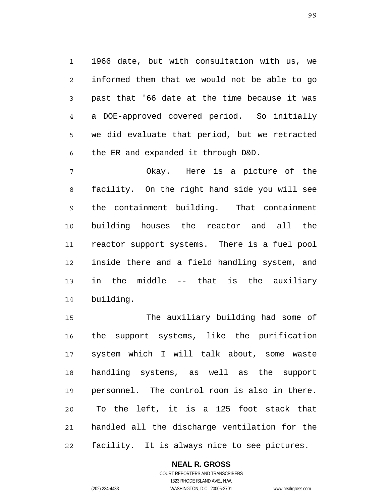1 2 3 4 5 6 1966 date, but with consultation with us, we informed them that we would not be able to go past that '66 date at the time because it was a DOE-approved covered period. So initially we did evaluate that period, but we retracted the ER and expanded it through D&D.

7 8 9 10 11 12 13 14 Okay. Here is a picture of the facility. On the right hand side you will see the containment building. That containment building houses the reactor and all the reactor support systems. There is a fuel pool inside there and a field handling system, and in the middle -- that is the auxiliary building.

15 16 17 18 19 20 21 22 The auxiliary building had some of the support systems, like the purification system which I will talk about, some waste handling systems, as well as the support personnel. The control room is also in there. To the left, it is a 125 foot stack that handled all the discharge ventilation for the facility. It is always nice to see pictures.

## **NEAL R. GROSS**

COURT REPORTERS AND TRANSCRIBERS 1323 RHODE ISLAND AVE., N.W. (202) 234-4433 WASHINGTON, D.C. 20005-3701 www.nealrgross.com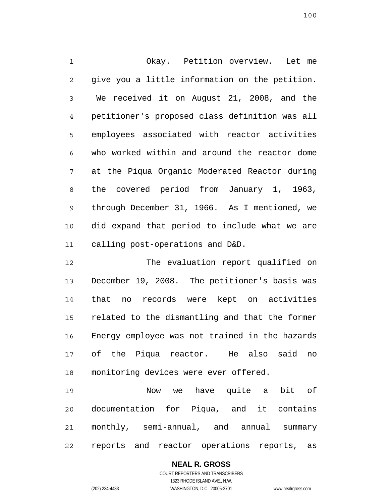1 2 3 4 5 6 7 8 9 10 11 Okay. Petition overview. Let me give you a little information on the petition. We received it on August 21, 2008, and the petitioner's proposed class definition was all employees associated with reactor activities who worked within and around the reactor dome at the Piqua Organic Moderated Reactor during the covered period from January 1, 1963, through December 31, 1966. As I mentioned, we did expand that period to include what we are calling post-operations and D&D.

12 13 14 15 16 17 18 The evaluation report qualified on December 19, 2008. The petitioner's basis was that no records were kept on activities related to the dismantling and that the former Energy employee was not trained in the hazards of the Piqua reactor. He also said no monitoring devices were ever offered.

19 20 21 22 Now we have quite a bit of documentation for Piqua, and it contains monthly, semi-annual, and annual summary reports and reactor operations reports, as

> **NEAL R. GROSS** COURT REPORTERS AND TRANSCRIBERS 1323 RHODE ISLAND AVE., N.W.

(202) 234-4433 WASHINGTON, D.C. 20005-3701 www.nealrgross.com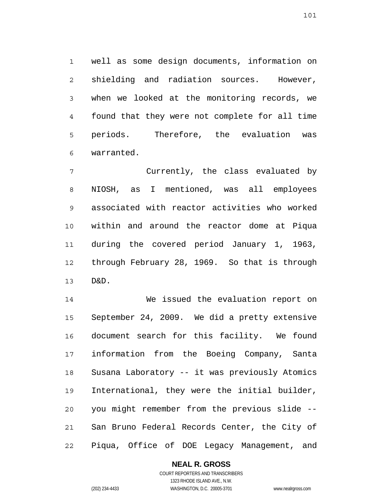1 2 3 4 5 6 well as some design documents, information on shielding and radiation sources. However, when we looked at the monitoring records, we found that they were not complete for all time periods. Therefore, the evaluation was warranted.

7 8 9 10 11 12 13 Currently, the class evaluated by NIOSH, as I mentioned, was all employees associated with reactor activities who worked within and around the reactor dome at Piqua during the covered period January 1, 1963, through February 28, 1969. So that is through D&D.

14 15 16 17 18 19 20 21 22 We issued the evaluation report on September 24, 2009. We did a pretty extensive document search for this facility. We found information from the Boeing Company, Santa Susana Laboratory -- it was previously Atomics International, they were the initial builder, you might remember from the previous slide -- San Bruno Federal Records Center, the City of Piqua, Office of DOE Legacy Management, and

### **NEAL R. GROSS** COURT REPORTERS AND TRANSCRIBERS

1323 RHODE ISLAND AVE., N.W. (202) 234-4433 WASHINGTON, D.C. 20005-3701 www.nealrgross.com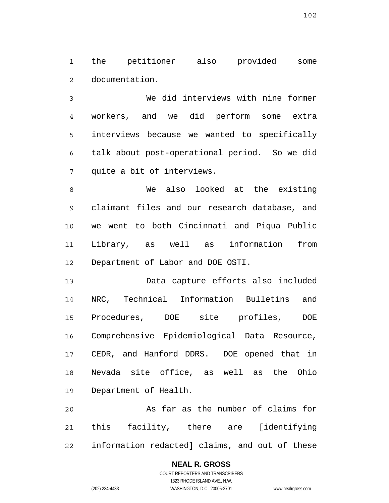1 2 the petitioner also provided some documentation.

3 4 5 6 7 We did interviews with nine former workers, and we did perform some extra interviews because we wanted to specifically talk about post-operational period. So we did quite a bit of interviews.

8 9 10 11 12 We also looked at the existing claimant files and our research database, and we went to both Cincinnati and Piqua Public Library, as well as information from Department of Labor and DOE OSTI.

13 14 15 16 17 18 19 Data capture efforts also included NRC, Technical Information Bulletins and Procedures, DOE site profiles, DOE Comprehensive Epidemiological Data Resource, CEDR, and Hanford DDRS. DOE opened that in Nevada site office, as well as the Ohio Department of Health.

20 21 22 As far as the number of claims for this facility, there are [identifying information redacted] claims, and out of these

### **NEAL R. GROSS**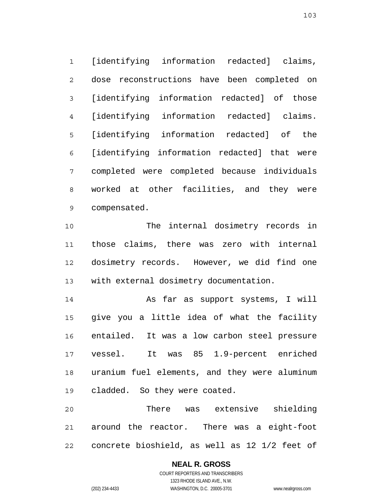1 2 3 4 5 6 7 8 9 [identifying information redacted] claims, dose reconstructions have been completed on [identifying information redacted] of those [identifying information redacted] claims. [identifying information redacted] of the [identifying information redacted] that were completed were completed because individuals worked at other facilities, and they were compensated.

10 11 12 13 The internal dosimetry records in those claims, there was zero with internal dosimetry records. However, we did find one with external dosimetry documentation.

14 15 16 17 18 19 As far as support systems, I will give you a little idea of what the facility entailed. It was a low carbon steel pressure vessel. It was 85 1.9-percent enriched uranium fuel elements, and they were aluminum cladded. So they were coated.

20 21 22 There was extensive shielding around the reactor. There was a eight-foot concrete bioshield, as well as 12 1/2 feet of

# **NEAL R. GROSS**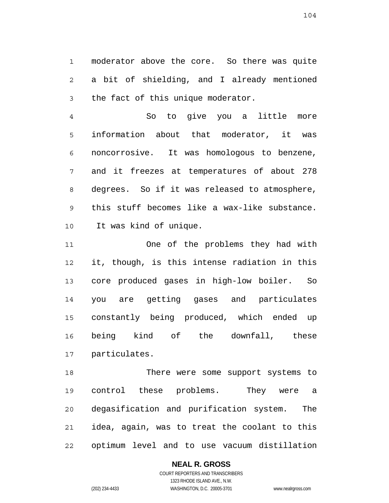1 2 3 moderator above the core. So there was quite a bit of shielding, and I already mentioned the fact of this unique moderator.

4 5 6 7 8 9 10 So to give you a little more information about that moderator, it was noncorrosive. It was homologous to benzene, and it freezes at temperatures of about 278 degrees. So if it was released to atmosphere, this stuff becomes like a wax-like substance. It was kind of unique.

11 12 13 14 15 16 17 One of the problems they had with it, though, is this intense radiation in this core produced gases in high-low boiler. So you are getting gases and particulates constantly being produced, which ended up being kind of the downfall, these particulates.

18 19 20 21 22 There were some support systems to control these problems. They were a degasification and purification system. The idea, again, was to treat the coolant to this optimum level and to use vacuum distillation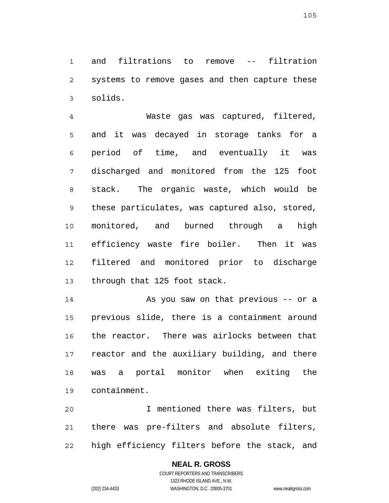1 2 3 and filtrations to remove -- filtration systems to remove gases and then capture these solids.

4 5 6 7 8 9 10 11 12 13 Waste gas was captured, filtered, and it was decayed in storage tanks for a period of time, and eventually it was discharged and monitored from the 125 foot stack. The organic waste, which would be these particulates, was captured also, stored, monitored, and burned through a high efficiency waste fire boiler. Then it was filtered and monitored prior to discharge through that 125 foot stack.

14 15 16 17 18 19 As you saw on that previous -- or a previous slide, there is a containment around the reactor. There was airlocks between that reactor and the auxiliary building, and there was a portal monitor when exiting the containment.

20 21 22 I mentioned there was filters, but there was pre-filters and absolute filters, high efficiency filters before the stack, and

## **NEAL R. GROSS**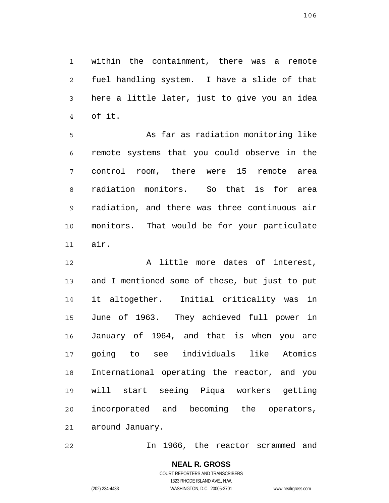1 2 3 4 within the containment, there was a remote fuel handling system. I have a slide of that here a little later, just to give you an idea of it.

5 6 7 8 9 10 11 As far as radiation monitoring like remote systems that you could observe in the control room, there were 15 remote area radiation monitors. So that is for area radiation, and there was three continuous air monitors. That would be for your particulate air.

12 13 14 15 16 17 18 19 20 21 A little more dates of interest, and I mentioned some of these, but just to put it altogether. Initial criticality was in June of 1963. They achieved full power in January of 1964, and that is when you are going to see individuals like Atomics International operating the reactor, and you will start seeing Piqua workers getting incorporated and becoming the operators, around January.

22 In 1966, the reactor scrammed and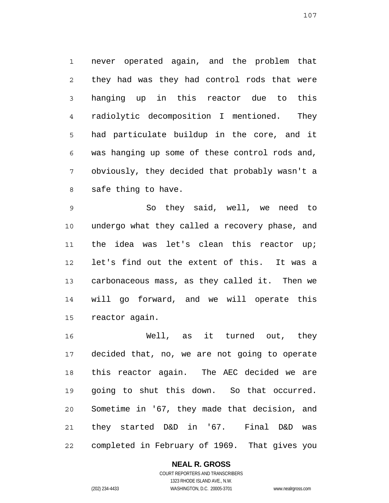1 2 3 4 5 6 7 8 never operated again, and the problem that they had was they had control rods that were hanging up in this reactor due to this radiolytic decomposition I mentioned. They had particulate buildup in the core, and it was hanging up some of these control rods and, obviously, they decided that probably wasn't a safe thing to have.

9 10 11 12 13 14 15 So they said, well, we need to undergo what they called a recovery phase, and the idea was let's clean this reactor up; let's find out the extent of this. It was a carbonaceous mass, as they called it. Then we will go forward, and we will operate this reactor again.

16 17 18 19 20 21 22 Well, as it turned out, they decided that, no, we are not going to operate this reactor again. The AEC decided we are going to shut this down. So that occurred. Sometime in '67, they made that decision, and they started D&D in '67. Final D&D was completed in February of 1969. That gives you

# **NEAL R. GROSS**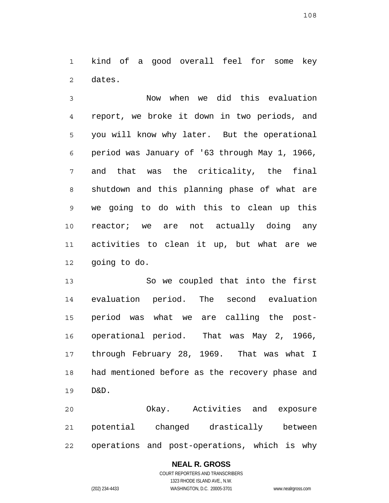1 2 kind of a good overall feel for some key dates.

3 4 5 6 7 8 9 10 11 12 Now when we did this evaluation report, we broke it down in two periods, and you will know why later. But the operational period was January of '63 through May 1, 1966, and that was the criticality, the final shutdown and this planning phase of what are we going to do with this to clean up this reactor; we are not actually doing any activities to clean it up, but what are we going to do.

13 14 15 16 17 18 19 So we coupled that into the first evaluation period. The second evaluation period was what we are calling the postoperational period. That was May 2, 1966, through February 28, 1969. That was what I had mentioned before as the recovery phase and D&D.

20 21 22 Okay. Activities and exposure potential changed drastically between operations and post-operations, which is why

### **NEAL R. GROSS**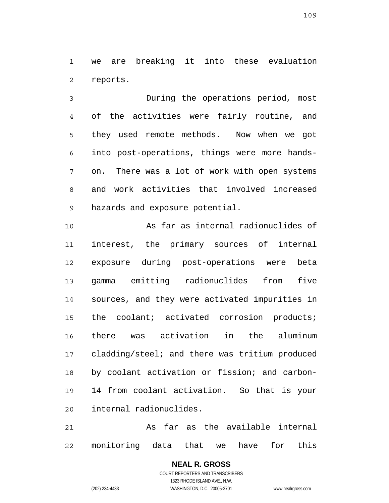1 2 we are breaking it into these evaluation reports.

3 4 5 6 7 8 9 During the operations period, most of the activities were fairly routine, and they used remote methods. Now when we got into post-operations, things were more handson. There was a lot of work with open systems and work activities that involved increased hazards and exposure potential.

10 11 12 13 14 15 16 17 18 19 20 As far as internal radionuclides of interest, the primary sources of internal exposure during post-operations were beta gamma emitting radionuclides from five sources, and they were activated impurities in the coolant; activated corrosion products; there was activation in the aluminum cladding/steel; and there was tritium produced by coolant activation or fission; and carbon-14 from coolant activation. So that is your internal radionuclides.

21 22 As far as the available internal monitoring data that we have for this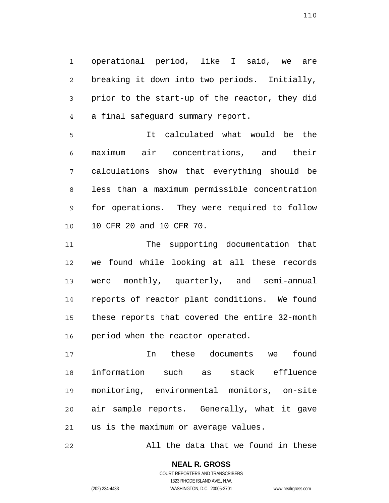1 2 3 4 operational period, like I said, we are breaking it down into two periods. Initially, prior to the start-up of the reactor, they did a final safeguard summary report.

5 6 7 8 9 10 It calculated what would be the maximum air concentrations, and their calculations show that everything should be less than a maximum permissible concentration for operations. They were required to follow 10 CFR 20 and 10 CFR 70.

11 12 13 14 15 16 The supporting documentation that we found while looking at all these records were monthly, quarterly, and semi-annual reports of reactor plant conditions. We found these reports that covered the entire 32-month period when the reactor operated.

17 18 19 20 21 In these documents we found information such as stack effluence monitoring, environmental monitors, on-site air sample reports. Generally, what it gave us is the maximum or average values.

22 All the data that we found in these

> **NEAL R. GROSS** COURT REPORTERS AND TRANSCRIBERS 1323 RHODE ISLAND AVE., N.W.

(202) 234-4433 WASHINGTON, D.C. 20005-3701 www.nealrgross.com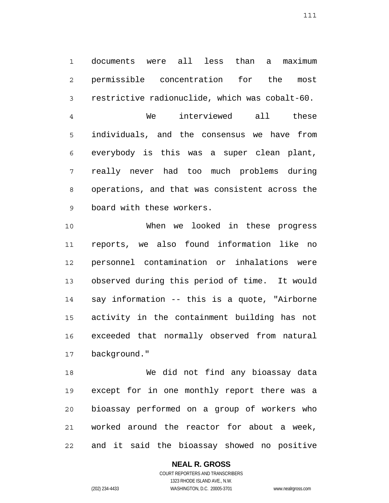1 2 3 documents were all less than a maximum permissible concentration for the most restrictive radionuclide, which was cobalt-60.

4 5 6 7 8 9 We interviewed all these individuals, and the consensus we have from everybody is this was a super clean plant, really never had too much problems during operations, and that was consistent across the board with these workers.

10 11 12 13 14 15 16 17 When we looked in these progress reports, we also found information like no personnel contamination or inhalations were observed during this period of time. It would say information -- this is a quote, "Airborne activity in the containment building has not exceeded that normally observed from natural background."

18 19 20 21 22 We did not find any bioassay data except for in one monthly report there was a bioassay performed on a group of workers who worked around the reactor for about a week, and it said the bioassay showed no positive

## **NEAL R. GROSS**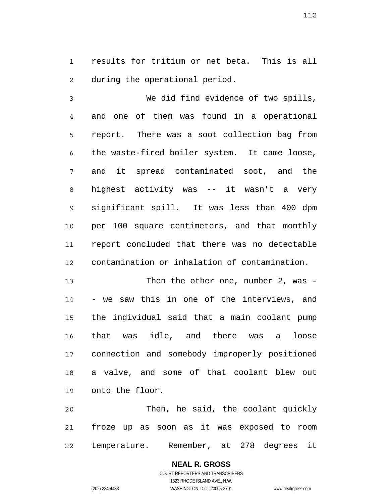1 2 results for tritium or net beta. This is all during the operational period.

3 4 5 6 7 8 9 10 11 12 We did find evidence of two spills, and one of them was found in a operational report. There was a soot collection bag from the waste-fired boiler system. It came loose, and it spread contaminated soot, and the highest activity was -- it wasn't a very significant spill. It was less than 400 dpm per 100 square centimeters, and that monthly report concluded that there was no detectable contamination or inhalation of contamination.

13 14 15 16 17 18 19 Then the other one, number 2, was -- we saw this in one of the interviews, and the individual said that a main coolant pump that was idle, and there was a loose connection and somebody improperly positioned a valve, and some of that coolant blew out onto the floor.

20 21 22 Then, he said, the coolant quickly froze up as soon as it was exposed to room temperature. Remember, at 278 degrees it

> **NEAL R. GROSS** COURT REPORTERS AND TRANSCRIBERS 1323 RHODE ISLAND AVE., N.W. (202) 234-4433 WASHINGTON, D.C. 20005-3701 www.nealrgross.com

112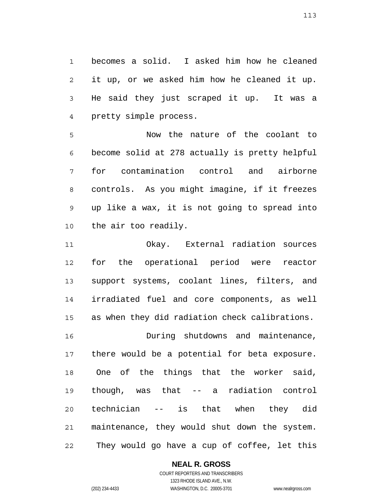1 2 3 4 becomes a solid. I asked him how he cleaned it up, or we asked him how he cleaned it up. He said they just scraped it up. It was a pretty simple process.

5 6 7 8 9 10 Now the nature of the coolant to become solid at 278 actually is pretty helpful for contamination control and airborne controls. As you might imagine, if it freezes up like a wax, it is not going to spread into the air too readily.

11 12 13 14 15 Okay. External radiation sources for the operational period were reactor support systems, coolant lines, filters, and irradiated fuel and core components, as well as when they did radiation check calibrations.

16 17 18 19 20 21 22 During shutdowns and maintenance, there would be a potential for beta exposure. One of the things that the worker said, though, was that -- a radiation control technician -- is that when they did maintenance, they would shut down the system. They would go have a cup of coffee, let this

### **NEAL R. GROSS**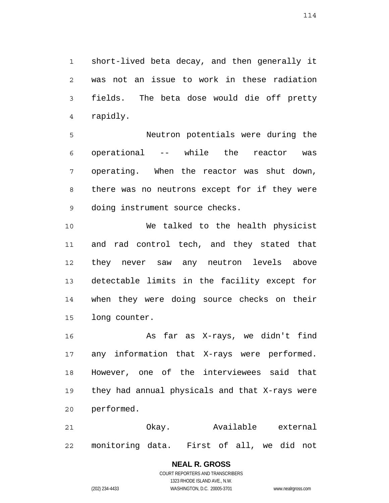1 2 3 4 short-lived beta decay, and then generally it was not an issue to work in these radiation fields. The beta dose would die off pretty rapidly.

5 6 7 8 9 Neutron potentials were during the operational -- while the reactor was operating. When the reactor was shut down, there was no neutrons except for if they were doing instrument source checks.

10 11 12 13 14 15 We talked to the health physicist and rad control tech, and they stated that they never saw any neutron levels above detectable limits in the facility except for when they were doing source checks on their long counter.

16 17 18 19 20 As far as X-rays, we didn't find any information that X-rays were performed. However, one of the interviewees said that they had annual physicals and that X-rays were performed.

21 22 Okay. Available external monitoring data. First of all, we did not

### **NEAL R. GROSS**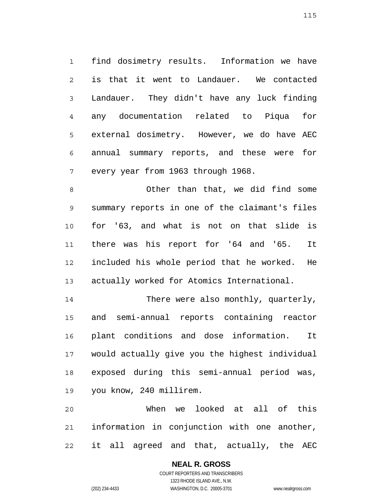1 2 3 4 5 6 7 find dosimetry results. Information we have is that it went to Landauer. We contacted Landauer. They didn't have any luck finding any documentation related to Piqua for external dosimetry. However, we do have AEC annual summary reports, and these were for every year from 1963 through 1968.

8 9 10 11 12 13 Other than that, we did find some summary reports in one of the claimant's files for '63, and what is not on that slide is there was his report for '64 and '65. It included his whole period that he worked. He actually worked for Atomics International.

14 15 16 17 18 19 There were also monthly, quarterly, and semi-annual reports containing reactor plant conditions and dose information. It would actually give you the highest individual exposed during this semi-annual period was, you know, 240 millirem.

20 21 22 When we looked at all of this information in conjunction with one another, it all agreed and that, actually, the AEC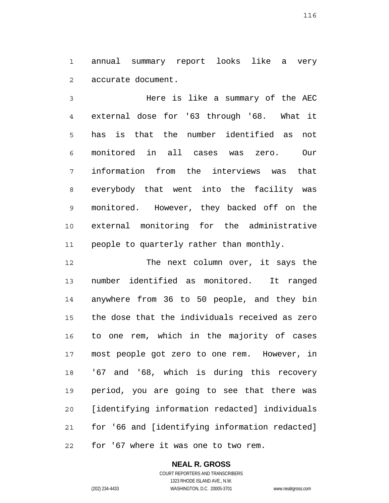1 2 annual summary report looks like a very accurate document.

3 4 5 6 7 8 9 10 11 Here is like a summary of the AEC external dose for '63 through '68. What it has is that the number identified as not monitored in all cases was zero. Our information from the interviews was that everybody that went into the facility was monitored. However, they backed off on the external monitoring for the administrative people to quarterly rather than monthly.

12 13 14 15 16 17 18 19 20 21 22 The next column over, it says the number identified as monitored. It ranged anywhere from 36 to 50 people, and they bin the dose that the individuals received as zero to one rem, which in the majority of cases most people got zero to one rem. However, in '67 and '68, which is during this recovery period, you are going to see that there was [identifying information redacted] individuals for '66 and [identifying information redacted] for '67 where it was one to two rem.

## **NEAL R. GROSS**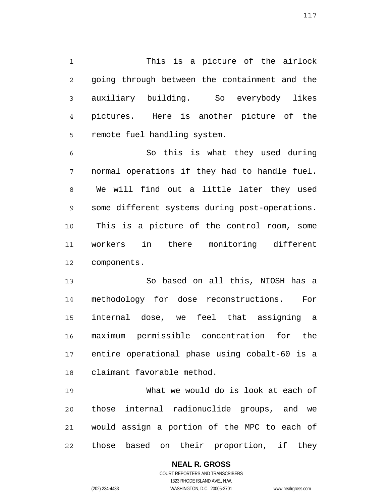1 2 3 4 5 This is a picture of the airlock going through between the containment and the auxiliary building. So everybody likes pictures. Here is another picture of the remote fuel handling system.

6 7 8 9 10 11 12 So this is what they used during normal operations if they had to handle fuel. We will find out a little later they used some different systems during post-operations. This is a picture of the control room, some workers in there monitoring different components.

13 14 15 16 17 18 So based on all this, NIOSH has a methodology for dose reconstructions. For internal dose, we feel that assigning a maximum permissible concentration for the entire operational phase using cobalt-60 is a claimant favorable method.

19 20 21 22 What we would do is look at each of those internal radionuclide groups, and we would assign a portion of the MPC to each of those based on their proportion, if they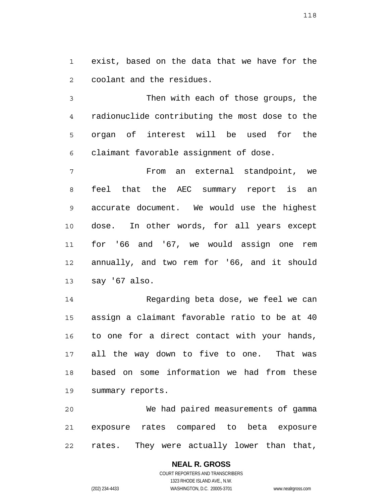1 2 exist, based on the data that we have for the coolant and the residues.

3 4 5 6 Then with each of those groups, the radionuclide contributing the most dose to the organ of interest will be used for the claimant favorable assignment of dose.

7 8 9 10 11 12 13 From an external standpoint, we feel that the AEC summary report is an accurate document. We would use the highest dose. In other words, for all years except for '66 and '67, we would assign one rem annually, and two rem for '66, and it should say '67 also.

14 15 16 17 18 19 Regarding beta dose, we feel we can assign a claimant favorable ratio to be at 40 to one for a direct contact with your hands, all the way down to five to one. That was based on some information we had from these summary reports.

20 21 22 We had paired measurements of gamma exposure rates compared to beta exposure rates. They were actually lower than that,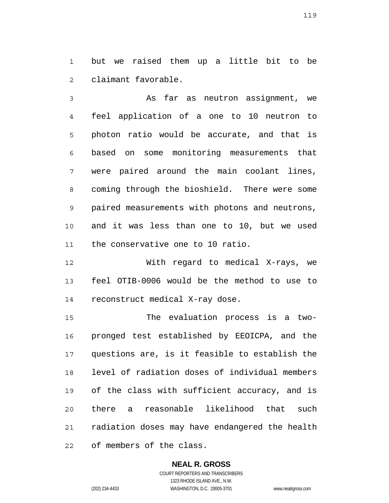1  $\mathfrak{D}$ but we raised them up a little bit to be claimant favorable.

3 4 5 6 7 8 9 10 11 As far as neutron assignment, we feel application of a one to 10 neutron to photon ratio would be accurate, and that is based on some monitoring measurements that were paired around the main coolant lines, coming through the bioshield. There were some paired measurements with photons and neutrons, and it was less than one to 10, but we used the conservative one to 10 ratio.

12 13 14 With regard to medical X-rays, we feel OTIB-0006 would be the method to use to reconstruct medical X-ray dose.

15 16 17 18 19 20 21 22 The evaluation process is a twopronged test established by EEOICPA, and the questions are, is it feasible to establish the level of radiation doses of individual members of the class with sufficient accuracy, and is there a reasonable likelihood that such radiation doses may have endangered the health of members of the class.

# **NEAL R. GROSS**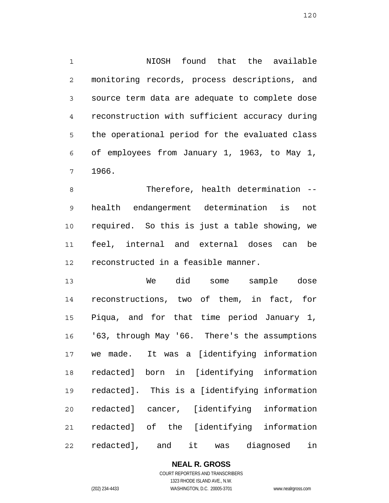1 2 3 4 5 6 7 NIOSH found that the available monitoring records, process descriptions, and source term data are adequate to complete dose reconstruction with sufficient accuracy during the operational period for the evaluated class of employees from January 1, 1963, to May 1, 1966.

8 9 10 11 12 Therefore, health determination - health endangerment determination is not required. So this is just a table showing, we feel, internal and external doses can be reconstructed in a feasible manner.

13 14 15 16 17 18 19 20 21 22 We did some sample dose reconstructions, two of them, in fact, for Piqua, and for that time period January 1, '63, through May '66. There's the assumptions we made. It was a [identifying information redacted] born in [identifying information redacted]. This is a [identifying information redacted] cancer, [identifying information redacted] of the [identifying information redacted], and it was diagnosed in

**NEAL R. GROSS**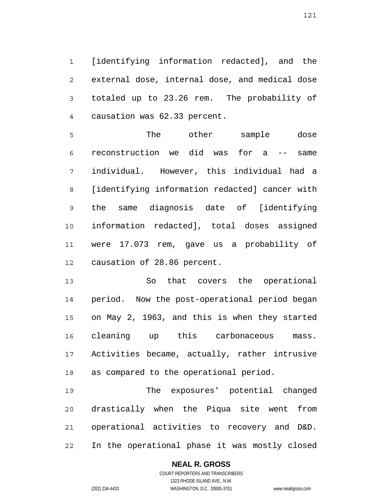1 2 3 4 [identifying information redacted], and the external dose, internal dose, and medical dose totaled up to 23.26 rem. The probability of causation was 62.33 percent.

5 6 7 8 9 10 11 12 The other sample dose reconstruction we did was for a -- same individual. However, this individual had a [identifying information redacted] cancer with the same diagnosis date of [identifying information redacted], total doses assigned were 17.073 rem, gave us a probability of causation of 28.86 percent.

13 14 15 16 17 18 So that covers the operational period. Now the post-operational period began on May 2, 1963, and this is when they started cleaning up this carbonaceous mass. Activities became, actually, rather intrusive as compared to the operational period.

19 20 21 22 The exposures' potential changed drastically when the Piqua site went from operational activities to recovery and D&D. In the operational phase it was mostly closed

### **NEAL R. GROSS** COURT REPORTERS AND TRANSCRIBERS

121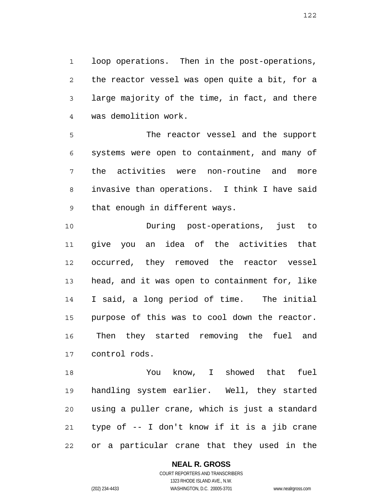1 2 3 4 loop operations. Then in the post-operations, the reactor vessel was open quite a bit, for a large majority of the time, in fact, and there was demolition work.

5 6 7 8 9 The reactor vessel and the support systems were open to containment, and many of the activities were non-routine and more invasive than operations. I think I have said that enough in different ways.

10 11 12 13 14 15 16 17 During post-operations, just to give you an idea of the activities that occurred, they removed the reactor vessel head, and it was open to containment for, like I said, a long period of time. The initial purpose of this was to cool down the reactor. Then they started removing the fuel and control rods.

18 19 20 21 22 You know, I showed that fuel handling system earlier. Well, they started using a puller crane, which is just a standard type of -- I don't know if it is a jib crane or a particular crane that they used in the

> **NEAL R. GROSS** COURT REPORTERS AND TRANSCRIBERS 1323 RHODE ISLAND AVE., N.W.

(202) 234-4433 WASHINGTON, D.C. 20005-3701 www.nealrgross.com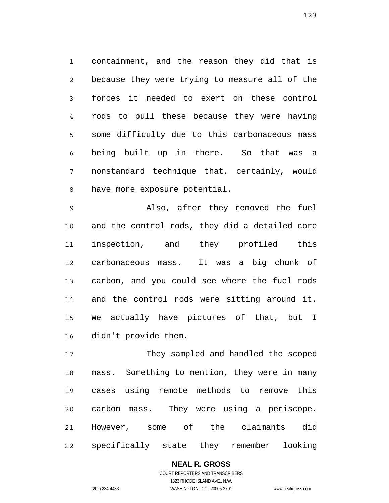1 2 3 4 5 6 7 8 containment, and the reason they did that is because they were trying to measure all of the forces it needed to exert on these control rods to pull these because they were having some difficulty due to this carbonaceous mass being built up in there. So that was a nonstandard technique that, certainly, would have more exposure potential.

9 10 11 12 13 14 15 16 Also, after they removed the fuel and the control rods, they did a detailed core inspection, and they profiled this carbonaceous mass. It was a big chunk of carbon, and you could see where the fuel rods and the control rods were sitting around it. We actually have pictures of that, but I didn't provide them.

17 18 19 20 21 22 They sampled and handled the scoped mass. Something to mention, they were in many cases using remote methods to remove this carbon mass. They were using a periscope. However, some of the claimants did specifically state they remember looking

## **NEAL R. GROSS** COURT REPORTERS AND TRANSCRIBERS 1323 RHODE ISLAND AVE., N.W.

(202) 234-4433 WASHINGTON, D.C. 20005-3701 www.nealrgross.com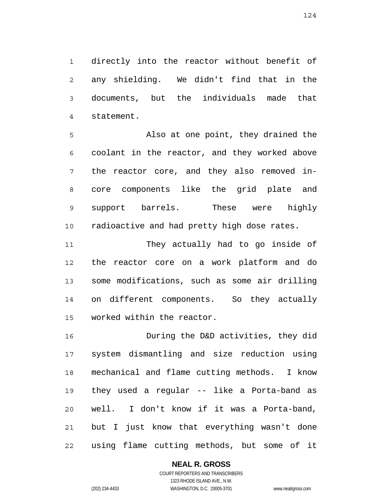1 2 3 4 directly into the reactor without benefit of any shielding. We didn't find that in the documents, but the individuals made that statement.

5 6 7 8 9 10 Also at one point, they drained the coolant in the reactor, and they worked above the reactor core, and they also removed incore components like the grid plate and support barrels. These were highly radioactive and had pretty high dose rates.

11 12 13 14 15 They actually had to go inside of the reactor core on a work platform and do some modifications, such as some air drilling on different components. So they actually worked within the reactor.

16 17 18 19 20 21 22 During the D&D activities, they did system dismantling and size reduction using mechanical and flame cutting methods. I know they used a regular -- like a Porta-band as well. I don't know if it was a Porta-band, but I just know that everything wasn't done using flame cutting methods, but some of it

## **NEAL R. GROSS**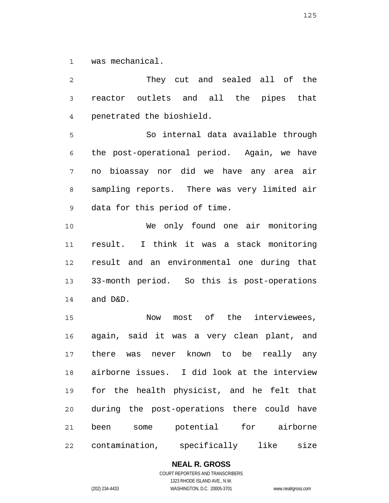1 was mechanical.

2 3 4 5 6 7 8 9 10 11 12 13 14 15 16 17 18 19 20 21 22 They cut and sealed all of the reactor outlets and all the pipes that penetrated the bioshield. So internal data available through the post-operational period. Again, we have no bioassay nor did we have any area air sampling reports. There was very limited air data for this period of time. We only found one air monitoring result. I think it was a stack monitoring result and an environmental one during that 33-month period. So this is post-operations and D&D. Now most of the interviewees, again, said it was a very clean plant, and there was never known to be really any airborne issues. I did look at the interview for the health physicist, and he felt that during the post-operations there could have been some potential for airborne contamination, specifically like size

**NEAL R. GROSS**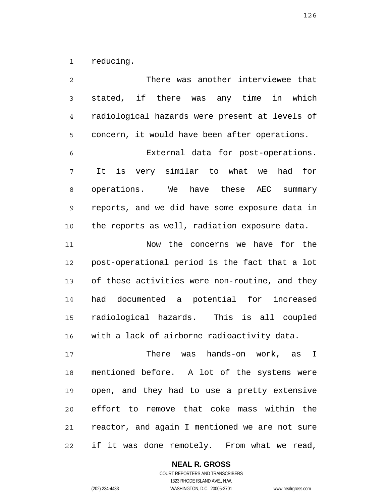1 reducing.

2 3 4 5 6 7 8 9 10 11 12 13 14 15 16 17 18 19 20 21 22 There was another interviewee that stated, if there was any time in which radiological hazards were present at levels of concern, it would have been after operations. External data for post-operations. It is very similar to what we had for operations. We have these AEC summary reports, and we did have some exposure data in the reports as well, radiation exposure data. Now the concerns we have for the post-operational period is the fact that a lot of these activities were non-routine, and they had documented a potential for increased radiological hazards. This is all coupled with a lack of airborne radioactivity data. There was hands-on work, as I mentioned before. A lot of the systems were open, and they had to use a pretty extensive effort to remove that coke mass within the reactor, and again I mentioned we are not sure if it was done remotely. From what we read,

## **NEAL R. GROSS**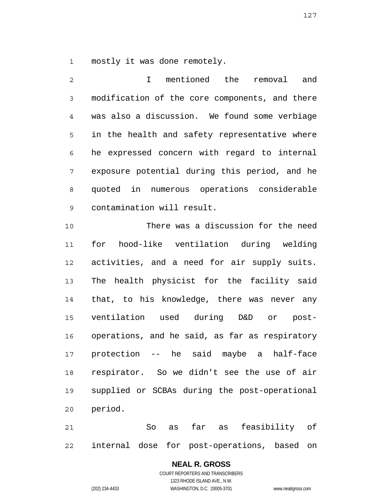1 mostly it was done remotely.

2 3 4 5 6 7 8 9 10 I mentioned the removal and modification of the core components, and there was also a discussion. We found some verbiage in the health and safety representative where he expressed concern with regard to internal exposure potential during this period, and he quoted in numerous operations considerable contamination will result. There was a discussion for the need

11 12 13 14 15 16 17 18 19 20 for hood-like ventilation during welding activities, and a need for air supply suits. The health physicist for the facility said that, to his knowledge, there was never any ventilation used during D&D or postoperations, and he said, as far as respiratory protection -- he said maybe a half-face respirator. So we didn't see the use of air supplied or SCBAs during the post-operational period.

21 22 So as far as feasibility of internal dose for post-operations, based on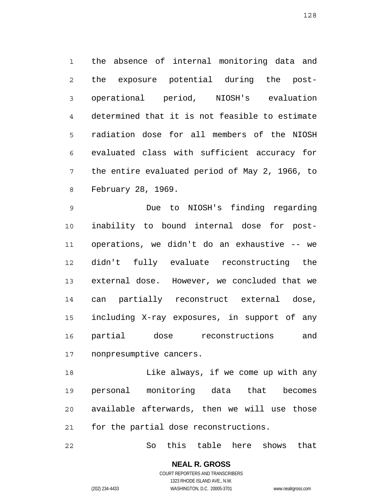1 2 3 4 5 6 7 8 the absence of internal monitoring data and the exposure potential during the postoperational period, NIOSH's evaluation determined that it is not feasible to estimate radiation dose for all members of the NIOSH evaluated class with sufficient accuracy for the entire evaluated period of May 2, 1966, to February 28, 1969.

9 10 11 12 13 14 15 16 17 Due to NIOSH's finding regarding inability to bound internal dose for postoperations, we didn't do an exhaustive -- we didn't fully evaluate reconstructing the external dose. However, we concluded that we can partially reconstruct external dose, including X-ray exposures, in support of any partial dose reconstructions and nonpresumptive cancers.

18 19 20 21 Like always, if we come up with any personal monitoring data that becomes available afterwards, then we will use those for the partial dose reconstructions.

22 So this table here shows that

(202) 234-4433 WASHINGTON, D.C. 20005-3701 www.nealrgross.com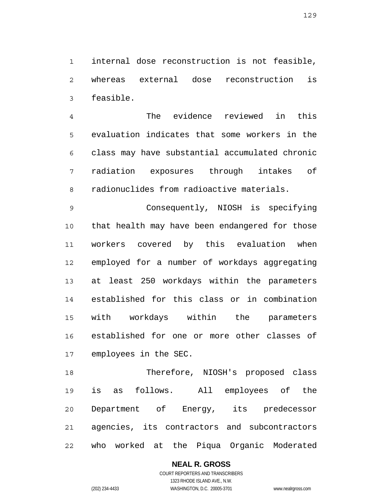1 2 3 internal dose reconstruction is not feasible, whereas external dose reconstruction is feasible.

4 5 6 7 8 The evidence reviewed in this evaluation indicates that some workers in the class may have substantial accumulated chronic radiation exposures through intakes of radionuclides from radioactive materials.

9 10 11 12 13 14 15 16 17 Consequently, NIOSH is specifying that health may have been endangered for those workers covered by this evaluation when employed for a number of workdays aggregating at least 250 workdays within the parameters established for this class or in combination with workdays within the parameters established for one or more other classes of employees in the SEC.

18 19 20 21 22 Therefore, NIOSH's proposed class is as follows. All employees of the Department of Energy, its predecessor agencies, its contractors and subcontractors who worked at the Piqua Organic Moderated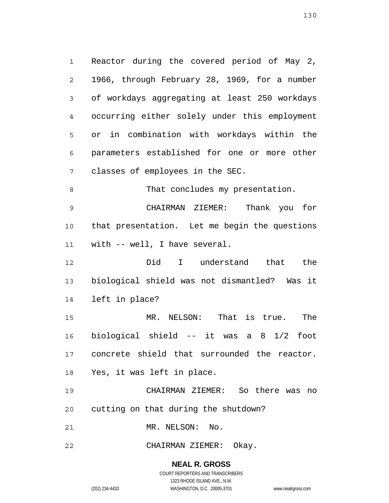1 2 3 4 5 6 7 Reactor during the covered period of May 2, 1966, through February 28, 1969, for a number of workdays aggregating at least 250 workdays occurring either solely under this employment or in combination with workdays within the parameters established for one or more other classes of employees in the SEC.

8 That concludes my presentation.

9 10 11 CHAIRMAN ZIEMER: Thank you for that presentation. Let me begin the questions with -- well, I have several.

12 13 14 Did I understand that the biological shield was not dismantled? Was it left in place?

15 16 17 18 MR. NELSON: That is true. The biological shield -- it was a 8 1/2 foot concrete shield that surrounded the reactor. Yes, it was left in place.

19 20 CHAIRMAN ZIEMER: So there was no cutting on that during the shutdown?

21 MR. NELSON: No.

22 CHAIRMAN ZIEMER: Okay.

> **NEAL R. GROSS** COURT REPORTERS AND TRANSCRIBERS 1323 RHODE ISLAND AVE., N.W.

(202) 234-4433 WASHINGTON, D.C. 20005-3701 www.nealrgross.com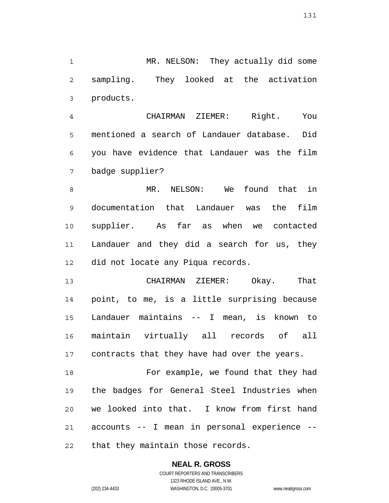1 2 3 MR. NELSON: They actually did some sampling. They looked at the activation products.

4 5 6 7 CHAIRMAN ZIEMER: Right. You mentioned a search of Landauer database. Did you have evidence that Landauer was the film badge supplier?

8 9 10 11 12 MR. NELSON: We found that in documentation that Landauer was the film supplier. As far as when we contacted Landauer and they did a search for us, they did not locate any Piqua records.

13 14 15 16 17 CHAIRMAN ZIEMER: Okay. That point, to me, is a little surprising because Landauer maintains -- I mean, is known to maintain virtually all records of all contracts that they have had over the years.

18 19 20 21 22 For example, we found that they had the badges for General Steel Industries when we looked into that. I know from first hand accounts -- I mean in personal experience - that they maintain those records.

**NEAL R. GROSS**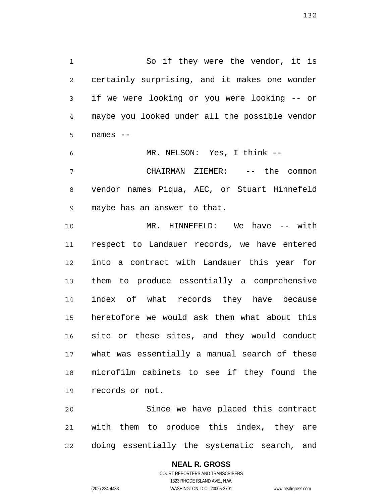1 2 3 4 5 So if they were the vendor, it is certainly surprising, and it makes one wonder if we were looking or you were looking -- or maybe you looked under all the possible vendor names --

6 7 8 9 MR. NELSON: Yes, I think -- CHAIRMAN ZIEMER: -- the common vendor names Piqua, AEC, or Stuart Hinnefeld maybe has an answer to that.

10 11 12 13 14 15 16 17 18 19 MR. HINNEFELD: We have -- with respect to Landauer records, we have entered into a contract with Landauer this year for them to produce essentially a comprehensive index of what records they have because heretofore we would ask them what about this site or these sites, and they would conduct what was essentially a manual search of these microfilm cabinets to see if they found the records or not.

20 21 22 Since we have placed this contract with them to produce this index, they are doing essentially the systematic search, and

## **NEAL R. GROSS**

COURT REPORTERS AND TRANSCRIBERS 1323 RHODE ISLAND AVE., N.W. (202) 234-4433 WASHINGTON, D.C. 20005-3701 www.nealrgross.com

132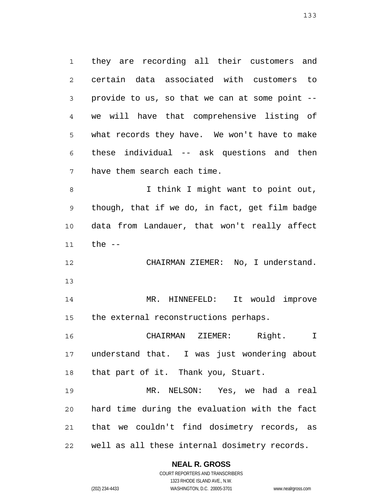1 2 3 4 5 6 7 8 9 they are recording all their customers and certain data associated with customers to provide to us, so that we can at some point - we will have that comprehensive listing of what records they have. We won't have to make these individual -- ask questions and then have them search each time. I think I might want to point out, though, that if we do, in fact, get film badge

10 11 data from Landauer, that won't really affect the  $--$ 

12 CHAIRMAN ZIEMER: No, I understand.

13

14 15 MR. HINNEFELD: It would improve the external reconstructions perhaps.

16 17 18 CHAIRMAN ZIEMER: Right. I understand that. I was just wondering about that part of it. Thank you, Stuart.

19 20 21 22 MR. NELSON: Yes, we had a real hard time during the evaluation with the fact that we couldn't find dosimetry records, as well as all these internal dosimetry records.

### **NEAL R. GROSS**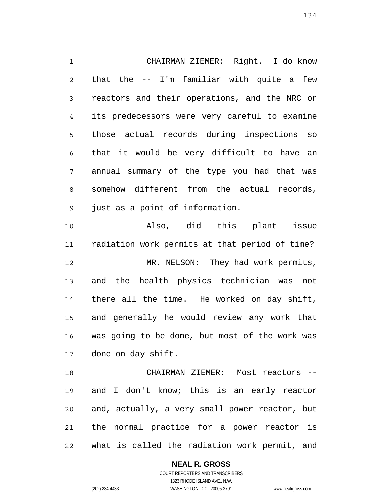1 2 3 4 5 6 7 8 9 10 CHAIRMAN ZIEMER: Right. I do know that the -- I'm familiar with quite a few reactors and their operations, and the NRC or its predecessors were very careful to examine those actual records during inspections so that it would be very difficult to have an annual summary of the type you had that was somehow different from the actual records, just as a point of information. Also, did this plant issue

11 12 13 14 15 16 17 radiation work permits at that period of time? MR. NELSON: They had work permits, and the health physics technician was not there all the time. He worked on day shift, and generally he would review any work that was going to be done, but most of the work was done on day shift.

18 19 20 21 22 CHAIRMAN ZIEMER: Most reactors - and I don't know; this is an early reactor and, actually, a very small power reactor, but the normal practice for a power reactor is what is called the radiation work permit, and

### **NEAL R. GROSS**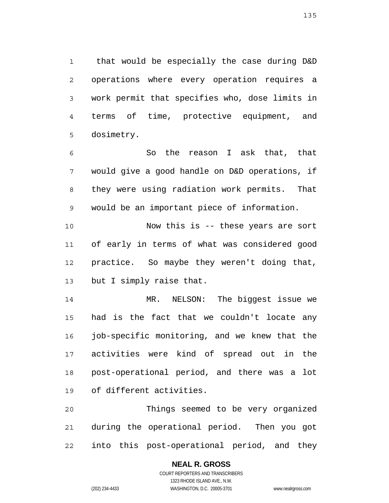1 2 3 4 5 that would be especially the case during D&D operations where every operation requires a work permit that specifies who, dose limits in terms of time, protective equipment, and dosimetry.

6 7 8 9 So the reason I ask that, that would give a good handle on D&D operations, if they were using radiation work permits. That would be an important piece of information.

10 11 12 13 Now this is -- these years are sort of early in terms of what was considered good practice. So maybe they weren't doing that, but I simply raise that.

14 15 16 17 18 19 MR. NELSON: The biggest issue we had is the fact that we couldn't locate any job-specific monitoring, and we knew that the activities were kind of spread out in the post-operational period, and there was a lot of different activities.

20 21 22 Things seemed to be very organized during the operational period. Then you got into this post-operational period, and they

## **NEAL R. GROSS** COURT REPORTERS AND TRANSCRIBERS 1323 RHODE ISLAND AVE., N.W.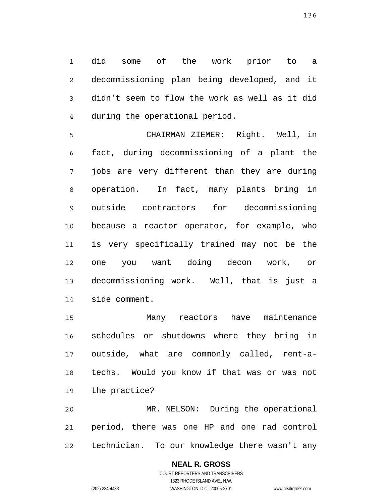1 2 3 4 did some of the work prior to a decommissioning plan being developed, and it didn't seem to flow the work as well as it did during the operational period.

5 6 7 8 9 10 11 12 13 14 CHAIRMAN ZIEMER: Right. Well, in fact, during decommissioning of a plant the jobs are very different than they are during operation. In fact, many plants bring in outside contractors for decommissioning because a reactor operator, for example, who is very specifically trained may not be the one you want doing decon work, or decommissioning work. Well, that is just a side comment.

15 16 17 18 19 Many reactors have maintenance schedules or shutdowns where they bring in outside, what are commonly called, rent-atechs. Would you know if that was or was not the practice?

20 21 22 MR. NELSON: During the operational period, there was one HP and one rad control technician. To our knowledge there wasn't any

## **NEAL R. GROSS**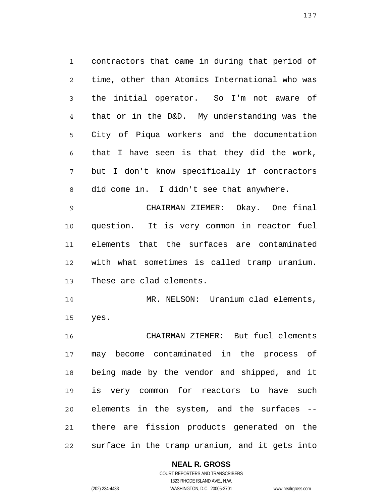1 2 3 4 5 6 7 8 contractors that came in during that period of time, other than Atomics International who was the initial operator. So I'm not aware of that or in the D&D. My understanding was the City of Piqua workers and the documentation that I have seen is that they did the work, but I don't know specifically if contractors did come in. I didn't see that anywhere.

9 10 11 12 13 CHAIRMAN ZIEMER: Okay. One final question. It is very common in reactor fuel elements that the surfaces are contaminated with what sometimes is called tramp uranium. These are clad elements.

14 15 MR. NELSON: Uranium clad elements, yes.

16 17 18 19 20 21 22 CHAIRMAN ZIEMER: But fuel elements may become contaminated in the process of being made by the vendor and shipped, and it is very common for reactors to have such elements in the system, and the surfaces - there are fission products generated on the surface in the tramp uranium, and it gets into

## **NEAL R. GROSS**

COURT REPORTERS AND TRANSCRIBERS 1323 RHODE ISLAND AVE., N.W. (202) 234-4433 WASHINGTON, D.C. 20005-3701 www.nealrgross.com

137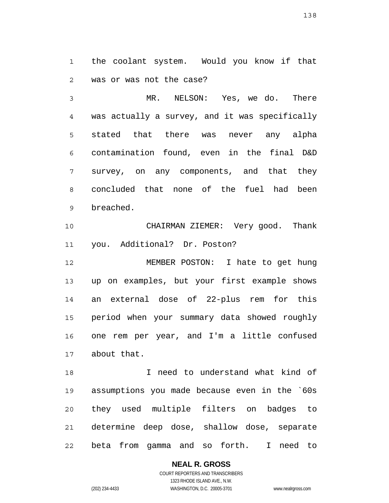1 2 the coolant system. Would you know if that was or was not the case?

3 4 5 6 7 8 9 MR. NELSON: Yes, we do. There was actually a survey, and it was specifically stated that there was never any alpha contamination found, even in the final D&D survey, on any components, and that they concluded that none of the fuel had been breached.

10 11 CHAIRMAN ZIEMER: Very good. Thank you. Additional? Dr. Poston?

12 13 14 15 16 17 MEMBER POSTON: I hate to get hung up on examples, but your first example shows an external dose of 22-plus rem for this period when your summary data showed roughly one rem per year, and I'm a little confused about that.

18 19 20 21 22 I need to understand what kind of assumptions you made because even in the `60s they used multiple filters on badges to determine deep dose, shallow dose, separate beta from gamma and so forth. I need to

**NEAL R. GROSS**

COURT REPORTERS AND TRANSCRIBERS 1323 RHODE ISLAND AVE., N.W. (202) 234-4433 WASHINGTON, D.C. 20005-3701 www.nealrgross.com

138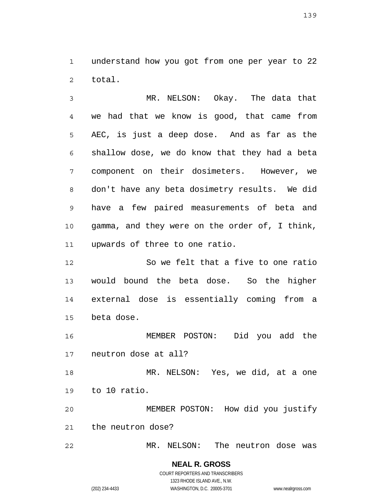1 2 understand how you got from one per year to 22 total.

3 4 5 6 7 8 9 10 11 MR. NELSON: Okay. The data that we had that we know is good, that came from AEC, is just a deep dose. And as far as the shallow dose, we do know that they had a beta component on their dosimeters. However, we don't have any beta dosimetry results. We did have a few paired measurements of beta and gamma, and they were on the order of, I think, upwards of three to one ratio.

12 13 14 15 So we felt that a five to one ratio would bound the beta dose. So the higher external dose is essentially coming from a beta dose.

16 17 MEMBER POSTON: Did you add the neutron dose at all?

18 19 MR. NELSON: Yes, we did, at a one to 10 ratio.

20 21 MEMBER POSTON: How did you justify the neutron dose?

22 MR. NELSON: The neutron dose was

139

**NEAL R. GROSS**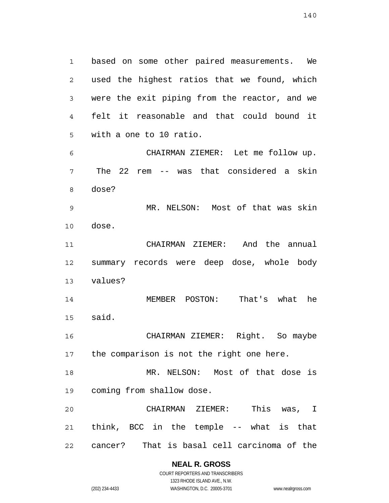1 2 3 4 5 6 7 8 9 10 11 12 13 14 15 16 17 18 19 20 21 based on some other paired measurements. We used the highest ratios that we found, which were the exit piping from the reactor, and we felt it reasonable and that could bound it with a one to 10 ratio. CHAIRMAN ZIEMER: Let me follow up. The 22 rem -- was that considered a skin dose? MR. NELSON: Most of that was skin dose. CHAIRMAN ZIEMER: And the annual summary records were deep dose, whole body values? MEMBER POSTON: That's what he said. CHAIRMAN ZIEMER: Right. So maybe the comparison is not the right one here. MR. NELSON: Most of that dose is coming from shallow dose. CHAIRMAN ZIEMER: This was, I think, BCC in the temple -- what is that

22 cancer? That is basal cell carcinoma of the

### **NEAL R. GROSS**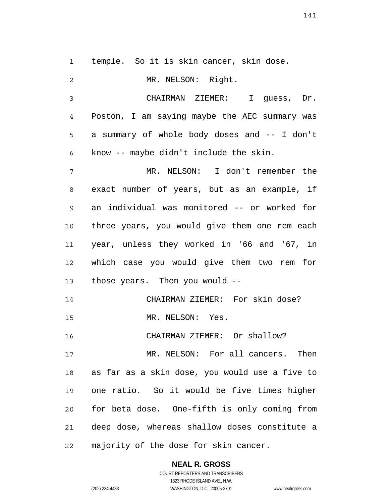1 temple. So it is skin cancer, skin dose.

2 3 4 5 6 7 8 9 10 11 12 13 14 15 16 17 18 19 20 21 22 MR. NELSON: Right. CHAIRMAN ZIEMER: I guess, Dr. Poston, I am saying maybe the AEC summary was a summary of whole body doses and -- I don't know -- maybe didn't include the skin. MR. NELSON: I don't remember the exact number of years, but as an example, if an individual was monitored -- or worked for three years, you would give them one rem each year, unless they worked in '66 and '67, in which case you would give them two rem for those years. Then you would -- CHAIRMAN ZIEMER: For skin dose? MR. NELSON: Yes. CHAIRMAN ZIEMER: Or shallow? MR. NELSON: For all cancers. Then as far as a skin dose, you would use a five to one ratio. So it would be five times higher for beta dose. One-fifth is only coming from deep dose, whereas shallow doses constitute a majority of the dose for skin cancer.

**NEAL R. GROSS**

COURT REPORTERS AND TRANSCRIBERS 1323 RHODE ISLAND AVE., N.W. (202) 234-4433 WASHINGTON, D.C. 20005-3701 www.nealrgross.com

141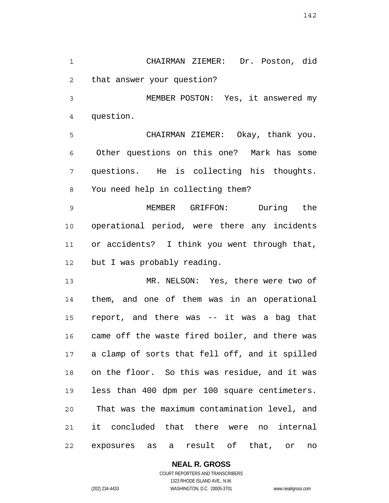1 2 CHAIRMAN ZIEMER: Dr. Poston, did that answer your question?

3 4 MEMBER POSTON: Yes, it answered my question.

5 6 7 8 CHAIRMAN ZIEMER: Okay, thank you. Other questions on this one? Mark has some questions. He is collecting his thoughts. You need help in collecting them?

9 10 11 12 MEMBER GRIFFON: During the operational period, were there any incidents or accidents? I think you went through that, but I was probably reading.

13 14 15 16 17 18 19 20 21 22 MR. NELSON: Yes, there were two of them, and one of them was in an operational report, and there was -- it was a bag that came off the waste fired boiler, and there was a clamp of sorts that fell off, and it spilled on the floor. So this was residue, and it was less than 400 dpm per 100 square centimeters. That was the maximum contamination level, and it concluded that there were no internal exposures as a result of that, or no

## **NEAL R. GROSS**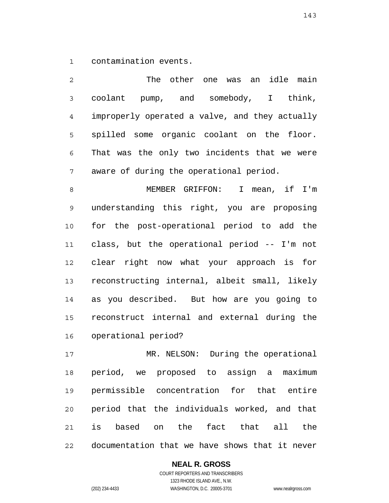1 contamination events.

2 3 4 5 6 7 The other one was an idle main coolant pump, and somebody, I think, improperly operated a valve, and they actually spilled some organic coolant on the floor. That was the only two incidents that we were aware of during the operational period.

8 9 10 11 12 13 14 15 16 MEMBER GRIFFON: I mean, if I'm understanding this right, you are proposing for the post-operational period to add the class, but the operational period -- I'm not clear right now what your approach is for reconstructing internal, albeit small, likely as you described. But how are you going to reconstruct internal and external during the operational period?

17 18 19 20 21 22 MR. NELSON: During the operational period, we proposed to assign a maximum permissible concentration for that entire period that the individuals worked, and that is based on the fact that all the documentation that we have shows that it never

**NEAL R. GROSS**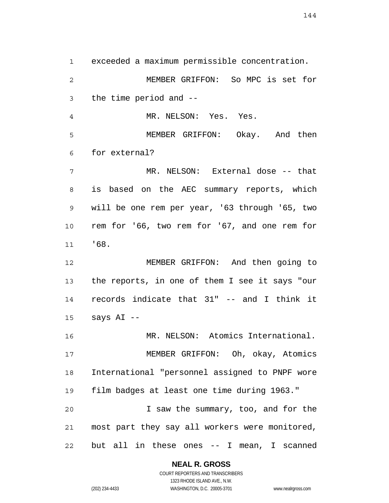1 2 3 4 5 6 7 8 9 10 11 12 13 14 15 16 17 18 19 20 21 22 exceeded a maximum permissible concentration. MEMBER GRIFFON: So MPC is set for the time period and -- MR. NELSON: Yes. Yes. MEMBER GRIFFON: Okay. And then for external? MR. NELSON: External dose -- that is based on the AEC summary reports, which will be one rem per year, '63 through '65, two rem for '66, two rem for '67, and one rem for '68. MEMBER GRIFFON: And then going to the reports, in one of them I see it says "our records indicate that 31" -- and I think it says AI -- MR. NELSON: Atomics International. MEMBER GRIFFON: Oh, okay, Atomics International "personnel assigned to PNPF wore film badges at least one time during 1963." I saw the summary, too, and for the most part they say all workers were monitored, but all in these ones -- I mean, I scanned

### **NEAL R. GROSS**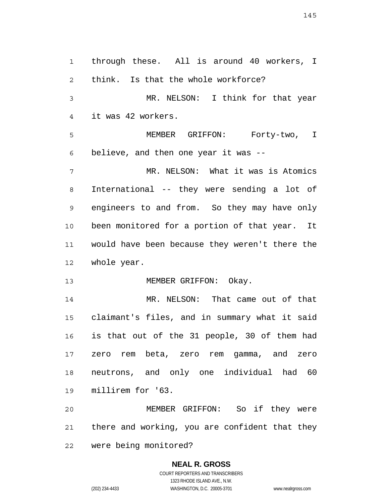1 2 3 4 5 6 7 8 9 10 11 12 13 14 15 16 17 18 19 20 21 22 through these. All is around 40 workers, I think. Is that the whole workforce? MR. NELSON: I think for that year it was 42 workers. MEMBER GRIFFON: Forty-two, I believe, and then one year it was -- MR. NELSON: What it was is Atomics International -- they were sending a lot of engineers to and from. So they may have only been monitored for a portion of that year. It would have been because they weren't there the whole year. MEMBER GRIFFON: Okay. MR. NELSON: That came out of that claimant's files, and in summary what it said is that out of the 31 people, 30 of them had zero rem beta, zero rem gamma, and zero neutrons, and only one individual had 60 millirem for '63. MEMBER GRIFFON: So if they were there and working, you are confident that they were being monitored?

> **NEAL R. GROSS** COURT REPORTERS AND TRANSCRIBERS

> > 1323 RHODE ISLAND AVE., N.W.

(202) 234-4433 WASHINGTON, D.C. 20005-3701 www.nealrgross.com

145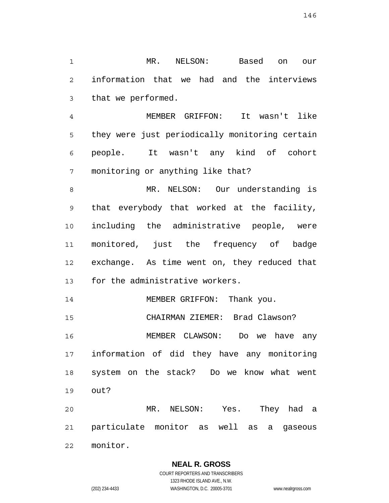1 2 3 MR. NELSON: Based on our information that we had and the interviews that we performed.

4 5 6 7 MEMBER GRIFFON: It wasn't like they were just periodically monitoring certain people. It wasn't any kind of cohort monitoring or anything like that?

8 9 10 11 12 13 MR. NELSON: Our understanding is that everybody that worked at the facility, including the administrative people, were monitored, just the frequency of badge exchange. As time went on, they reduced that for the administrative workers.

14 MEMBER GRIFFON: Thank you.

15 CHAIRMAN ZIEMER: Brad Clawson?

16 17 18 19 MEMBER CLAWSON: Do we have any information of did they have any monitoring system on the stack? Do we know what went out?

20 21 22 MR. NELSON: Yes. They had a particulate monitor as well as a gaseous monitor.

> **NEAL R. GROSS** COURT REPORTERS AND TRANSCRIBERS

> > 1323 RHODE ISLAND AVE., N.W.

(202) 234-4433 WASHINGTON, D.C. 20005-3701 www.nealrgross.com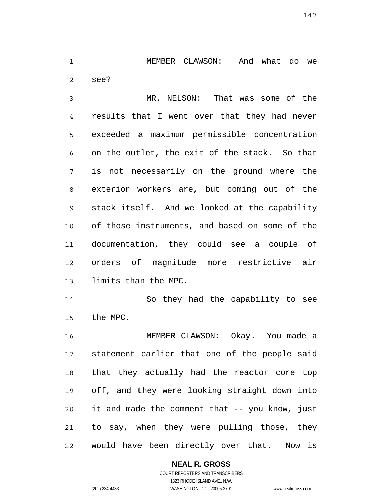1 2 MEMBER CLAWSON: And what do we see?

3 4 5 6 7 8 9 10 11 12 13 MR. NELSON: That was some of the results that I went over that they had never exceeded a maximum permissible concentration on the outlet, the exit of the stack. So that is not necessarily on the ground where the exterior workers are, but coming out of the stack itself. And we looked at the capability of those instruments, and based on some of the documentation, they could see a couple of orders of magnitude more restrictive air limits than the MPC.

14 15 So they had the capability to see the MPC.

16 17 18 19 20 21 22 MEMBER CLAWSON: Okay. You made a statement earlier that one of the people said that they actually had the reactor core top off, and they were looking straight down into it and made the comment that -- you know, just to say, when they were pulling those, they would have been directly over that. Now is

## **NEAL R. GROSS**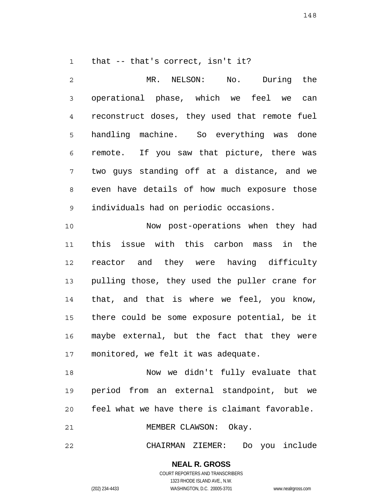1 that -- that's correct, isn't it?

2 3 4 5 6 7 8 9 MR. NELSON: No. During the operational phase, which we feel we can reconstruct doses, they used that remote fuel handling machine. So everything was done remote. If you saw that picture, there was two guys standing off at a distance, and we even have details of how much exposure those individuals had on periodic occasions.

10 11 12 13 14 15 16 17 Now post-operations when they had this issue with this carbon mass in the reactor and they were having difficulty pulling those, they used the puller crane for that, and that is where we feel, you know, there could be some exposure potential, be it maybe external, but the fact that they were monitored, we felt it was adequate.

18 19 20 Now we didn't fully evaluate that period from an external standpoint, but we feel what we have there is claimant favorable.

21 MEMBER CLAWSON: Okay.

22 CHAIRMAN ZIEMER: Do you include

**NEAL R. GROSS**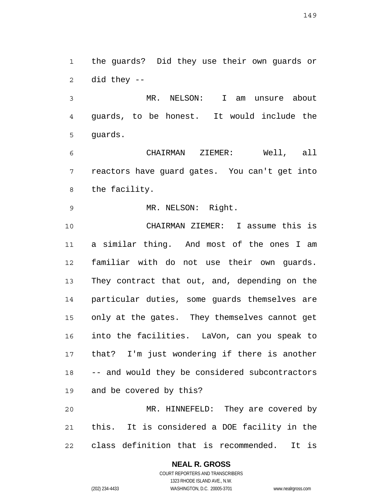1 2 the guards? Did they use their own guards or did they --

3 4 5 MR. NELSON: I am unsure about guards, to be honest. It would include the guards.

6 7 8 CHAIRMAN ZIEMER: Well, all reactors have guard gates. You can't get into the facility.

9 MR. NELSON: Right.

10 11 12 13 14 15 16 17 18 19 20 CHAIRMAN ZIEMER: I assume this is a similar thing. And most of the ones I am familiar with do not use their own guards. They contract that out, and, depending on the particular duties, some guards themselves are only at the gates. They themselves cannot get into the facilities. LaVon, can you speak to that? I'm just wondering if there is another -- and would they be considered subcontractors and be covered by this? MR. HINNEFELD: They are covered by

21 22 this. It is considered a DOE facility in the class definition that is recommended. It is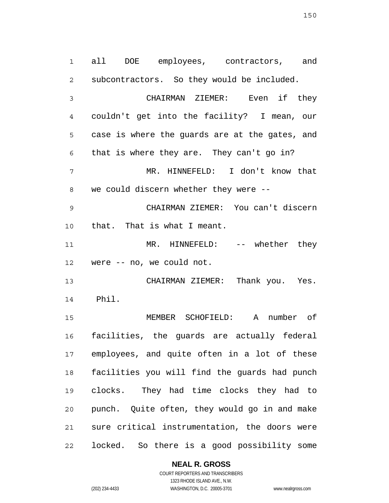1 2 3 4 5 6 7 8 9 10 11 12 13 14 15 16 17 18 19 20 21 all DOE employees, contractors, and subcontractors. So they would be included. CHAIRMAN ZIEMER: Even if they couldn't get into the facility? I mean, our case is where the guards are at the gates, and that is where they are. They can't go in? MR. HINNEFELD: I don't know that we could discern whether they were -- CHAIRMAN ZIEMER: You can't discern that. That is what I meant. MR. HINNEFELD: -- whether they were -- no, we could not. CHAIRMAN ZIEMER: Thank you. Yes. Phil. MEMBER SCHOFIELD: A number of facilities, the guards are actually federal employees, and quite often in a lot of these facilities you will find the guards had punch clocks. They had time clocks they had to punch. Quite often, they would go in and make sure critical instrumentation, the doors were

22 locked. So there is a good possibility some

**NEAL R. GROSS**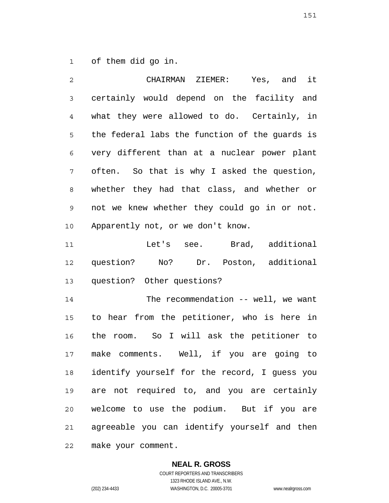1 of them did go in.

2

3 4 5 6 7 8 9 10 11 12 13 14 15 16 17 18 19 20 21 22 CHAIRMAN ZIEMER: Yes, and it certainly would depend on the facility and what they were allowed to do. Certainly, in the federal labs the function of the guards is very different than at a nuclear power plant often. So that is why I asked the question, whether they had that class, and whether or not we knew whether they could go in or not. Apparently not, or we don't know. Let's see. Brad, additional question? No? Dr. Poston, additional question? Other questions? The recommendation -- well, we want to hear from the petitioner, who is here in the room. So I will ask the petitioner to make comments. Well, if you are going to identify yourself for the record, I guess you are not required to, and you are certainly welcome to use the podium. But if you are agreeable you can identify yourself and then make your comment.

> **NEAL R. GROSS** COURT REPORTERS AND TRANSCRIBERS 1323 RHODE ISLAND AVE., N.W.

(202) 234-4433 WASHINGTON, D.C. 20005-3701 www.nealrgross.com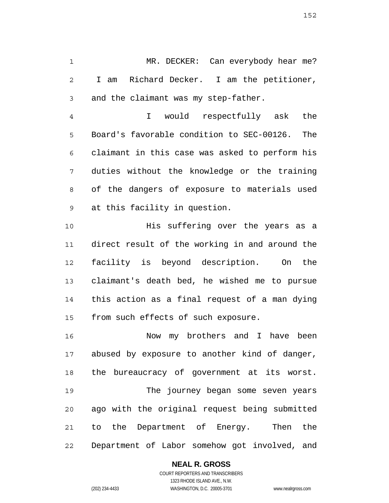1 2 3 MR. DECKER: Can everybody hear me? I am Richard Decker. I am the petitioner, and the claimant was my step-father.

4 5 6 7 8 9 I would respectfully ask the Board's favorable condition to SEC-00126. The claimant in this case was asked to perform his duties without the knowledge or the training of the dangers of exposure to materials used at this facility in question.

10 11 12 13 14 15 His suffering over the years as a direct result of the working in and around the facility is beyond description. On the claimant's death bed, he wished me to pursue this action as a final request of a man dying from such effects of such exposure.

16 17 18 19 20 21 22 Now my brothers and I have been abused by exposure to another kind of danger, the bureaucracy of government at its worst. The journey began some seven years ago with the original request being submitted to the Department of Energy. Then the Department of Labor somehow got involved, and

## **NEAL R. GROSS**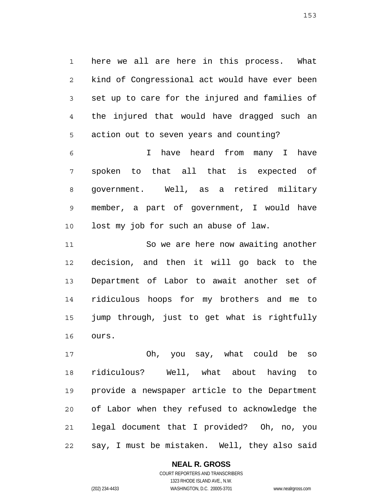1 2 3 4 5 here we all are here in this process. What kind of Congressional act would have ever been set up to care for the injured and families of the injured that would have dragged such an action out to seven years and counting?

6 7 8 9 10 I have heard from many I have spoken to that all that is expected of government. Well, as a retired military member, a part of government, I would have lost my job for such an abuse of law.

11 12 13 14 15 16 So we are here now awaiting another decision, and then it will go back to the Department of Labor to await another set of ridiculous hoops for my brothers and me to jump through, just to get what is rightfully ours.

17 18 19 20 21 22 Oh, you say, what could be so ridiculous? Well, what about having to provide a newspaper article to the Department of Labor when they refused to acknowledge the legal document that I provided? Oh, no, you say, I must be mistaken. Well, they also said

## **NEAL R. GROSS**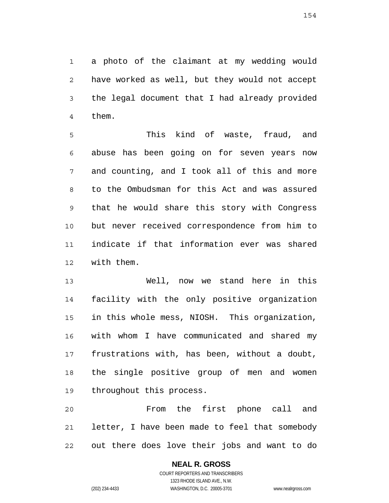1 2 3 4 a photo of the claimant at my wedding would have worked as well, but they would not accept the legal document that I had already provided them.

5 6 7 8 9 10 11 12 This kind of waste, fraud, and abuse has been going on for seven years now and counting, and I took all of this and more to the Ombudsman for this Act and was assured that he would share this story with Congress but never received correspondence from him to indicate if that information ever was shared with them.

13 14 15 16 17 18 19 Well, now we stand here in this facility with the only positive organization in this whole mess, NIOSH. This organization, with whom I have communicated and shared my frustrations with, has been, without a doubt, the single positive group of men and women throughout this process.

20 21 22 From the first phone call and letter, I have been made to feel that somebody out there does love their jobs and want to do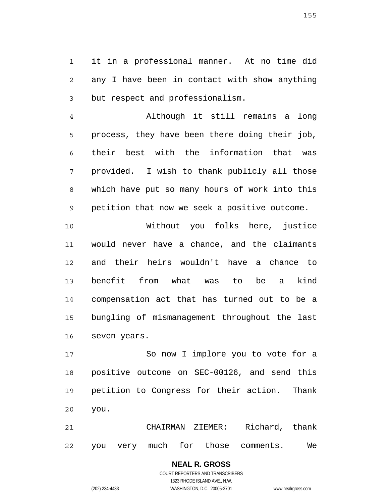1 2 3 it in a professional manner. At no time did any I have been in contact with show anything but respect and professionalism.

4 5 6 7 8 9 Although it still remains a long process, they have been there doing their job, their best with the information that was provided. I wish to thank publicly all those which have put so many hours of work into this petition that now we seek a positive outcome.

10 11 12 13 14 15 16 Without you folks here, justice would never have a chance, and the claimants and their heirs wouldn't have a chance to benefit from what was to be a kind compensation act that has turned out to be a bungling of mismanagement throughout the last seven years.

17 18 19 20 So now I implore you to vote for a positive outcome on SEC-00126, and send this petition to Congress for their action. Thank you.

21 22 CHAIRMAN ZIEMER: Richard, thank you very much for those comments. We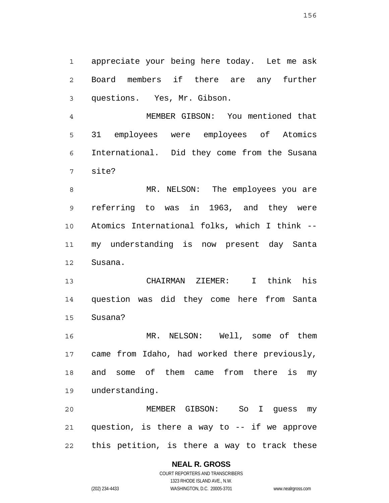1 2 3 appreciate your being here today. Let me ask Board members if there are any further questions. Yes, Mr. Gibson.

4 5 6 7 MEMBER GIBSON: You mentioned that 31 employees were employees of Atomics International. Did they come from the Susana site?

8 9 10 11 12 MR. NELSON: The employees you are referring to was in 1963, and they were Atomics International folks, which I think - my understanding is now present day Santa Susana.

13 14 15 CHAIRMAN ZIEMER: I think his question was did they come here from Santa Susana?

16 17 18 19 MR. NELSON: Well, some of them came from Idaho, had worked there previously, and some of them came from there is my understanding.

20 21 22 MEMBER GIBSON: So I guess my question, is there a way to -- if we approve this petition, is there a way to track these

## **NEAL R. GROSS**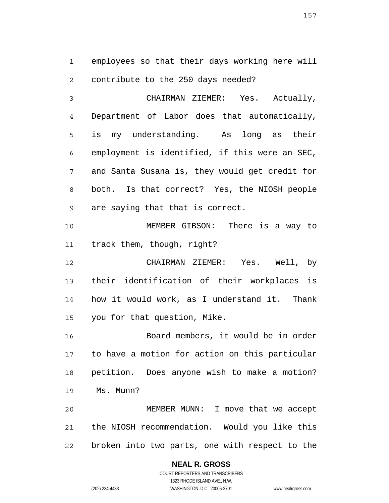1 2 employees so that their days working here will contribute to the 250 days needed?

3 4 5 6 7 8 9 CHAIRMAN ZIEMER: Yes. Actually, Department of Labor does that automatically, is my understanding. As long as their employment is identified, if this were an SEC, and Santa Susana is, they would get credit for both. Is that correct? Yes, the NIOSH people are saying that that is correct.

10 11 MEMBER GIBSON: There is a way to track them, though, right?

12 13 14 15 CHAIRMAN ZIEMER: Yes. Well, by their identification of their workplaces is how it would work, as I understand it. Thank you for that question, Mike.

16 17 18 19 Board members, it would be in order to have a motion for action on this particular petition. Does anyone wish to make a motion? Ms. Munn?

20 21 22 MEMBER MUNN: I move that we accept the NIOSH recommendation. Would you like this broken into two parts, one with respect to the

> **NEAL R. GROSS** COURT REPORTERS AND TRANSCRIBERS

> > 1323 RHODE ISLAND AVE., N.W.

(202) 234-4433 WASHINGTON, D.C. 20005-3701 www.nealrgross.com

157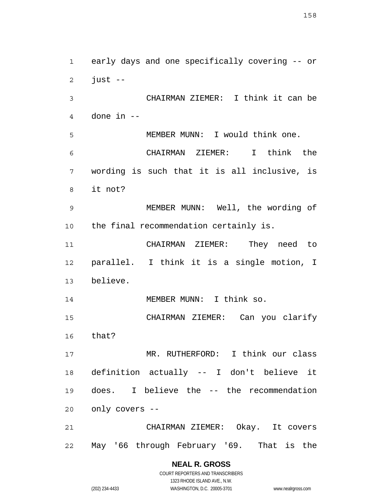1 2 3 4 5 6 7 8 9 10 11 12 13 14 15 16 17 18 19 20 21 22 early days and one specifically covering -- or just -- CHAIRMAN ZIEMER: I think it can be done in -- MEMBER MUNN: I would think one. CHAIRMAN ZIEMER: I think the wording is such that it is all inclusive, is it not? MEMBER MUNN: Well, the wording of the final recommendation certainly is. CHAIRMAN ZIEMER: They need to parallel. I think it is a single motion, I believe. MEMBER MUNN: I think so. CHAIRMAN ZIEMER: Can you clarify that? MR. RUTHERFORD: I think our class definition actually -- I don't believe it does. I believe the -- the recommendation only covers -- CHAIRMAN ZIEMER: Okay. It covers May '66 through February '69. That is the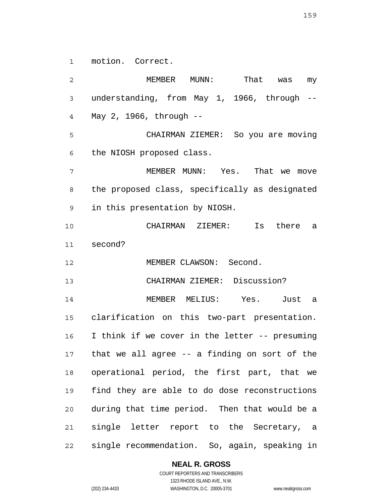1 motion. Correct.

2 3 4 5 6 7 8 9 10 11 12 13 14 15 16 17 18 19 20 21 22 MEMBER MUNN: That was my understanding, from May 1, 1966, through -- May 2, 1966, through -- CHAIRMAN ZIEMER: So you are moving the NIOSH proposed class. MEMBER MUNN: Yes. That we move the proposed class, specifically as designated in this presentation by NIOSH. CHAIRMAN ZIEMER: Is there a second? MEMBER CLAWSON: Second. CHAIRMAN ZIEMER: Discussion? MEMBER MELIUS: Yes. Just a clarification on this two-part presentation. I think if we cover in the letter -- presuming that we all agree -- a finding on sort of the operational period, the first part, that we find they are able to do dose reconstructions during that time period. Then that would be a single letter report to the Secretary, a single recommendation. So, again, speaking in

#### **NEAL R. GROSS**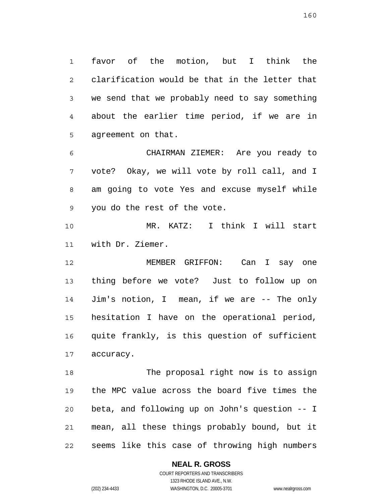1 2 3 4 5 favor of the motion, but I think the clarification would be that in the letter that we send that we probably need to say something about the earlier time period, if we are in agreement on that.

6 7 8 9 CHAIRMAN ZIEMER: Are you ready to vote? Okay, we will vote by roll call, and I am going to vote Yes and excuse myself while you do the rest of the vote.

10 11 MR. KATZ: I think I will start with Dr. Ziemer.

12 13 14 15 16 17 MEMBER GRIFFON: Can I say one thing before we vote? Just to follow up on Jim's notion, I mean, if we are -- The only hesitation I have on the operational period, quite frankly, is this question of sufficient accuracy.

18 19 20 21 22 The proposal right now is to assign the MPC value across the board five times the beta, and following up on John's question -- I mean, all these things probably bound, but it seems like this case of throwing high numbers

#### **NEAL R. GROSS**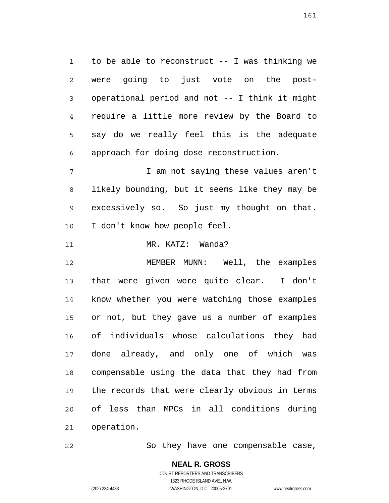1 2 3 4 5 6 to be able to reconstruct -- I was thinking we were going to just vote on the postoperational period and not -- I think it might require a little more review by the Board to say do we really feel this is the adequate approach for doing dose reconstruction.

7 8 9 10 I am not saying these values aren't likely bounding, but it seems like they may be excessively so. So just my thought on that. I don't know how people feel.

11 MR. KATZ: Wanda?

12 13 14 15 16 17 18 19 20 21 MEMBER MUNN: Well, the examples that were given were quite clear. I don't know whether you were watching those examples or not, but they gave us a number of examples of individuals whose calculations they had done already, and only one of which was compensable using the data that they had from the records that were clearly obvious in terms of less than MPCs in all conditions during operation.

22 So they have one compensable case,

161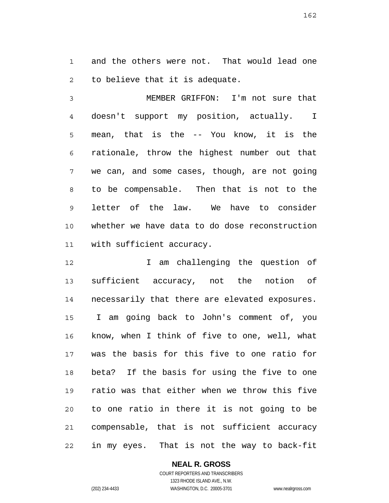1 2 and the others were not. That would lead one to believe that it is adequate.

3 4 5 6 7 8 9 10 11 MEMBER GRIFFON: I'm not sure that doesn't support my position, actually. I mean, that is the -- You know, it is the rationale, throw the highest number out that we can, and some cases, though, are not going to be compensable. Then that is not to the letter of the law. We have to consider whether we have data to do dose reconstruction with sufficient accuracy.

12 13 14 15 16 17 18 19 20 21 22 I am challenging the question of sufficient accuracy, not the notion of necessarily that there are elevated exposures. I am going back to John's comment of, you know, when I think of five to one, well, what was the basis for this five to one ratio for beta? If the basis for using the five to one ratio was that either when we throw this five to one ratio in there it is not going to be compensable, that is not sufficient accuracy in my eyes. That is not the way to back-fit

> COURT REPORTERS AND TRANSCRIBERS 1323 RHODE ISLAND AVE., N.W. (202) 234-4433 WASHINGTON, D.C. 20005-3701 www.nealrgross.com

**NEAL R. GROSS**

162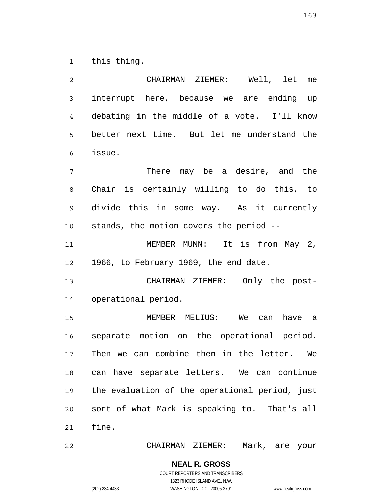1 this thing.

| 2              | CHAIRMAN ZIEMER: Well, let me                  |
|----------------|------------------------------------------------|
| $\mathfrak{Z}$ | interrupt here, because we are ending up       |
| 4              | debating in the middle of a vote. I'll know    |
| 5              | better next time. But let me understand the    |
| 6              | issue.                                         |
| 7              | There may be a desire, and the                 |
| 8              | Chair is certainly willing to do this, to      |
| 9              | divide this in some way. As it currently       |
| 10             | stands, the motion covers the period --        |
| 11             | MEMBER MUNN: It is from May 2,                 |
| 12             | 1966, to February 1969, the end date.          |
| 13             | CHAIRMAN ZIEMER: Only the post-                |
| 14             | operational period.                            |
| 15             | MEMBER MELIUS: We can<br>have a                |
| 16             | separate motion on the operational period.     |
| 17             | Then we can combine them in the letter. We     |
| 18             | can have separate letters. We can continue     |
| 19             | the evaluation of the operational period, just |
| 20             | sort of what Mark is speaking to. That's all   |
| 21             | fine.                                          |
| 22             | CHAIRMAN ZIEMER: Mark, are your                |

CHAIRMAN ZIEMER: Mark, are your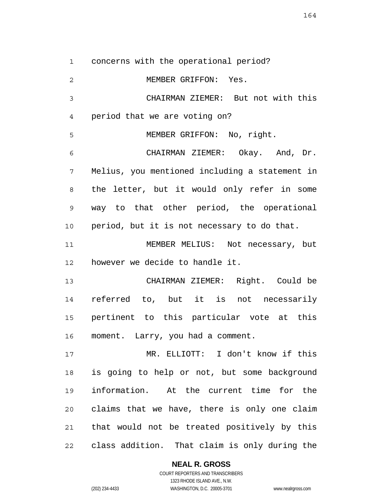1 concerns with the operational period?

2 3 4 5 6 7 8 9 10 11 12 13 14 15 16 17 18 19 20 21 22 MEMBER GRIFFON: Yes. CHAIRMAN ZIEMER: But not with this period that we are voting on? MEMBER GRIFFON: No, right. CHAIRMAN ZIEMER: Okay. And, Dr. Melius, you mentioned including a statement in the letter, but it would only refer in some way to that other period, the operational period, but it is not necessary to do that. MEMBER MELIUS: Not necessary, but however we decide to handle it. CHAIRMAN ZIEMER: Right. Could be referred to, but it is not necessarily pertinent to this particular vote at this moment. Larry, you had a comment. MR. ELLIOTT: I don't know if this is going to help or not, but some background information. At the current time for the claims that we have, there is only one claim that would not be treated positively by this class addition. That claim is only during the

164

**NEAL R. GROSS** COURT REPORTERS AND TRANSCRIBERS

1323 RHODE ISLAND AVE., N.W. (202) 234-4433 WASHINGTON, D.C. 20005-3701 www.nealrgross.com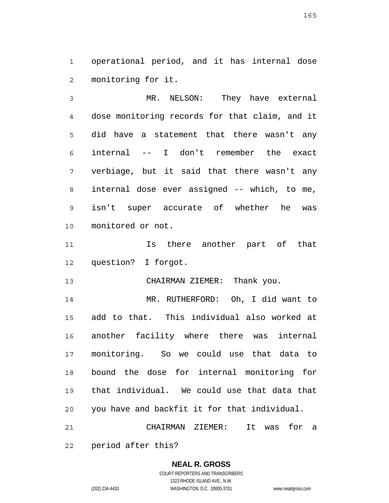1 2 operational period, and it has internal dose monitoring for it.

3 4 5 6 7 8 9 10 MR. NELSON: They have external dose monitoring records for that claim, and it did have a statement that there wasn't any internal -- I don't remember the exact verbiage, but it said that there wasn't any internal dose ever assigned -- which, to me, isn't super accurate of whether he was monitored or not.

11 12 Is there another part of that question? I forgot.

13 CHAIRMAN ZIEMER: Thank you.

14 15 16 17 18 19 20 21 MR. RUTHERFORD: Oh, I did want to add to that. This individual also worked at another facility where there was internal monitoring. So we could use that data to bound the dose for internal monitoring for that individual. We could use that data that you have and backfit it for that individual. CHAIRMAN ZIEMER: It was for a

22 period after this?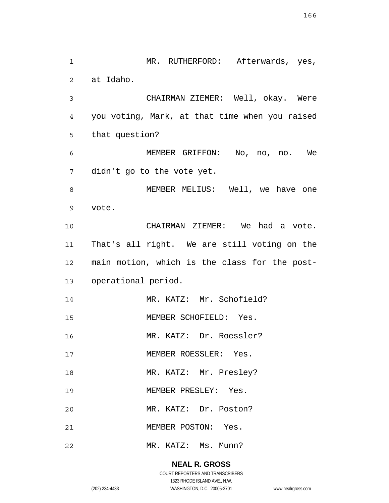1 2 3 4 5 6 7 8 9 10 11 12 13 14 15 16 17 18 19 20 21 22 MR. RUTHERFORD: Afterwards, yes, at Idaho. CHAIRMAN ZIEMER: Well, okay. Were you voting, Mark, at that time when you raised that question? MEMBER GRIFFON: No, no, no. We didn't go to the vote yet. MEMBER MELIUS: Well, we have one vote. CHAIRMAN ZIEMER: We had a vote. That's all right. We are still voting on the main motion, which is the class for the postoperational period. MR. KATZ: Mr. Schofield? MEMBER SCHOFIELD: Yes. MR. KATZ: Dr. Roessler? MEMBER ROESSLER: Yes. MR. KATZ: Mr. Presley? MEMBER PRESLEY: Yes. MR. KATZ: Dr. Poston? MEMBER POSTON: Yes. MR. KATZ: Ms. Munn?

## **NEAL R. GROSS**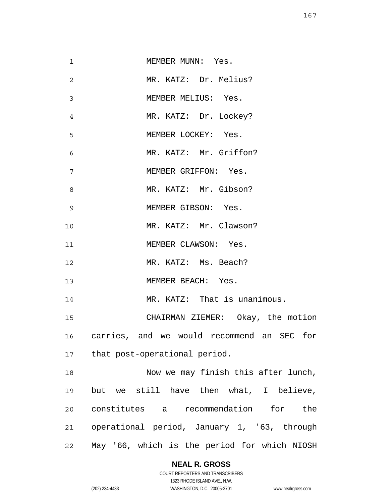1 2 3 4 5 6 7 8 9 10 11 12 13 14 15 16 17 18 19 20 21 22 MEMBER MUNN: Yes. MR. KATZ: Dr. Melius? MEMBER MELIUS: Yes. MR. KATZ: Dr. Lockey? MEMBER LOCKEY: Yes. MR. KATZ: Mr. Griffon? MEMBER GRIFFON: Yes. MR. KATZ: Mr. Gibson? MEMBER GIBSON: Yes. MR. KATZ: Mr. Clawson? MEMBER CLAWSON: Yes. MR. KATZ: Ms. Beach? MEMBER BEACH: Yes. MR. KATZ: That is unanimous. CHAIRMAN ZIEMER: Okay, the motion carries, and we would recommend an SEC for that post-operational period. Now we may finish this after lunch, but we still have then what, I believe, constitutes a recommendation for the operational period, January 1, '63, through May '66, which is the period for which NIOSH

**NEAL R. GROSS**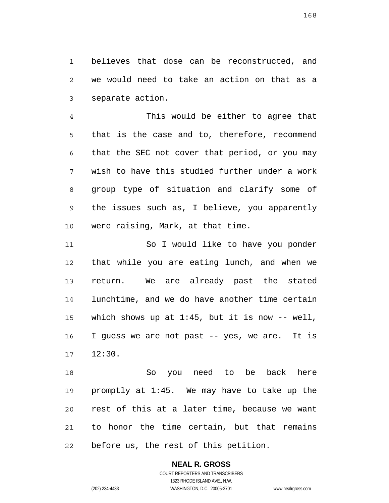1 2 3 believes that dose can be reconstructed, and we would need to take an action on that as a separate action.

4 5 6 7 8 9 10 This would be either to agree that that is the case and to, therefore, recommend that the SEC not cover that period, or you may wish to have this studied further under a work group type of situation and clarify some of the issues such as, I believe, you apparently were raising, Mark, at that time.

11 12 13 14 15 16 17 So I would like to have you ponder that while you are eating lunch, and when we return. We are already past the stated lunchtime, and we do have another time certain which shows up at  $1:45$ , but it is now  $-$ - well, I guess we are not past -- yes, we are. It is 12:30.

18 19 20 21 22 So you need to be back here promptly at 1:45. We may have to take up the rest of this at a later time, because we want to honor the time certain, but that remains before us, the rest of this petition.

# **NEAL R. GROSS**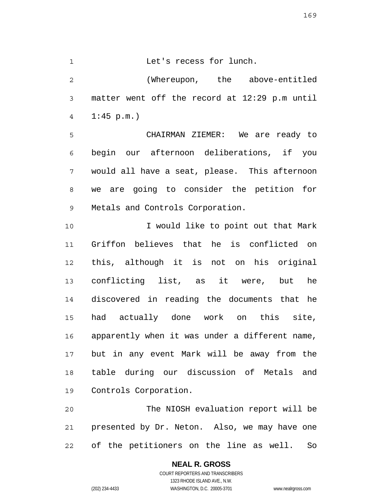169

1 Let's recess for lunch.

2 3 4 (Whereupon, the above-entitled matter went off the record at 12:29 p.m until  $1:45$  p.m.)

5 6 7 8 9 CHAIRMAN ZIEMER: We are ready to begin our afternoon deliberations, if you would all have a seat, please. This afternoon we are going to consider the petition for Metals and Controls Corporation.

10 11 12 13 14 15 16 17 18 19 I would like to point out that Mark Griffon believes that he is conflicted on this, although it is not on his original conflicting list, as it were, but he discovered in reading the documents that he had actually done work on this site, apparently when it was under a different name, but in any event Mark will be away from the table during our discussion of Metals and Controls Corporation.

20 21 22 The NIOSH evaluation report will be presented by Dr. Neton. Also, we may have one of the petitioners on the line as well. So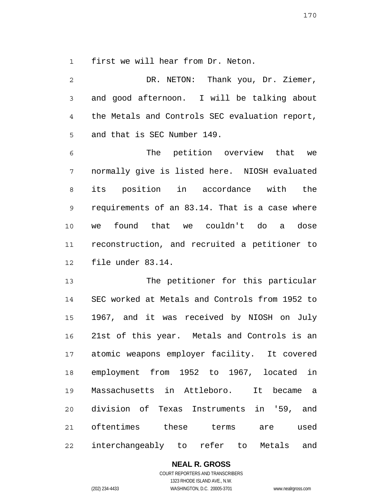1 first we will hear from Dr. Neton.

| 2              | DR. NETON: Thank you, Dr. Ziemer,                     |
|----------------|-------------------------------------------------------|
| $\mathfrak{Z}$ | and good afternoon. I will be talking about           |
| $\overline{4}$ | the Metals and Controls SEC evaluation report,        |
| 5              | and that is SEC Number 149.                           |
| 6              | The petition overview that we                         |
| 7              | normally give is listed here. NIOSH evaluated         |
| 8              | its position in accordance with the                   |
| $\mathsf 9$    | requirements of an 83.14. That is a case where        |
| 10             | found that we couldn't do a dose<br>we                |
| 11             | reconstruction, and recruited a petitioner to         |
| 12             | file under 83.14.                                     |
| 13             | The petitioner for this particular                    |
| 14             | SEC worked at Metals and Controls from 1952 to        |
| 15             | 1967, and it was received by NIOSH on July            |
| 16             | 21st of this year. Metals and Controls is an          |
|                | 17 atomic weapons employer facility. It covered       |
| 18             | employment from 1952 to 1967, located<br>in           |
| 19             | Massachusetts in Attleboro. It became<br>$\mathsf{a}$ |
| 20             | division of Texas Instruments<br>in '59,<br>and       |

21 22 oftentimes these terms are used interchangeably to refer to Metals and

**NEAL R. GROSS**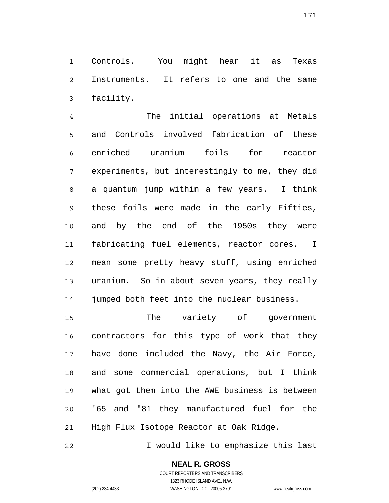1 2 3 Controls. You might hear it as Texas Instruments. It refers to one and the same facility.

4 5 6 7 8 9 10 11 12 13 14 The initial operations at Metals and Controls involved fabrication of these enriched uranium foils for reactor experiments, but interestingly to me, they did a quantum jump within a few years. I think these foils were made in the early Fifties, and by the end of the 1950s they were fabricating fuel elements, reactor cores. I mean some pretty heavy stuff, using enriched uranium. So in about seven years, they really jumped both feet into the nuclear business.

15 16 17 18 19 20 21 The variety of government contractors for this type of work that they have done included the Navy, the Air Force, and some commercial operations, but I think what got them into the AWE business is between '65 and '81 they manufactured fuel for the High Flux Isotope Reactor at Oak Ridge.

22 I would like to emphasize this last

> **NEAL R. GROSS** COURT REPORTERS AND TRANSCRIBERS

> > 1323 RHODE ISLAND AVE., N.W.

(202) 234-4433 WASHINGTON, D.C. 20005-3701 www.nealrgross.com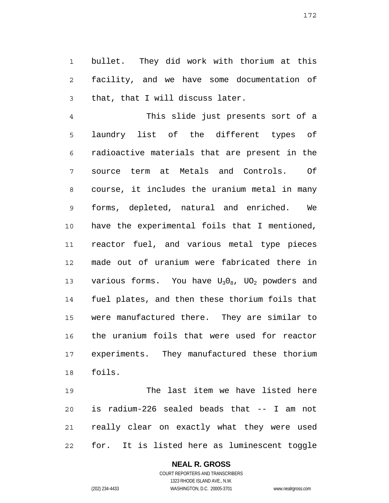1 2 3 bullet. They did work with thorium at this facility, and we have some documentation of that, that I will discuss later.

4 5 6 7 8 9 10 11 12 13 14 15 16 17 18 This slide just presents sort of a laundry list of the different types of radioactive materials that are present in the source term at Metals and Controls. Of course, it includes the uranium metal in many forms, depleted, natural and enriched. We have the experimental foils that I mentioned, reactor fuel, and various metal type pieces made out of uranium were fabricated there in various forms. You have  $U_30_8$ ,  $U_2$  powders and fuel plates, and then these thorium foils that were manufactured there. They are similar to the uranium foils that were used for reactor experiments. They manufactured these thorium foils.

19 20 21 22 The last item we have listed here is radium-226 sealed beads that -- I am not really clear on exactly what they were used for. It is listed here as luminescent toggle

#### **NEAL R. GROSS** COURT REPORTERS AND TRANSCRIBERS

1323 RHODE ISLAND AVE., N.W. (202) 234-4433 WASHINGTON, D.C. 20005-3701 www.nealrgross.com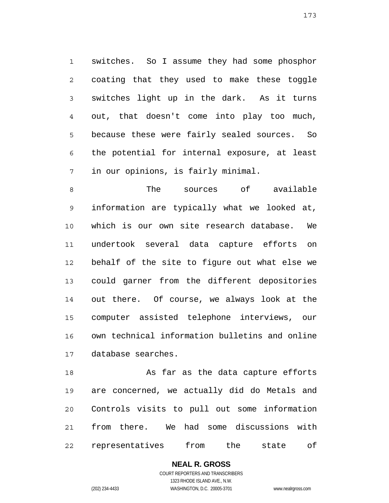1 2 3 4 5 6 7 switches. So I assume they had some phosphor coating that they used to make these toggle switches light up in the dark. As it turns out, that doesn't come into play too much, because these were fairly sealed sources. So the potential for internal exposure, at least in our opinions, is fairly minimal.

8 9 10 11 12 13 14 15 16 17 The sources of available information are typically what we looked at, which is our own site research database. We undertook several data capture efforts on behalf of the site to figure out what else we could garner from the different depositories out there. Of course, we always look at the computer assisted telephone interviews, our own technical information bulletins and online database searches.

18 19 20 21 22 As far as the data capture efforts are concerned, we actually did do Metals and Controls visits to pull out some information from there. We had some discussions with representatives from the state of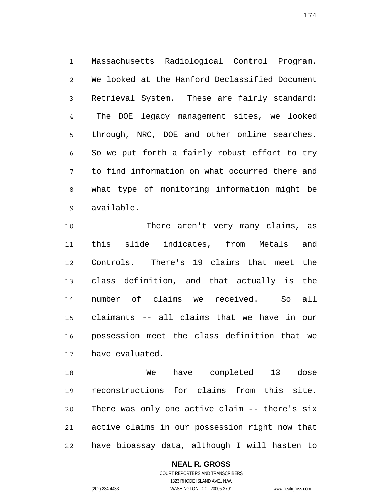1 2 3 4 5 6 7 8 9 Massachusetts Radiological Control Program. We looked at the Hanford Declassified Document Retrieval System. These are fairly standard: The DOE legacy management sites, we looked through, NRC, DOE and other online searches. So we put forth a fairly robust effort to try to find information on what occurred there and what type of monitoring information might be available.

10 11 12 13 14 15 16 17 There aren't very many claims, as this slide indicates, from Metals and Controls. There's 19 claims that meet the class definition, and that actually is the number of claims we received. So all claimants -- all claims that we have in our possession meet the class definition that we have evaluated.

18 19 20 21 22 We have completed 13 dose reconstructions for claims from this site. There was only one active claim -- there's six active claims in our possession right now that have bioassay data, although I will hasten to

## **NEAL R. GROSS**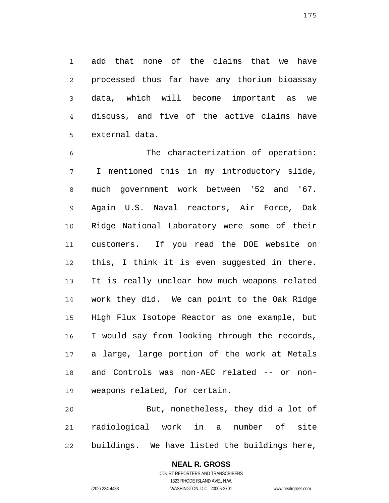1 2 3 4 5 add that none of the claims that we have processed thus far have any thorium bioassay data, which will become important as we discuss, and five of the active claims have external data.

6 7 8 9 10 11 12 13 14 15 16 17 18 19 The characterization of operation: I mentioned this in my introductory slide, much government work between '52 and '67. Again U.S. Naval reactors, Air Force, Oak Ridge National Laboratory were some of their customers. If you read the DOE website on this, I think it is even suggested in there. It is really unclear how much weapons related work they did. We can point to the Oak Ridge High Flux Isotope Reactor as one example, but I would say from looking through the records, a large, large portion of the work at Metals and Controls was non-AEC related -- or nonweapons related, for certain.

20 21 22 But, nonetheless, they did a lot of radiological work in a number of site buildings. We have listed the buildings here,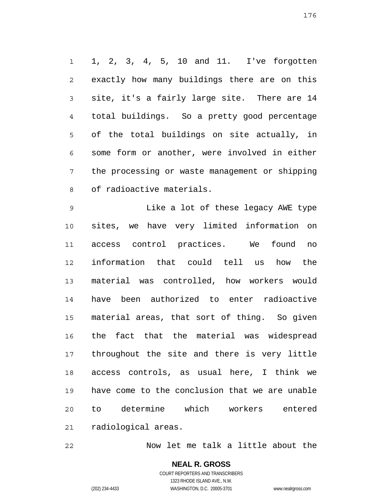1 2 3 4 5 6 7 8 1, 2, 3, 4, 5, 10 and 11. I've forgotten exactly how many buildings there are on this site, it's a fairly large site. There are 14 total buildings. So a pretty good percentage of the total buildings on site actually, in some form or another, were involved in either the processing or waste management or shipping of radioactive materials.

9 10 11 12 13 14 15 16 17 18 19 20 21 Like a lot of these legacy AWE type sites, we have very limited information on access control practices. We found no information that could tell us how the material was controlled, how workers would have been authorized to enter radioactive material areas, that sort of thing. So given the fact that the material was widespread throughout the site and there is very little access controls, as usual here, I think we have come to the conclusion that we are unable to determine which workers entered radiological areas.

22 Now let me talk a little about the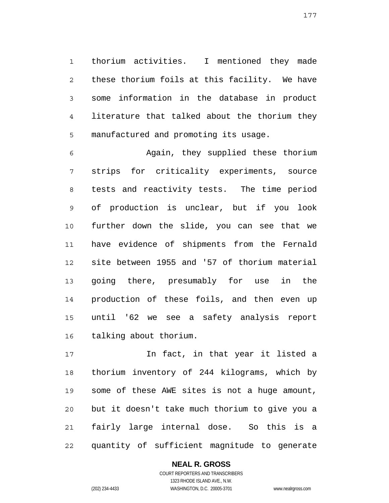1 2 3 4 5 thorium activities. I mentioned they made these thorium foils at this facility. We have some information in the database in product literature that talked about the thorium they manufactured and promoting its usage.

6 7 8 9 10 11 12 13 14 15 16 Again, they supplied these thorium strips for criticality experiments, source tests and reactivity tests. The time period of production is unclear, but if you look further down the slide, you can see that we have evidence of shipments from the Fernald site between 1955 and '57 of thorium material going there, presumably for use in the production of these foils, and then even up until '62 we see a safety analysis report talking about thorium.

17 18 19 20 21 22 In fact, in that year it listed a thorium inventory of 244 kilograms, which by some of these AWE sites is not a huge amount, but it doesn't take much thorium to give you a fairly large internal dose. So this is a quantity of sufficient magnitude to generate

> COURT REPORTERS AND TRANSCRIBERS 1323 RHODE ISLAND AVE., N.W. (202) 234-4433 WASHINGTON, D.C. 20005-3701 www.nealrgross.com

**NEAL R. GROSS**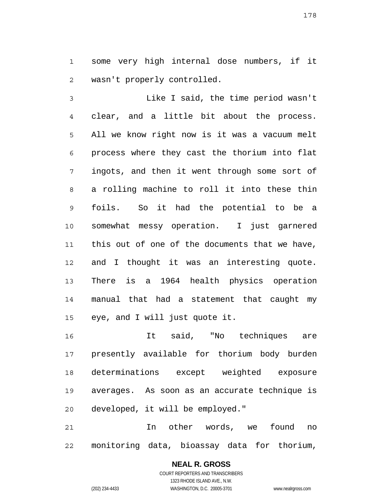1 2 some very high internal dose numbers, if it wasn't properly controlled.

3 4 5 6 7 8 9 10 11 12 13 14 15 Like I said, the time period wasn't clear, and a little bit about the process. All we know right now is it was a vacuum melt process where they cast the thorium into flat ingots, and then it went through some sort of a rolling machine to roll it into these thin foils. So it had the potential to be a somewhat messy operation. I just garnered this out of one of the documents that we have, and I thought it was an interesting quote. There is a 1964 health physics operation manual that had a statement that caught my eye, and I will just quote it.

16 17 18 19 20 It said, "No techniques are presently available for thorium body burden determinations except weighted exposure averages. As soon as an accurate technique is developed, it will be employed."

21 22 In other words, we found no monitoring data, bioassay data for thorium,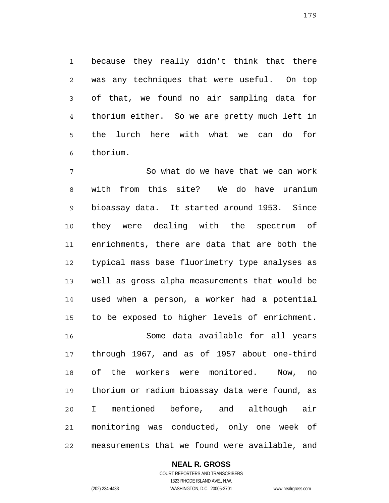1 2 3 4 5 6 because they really didn't think that there was any techniques that were useful. On top of that, we found no air sampling data for thorium either. So we are pretty much left in the lurch here with what we can do for thorium.

7 8 9 10 11 12 13 14 15 16 17 18 19 20 21 22 So what do we have that we can work with from this site? We do have uranium bioassay data. It started around 1953. Since they were dealing with the spectrum of enrichments, there are data that are both the typical mass base fluorimetry type analyses as well as gross alpha measurements that would be used when a person, a worker had a potential to be exposed to higher levels of enrichment. Some data available for all years through 1967, and as of 1957 about one-third of the workers were monitored. Now, no thorium or radium bioassay data were found, as I mentioned before, and although air monitoring was conducted, only one week of measurements that we found were available, and

**NEAL R. GROSS**

COURT REPORTERS AND TRANSCRIBERS 1323 RHODE ISLAND AVE., N.W. (202) 234-4433 WASHINGTON, D.C. 20005-3701 www.nealrgross.com

179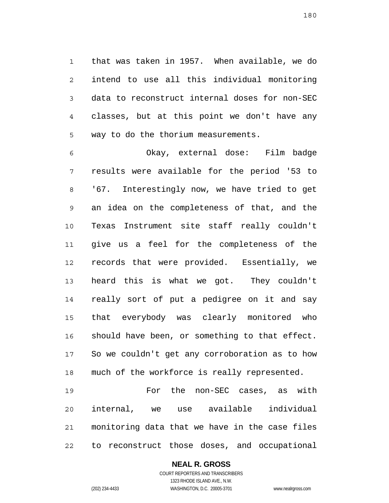1 2 3 4 5 that was taken in 1957. When available, we do intend to use all this individual monitoring data to reconstruct internal doses for non-SEC classes, but at this point we don't have any way to do the thorium measurements.

6 7 8 9 10 11 12 13 14 15 16 17 18 Okay, external dose: Film badge results were available for the period '53 to '67. Interestingly now, we have tried to get an idea on the completeness of that, and the Texas Instrument site staff really couldn't give us a feel for the completeness of the records that were provided. Essentially, we heard this is what we got. They couldn't really sort of put a pedigree on it and say that everybody was clearly monitored who should have been, or something to that effect. So we couldn't get any corroboration as to how much of the workforce is really represented.

19 20 21 22 For the non-SEC cases, as with internal, we use available individual monitoring data that we have in the case files to reconstruct those doses, and occupational

**NEAL R. GROSS**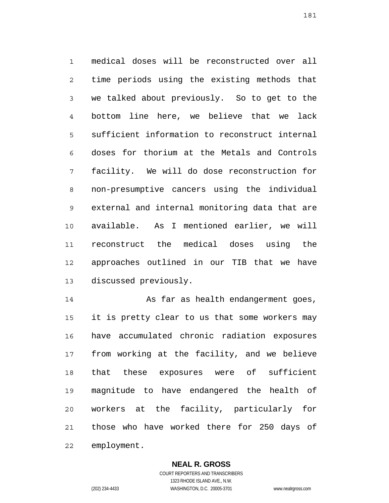1 2 3 4 5 6 7 8 9 10 11 12 13 medical doses will be reconstructed over all time periods using the existing methods that we talked about previously. So to get to the bottom line here, we believe that we lack sufficient information to reconstruct internal doses for thorium at the Metals and Controls facility. We will do dose reconstruction for non-presumptive cancers using the individual external and internal monitoring data that are available. As I mentioned earlier, we will reconstruct the medical doses using the approaches outlined in our TIB that we have discussed previously.

14 15 16 17 18 19 20 21 22 As far as health endangerment goes, it is pretty clear to us that some workers may have accumulated chronic radiation exposures from working at the facility, and we believe that these exposures were of sufficient magnitude to have endangered the health of workers at the facility, particularly for those who have worked there for 250 days of employment.

> **NEAL R. GROSS** COURT REPORTERS AND TRANSCRIBERS

1323 RHODE ISLAND AVE., N.W. (202) 234-4433 WASHINGTON, D.C. 20005-3701 www.nealrgross.com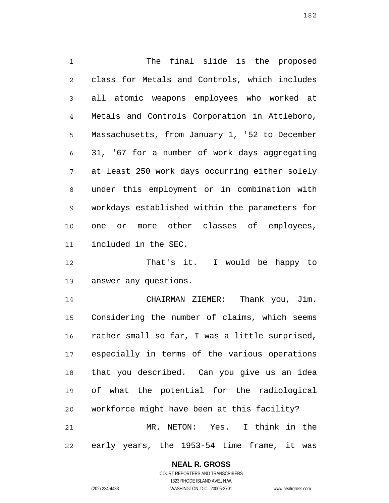1 2 3 4 5 6 7 8 9 10 11 The final slide is the proposed class for Metals and Controls, which includes all atomic weapons employees who worked at Metals and Controls Corporation in Attleboro, Massachusetts, from January 1, '52 to December 31, '67 for a number of work days aggregating at least 250 work days occurring either solely under this employment or in combination with workdays established within the parameters for one or more other classes of employees, included in the SEC.

12 13 That's it. I would be happy to answer any questions.

14 15 16 17 18 19 20 21 22 CHAIRMAN ZIEMER: Thank you, Jim. Considering the number of claims, which seems rather small so far, I was a little surprised, especially in terms of the various operations that you described. Can you give us an idea of what the potential for the radiological workforce might have been at this facility? MR. NETON: Yes. I think in the early years, the 1953-54 time frame, it was

> **NEAL R. GROSS** COURT REPORTERS AND TRANSCRIBERS

1323 RHODE ISLAND AVE., N.W. (202) 234-4433 WASHINGTON, D.C. 20005-3701 www.nealrgross.com

182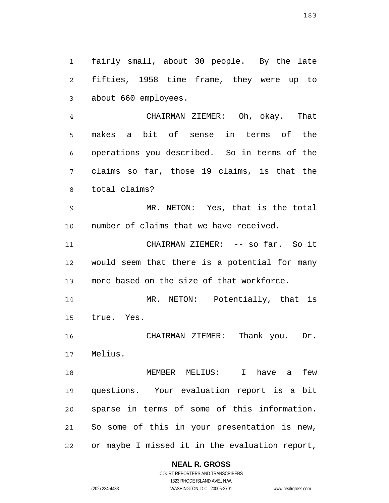1 2 3 fairly small, about 30 people. By the late fifties, 1958 time frame, they were up to about 660 employees.

4 5 6 7 8 CHAIRMAN ZIEMER: Oh, okay. That makes a bit of sense in terms of the operations you described. So in terms of the claims so far, those 19 claims, is that the total claims?

9 10 MR. NETON: Yes, that is the total number of claims that we have received.

11 12 13 CHAIRMAN ZIEMER: -- so far. So it would seem that there is a potential for many more based on the size of that workforce.

14 15 MR. NETON: Potentially, that is true. Yes.

16 17 CHAIRMAN ZIEMER: Thank you. Dr. Melius.

18 19 20 21 22 MEMBER MELIUS: I have a few questions. Your evaluation report is a bit sparse in terms of some of this information. So some of this in your presentation is new, or maybe I missed it in the evaluation report,

**NEAL R. GROSS**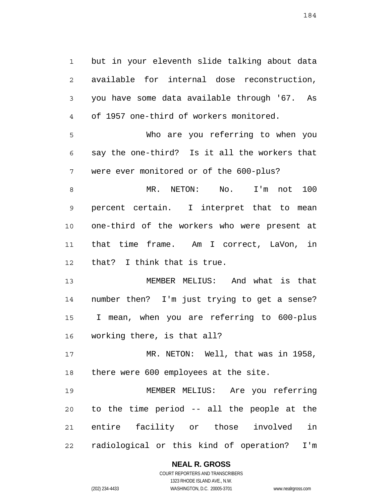1 2 3 4 but in your eleventh slide talking about data available for internal dose reconstruction, you have some data available through '67. As of 1957 one-third of workers monitored.

5 6 7 Who are you referring to when you say the one-third? Is it all the workers that were ever monitored or of the 600-plus?

8 9 10 11 12 MR. NETON: No. I'm not 100 percent certain. I interpret that to mean one-third of the workers who were present at that time frame. Am I correct, LaVon, in that? I think that is true.

13 14 15 16 MEMBER MELIUS: And what is that number then? I'm just trying to get a sense? I mean, when you are referring to 600-plus working there, is that all?

17 18 MR. NETON: Well, that was in 1958, there were 600 employees at the site.

19 20 21 22 MEMBER MELIUS: Are you referring to the time period -- all the people at the entire facility or those involved in radiological or this kind of operation? I'm

### **NEAL R. GROSS**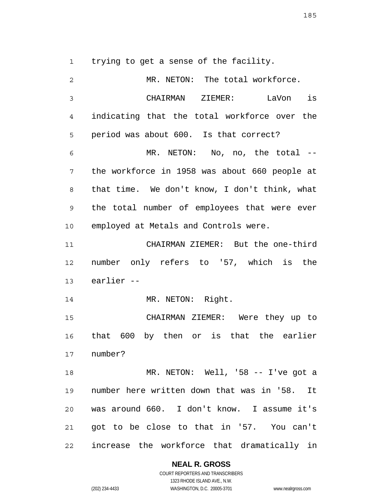1 trying to get a sense of the facility.

| 2              | MR. NETON: The total workforce.               |
|----------------|-----------------------------------------------|
| $\mathfrak{Z}$ | CHAIRMAN ZIEMER: LaVon is                     |
| 4              | indicating that the total workforce over the  |
| 5              | period was about 600. Is that correct?        |
| 6              | MR. NETON: No, no, the total --               |
| 7              | the workforce in 1958 was about 660 people at |
| 8              | that time. We don't know, I don't think, what |
| $\mathsf 9$    | the total number of employees that were ever  |
| 10             | employed at Metals and Controls were.         |
| 11             | CHAIRMAN ZIEMER: But the one-third            |
| 12             | number only refers to '57, which is the       |
| 13             | earlier --                                    |
| 14             | MR. NETON: Right.                             |
| 15             | CHAIRMAN ZIEMER: Were they up to              |
| 16             | that 600 by then or is that the earlier       |
| 17             | number?                                       |
| 18             | MR. NETON: Well, '58 -- I've got a            |
| 19             | number here written down that was in '58. It  |
| 20             | was around 660. I don't know. I assume it's   |
| 21             | got to be close to that in '57. You can't     |
| 22             | increase the workforce that dramatically in   |

**NEAL R. GROSS**

COURT REPORTERS AND TRANSCRIBERS 1323 RHODE ISLAND AVE., N.W. (202) 234-4433 WASHINGTON, D.C. 20005-3701 www.nealrgross.com

185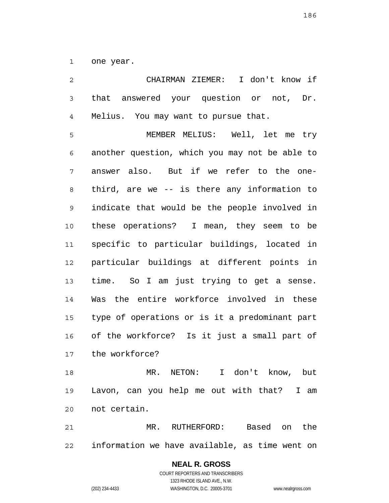1 one year.

2 3 4 5 6 7 8 9 10 11 12 13 14 15 16 17 18 19 CHAIRMAN ZIEMER: I don't know if that answered your question or not, Dr. Melius. You may want to pursue that. MEMBER MELIUS: Well, let me try another question, which you may not be able to answer also. But if we refer to the onethird, are we -- is there any information to indicate that would be the people involved in these operations? I mean, they seem to be specific to particular buildings, located in particular buildings at different points in time. So I am just trying to get a sense. Was the entire workforce involved in these type of operations or is it a predominant part of the workforce? Is it just a small part of the workforce? MR. NETON: I don't know, but Lavon, can you help me out with that? I am

21 22 MR. RUTHERFORD: Based on the information we have available, as time went on

> **NEAL R. GROSS** COURT REPORTERS AND TRANSCRIBERS 1323 RHODE ISLAND AVE., N.W. (202) 234-4433 WASHINGTON, D.C. 20005-3701 www.nealrgross.com

not certain.

20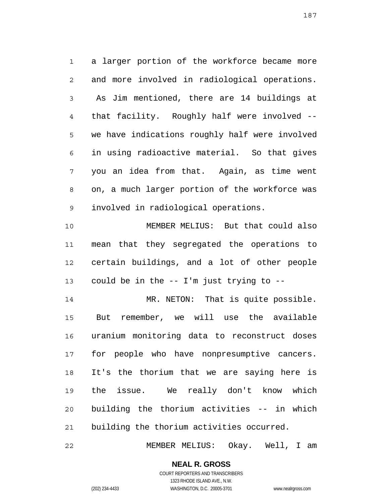1 2 3 4 5 6 7 8 9 a larger portion of the workforce became more and more involved in radiological operations. As Jim mentioned, there are 14 buildings at that facility. Roughly half were involved - we have indications roughly half were involved in using radioactive material. So that gives you an idea from that. Again, as time went on, a much larger portion of the workforce was involved in radiological operations.

10 11 12 13 MEMBER MELIUS: But that could also mean that they segregated the operations to certain buildings, and a lot of other people could be in the -- I'm just trying to --

14 15 16 17 18 19 20 21 MR. NETON: That is quite possible. But remember, we will use the available uranium monitoring data to reconstruct doses for people who have nonpresumptive cancers. It's the thorium that we are saying here is the issue. We really don't know which building the thorium activities -- in which building the thorium activities occurred.

22 MEMBER MELIUS: Okay. Well, I am

187

COURT REPORTERS AND TRANSCRIBERS 1323 RHODE ISLAND AVE., N.W. (202) 234-4433 WASHINGTON, D.C. 20005-3701 www.nealrgross.com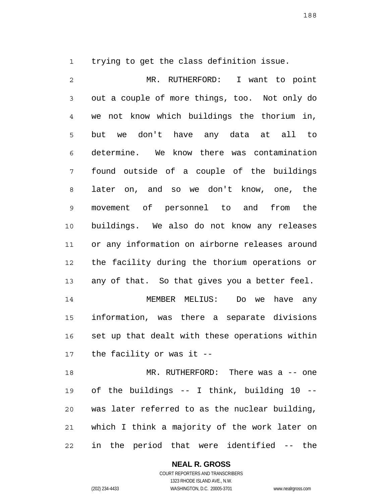1 trying to get the class definition issue.

2 3 4 5 6 7 8 9 10 11 12 13 14 15 16 17 18 19 20 21 MR. RUTHERFORD: I want to point out a couple of more things, too. Not only do we not know which buildings the thorium in, but we don't have any data at all to determine. We know there was contamination found outside of a couple of the buildings later on, and so we don't know, one, the movement of personnel to and from the buildings. We also do not know any releases or any information on airborne releases around the facility during the thorium operations or any of that. So that gives you a better feel. MEMBER MELIUS: Do we have any information, was there a separate divisions set up that dealt with these operations within the facility or was it -- MR. RUTHERFORD: There was a -- one of the buildings -- I think, building 10 - was later referred to as the nuclear building, which I think a majority of the work later on

22 in the period that were identified -- the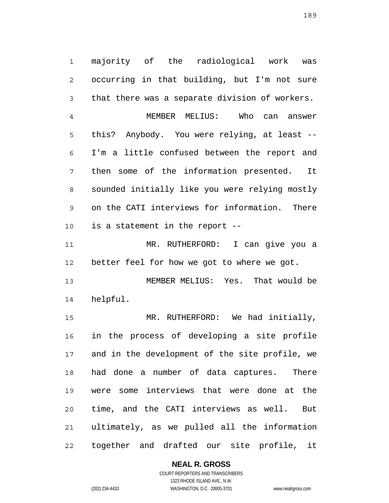1 2 3 majority of the radiological work was occurring in that building, but I'm not sure that there was a separate division of workers.

4 5 6 7 8 9 10 MEMBER MELIUS: Who can answer this? Anybody. You were relying, at least -- I'm a little confused between the report and then some of the information presented. It sounded initially like you were relying mostly on the CATI interviews for information. There is a statement in the report --

11 12 MR. RUTHERFORD: I can give you a better feel for how we got to where we got.

13 14 MEMBER MELIUS: Yes. That would be helpful.

15 16 17 18 19 20 21 22 MR. RUTHERFORD: We had initially, in the process of developing a site profile and in the development of the site profile, we had done a number of data captures. There were some interviews that were done at the time, and the CATI interviews as well. But ultimately, as we pulled all the information together and drafted our site profile, it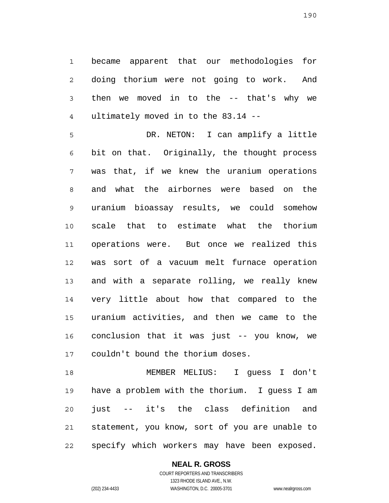1 2 3 4 became apparent that our methodologies for doing thorium were not going to work. And then we moved in to the -- that's why we ultimately moved in to the 83.14 --

5 6 7 8 9 10 11 12 13 14 15 16 17 DR. NETON: I can amplify a little bit on that. Originally, the thought process was that, if we knew the uranium operations and what the airbornes were based on the uranium bioassay results, we could somehow scale that to estimate what the thorium operations were. But once we realized this was sort of a vacuum melt furnace operation and with a separate rolling, we really knew very little about how that compared to the uranium activities, and then we came to the conclusion that it was just -- you know, we couldn't bound the thorium doses.

18 19 20 21 22 MEMBER MELIUS: I guess I don't have a problem with the thorium. I guess I am just -- it's the class definition and statement, you know, sort of you are unable to specify which workers may have been exposed.

# **NEAL R. GROSS**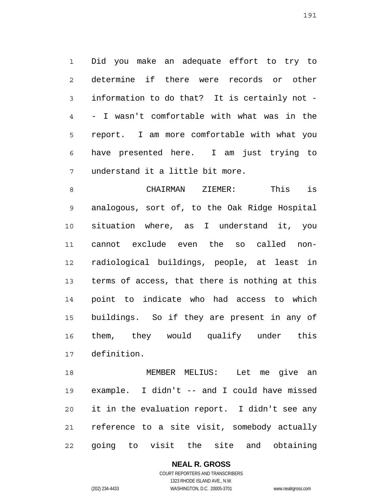1 2 3 4 5 6 7 Did you make an adequate effort to try to determine if there were records or other information to do that? It is certainly not - - I wasn't comfortable with what was in the report. I am more comfortable with what you have presented here. I am just trying to understand it a little bit more.

8 9 10 11 12 13 14 15 16 17 CHAIRMAN ZIEMER: This is analogous, sort of, to the Oak Ridge Hospital situation where, as I understand it, you cannot exclude even the so called nonradiological buildings, people, at least in terms of access, that there is nothing at this point to indicate who had access to which buildings. So if they are present in any of them, they would qualify under this definition.

18 19 20 21 22 MEMBER MELIUS: Let me give an example. I didn't -- and I could have missed it in the evaluation report. I didn't see any reference to a site visit, somebody actually going to visit the site and obtaining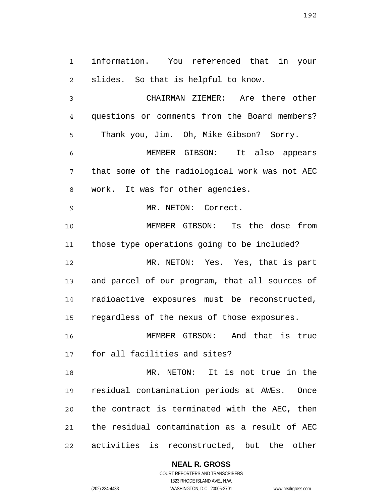1 2 information. You referenced that in your slides. So that is helpful to know.

3 4 5 CHAIRMAN ZIEMER: Are there other questions or comments from the Board members? Thank you, Jim. Oh, Mike Gibson? Sorry.

6 7 8 MEMBER GIBSON: It also appears that some of the radiological work was not AEC work. It was for other agencies.

MR. NETON: Correct.

9

10 11 12 13 14 15 MEMBER GIBSON: Is the dose from those type operations going to be included? MR. NETON: Yes. Yes, that is part and parcel of our program, that all sources of radioactive exposures must be reconstructed, regardless of the nexus of those exposures.

16 17 MEMBER GIBSON: And that is true for all facilities and sites?

18 19 20 21 22 MR. NETON: It is not true in the residual contamination periods at AWEs. Once the contract is terminated with the AEC, then the residual contamination as a result of AEC activities is reconstructed, but the other

**NEAL R. GROSS**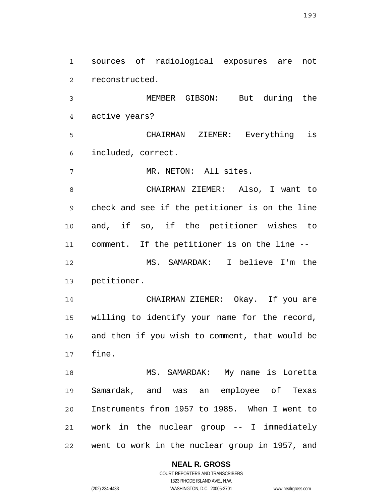1 2 sources of radiological exposures are not reconstructed.

3 4 MEMBER GIBSON: But during the active years?

5 6 CHAIRMAN ZIEMER: Everything is included, correct.

7 MR. NETON: All sites.

8 9 10 11 12 13 CHAIRMAN ZIEMER: Also, I want to check and see if the petitioner is on the line and, if so, if the petitioner wishes to comment. If the petitioner is on the line -- MS. SAMARDAK: I believe I'm the petitioner.

14 15 16 17 CHAIRMAN ZIEMER: Okay. If you are willing to identify your name for the record, and then if you wish to comment, that would be fine.

18 19 20 21 22 MS. SAMARDAK: My name is Loretta Samardak, and was an employee of Texas Instruments from 1957 to 1985. When I went to work in the nuclear group -- I immediately went to work in the nuclear group in 1957, and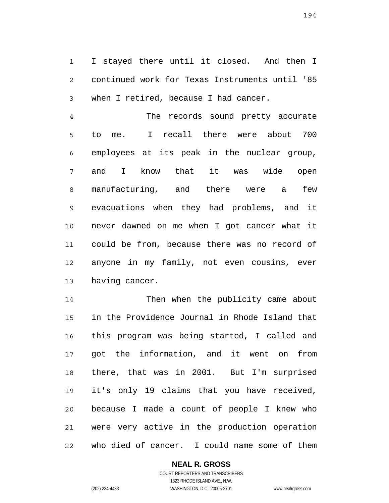1 2 3 I stayed there until it closed. And then I continued work for Texas Instruments until '85 when I retired, because I had cancer.

4 5 6 7 8 9 10 11 12 13 The records sound pretty accurate to me. I recall there were about 700 employees at its peak in the nuclear group, and I know that it was wide open manufacturing, and there were a few evacuations when they had problems, and it never dawned on me when I got cancer what it could be from, because there was no record of anyone in my family, not even cousins, ever having cancer.

14 15 16 17 18 19 20 21 22 Then when the publicity came about in the Providence Journal in Rhode Island that this program was being started, I called and got the information, and it went on from there, that was in 2001. But I'm surprised it's only 19 claims that you have received, because I made a count of people I knew who were very active in the production operation who died of cancer. I could name some of them

# **NEAL R. GROSS**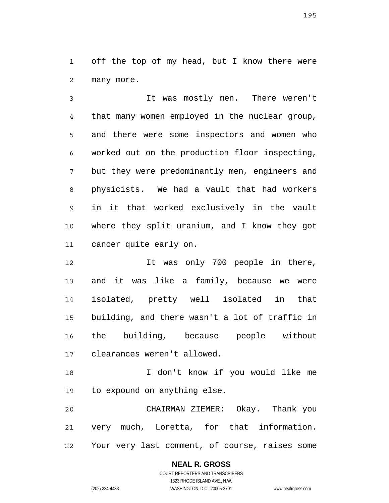1 2 off the top of my head, but I know there were many more.

3 4 5 6 7 8 9 10 11 It was mostly men. There weren't that many women employed in the nuclear group, and there were some inspectors and women who worked out on the production floor inspecting, but they were predominantly men, engineers and physicists. We had a vault that had workers in it that worked exclusively in the vault where they split uranium, and I know they got cancer quite early on.

12 13 14 15 16 17 It was only 700 people in there, and it was like a family, because we were isolated, pretty well isolated in that building, and there wasn't a lot of traffic in the building, because people without clearances weren't allowed.

18 19 I don't know if you would like me to expound on anything else.

20 21 22 CHAIRMAN ZIEMER: Okay. Thank you very much, Loretta, for that information. Your very last comment, of course, raises some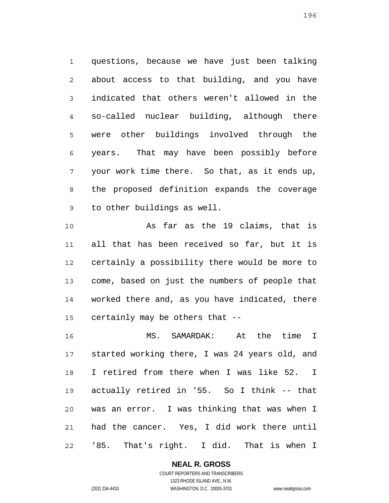1 2 3 4 5 6 7 8 9 questions, because we have just been talking about access to that building, and you have indicated that others weren't allowed in the so-called nuclear building, although there were other buildings involved through the years. That may have been possibly before your work time there. So that, as it ends up, the proposed definition expands the coverage to other buildings as well.

10 11 12 13 14 15 As far as the 19 claims, that is all that has been received so far, but it is certainly a possibility there would be more to come, based on just the numbers of people that worked there and, as you have indicated, there certainly may be others that --

16 17 18 19 20 21 22 MS. SAMARDAK: At the time I started working there, I was 24 years old, and I retired from there when I was like 52. I actually retired in '55. So I think -- that was an error. I was thinking that was when I had the cancer. Yes, I did work there until '85. That's right. I did. That is when I

**NEAL R. GROSS**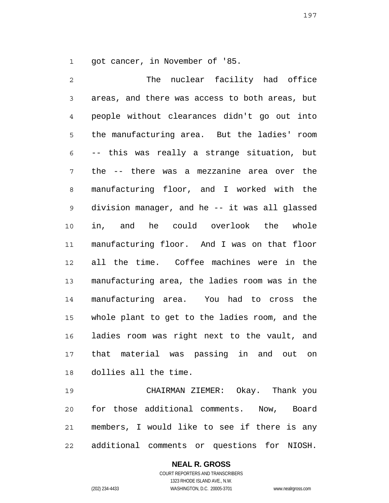1 got cancer, in November of '85.

2 3 4 5 6 7 8 9 10 11 12 13 14 15 16 17 18 The nuclear facility had office areas, and there was access to both areas, but people without clearances didn't go out into the manufacturing area. But the ladies' room -- this was really a strange situation, but the -- there was a mezzanine area over the manufacturing floor, and I worked with the division manager, and he -- it was all glassed in, and he could overlook the whole manufacturing floor. And I was on that floor all the time. Coffee machines were in the manufacturing area, the ladies room was in the manufacturing area. You had to cross the whole plant to get to the ladies room, and the ladies room was right next to the vault, and that material was passing in and out on dollies all the time.

19 20 21 22 CHAIRMAN ZIEMER: Okay. Thank you for those additional comments. Now, Board members, I would like to see if there is any additional comments or questions for NIOSH.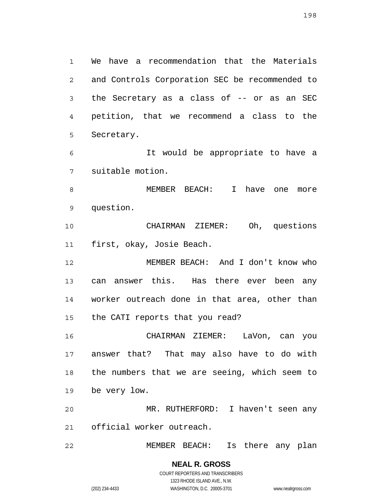1 2 3 4 5 We have a recommendation that the Materials and Controls Corporation SEC be recommended to the Secretary as a class of -- or as an SEC petition, that we recommend a class to the Secretary.

6 7 It would be appropriate to have a suitable motion.

8 9 MEMBER BEACH: I have one more question.

10 11 CHAIRMAN ZIEMER: Oh, questions first, okay, Josie Beach.

12 13 14 15 MEMBER BEACH: And I don't know who can answer this. Has there ever been any worker outreach done in that area, other than the CATI reports that you read?

16 17 18 19 CHAIRMAN ZIEMER: LaVon, can you answer that? That may also have to do with the numbers that we are seeing, which seem to be very low.

20 21 MR. RUTHERFORD: I haven't seen any official worker outreach.

22 MEMBER BEACH: Is there any plan

198

COURT REPORTERS AND TRANSCRIBERS 1323 RHODE ISLAND AVE., N.W. (202) 234-4433 WASHINGTON, D.C. 20005-3701 www.nealrgross.com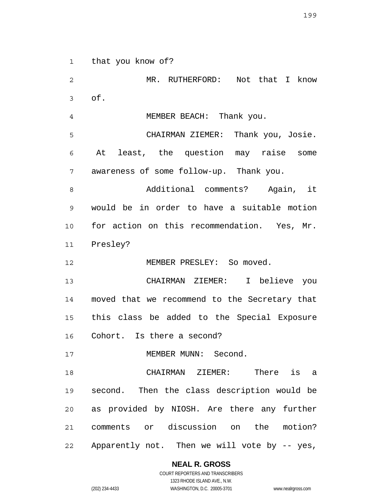1 that you know of?

2 3 4 5 6 7 8 9 10 11 12 13 14 15 16 17 18 19 20 21 22 MR. RUTHERFORD: Not that I know of. MEMBER BEACH: Thank you. CHAIRMAN ZIEMER: Thank you, Josie. At least, the question may raise some awareness of some follow-up. Thank you. Additional comments? Again, it would be in order to have a suitable motion for action on this recommendation. Yes, Mr. Presley? MEMBER PRESLEY: So moved. CHAIRMAN ZIEMER: I believe you moved that we recommend to the Secretary that this class be added to the Special Exposure Cohort. Is there a second? MEMBER MUNN: Second. CHAIRMAN ZIEMER: There is a second. Then the class description would be as provided by NIOSH. Are there any further comments or discussion on the motion? Apparently not. Then we will vote by -- yes,

**NEAL R. GROSS**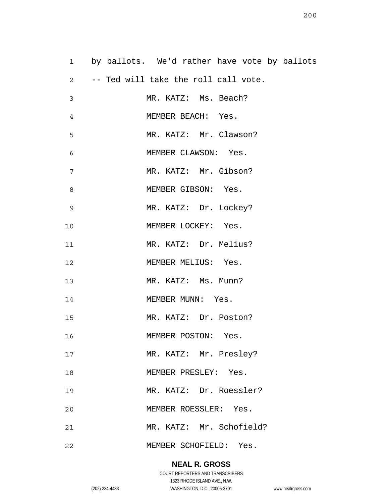1 2 3 4 5 6 7 8 9 10 11 12 13 14 15 16 17 18 19 20 21 22 by ballots. We'd rather have vote by ballots -- Ted will take the roll call vote. MR. KATZ: Ms. Beach? MEMBER BEACH: Yes. MR. KATZ: Mr. Clawson? MEMBER CLAWSON: Yes. MR. KATZ: Mr. Gibson? MEMBER GIBSON: Yes. MR. KATZ: Dr. Lockey? MEMBER LOCKEY: Yes. MR. KATZ: Dr. Melius? MEMBER MELIUS: Yes. MR. KATZ: Ms. Munn? MEMBER MUNN: Yes. MR. KATZ: Dr. Poston? MEMBER POSTON: Yes. MR. KATZ: Mr. Presley? MEMBER PRESLEY: Yes. MR. KATZ: Dr. Roessler? MEMBER ROESSLER: Yes. MR. KATZ: Mr. Schofield? MEMBER SCHOFIELD: Yes.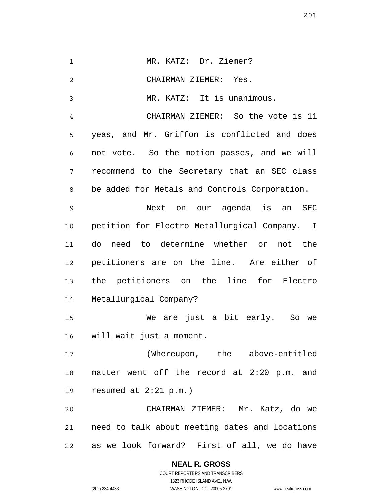| $\mathbf 1$    | MR. KATZ: Dr. Ziemer?                          |
|----------------|------------------------------------------------|
| $\overline{2}$ | CHAIRMAN ZIEMER: Yes.                          |
| 3              | MR. KATZ: It is unanimous.                     |
| 4              | CHAIRMAN ZIEMER: So the vote is 11             |
| 5              | yeas, and Mr. Griffon is conflicted and does   |
| 6              | not vote. So the motion passes, and we will    |
| 7              | recommend to the Secretary that an SEC class   |
| 8              | be added for Metals and Controls Corporation.  |
| 9              | Next on our agenda is an SEC                   |
| 10             | petition for Electro Metallurgical Company. I  |
| 11             | do need to determine whether or not the        |
| 12             | petitioners are on the line. Are either of     |
| 13             | the petitioners on the line for<br>Electro     |
| 14             | Metallurgical Company?                         |
| 15             | We are just a bit early.<br>So we              |
| 16             | will wait just a moment.                       |
| 17             | (Whereupon, the above-entitled                 |
| 18             | matter went off the record at 2:20 p.m. and    |
| 19             | resumed at $2:21$ p.m.)                        |
| 20             | CHAIRMAN ZIEMER: Mr. Katz, do we               |
| 21             | need to talk about meeting dates and locations |
| 22             | as we look forward? First of all, we do have   |

**NEAL R. GROSS**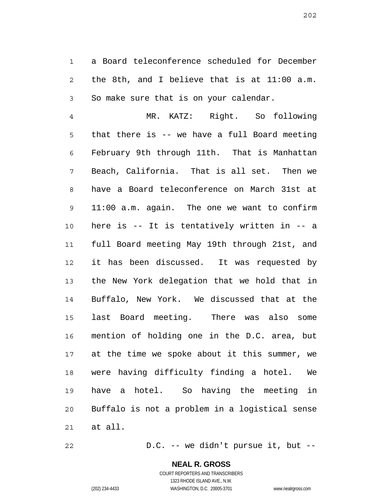1 2 3 a Board teleconference scheduled for December the 8th, and I believe that is at 11:00 a.m. So make sure that is on your calendar.

4 5 6 7 8 9 10 11 12 13 14 15 16 17 18 19 20 21 MR. KATZ: Right. So following that there is -- we have a full Board meeting February 9th through 11th. That is Manhattan Beach, California. That is all set. Then we have a Board teleconference on March 31st at 11:00 a.m. again. The one we want to confirm here is -- It is tentatively written in -- a full Board meeting May 19th through 21st, and it has been discussed. It was requested by the New York delegation that we hold that in Buffalo, New York. We discussed that at the last Board meeting. There was also some mention of holding one in the D.C. area, but at the time we spoke about it this summer, we were having difficulty finding a hotel. We have a hotel. So having the meeting in Buffalo is not a problem in a logistical sense at all.

22 D.C. -- we didn't pursue it, but --

202

COURT REPORTERS AND TRANSCRIBERS 1323 RHODE ISLAND AVE., N.W. (202) 234-4433 WASHINGTON, D.C. 20005-3701 www.nealrgross.com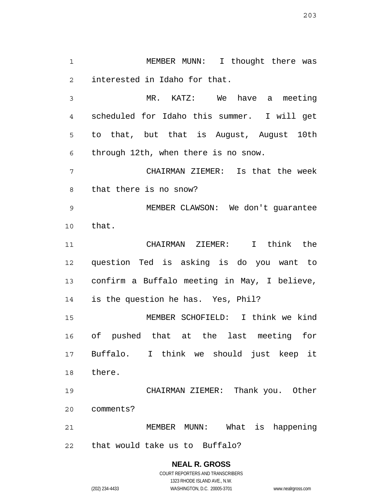1 2 MEMBER MUNN: I thought there was interested in Idaho for that.

3 4 5 6 MR. KATZ: We have a meeting scheduled for Idaho this summer. I will get to that, but that is August, August 10th through 12th, when there is no snow.

7 8 CHAIRMAN ZIEMER: Is that the week that there is no snow?

9 10 MEMBER CLAWSON: We don't guarantee that.

11 12 13 14 CHAIRMAN ZIEMER: I think the question Ted is asking is do you want to confirm a Buffalo meeting in May, I believe, is the question he has. Yes, Phil?

15 16 17 18 MEMBER SCHOFIELD: I think we kind of pushed that at the last meeting for Buffalo. I think we should just keep it there.

19 20 CHAIRMAN ZIEMER: Thank you. Other comments?

21 22 MEMBER MUNN: What is happening that would take us to Buffalo?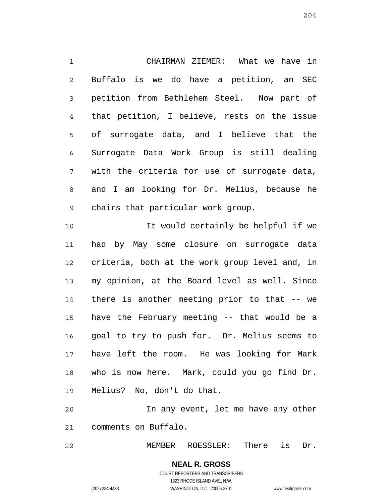1 2 3 4 5 6 7 8 9 10 11 12 13 14 15 CHAIRMAN ZIEMER: What we have in Buffalo is we do have a petition, an SEC petition from Bethlehem Steel. Now part of that petition, I believe, rests on the issue of surrogate data, and I believe that the Surrogate Data Work Group is still dealing with the criteria for use of surrogate data, and I am looking for Dr. Melius, because he chairs that particular work group. It would certainly be helpful if we had by May some closure on surrogate data criteria, both at the work group level and, in my opinion, at the Board level as well. Since there is another meeting prior to that -- we have the February meeting -- that would be a

16 17 18 19 goal to try to push for. Dr. Melius seems to have left the room. He was looking for Mark who is now here. Mark, could you go find Dr. Melius? No, don't do that.

20 21 In any event, let me have any other comments on Buffalo.

22 MEMBER ROESSLER: There is Dr.

204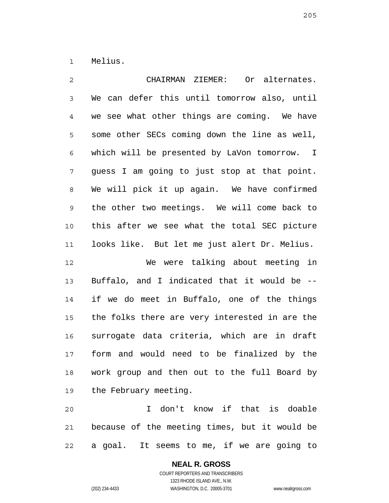1 Melius.

2 3 4 5 6 7 8 9 10 11 12 13 14 15 16 17 18 19 20 21 CHAIRMAN ZIEMER: Or alternates. We can defer this until tomorrow also, until we see what other things are coming. We have some other SECs coming down the line as well, which will be presented by LaVon tomorrow. I guess I am going to just stop at that point. We will pick it up again. We have confirmed the other two meetings. We will come back to this after we see what the total SEC picture looks like. But let me just alert Dr. Melius. We were talking about meeting in Buffalo, and I indicated that it would be - if we do meet in Buffalo, one of the things the folks there are very interested in are the surrogate data criteria, which are in draft form and would need to be finalized by the work group and then out to the full Board by the February meeting. I don't know if that is doable because of the meeting times, but it would be

22 a goal. It seems to me, if we are going to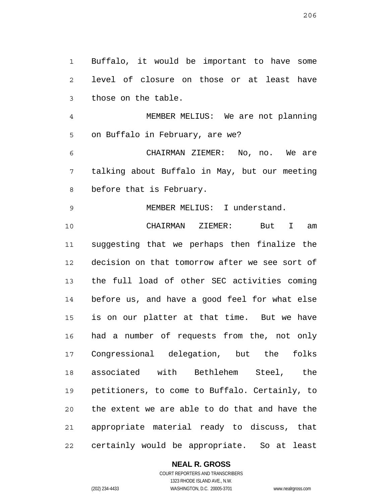1 2 3 Buffalo, it would be important to have some level of closure on those or at least have those on the table.

4 5 MEMBER MELIUS: We are not planning on Buffalo in February, are we?

6 7 8 CHAIRMAN ZIEMER: No, no. We are talking about Buffalo in May, but our meeting before that is February.

9 MEMBER MELIUS: I understand.

10 11 12 13 14 15 16 17 18 19 20 21 22 CHAIRMAN ZIEMER: But I am suggesting that we perhaps then finalize the decision on that tomorrow after we see sort of the full load of other SEC activities coming before us, and have a good feel for what else is on our platter at that time. But we have had a number of requests from the, not only Congressional delegation, but the folks associated with Bethlehem Steel, the petitioners, to come to Buffalo. Certainly, to the extent we are able to do that and have the appropriate material ready to discuss, that certainly would be appropriate. So at least

**NEAL R. GROSS**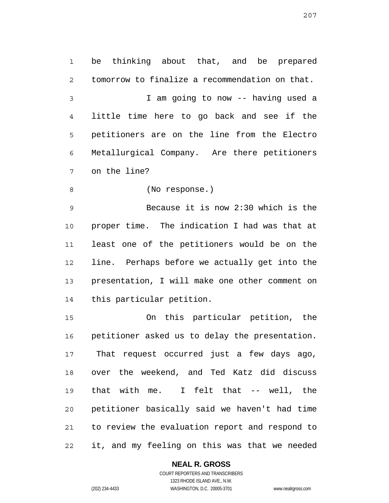1 2 3 4 5 6 7 be thinking about that, and be prepared tomorrow to finalize a recommendation on that. I am going to now -- having used a little time here to go back and see if the petitioners are on the line from the Electro Metallurgical Company. Are there petitioners on the line?

8 (No response.)

9 10 11 12 13 14 Because it is now 2:30 which is the proper time. The indication I had was that at least one of the petitioners would be on the line. Perhaps before we actually get into the presentation, I will make one other comment on this particular petition.

15 16 17 18 19 20 21 22 On this particular petition, the petitioner asked us to delay the presentation. That request occurred just a few days ago, over the weekend, and Ted Katz did discuss that with me. I felt that -- well, the petitioner basically said we haven't had time to review the evaluation report and respond to it, and my feeling on this was that we needed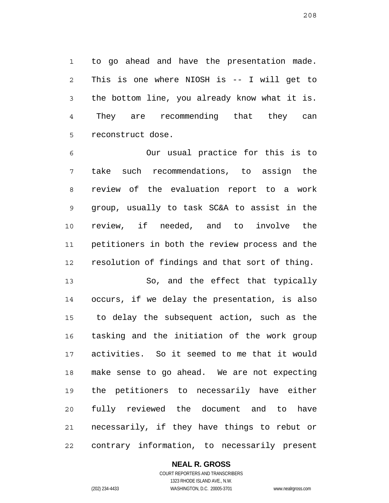1 2 3 4 5 to go ahead and have the presentation made. This is one where NIOSH is -- I will get to the bottom line, you already know what it is. They are recommending that they can reconstruct dose.

6 7 8 9 10 11 12 Our usual practice for this is to take such recommendations, to assign the review of the evaluation report to a work group, usually to task SC&A to assist in the review, if needed, and to involve the petitioners in both the review process and the resolution of findings and that sort of thing.

13 14 15 16 17 18 19 20 21 22 So, and the effect that typically occurs, if we delay the presentation, is also to delay the subsequent action, such as the tasking and the initiation of the work group activities. So it seemed to me that it would make sense to go ahead. We are not expecting the petitioners to necessarily have either fully reviewed the document and to have necessarily, if they have things to rebut or contrary information, to necessarily present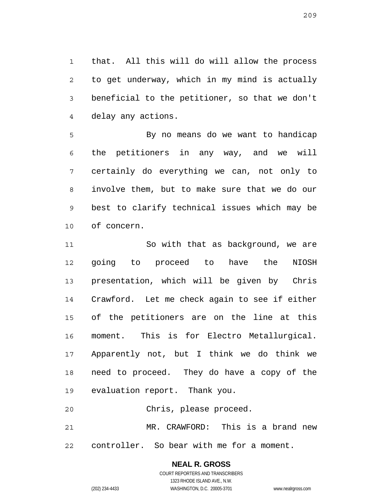1 2 3 4 that. All this will do will allow the process to get underway, which in my mind is actually beneficial to the petitioner, so that we don't delay any actions.

5 6 7 8 9 10 By no means do we want to handicap the petitioners in any way, and we will certainly do everything we can, not only to involve them, but to make sure that we do our best to clarify technical issues which may be of concern.

11 12 13 14 15 16 17 18 19 So with that as background, we are going to proceed to have the NIOSH presentation, which will be given by Chris Crawford. Let me check again to see if either of the petitioners are on the line at this moment. This is for Electro Metallurgical. Apparently not, but I think we do think we need to proceed. They do have a copy of the evaluation report. Thank you.

20 Chris, please proceed.

21 22 MR. CRAWFORD: This is a brand new controller. So bear with me for a moment.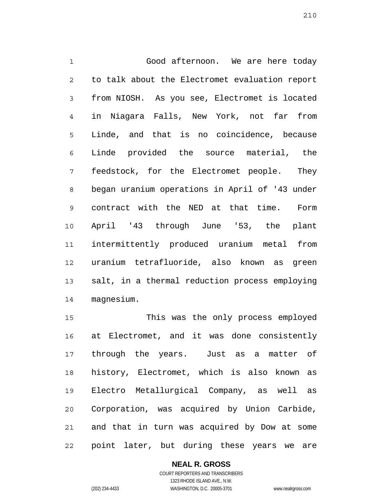1 2 3 4 5 6 7 8 9 10 11 12 13 14 Good afternoon. We are here today to talk about the Electromet evaluation report from NIOSH. As you see, Electromet is located in Niagara Falls, New York, not far from Linde, and that is no coincidence, because Linde provided the source material, the feedstock, for the Electromet people. They began uranium operations in April of '43 under contract with the NED at that time. Form April '43 through June '53, the plant intermittently produced uranium metal from uranium tetrafluoride, also known as green salt, in a thermal reduction process employing magnesium.

15 16 17 18 19 20 21 22 This was the only process employed at Electromet, and it was done consistently through the years. Just as a matter of history, Electromet, which is also known as Electro Metallurgical Company, as well as Corporation, was acquired by Union Carbide, and that in turn was acquired by Dow at some point later, but during these years we are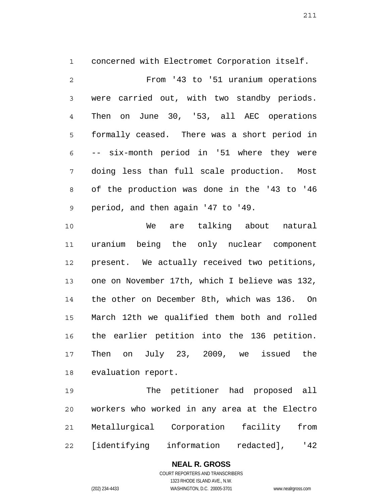1 2 3 4 5 6 7 8 9 concerned with Electromet Corporation itself. From '43 to '51 uranium operations were carried out, with two standby periods. Then on June 30, '53, all AEC operations formally ceased. There was a short period in -- six-month period in '51 where they were doing less than full scale production. Most of the production was done in the '43 to '46 period, and then again '47 to '49.

10 11 12 13 14 15 16 17 18 We are talking about natural uranium being the only nuclear component present. We actually received two petitions, one on November 17th, which I believe was 132, the other on December 8th, which was 136. On March 12th we qualified them both and rolled the earlier petition into the 136 petition. Then on July 23, 2009, we issued the evaluation report.

19 20 21 22 The petitioner had proposed all workers who worked in any area at the Electro Metallurgical Corporation facility from [identifying information redacted], '42

#### **NEAL R. GROSS** COURT REPORTERS AND TRANSCRIBERS 1323 RHODE ISLAND AVE., N.W.

(202) 234-4433 WASHINGTON, D.C. 20005-3701 www.nealrgross.com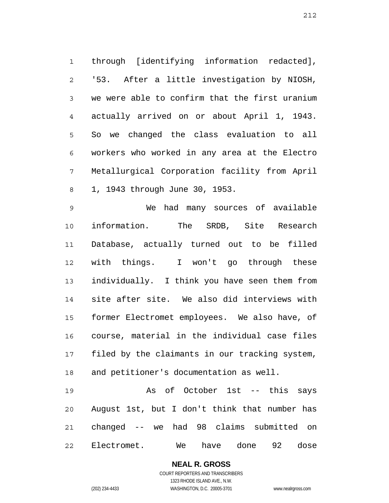1 2 3 4 5 6 7 8 through [identifying information redacted], '53. After a little investigation by NIOSH, we were able to confirm that the first uranium actually arrived on or about April 1, 1943. So we changed the class evaluation to all workers who worked in any area at the Electro Metallurgical Corporation facility from April 1, 1943 through June 30, 1953.

9 10 11 12 13 14 15 16 17 18 We had many sources of available information. The SRDB, Site Research Database, actually turned out to be filled with things. I won't go through these individually. I think you have seen them from site after site. We also did interviews with former Electromet employees. We also have, of course, material in the individual case files filed by the claimants in our tracking system, and petitioner's documentation as well.

19 20 21 22 As of October 1st -- this says August 1st, but I don't think that number has changed -- we had 98 claims submitted on Electromet. We have done 92 dose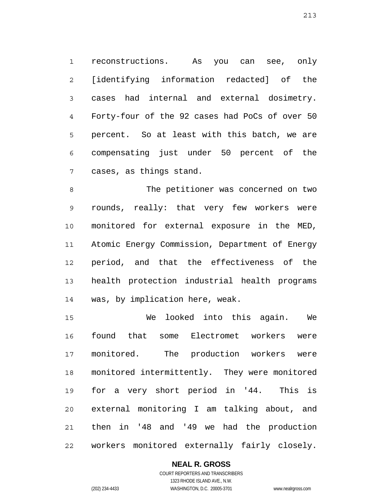1 2 3 4 5 6 7 reconstructions. As you can see, only [identifying information redacted] of the cases had internal and external dosimetry. Forty-four of the 92 cases had PoCs of over 50 percent. So at least with this batch, we are compensating just under 50 percent of the cases, as things stand.

8 9 10 11 12 13 14 The petitioner was concerned on two rounds, really: that very few workers were monitored for external exposure in the MED, Atomic Energy Commission, Department of Energy period, and that the effectiveness of the health protection industrial health programs was, by implication here, weak.

15 16 17 18 19 20 21 22 We looked into this again. We found that some Electromet workers were monitored. The production workers were monitored intermittently. They were monitored for a very short period in '44. This is external monitoring I am talking about, and then in '48 and '49 we had the production workers monitored externally fairly closely.

#### **NEAL R. GROSS** COURT REPORTERS AND TRANSCRIBERS

213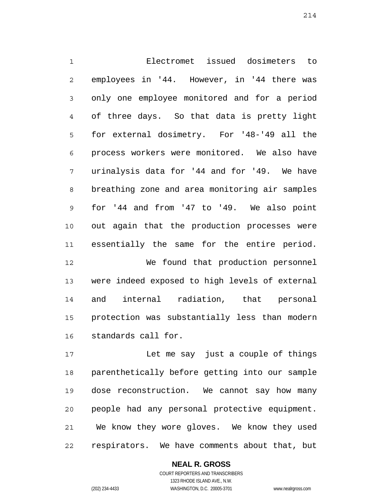1 2 3 4 5 6 7 8 9 10 11 12 13 14 15 Electromet issued dosimeters to employees in '44. However, in '44 there was only one employee monitored and for a period of three days. So that data is pretty light for external dosimetry. For '48-'49 all the process workers were monitored. We also have urinalysis data for '44 and for '49. We have breathing zone and area monitoring air samples for '44 and from '47 to '49. We also point out again that the production processes were essentially the same for the entire period. We found that production personnel were indeed exposed to high levels of external and internal radiation, that personal protection was substantially less than modern standards call for.

17 18 19 20 21 22 Let me say just a couple of things parenthetically before getting into our sample dose reconstruction. We cannot say how many people had any personal protective equipment. We know they wore gloves. We know they used respirators. We have comments about that, but

> **NEAL R. GROSS** COURT REPORTERS AND TRANSCRIBERS 1323 RHODE ISLAND AVE., N.W. (202) 234-4433 WASHINGTON, D.C. 20005-3701 www.nealrgross.com

16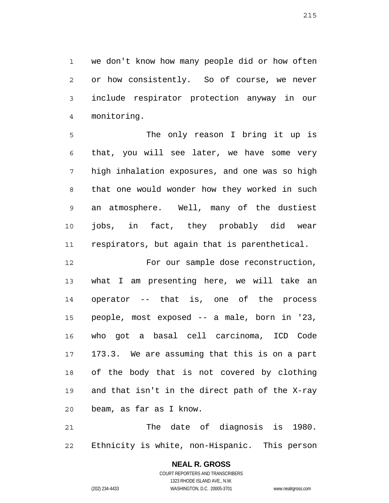1 2 3 4 we don't know how many people did or how often or how consistently. So of course, we never include respirator protection anyway in our monitoring.

5 6 7 8 9 10 11 The only reason I bring it up is that, you will see later, we have some very high inhalation exposures, and one was so high that one would wonder how they worked in such an atmosphere. Well, many of the dustiest jobs, in fact, they probably did wear respirators, but again that is parenthetical.

12 13 14 15 16 17 18 19 20 For our sample dose reconstruction, what I am presenting here, we will take an operator -- that is, one of the process people, most exposed -- a male, born in '23, who got a basal cell carcinoma, ICD Code 173.3. We are assuming that this is on a part of the body that is not covered by clothing and that isn't in the direct path of the X-ray beam, as far as I know.

21 22 The date of diagnosis is 1980. Ethnicity is white, non-Hispanic. This person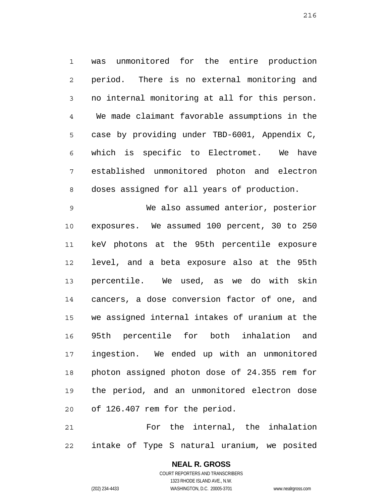1 2 3 4 5 6 7 8 was unmonitored for the entire production period. There is no external monitoring and no internal monitoring at all for this person. We made claimant favorable assumptions in the case by providing under TBD-6001, Appendix C, which is specific to Electromet. We have established unmonitored photon and electron doses assigned for all years of production.

9 10 11 12 13 14 15 16 17 18 19 20 We also assumed anterior, posterior exposures. We assumed 100 percent, 30 to 250 keV photons at the 95th percentile exposure level, and a beta exposure also at the 95th percentile. We used, as we do with skin cancers, a dose conversion factor of one, and we assigned internal intakes of uranium at the 95th percentile for both inhalation and ingestion. We ended up with an unmonitored photon assigned photon dose of 24.355 rem for the period, and an unmonitored electron dose of 126.407 rem for the period.

21 22 For the internal, the inhalation intake of Type S natural uranium, we posited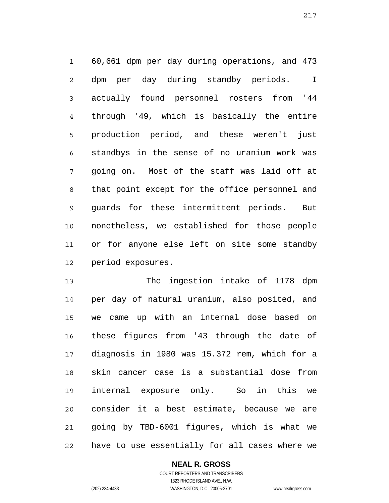1 2 3 4 5 6 7 8 9 10 11 12 60,661 dpm per day during operations, and 473 dpm per day during standby periods. I actually found personnel rosters from '44 through '49, which is basically the entire production period, and these weren't just standbys in the sense of no uranium work was going on. Most of the staff was laid off at that point except for the office personnel and guards for these intermittent periods. But nonetheless, we established for those people or for anyone else left on site some standby period exposures.

13 14 15 16 17 18 19 20 21 22 The ingestion intake of 1178 dpm per day of natural uranium, also posited, and we came up with an internal dose based on these figures from '43 through the date of diagnosis in 1980 was 15.372 rem, which for a skin cancer case is a substantial dose from internal exposure only. So in this we consider it a best estimate, because we are going by TBD-6001 figures, which is what we have to use essentially for all cases where we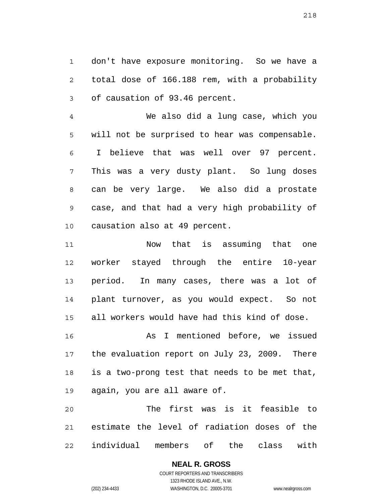1 2 3 don't have exposure monitoring. So we have a total dose of 166.188 rem, with a probability of causation of 93.46 percent.

4 5 6 7 8 9 10 We also did a lung case, which you will not be surprised to hear was compensable. I believe that was well over 97 percent. This was a very dusty plant. So lung doses can be very large. We also did a prostate case, and that had a very high probability of causation also at 49 percent.

11 12 13 14 15 Now that is assuming that one worker stayed through the entire 10-year period. In many cases, there was a lot of plant turnover, as you would expect. So not all workers would have had this kind of dose.

16 17 18 19 As I mentioned before, we issued the evaluation report on July 23, 2009. There is a two-prong test that needs to be met that, again, you are all aware of.

20 21 22 The first was is it feasible to estimate the level of radiation doses of the individual members of the class with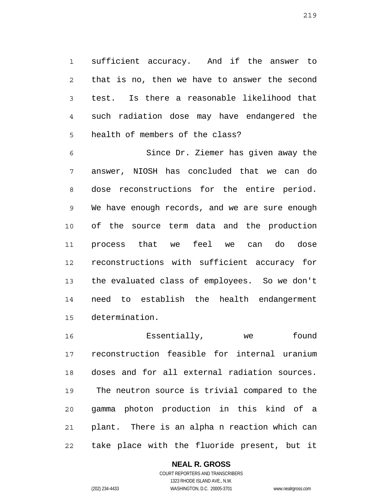1 2 3 4 5 sufficient accuracy. And if the answer to that is no, then we have to answer the second test. Is there a reasonable likelihood that such radiation dose may have endangered the health of members of the class?

6 7 8 9 10 11 12 13 14 15 Since Dr. Ziemer has given away the answer, NIOSH has concluded that we can do dose reconstructions for the entire period. We have enough records, and we are sure enough of the source term data and the production process that we feel we can do dose reconstructions with sufficient accuracy for the evaluated class of employees. So we don't need to establish the health endangerment determination.

16 17 18 19 20 21 22 Essentially, we found reconstruction feasible for internal uranium doses and for all external radiation sources. The neutron source is trivial compared to the gamma photon production in this kind of a plant. There is an alpha n reaction which can take place with the fluoride present, but it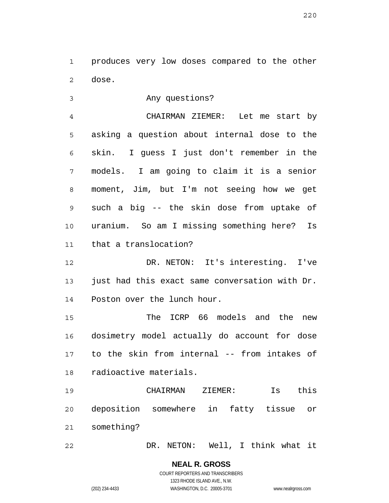1 2 produces very low doses compared to the other dose.

3 Any questions?

4 5 6 7 8 9 10 11 CHAIRMAN ZIEMER: Let me start by asking a question about internal dose to the skin. I guess I just don't remember in the models. I am going to claim it is a senior moment, Jim, but I'm not seeing how we get such a big -- the skin dose from uptake of uranium. So am I missing something here? Is that a translocation?

12 13 14 DR. NETON: It's interesting. I've just had this exact same conversation with Dr. Poston over the lunch hour.

15 16 17 18 The ICRP 66 models and the new dosimetry model actually do account for dose to the skin from internal -- from intakes of radioactive materials.

19 20 21 CHAIRMAN ZIEMER: Is this deposition somewhere in fatty tissue or something?

22 DR. NETON: Well, I think what it

> **NEAL R. GROSS** COURT REPORTERS AND TRANSCRIBERS

> > 1323 RHODE ISLAND AVE., N.W.

(202) 234-4433 WASHINGTON, D.C. 20005-3701 www.nealrgross.com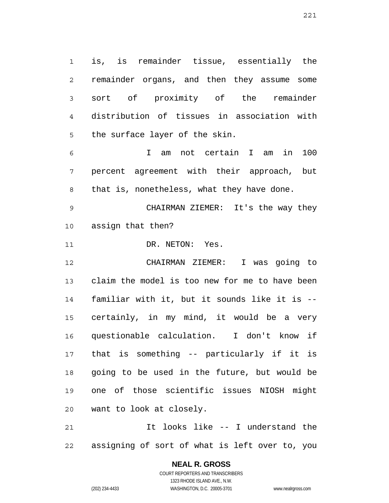1 2 3 4 5 is, is remainder tissue, essentially the remainder organs, and then they assume some sort of proximity of the remainder distribution of tissues in association with the surface layer of the skin.

6 7 8 I am not certain I am in 100 percent agreement with their approach, but that is, nonetheless, what they have done.

9 10 CHAIRMAN ZIEMER: It's the way they assign that then?

11 DR. NETON: Yes.

12 13 14 15 16 17 18 19 20 CHAIRMAN ZIEMER: I was going to claim the model is too new for me to have been familiar with it, but it sounds like it is - certainly, in my mind, it would be a very questionable calculation. I don't know if that is something -- particularly if it is going to be used in the future, but would be one of those scientific issues NIOSH might want to look at closely.

21 22 It looks like -- I understand the assigning of sort of what is left over to, you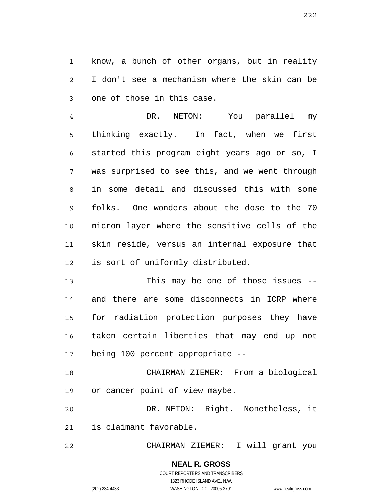1 2 3 know, a bunch of other organs, but in reality I don't see a mechanism where the skin can be one of those in this case.

4 5 6 7 8 9 10 11 12 DR. NETON: You parallel my thinking exactly. In fact, when we first started this program eight years ago or so, I was surprised to see this, and we went through in some detail and discussed this with some folks. One wonders about the dose to the 70 micron layer where the sensitive cells of the skin reside, versus an internal exposure that is sort of uniformly distributed.

13 14 15 16 17 This may be one of those issues - and there are some disconnects in ICRP where for radiation protection purposes they have taken certain liberties that may end up not being 100 percent appropriate --

18 19 CHAIRMAN ZIEMER: From a biological or cancer point of view maybe.

20 21 DR. NETON: Right. Nonetheless, it is claimant favorable.

22 CHAIRMAN ZIEMER: I will grant you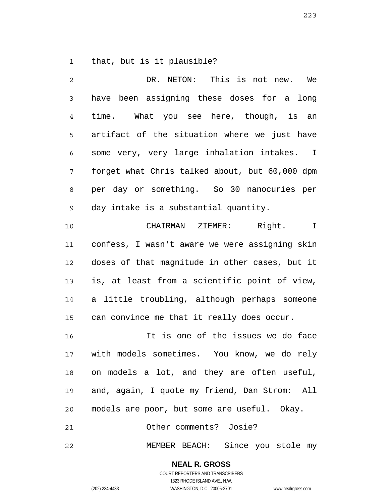1 that, but is it plausible?

2 3 4 5 6 7 8 9 10 11 12 13 14 15 16 17 18 19 20 21 DR. NETON: This is not new. We have been assigning these doses for a long time. What you see here, though, is an artifact of the situation where we just have some very, very large inhalation intakes. I forget what Chris talked about, but 60,000 dpm per day or something. So 30 nanocuries per day intake is a substantial quantity. CHAIRMAN ZIEMER: Right. I confess, I wasn't aware we were assigning skin doses of that magnitude in other cases, but it is, at least from a scientific point of view, a little troubling, although perhaps someone can convince me that it really does occur. It is one of the issues we do face with models sometimes. You know, we do rely on models a lot, and they are often useful, and, again, I quote my friend, Dan Strom: All models are poor, but some are useful. Okay. Other comments? Josie?

22 MEMBER BEACH: Since you stole my

223

COURT REPORTERS AND TRANSCRIBERS 1323 RHODE ISLAND AVE., N.W. (202) 234-4433 WASHINGTON, D.C. 20005-3701 www.nealrgross.com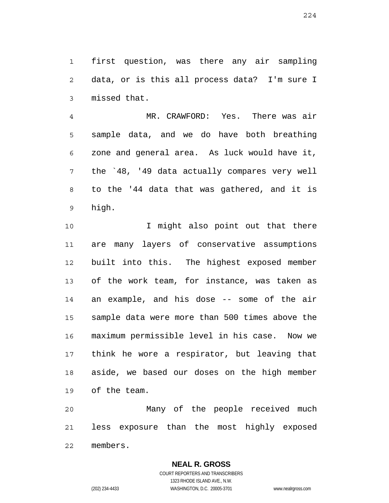1 2 3 first question, was there any air sampling data, or is this all process data? I'm sure I missed that.

4 5 6 7 8 9 MR. CRAWFORD: Yes. There was air sample data, and we do have both breathing zone and general area. As luck would have it, the `48, '49 data actually compares very well to the '44 data that was gathered, and it is high.

10 11 12 13 14 15 16 17 18 19 I might also point out that there are many layers of conservative assumptions built into this. The highest exposed member of the work team, for instance, was taken as an example, and his dose -- some of the air sample data were more than 500 times above the maximum permissible level in his case. Now we think he wore a respirator, but leaving that aside, we based our doses on the high member of the team.

20 21 22 Many of the people received much less exposure than the most highly exposed members.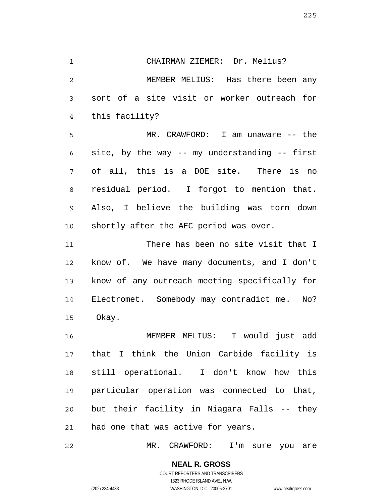1 2 3 4 CHAIRMAN ZIEMER: Dr. Melius? MEMBER MELIUS: Has there been any sort of a site visit or worker outreach for this facility?

5 6 7 8 9 10 MR. CRAWFORD: I am unaware -- the site, by the way -- my understanding -- first of all, this is a DOE site. There is no residual period. I forgot to mention that. Also, I believe the building was torn down shortly after the AEC period was over.

11 12 13 14 15 There has been no site visit that I know of. We have many documents, and I don't know of any outreach meeting specifically for Electromet. Somebody may contradict me. No? Okay.

16 17 18 19 20 21 MEMBER MELIUS: I would just add that I think the Union Carbide facility is still operational. I don't know how this particular operation was connected to that, but their facility in Niagara Falls -- they had one that was active for years.

22 MR. CRAWFORD: I'm sure you are

225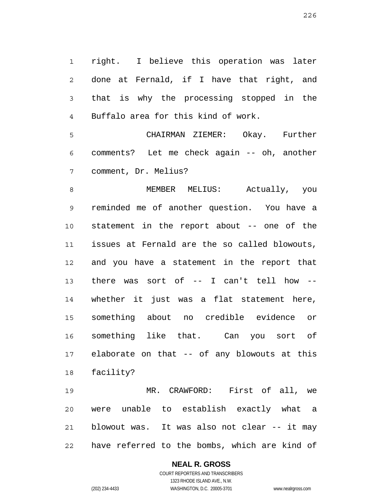1 2 3 4 right. I believe this operation was later done at Fernald, if I have that right, and that is why the processing stopped in the Buffalo area for this kind of work.

5 6 7 CHAIRMAN ZIEMER: Okay. Further comments? Let me check again -- oh, another comment, Dr. Melius?

8 9 10 11 12 13 14 15 16 17 18 MEMBER MELIUS: Actually, you reminded me of another question. You have a statement in the report about -- one of the issues at Fernald are the so called blowouts, and you have a statement in the report that there was sort of -- I can't tell how - whether it just was a flat statement here, something about no credible evidence or something like that. Can you sort of elaborate on that -- of any blowouts at this facility?

19 20 21 22 MR. CRAWFORD: First of all, we were unable to establish exactly what a blowout was. It was also not clear -- it may have referred to the bombs, which are kind of

# **NEAL R. GROSS**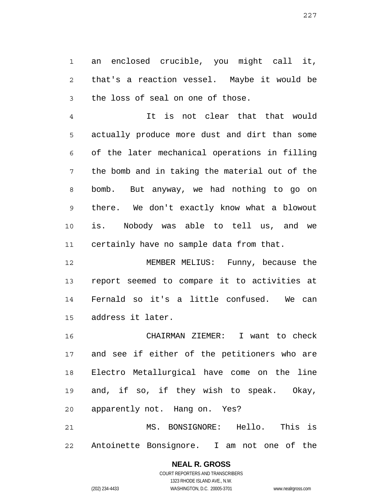1 2 3 an enclosed crucible, you might call it, that's a reaction vessel. Maybe it would be the loss of seal on one of those.

4 5 6 7 8 9 10 11 It is not clear that that would actually produce more dust and dirt than some of the later mechanical operations in filling the bomb and in taking the material out of the bomb. But anyway, we had nothing to go on there. We don't exactly know what a blowout is. Nobody was able to tell us, and we certainly have no sample data from that.

12 13 14 15 MEMBER MELIUS: Funny, because the report seemed to compare it to activities at Fernald so it's a little confused. We can address it later.

16 17 18 19 20 CHAIRMAN ZIEMER: I want to check and see if either of the petitioners who are Electro Metallurgical have come on the line and, if so, if they wish to speak. Okay, apparently not. Hang on. Yes?

21 22 MS. BONSIGNORE: Hello. This is Antoinette Bonsignore. I am not one of the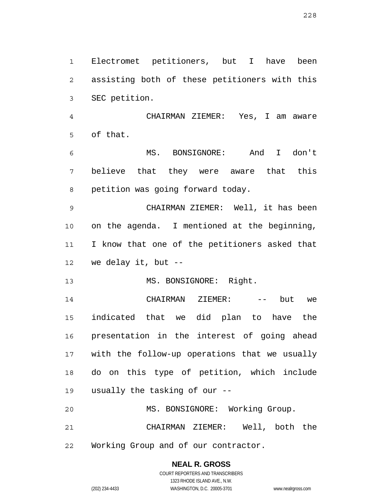1 2 3 Electromet petitioners, but I have been assisting both of these petitioners with this SEC petition.

4 5 CHAIRMAN ZIEMER: Yes, I am aware of that.

6 7 8 MS. BONSIGNORE: And I don't believe that they were aware that this petition was going forward today.

9 10 11 12 CHAIRMAN ZIEMER: Well, it has been on the agenda. I mentioned at the beginning, I know that one of the petitioners asked that we delay it, but  $-$ 

13 MS. BONSIGNORE: Right.

14 15 16 17 18 19 CHAIRMAN ZIEMER: -- but we indicated that we did plan to have the presentation in the interest of going ahead with the follow-up operations that we usually do on this type of petition, which include usually the tasking of our --

20 MS. BONSIGNORE: Working Group.

21 22 CHAIRMAN ZIEMER: Well, both the Working Group and of our contractor.

## **NEAL R. GROSS**

COURT REPORTERS AND TRANSCRIBERS 1323 RHODE ISLAND AVE., N.W. (202) 234-4433 WASHINGTON, D.C. 20005-3701 www.nealrgross.com

228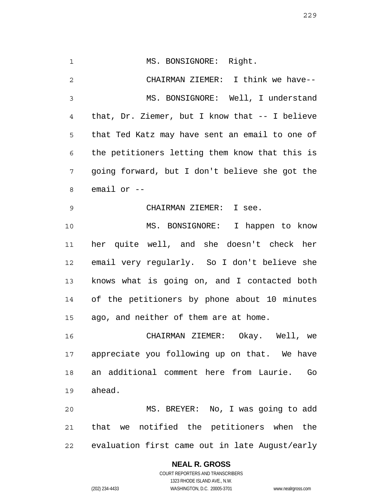1 2 3 4 5 6 7 8 9 10 11 12 13 14 15 16 17 18 19 20 MS. BONSIGNORE: Right. CHAIRMAN ZIEMER: I think we have-- MS. BONSIGNORE: Well, I understand that, Dr. Ziemer, but I know that -- I believe that Ted Katz may have sent an email to one of the petitioners letting them know that this is going forward, but I don't believe she got the email or -- CHAIRMAN ZIEMER: I see. MS. BONSIGNORE: I happen to know her quite well, and she doesn't check her email very regularly. So I don't believe she knows what is going on, and I contacted both of the petitioners by phone about 10 minutes ago, and neither of them are at home. CHAIRMAN ZIEMER: Okay. Well, we appreciate you following up on that. We have an additional comment here from Laurie. Go ahead. MS. BREYER: No, I was going to add

21 22 that we notified the petitioners when the evaluation first came out in late August/early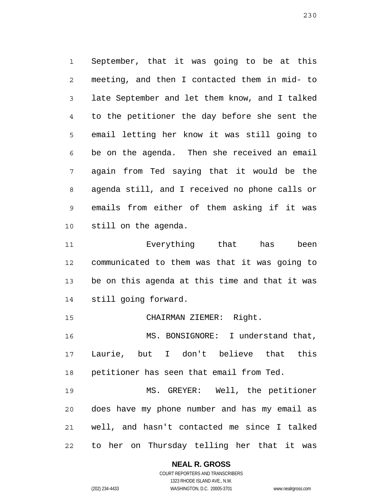1 2 3 4 5 6 7 8 9 10 September, that it was going to be at this meeting, and then I contacted them in mid- to late September and let them know, and I talked to the petitioner the day before she sent the email letting her know it was still going to be on the agenda. Then she received an email again from Ted saying that it would be the agenda still, and I received no phone calls or emails from either of them asking if it was still on the agenda.

11 12 13 14 Everything that has been communicated to them was that it was going to be on this agenda at this time and that it was still going forward.

15 CHAIRMAN ZIEMER: Right.

16 17 18 MS. BONSIGNORE: I understand that, Laurie, but I don't believe that this petitioner has seen that email from Ted.

19 20 21 22 MS. GREYER: Well, the petitioner does have my phone number and has my email as well, and hasn't contacted me since I talked to her on Thursday telling her that it was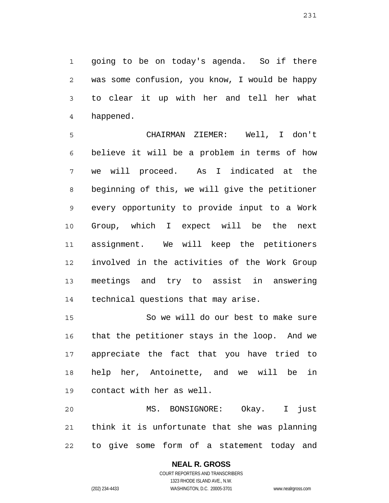1 2 3 4 going to be on today's agenda. So if there was some confusion, you know, I would be happy to clear it up with her and tell her what happened.

5 6 7 8 9 10 11 12 13 14 CHAIRMAN ZIEMER: Well, I don't believe it will be a problem in terms of how we will proceed. As I indicated at the beginning of this, we will give the petitioner every opportunity to provide input to a Work Group, which I expect will be the next assignment. We will keep the petitioners involved in the activities of the Work Group meetings and try to assist in answering technical questions that may arise.

15 16 17 18 19 So we will do our best to make sure that the petitioner stays in the loop. And we appreciate the fact that you have tried to help her, Antoinette, and we will be in contact with her as well.

20 21 22 MS. BONSIGNORE: Okay. I just think it is unfortunate that she was planning to give some form of a statement today and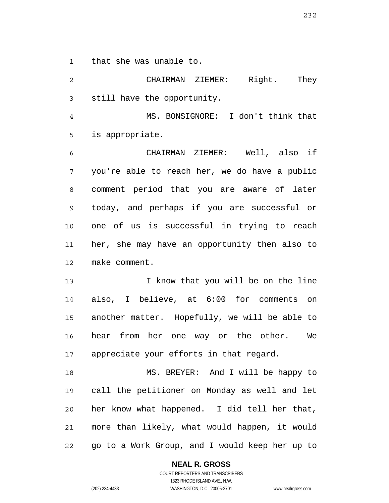1 that she was unable to.

2 3 CHAIRMAN ZIEMER: Right. They still have the opportunity.

4 5 MS. BONSIGNORE: I don't think that is appropriate.

6 7 8 9 10 11 12 CHAIRMAN ZIEMER: Well, also if you're able to reach her, we do have a public comment period that you are aware of later today, and perhaps if you are successful or one of us is successful in trying to reach her, she may have an opportunity then also to make comment.

13 14 15 16 17 I know that you will be on the line also, I believe, at 6:00 for comments on another matter. Hopefully, we will be able to hear from her one way or the other. We appreciate your efforts in that regard.

18 19 20 21 22 MS. BREYER: And I will be happy to call the petitioner on Monday as well and let her know what happened. I did tell her that, more than likely, what would happen, it would go to a Work Group, and I would keep her up to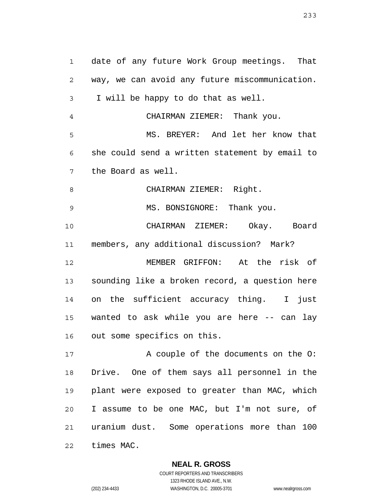1 2 3 4 5 6 7 8 9 10 11 12 13 14 15 16 17 18 19 20 21 date of any future Work Group meetings. That way, we can avoid any future miscommunication. I will be happy to do that as well. CHAIRMAN ZIEMER: Thank you. MS. BREYER: And let her know that she could send a written statement by email to the Board as well. CHAIRMAN ZIEMER: Right. MS. BONSIGNORE: Thank you. CHAIRMAN ZIEMER: Okay. Board members, any additional discussion? Mark? MEMBER GRIFFON: At the risk of sounding like a broken record, a question here on the sufficient accuracy thing. I just wanted to ask while you are here -- can lay out some specifics on this. A couple of the documents on the O: Drive. One of them says all personnel in the plant were exposed to greater than MAC, which I assume to be one MAC, but I'm not sure, of uranium dust. Some operations more than 100

22 times MAC.

**NEAL R. GROSS**

COURT REPORTERS AND TRANSCRIBERS 1323 RHODE ISLAND AVE., N.W. (202) 234-4433 WASHINGTON, D.C. 20005-3701 www.nealrgross.com

233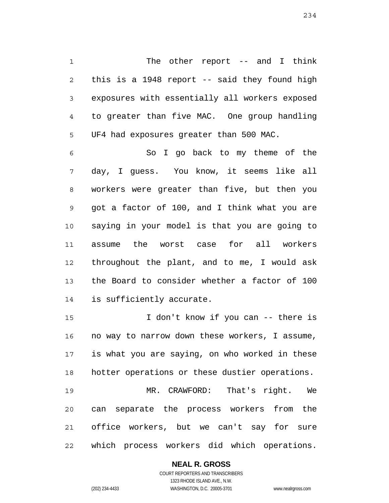1 2 3 4 5 The other report -- and I think this is a 1948 report -- said they found high exposures with essentially all workers exposed to greater than five MAC. One group handling UF4 had exposures greater than 500 MAC.

6 7 8 9 10 11 12 13 14 So I go back to my theme of the day, I guess. You know, it seems like all workers were greater than five, but then you got a factor of 100, and I think what you are saying in your model is that you are going to assume the worst case for all workers throughout the plant, and to me, I would ask the Board to consider whether a factor of 100 is sufficiently accurate.

15 16 17 18 19 I don't know if you can -- there is no way to narrow down these workers, I assume, is what you are saying, on who worked in these hotter operations or these dustier operations. MR. CRAWFORD: That's right. We

20 21 22 can separate the process workers from the office workers, but we can't say for sure which process workers did which operations.

#### **NEAL R. GROSS**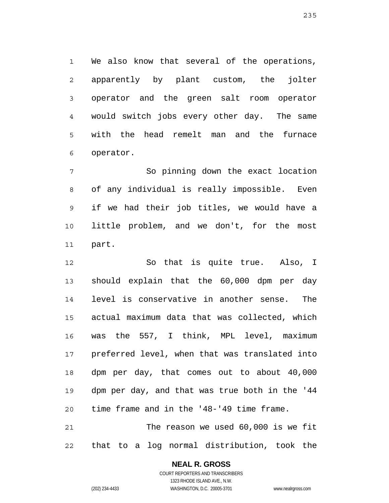1 2 3 4 5 6 We also know that several of the operations, apparently by plant custom, the jolter operator and the green salt room operator would switch jobs every other day. The same with the head remelt man and the furnace operator.

7 8 9 10 11 So pinning down the exact location of any individual is really impossible. Even if we had their job titles, we would have a little problem, and we don't, for the most part.

12 13 14 15 16 17 18 19 20 21 So that is quite true. Also, I should explain that the 60,000 dpm per day level is conservative in another sense. The actual maximum data that was collected, which was the 557, I think, MPL level, maximum preferred level, when that was translated into dpm per day, that comes out to about 40,000 dpm per day, and that was true both in the '44 time frame and in the '48-'49 time frame. The reason we used 60,000 is we fit

22 that to a log normal distribution, took the

# **NEAL R. GROSS**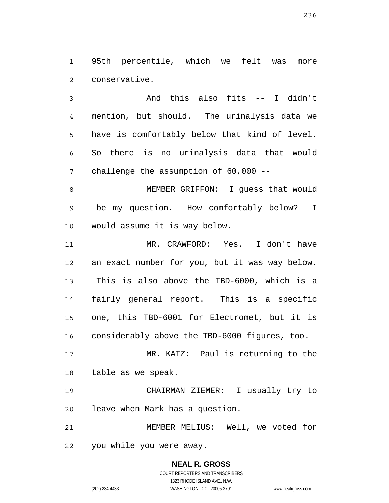1 2 95th percentile, which we felt was more conservative.

3 4 5 6 7 And this also fits -- I didn't mention, but should. The urinalysis data we have is comfortably below that kind of level. So there is no urinalysis data that would challenge the assumption of 60,000 --

8 9 10 MEMBER GRIFFON: I guess that would be my question. How comfortably below? I would assume it is way below.

11 12 13 14 15 16 MR. CRAWFORD: Yes. I don't have an exact number for you, but it was way below. This is also above the TBD-6000, which is a fairly general report. This is a specific one, this TBD-6001 for Electromet, but it is considerably above the TBD-6000 figures, too.

17 18 MR. KATZ: Paul is returning to the table as we speak.

19 20 CHAIRMAN ZIEMER: I usually try to leave when Mark has a question.

21 22 MEMBER MELIUS: Well, we voted for you while you were away.

> **NEAL R. GROSS** COURT REPORTERS AND TRANSCRIBERS 1323 RHODE ISLAND AVE., N.W. (202) 234-4433 WASHINGTON, D.C. 20005-3701 www.nealrgross.com

236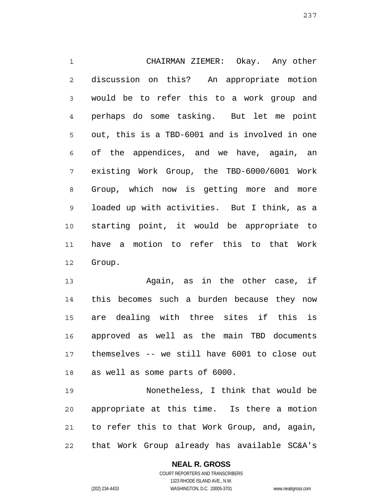1 2 3 4 5 6 7 8 9 10 11 12 CHAIRMAN ZIEMER: Okay. Any other discussion on this? An appropriate motion would be to refer this to a work group and perhaps do some tasking. But let me point out, this is a TBD-6001 and is involved in one of the appendices, and we have, again, an existing Work Group, the TBD-6000/6001 Work Group, which now is getting more and more loaded up with activities. But I think, as a starting point, it would be appropriate to have a motion to refer this to that Work Group.

13 14 15 16 17 18 Again, as in the other case, if this becomes such a burden because they now are dealing with three sites if this is approved as well as the main TBD documents themselves -- we still have 6001 to close out as well as some parts of 6000.

19 20 21 22 Nonetheless, I think that would be appropriate at this time. Is there a motion to refer this to that Work Group, and, again, that Work Group already has available SC&A's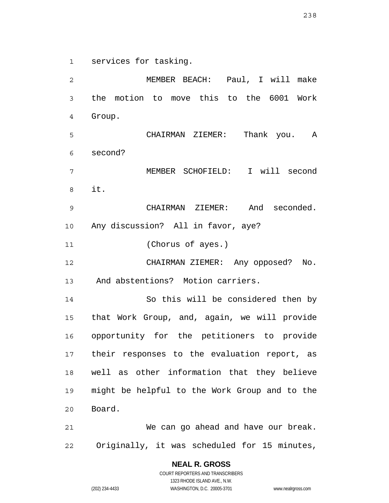1 services for tasking.

2 3 4 5 6 7 8 9 10 11 12 13 14 15 16 17 18 19 20 21 22 MEMBER BEACH: Paul, I will make the motion to move this to the 6001 Work Group. CHAIRMAN ZIEMER: Thank you. A second? MEMBER SCHOFIELD: I will second it. CHAIRMAN ZIEMER: And seconded. Any discussion? All in favor, aye? (Chorus of ayes.) CHAIRMAN ZIEMER: Any opposed? No. And abstentions? Motion carriers. So this will be considered then by that Work Group, and, again, we will provide opportunity for the petitioners to provide their responses to the evaluation report, as well as other information that they believe might be helpful to the Work Group and to the Board. We can go ahead and have our break. Originally, it was scheduled for 15 minutes,

238

COURT REPORTERS AND TRANSCRIBERS 1323 RHODE ISLAND AVE., N.W. (202) 234-4433 WASHINGTON, D.C. 20005-3701 www.nealrgross.com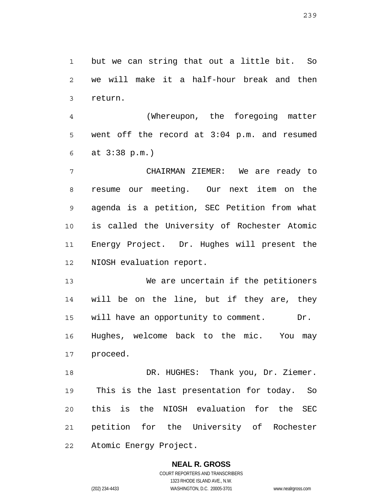1 2 3 but we can string that out a little bit. So we will make it a half-hour break and then return.

4 5 6 (Whereupon, the foregoing matter went off the record at 3:04 p.m. and resumed at 3:38 p.m.)

7 8 9 10 11 12 CHAIRMAN ZIEMER: We are ready to resume our meeting. Our next item on the agenda is a petition, SEC Petition from what is called the University of Rochester Atomic Energy Project. Dr. Hughes will present the NIOSH evaluation report.

13 14 15 16 17 We are uncertain if the petitioners will be on the line, but if they are, they will have an opportunity to comment. Dr. Hughes, welcome back to the mic. You may proceed.

18 19 20 21 22 DR. HUGHES: Thank you, Dr. Ziemer. This is the last presentation for today. So this is the NIOSH evaluation for the SEC petition for the University of Rochester Atomic Energy Project.

# **NEAL R. GROSS**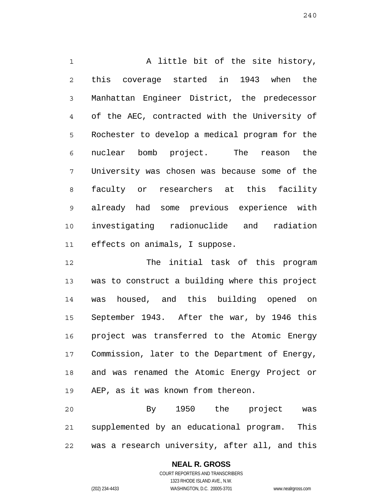1 2 3 4 5 6 7 8 9 10 11 A little bit of the site history, this coverage started in 1943 when the Manhattan Engineer District, the predecessor of the AEC, contracted with the University of Rochester to develop a medical program for the nuclear bomb project. The reason the University was chosen was because some of the faculty or researchers at this facility already had some previous experience with investigating radionuclide and radiation effects on animals, I suppose.

12 13 14 15 16 17 18 19 The initial task of this program was to construct a building where this project was housed, and this building opened on September 1943. After the war, by 1946 this project was transferred to the Atomic Energy Commission, later to the Department of Energy, and was renamed the Atomic Energy Project or AEP, as it was known from thereon.

20 21 22 By 1950 the project was supplemented by an educational program. This was a research university, after all, and this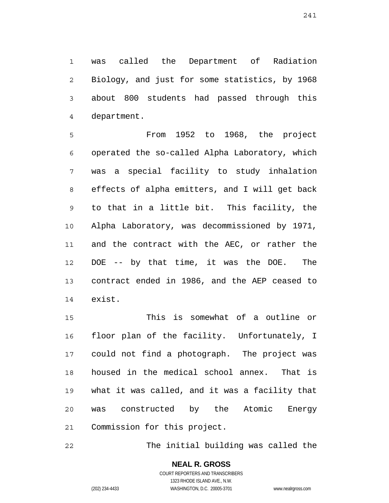1 2 3 4 was called the Department of Radiation Biology, and just for some statistics, by 1968 about 800 students had passed through this department.

5 6 7 8 9 10 11 12 13 14 From 1952 to 1968, the project operated the so-called Alpha Laboratory, which was a special facility to study inhalation effects of alpha emitters, and I will get back to that in a little bit. This facility, the Alpha Laboratory, was decommissioned by 1971, and the contract with the AEC, or rather the DOE -- by that time, it was the DOE. The contract ended in 1986, and the AEP ceased to exist.

15 16 17 18 19 20 21 This is somewhat of a outline or floor plan of the facility. Unfortunately, I could not find a photograph. The project was housed in the medical school annex. That is what it was called, and it was a facility that was constructed by the Atomic Energy Commission for this project.

22 The initial building was called the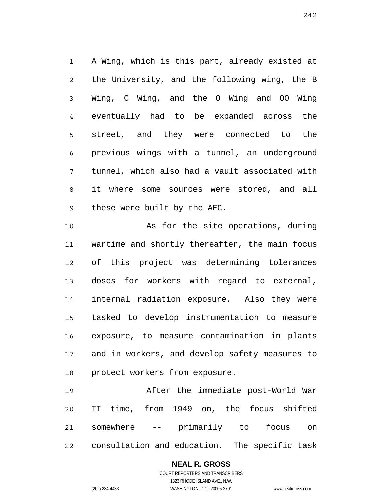1 2 3 4 5 6 7 8 9 A Wing, which is this part, already existed at the University, and the following wing, the B Wing, C Wing, and the O Wing and OO Wing eventually had to be expanded across the street, and they were connected to the previous wings with a tunnel, an underground tunnel, which also had a vault associated with it where some sources were stored, and all these were built by the AEC.

10 11 12 13 14 15 16 17 18 As for the site operations, during wartime and shortly thereafter, the main focus of this project was determining tolerances doses for workers with regard to external, internal radiation exposure. Also they were tasked to develop instrumentation to measure exposure, to measure contamination in plants and in workers, and develop safety measures to protect workers from exposure.

19 20 21 22 After the immediate post-World War II time, from 1949 on, the focus shifted somewhere -- primarily to focus on consultation and education. The specific task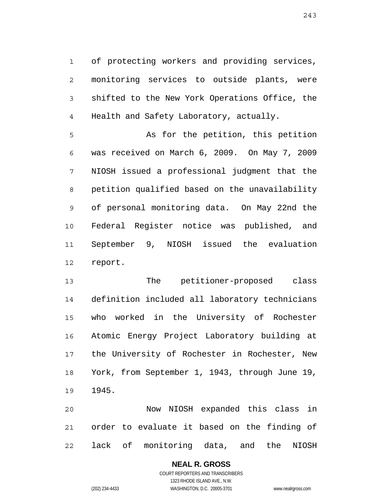1 2 3 4 of protecting workers and providing services, monitoring services to outside plants, were shifted to the New York Operations Office, the Health and Safety Laboratory, actually.

5 6 7 8 9 10 11 12 As for the petition, this petition was received on March 6, 2009. On May 7, 2009 NIOSH issued a professional judgment that the petition qualified based on the unavailability of personal monitoring data. On May 22nd the Federal Register notice was published, and September 9, NIOSH issued the evaluation report.

13 14 15 16 17 18 19 The petitioner-proposed class definition included all laboratory technicians who worked in the University of Rochester Atomic Energy Project Laboratory building at the University of Rochester in Rochester, New York, from September 1, 1943, through June 19, 1945.

20 21 22 Now NIOSH expanded this class in order to evaluate it based on the finding of lack of monitoring data, and the NIOSH

## **NEAL R. GROSS**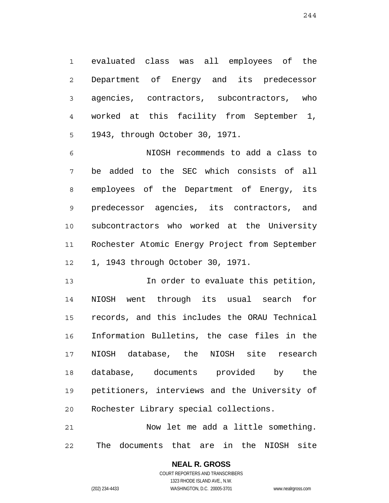1 2 3 4 5 evaluated class was all employees of the Department of Energy and its predecessor agencies, contractors, subcontractors, who worked at this facility from September 1, 1943, through October 30, 1971.

6 7 8 9 10 11 12 NIOSH recommends to add a class to be added to the SEC which consists of all employees of the Department of Energy, its predecessor agencies, its contractors, and subcontractors who worked at the University Rochester Atomic Energy Project from September 1, 1943 through October 30, 1971.

13 14 15 16 17 18 19 20 In order to evaluate this petition, NIOSH went through its usual search for records, and this includes the ORAU Technical Information Bulletins, the case files in the NIOSH database, the NIOSH site research database, documents provided by the petitioners, interviews and the University of Rochester Library special collections.

21 22 Now let me add a little something. The documents that are in the NIOSH site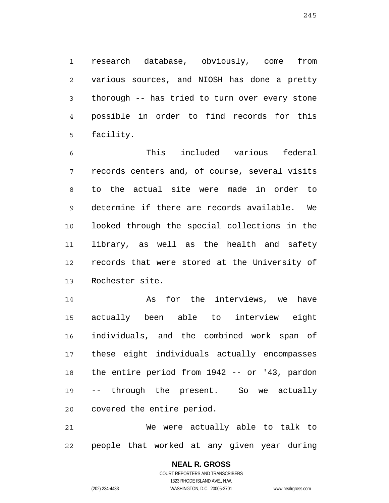1 2 3 4 5 research database, obviously, come from various sources, and NIOSH has done a pretty thorough -- has tried to turn over every stone possible in order to find records for this facility.

6 7 8 9 10 11 12 13 This included various federal records centers and, of course, several visits to the actual site were made in order to determine if there are records available. We looked through the special collections in the library, as well as the health and safety records that were stored at the University of Rochester site.

14 15 16 17 18 19 20 As for the interviews, we have actually been able to interview eight individuals, and the combined work span of these eight individuals actually encompasses the entire period from 1942 -- or '43, pardon -- through the present. So we actually covered the entire period.

21 22 We were actually able to talk to people that worked at any given year during

> **NEAL R. GROSS** COURT REPORTERS AND TRANSCRIBERS 1323 RHODE ISLAND AVE., N.W. (202) 234-4433 WASHINGTON, D.C. 20005-3701 www.nealrgross.com

245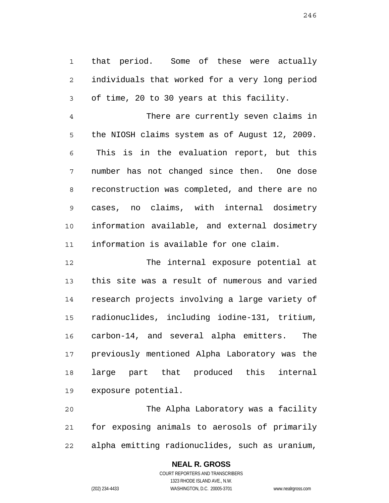1 2 3 that period. Some of these were actually individuals that worked for a very long period of time, 20 to 30 years at this facility.

4 5 6 7 8 9 10 11 There are currently seven claims in the NIOSH claims system as of August 12, 2009. This is in the evaluation report, but this number has not changed since then. One dose reconstruction was completed, and there are no cases, no claims, with internal dosimetry information available, and external dosimetry information is available for one claim.

12 13 14 15 16 17 18 19 The internal exposure potential at this site was a result of numerous and varied research projects involving a large variety of radionuclides, including iodine-131, tritium, carbon-14, and several alpha emitters. The previously mentioned Alpha Laboratory was the large part that produced this internal exposure potential.

20 21 22 The Alpha Laboratory was a facility for exposing animals to aerosols of primarily alpha emitting radionuclides, such as uranium,

## **NEAL R. GROSS**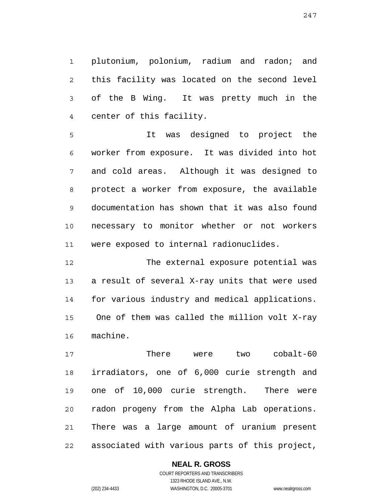1 2 3 4 plutonium, polonium, radium and radon; and this facility was located on the second level of the B Wing. It was pretty much in the center of this facility.

5 6 7 8 9 10 11 It was designed to project the worker from exposure. It was divided into hot and cold areas. Although it was designed to protect a worker from exposure, the available documentation has shown that it was also found necessary to monitor whether or not workers were exposed to internal radionuclides.

12 13 14 15 16 The external exposure potential was a result of several X-ray units that were used for various industry and medical applications. One of them was called the million volt X-ray machine.

17 18 19 20 21 22 There were two cobalt-60 irradiators, one of 6,000 curie strength and one of 10,000 curie strength. There were radon progeny from the Alpha Lab operations. There was a large amount of uranium present associated with various parts of this project,

> COURT REPORTERS AND TRANSCRIBERS 1323 RHODE ISLAND AVE., N.W. (202) 234-4433 WASHINGTON, D.C. 20005-3701 www.nealrgross.com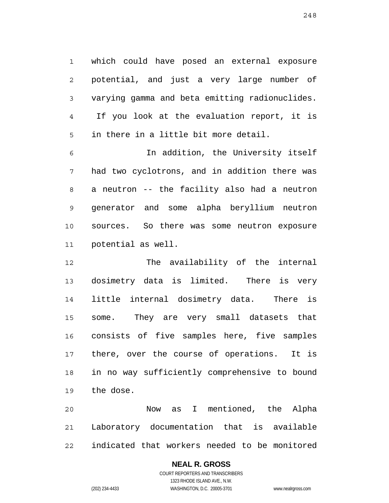1 2 3 4 5 which could have posed an external exposure potential, and just a very large number of varying gamma and beta emitting radionuclides. If you look at the evaluation report, it is in there in a little bit more detail.

6 7 8 9 10 11 In addition, the University itself had two cyclotrons, and in addition there was a neutron -- the facility also had a neutron generator and some alpha beryllium neutron sources. So there was some neutron exposure potential as well.

12 13 14 15 16 17 18 19 The availability of the internal dosimetry data is limited. There is very little internal dosimetry data. There is some. They are very small datasets that consists of five samples here, five samples there, over the course of operations. It is in no way sufficiently comprehensive to bound the dose.

20 21 22 Now as I mentioned, the Alpha Laboratory documentation that is available indicated that workers needed to be monitored

# **NEAL R. GROSS**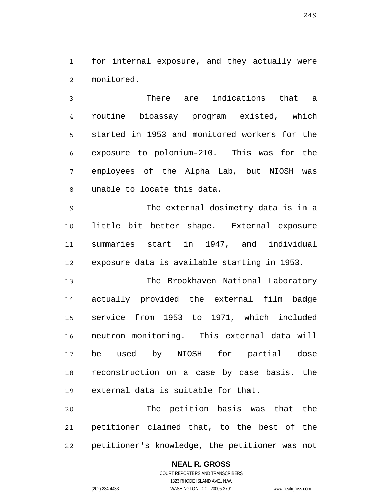1 2 for internal exposure, and they actually were monitored.

3 4 5 6 7 8 There are indications that a routine bioassay program existed, which started in 1953 and monitored workers for the exposure to polonium-210. This was for the employees of the Alpha Lab, but NIOSH was unable to locate this data.

9 10 11 12 The external dosimetry data is in a little bit better shape. External exposure summaries start in 1947, and individual exposure data is available starting in 1953.

13 14 15 16 17 18 19 The Brookhaven National Laboratory actually provided the external film badge service from 1953 to 1971, which included neutron monitoring. This external data will be used by NIOSH for partial dose reconstruction on a case by case basis. the external data is suitable for that.

20 21 22 The petition basis was that the petitioner claimed that, to the best of the petitioner's knowledge, the petitioner was not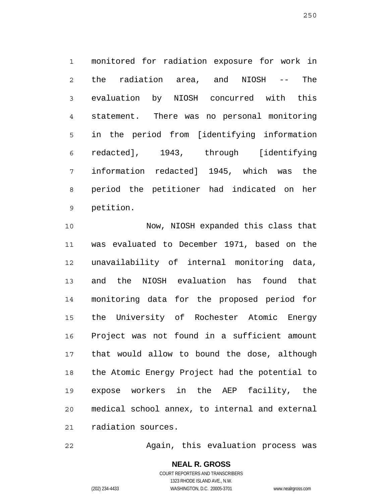1 2 3 4 5 6 7 8 9 monitored for radiation exposure for work in the radiation area, and NIOSH -- The evaluation by NIOSH concurred with this statement. There was no personal monitoring in the period from [identifying information redacted], 1943, through [identifying information redacted] 1945, which was the period the petitioner had indicated on her petition.

10 11 12 13 14 15 16 17 18 19 20 21 Now, NIOSH expanded this class that was evaluated to December 1971, based on the unavailability of internal monitoring data, and the NIOSH evaluation has found that monitoring data for the proposed period for the University of Rochester Atomic Energy Project was not found in a sufficient amount that would allow to bound the dose, although the Atomic Energy Project had the potential to expose workers in the AEP facility, the medical school annex, to internal and external radiation sources.

22 Again, this evaluation process was

> **NEAL R. GROSS** COURT REPORTERS AND TRANSCRIBERS 1323 RHODE ISLAND AVE., N.W.

(202) 234-4433 WASHINGTON, D.C. 20005-3701 www.nealrgross.com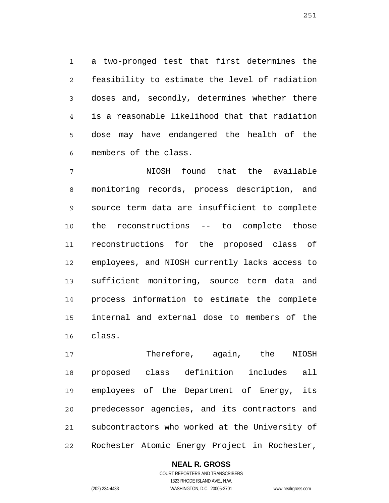1 2 3 4 5 6 a two-pronged test that first determines the feasibility to estimate the level of radiation doses and, secondly, determines whether there is a reasonable likelihood that that radiation dose may have endangered the health of the members of the class.

7 8 9 10 11 12 13 14 15 16 NIOSH found that the available monitoring records, process description, and source term data are insufficient to complete the reconstructions -- to complete those reconstructions for the proposed class of employees, and NIOSH currently lacks access to sufficient monitoring, source term data and process information to estimate the complete internal and external dose to members of the class.

17 18 19 20 21 22 Therefore, again, the NIOSH proposed class definition includes all employees of the Department of Energy, its predecessor agencies, and its contractors and subcontractors who worked at the University of Rochester Atomic Energy Project in Rochester,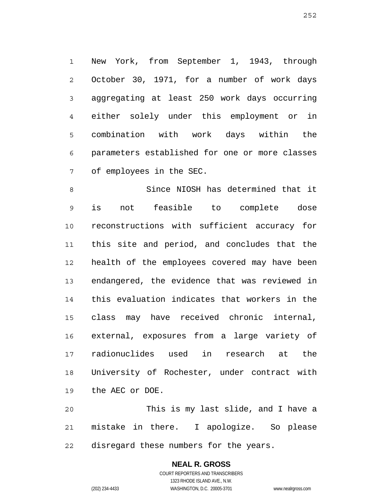1 2 3 4 5 6 7 New York, from September 1, 1943, through October 30, 1971, for a number of work days aggregating at least 250 work days occurring either solely under this employment or in combination with work days within the parameters established for one or more classes of employees in the SEC.

8 9 10 11 12 13 14 15 16 17 18 19 Since NIOSH has determined that it is not feasible to complete dose reconstructions with sufficient accuracy for this site and period, and concludes that the health of the employees covered may have been endangered, the evidence that was reviewed in this evaluation indicates that workers in the class may have received chronic internal, external, exposures from a large variety of radionuclides used in research at the University of Rochester, under contract with the AEC or DOE.

20 21 22 This is my last slide, and I have a mistake in there. I apologize. So please disregard these numbers for the years.

## **NEAL R. GROSS** COURT REPORTERS AND TRANSCRIBERS 1323 RHODE ISLAND AVE., N.W. (202) 234-4433 WASHINGTON, D.C. 20005-3701 www.nealrgross.com

252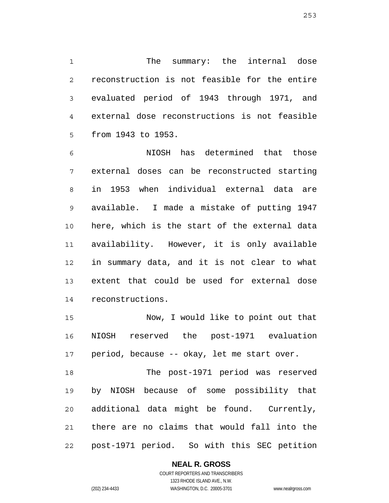1 2 3 4 5 The summary: the internal dose reconstruction is not feasible for the entire evaluated period of 1943 through 1971, and external dose reconstructions is not feasible from 1943 to 1953.

6 7 8 9 10 11 12 13 14 NIOSH has determined that those external doses can be reconstructed starting in 1953 when individual external data are available. I made a mistake of putting 1947 here, which is the start of the external data availability. However, it is only available in summary data, and it is not clear to what extent that could be used for external dose reconstructions.

15 16 17 Now, I would like to point out that NIOSH reserved the post-1971 evaluation period, because -- okay, let me start over.

18 19 20 21 22 The post-1971 period was reserved by NIOSH because of some possibility that additional data might be found. Currently, there are no claims that would fall into the post-1971 period. So with this SEC petition

**NEAL R. GROSS**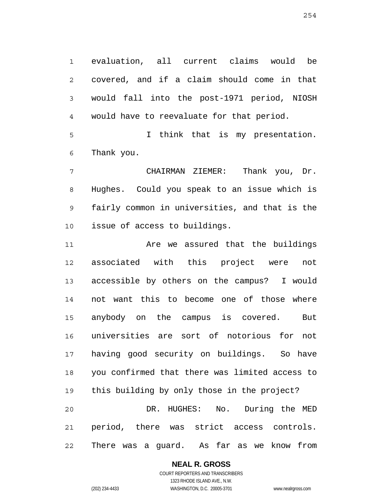1 2 3 4 evaluation, all current claims would be covered, and if a claim should come in that would fall into the post-1971 period, NIOSH would have to reevaluate for that period.

5 6 I think that is my presentation. Thank you.

7 8 9 10 CHAIRMAN ZIEMER: Thank you, Dr. Hughes. Could you speak to an issue which is fairly common in universities, and that is the issue of access to buildings.

11 12 13 14 15 16 17 18 19 20 21 22 Are we assured that the buildings associated with this project were not accessible by others on the campus? I would not want this to become one of those where anybody on the campus is covered. But universities are sort of notorious for not having good security on buildings. So have you confirmed that there was limited access to this building by only those in the project? DR. HUGHES: No. During the MED period, there was strict access controls. There was a guard. As far as we know from

# **NEAL R. GROSS**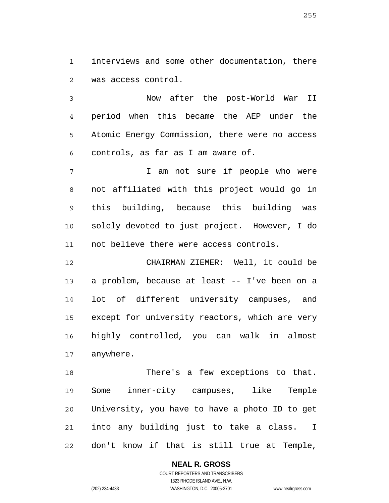1 2 interviews and some other documentation, there was access control.

3 4 5 6 Now after the post-World War II period when this became the AEP under the Atomic Energy Commission, there were no access controls, as far as I am aware of.

7 8 9 10 11 I am not sure if people who were not affiliated with this project would go in this building, because this building was solely devoted to just project. However, I do not believe there were access controls.

12 13 14 15 16 17 CHAIRMAN ZIEMER: Well, it could be a problem, because at least -- I've been on a lot of different university campuses, and except for university reactors, which are very highly controlled, you can walk in almost anywhere.

18 19 20 21 22 There's a few exceptions to that. Some inner-city campuses, like Temple University, you have to have a photo ID to get into any building just to take a class. I don't know if that is still true at Temple,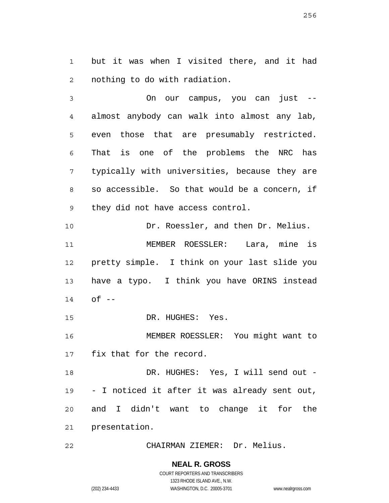1 2 but it was when I visited there, and it had nothing to do with radiation.

3 4 5 6 7 8 9 On our campus, you can just - almost anybody can walk into almost any lab, even those that are presumably restricted. That is one of the problems the NRC has typically with universities, because they are so accessible. So that would be a concern, if they did not have access control.

10 11 12 13 14 Dr. Roessler, and then Dr. Melius. MEMBER ROESSLER: Lara, mine is pretty simple. I think on your last slide you have a typo. I think you have ORINS instead  $of$   $-$ 

15 DR. HUGHES: Yes.

16 17 MEMBER ROESSLER: You might want to fix that for the record.

18 19 20 21 DR. HUGHES: Yes, I will send out -- I noticed it after it was already sent out, and I didn't want to change it for the presentation.

22 CHAIRMAN ZIEMER: Dr. Melius.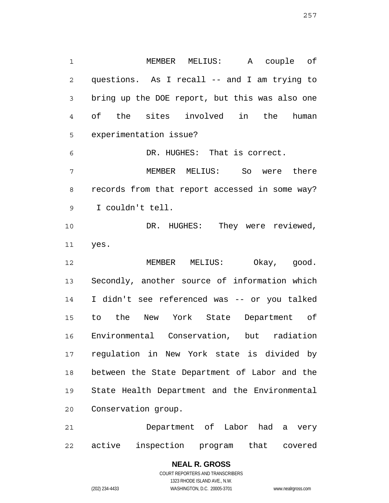1 2 3 4 5 6 7 8 9 10 11 12 13 14 15 MEMBER MELIUS: A couple of questions. As I recall -- and I am trying to bring up the DOE report, but this was also one of the sites involved in the human experimentation issue? DR. HUGHES: That is correct. MEMBER MELIUS: So were there records from that report accessed in some way? I couldn't tell. DR. HUGHES: They were reviewed, yes. MEMBER MELIUS: Okay, good. Secondly, another source of information which I didn't see referenced was -- or you talked to the New York State Department of

18 19 20 between the State Department of Labor and the State Health Department and the Environmental Conservation group.

21 22 Department of Labor had a very active inspection program that covered

### **NEAL R. GROSS** COURT REPORTERS AND TRANSCRIBERS 1323 RHODE ISLAND AVE., N.W. (202) 234-4433 WASHINGTON, D.C. 20005-3701 www.nealrgross.com

Environmental Conservation, but radiation

regulation in New York state is divided by

16

17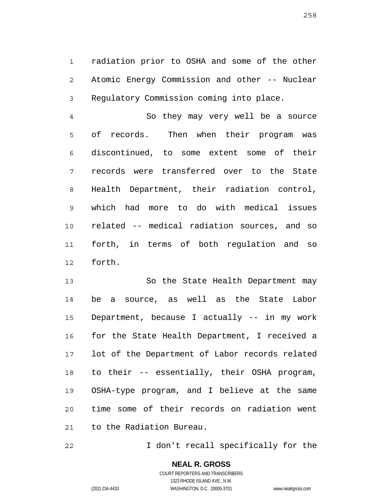1 2 3 radiation prior to OSHA and some of the other Atomic Energy Commission and other -- Nuclear Regulatory Commission coming into place.

4 5 6 7 8 9 10 11 12 So they may very well be a source of records. Then when their program was discontinued, to some extent some of their records were transferred over to the State Health Department, their radiation control, which had more to do with medical issues related -- medical radiation sources, and so forth, in terms of both regulation and so forth.

13 14 15 16 17 18 19 20 21 So the State Health Department may be a source, as well as the State Labor Department, because I actually -- in my work for the State Health Department, I received a lot of the Department of Labor records related to their -- essentially, their OSHA program, OSHA-type program, and I believe at the same time some of their records on radiation went to the Radiation Bureau.

22 I don't recall specifically for the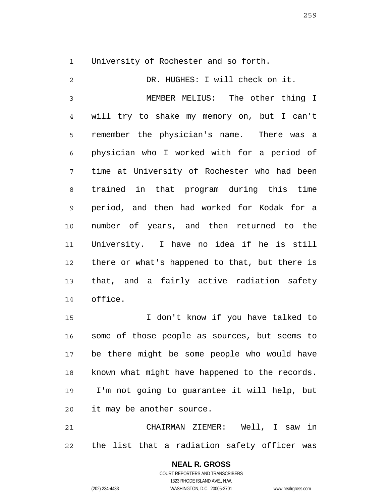1 University of Rochester and so forth.

2 3 4 5 6 7 8 9 10 11 12 13 14 DR. HUGHES: I will check on it. MEMBER MELIUS: The other thing I will try to shake my memory on, but I can't remember the physician's name. There was a physician who I worked with for a period of time at University of Rochester who had been trained in that program during this time period, and then had worked for Kodak for a number of years, and then returned to the University. I have no idea if he is still there or what's happened to that, but there is that, and a fairly active radiation safety office.

15 16 17 18 19 20 I don't know if you have talked to some of those people as sources, but seems to be there might be some people who would have known what might have happened to the records. I'm not going to guarantee it will help, but it may be another source.

21 22 CHAIRMAN ZIEMER: Well, I saw in the list that a radiation safety officer was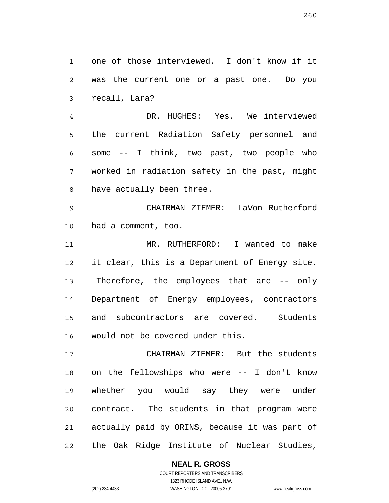1 2 3 one of those interviewed. I don't know if it was the current one or a past one. Do you recall, Lara?

4 5 6 7 8 DR. HUGHES: Yes. We interviewed the current Radiation Safety personnel and some -- I think, two past, two people who worked in radiation safety in the past, might have actually been three.

9 10 CHAIRMAN ZIEMER: LaVon Rutherford had a comment, too.

11 12 13 14 15 16 MR. RUTHERFORD: I wanted to make it clear, this is a Department of Energy site. Therefore, the employees that are -- only Department of Energy employees, contractors and subcontractors are covered. Students would not be covered under this.

17 18 19 20 21 22 CHAIRMAN ZIEMER: But the students on the fellowships who were -- I don't know whether you would say they were under contract. The students in that program were actually paid by ORINS, because it was part of the Oak Ridge Institute of Nuclear Studies,

**NEAL R. GROSS**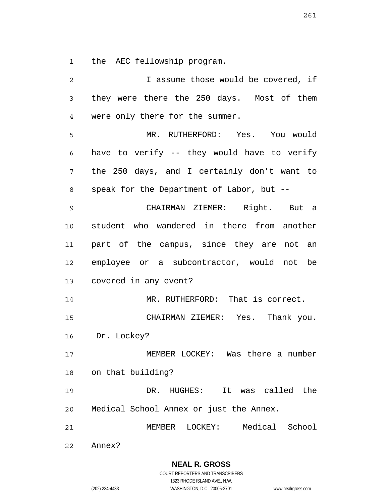1 the AEC fellowship program.

2 3 4 5 6 7 8 9 10 11 12 13 14 15 16 17 18 19 20 21 22 I assume those would be covered, if they were there the 250 days. Most of them were only there for the summer. MR. RUTHERFORD: Yes. You would have to verify -- they would have to verify the 250 days, and I certainly don't want to speak for the Department of Labor, but -- CHAIRMAN ZIEMER: Right. But a student who wandered in there from another part of the campus, since they are not an employee or a subcontractor, would not be covered in any event? MR. RUTHERFORD: That is correct. CHAIRMAN ZIEMER: Yes. Thank you. Dr. Lockey? MEMBER LOCKEY: Was there a number on that building? DR. HUGHES: It was called the Medical School Annex or just the Annex. MEMBER LOCKEY: Medical School Annex?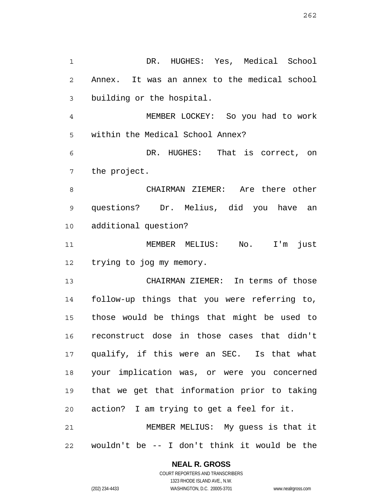1 2 3 4 5 6 7 8 9 10 11 12 13 14 15 16 17 18 19 20 DR. HUGHES: Yes, Medical School Annex. It was an annex to the medical school building or the hospital. MEMBER LOCKEY: So you had to work within the Medical School Annex? DR. HUGHES: That is correct, on the project. CHAIRMAN ZIEMER: Are there other questions? Dr. Melius, did you have an additional question? MEMBER MELIUS: No. I'm just trying to jog my memory. CHAIRMAN ZIEMER: In terms of those follow-up things that you were referring to, those would be things that might be used to reconstruct dose in those cases that didn't qualify, if this were an SEC. Is that what your implication was, or were you concerned that we get that information prior to taking action? I am trying to get a feel for it.

21 22 MEMBER MELIUS: My guess is that it wouldn't be -- I don't think it would be the

> **NEAL R. GROSS** COURT REPORTERS AND TRANSCRIBERS

> > 1323 RHODE ISLAND AVE., N.W.

(202) 234-4433 WASHINGTON, D.C. 20005-3701 www.nealrgross.com

262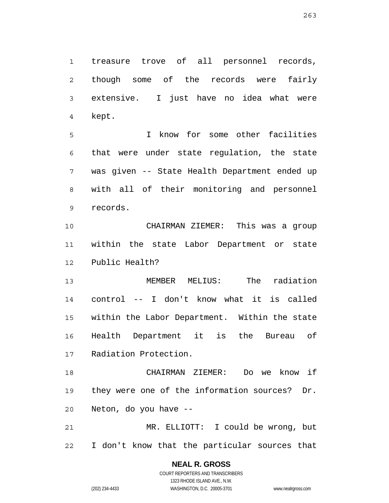1 2 3 4 treasure trove of all personnel records, though some of the records were fairly extensive. I just have no idea what were kept.

5 6 7 8 9 I know for some other facilities that were under state regulation, the state was given -- State Health Department ended up with all of their monitoring and personnel records.

10 11 12 CHAIRMAN ZIEMER: This was a group within the state Labor Department or state Public Health?

13 14 15 16 17 MEMBER MELIUS: The radiation control -- I don't know what it is called within the Labor Department. Within the state Health Department it is the Bureau of Radiation Protection.

18 19 20 CHAIRMAN ZIEMER: Do we know if they were one of the information sources? Dr. Neton, do you have --

21 22 MR. ELLIOTT: I could be wrong, but I don't know that the particular sources that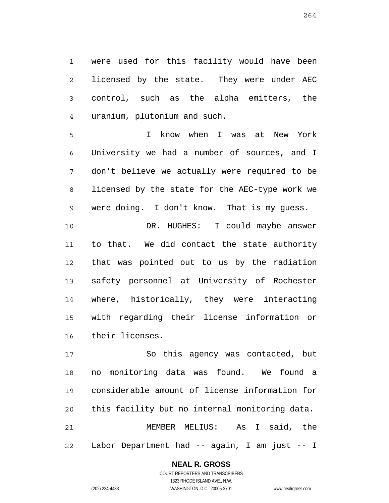1 2 3 4 were used for this facility would have been licensed by the state. They were under AEC control, such as the alpha emitters, the uranium, plutonium and such.

5 6 7 8 9 I know when I was at New York University we had a number of sources, and I don't believe we actually were required to be licensed by the state for the AEC-type work we were doing. I don't know. That is my guess.

10 11 12 13 14 15 16 DR. HUGHES: I could maybe answer to that. We did contact the state authority that was pointed out to us by the radiation safety personnel at University of Rochester where, historically, they were interacting with regarding their license information or their licenses.

17 18 19 20 21 22 So this agency was contacted, but no monitoring data was found. We found a considerable amount of license information for this facility but no internal monitoring data. MEMBER MELIUS: As I said, the Labor Department had -- again, I am just -- I

# **NEAL R. GROSS**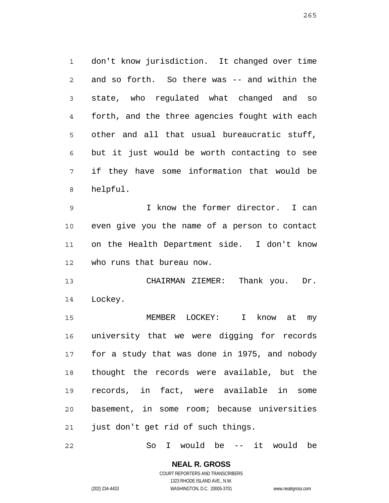1 2 3 4 5 6 7 8 don't know jurisdiction. It changed over time and so forth. So there was -- and within the state, who regulated what changed and so forth, and the three agencies fought with each other and all that usual bureaucratic stuff, but it just would be worth contacting to see if they have some information that would be helpful.

9 10 11 12 I know the former director. I can even give you the name of a person to contact on the Health Department side. I don't know who runs that bureau now.

13 14 CHAIRMAN ZIEMER: Thank you. Dr. Lockey.

15 16 17 18 19 20 21 MEMBER LOCKEY: I know at my university that we were digging for records for a study that was done in 1975, and nobody thought the records were available, but the records, in fact, were available in some basement, in some room; because universities just don't get rid of such things.

22 So I would be -- it would be

> **NEAL R. GROSS** COURT REPORTERS AND TRANSCRIBERS 1323 RHODE ISLAND AVE., N.W.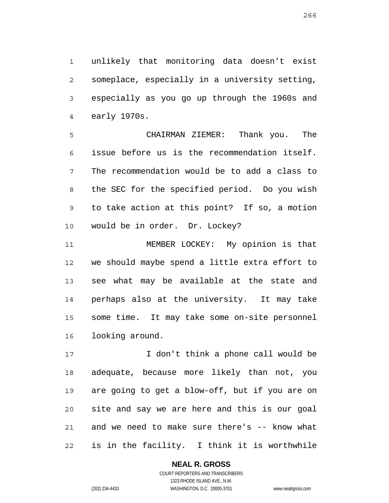1 2 3 4 unlikely that monitoring data doesn't exist someplace, especially in a university setting, especially as you go up through the 1960s and early 1970s.

5 6 7 8 9 10 CHAIRMAN ZIEMER: Thank you. The issue before us is the recommendation itself. The recommendation would be to add a class to the SEC for the specified period. Do you wish to take action at this point? If so, a motion would be in order. Dr. Lockey?

11 12 13 14 15 16 MEMBER LOCKEY: My opinion is that we should maybe spend a little extra effort to see what may be available at the state and perhaps also at the university. It may take some time. It may take some on-site personnel looking around.

17 18 19 20 21 22 I don't think a phone call would be adequate, because more likely than not, you are going to get a blow-off, but if you are on site and say we are here and this is our goal and we need to make sure there's -- know what is in the facility. I think it is worthwhile

> **NEAL R. GROSS** COURT REPORTERS AND TRANSCRIBERS

1323 RHODE ISLAND AVE., N.W. (202) 234-4433 WASHINGTON, D.C. 20005-3701 www.nealrgross.com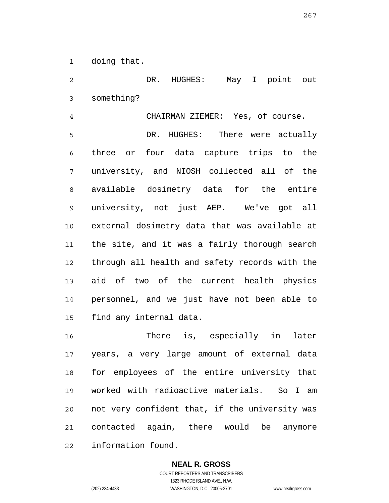1 doing that.

2 3 DR. HUGHES: May I point out something?

4 CHAIRMAN ZIEMER: Yes, of course.

5 6 7 8 9 10 11 12 13 14 15 DR. HUGHES: There were actually three or four data capture trips to the university, and NIOSH collected all of the available dosimetry data for the entire university, not just AEP. We've got all external dosimetry data that was available at the site, and it was a fairly thorough search through all health and safety records with the aid of two of the current health physics personnel, and we just have not been able to find any internal data.

16 17 18 19 20 21 22 There is, especially in later years, a very large amount of external data for employees of the entire university that worked with radioactive materials. So I am not very confident that, if the university was contacted again, there would be anymore information found.

# **NEAL R. GROSS**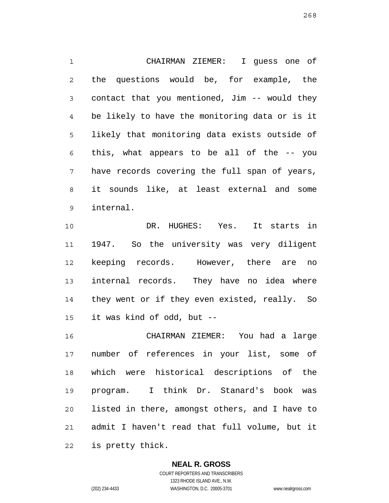1 2 3 4 5 6 7 8 9 CHAIRMAN ZIEMER: I guess one of the questions would be, for example, the contact that you mentioned, Jim -- would they be likely to have the monitoring data or is it likely that monitoring data exists outside of this, what appears to be all of the -- you have records covering the full span of years, it sounds like, at least external and some internal.

10 11 12 13 14 15 DR. HUGHES: Yes. It starts in 1947. So the university was very diligent keeping records. However, there are no internal records. They have no idea where they went or if they even existed, really. So it was kind of odd, but --

16 17 18 19 20 21 22 CHAIRMAN ZIEMER: You had a large number of references in your list, some of which were historical descriptions of the program. I think Dr. Stanard's book was listed in there, amongst others, and I have to admit I haven't read that full volume, but it is pretty thick.

#### **NEAL R. GROSS** COURT REPORTERS AND TRANSCRIBERS

1323 RHODE ISLAND AVE., N.W.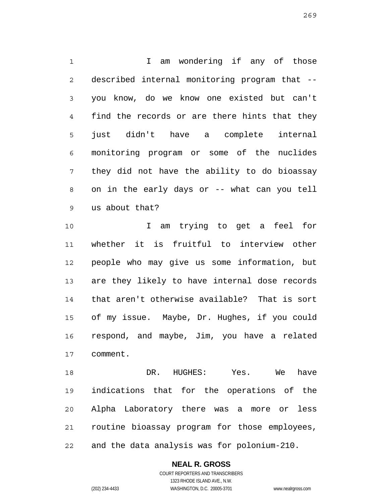1 2 3 4 5 6 7 8 9 I am wondering if any of those described internal monitoring program that - you know, do we know one existed but can't find the records or are there hints that they just didn't have a complete internal monitoring program or some of the nuclides they did not have the ability to do bioassay on in the early days or -- what can you tell us about that?

10 11 12 13 14 15 16 17 I am trying to get a feel for whether it is fruitful to interview other people who may give us some information, but are they likely to have internal dose records that aren't otherwise available? That is sort of my issue. Maybe, Dr. Hughes, if you could respond, and maybe, Jim, you have a related comment.

18 19 20 21 22 DR. HUGHES: Yes. We have indications that for the operations of the Alpha Laboratory there was a more or less routine bioassay program for those employees, and the data analysis was for polonium-210.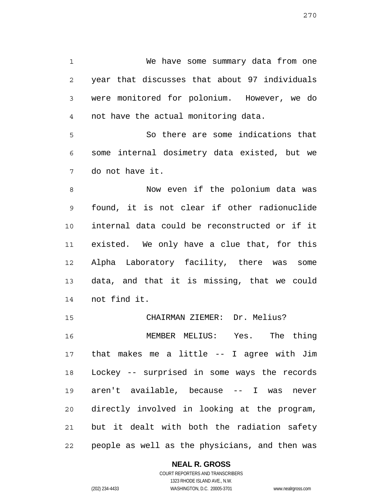1 2 3 4 We have some summary data from one year that discusses that about 97 individuals were monitored for polonium. However, we do not have the actual monitoring data.

5 6 7 So there are some indications that some internal dosimetry data existed, but we do not have it.

8 9 10 11 12 13 14 Now even if the polonium data was found, it is not clear if other radionuclide internal data could be reconstructed or if it existed. We only have a clue that, for this Alpha Laboratory facility, there was some data, and that it is missing, that we could not find it.

15 16 17 18 19 20 21 22 CHAIRMAN ZIEMER: Dr. Melius? MEMBER MELIUS: Yes. The thing that makes me a little -- I agree with Jim Lockey -- surprised in some ways the records aren't available, because -- I was never directly involved in looking at the program, but it dealt with both the radiation safety people as well as the physicians, and then was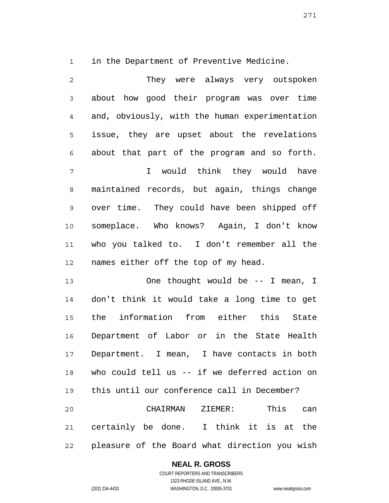1

in the Department of Preventive Medicine.

2 3 4 5 6 7 8 9 10 11 12 They were always very outspoken about how good their program was over time and, obviously, with the human experimentation issue, they are upset about the revelations about that part of the program and so forth. I would think they would have maintained records, but again, things change over time. They could have been shipped off someplace. Who knows? Again, I don't know who you talked to. I don't remember all the names either off the top of my head.

13 14 15 16 17 18 19 20 21 One thought would be -- I mean, I don't think it would take a long time to get the information from either this State Department of Labor or in the State Health Department. I mean, I have contacts in both who could tell us -- if we deferred action on this until our conference call in December? CHAIRMAN ZIEMER: This can certainly be done. I think it is at the

22 pleasure of the Board what direction you wish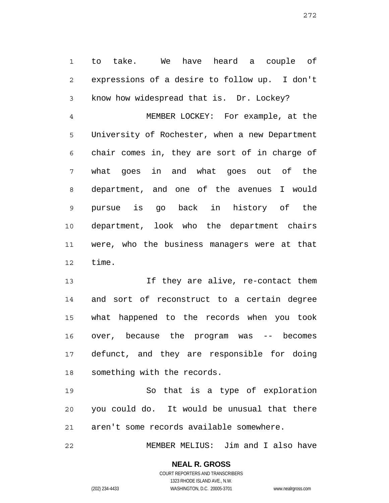1 2 3 to take. We have heard a couple of expressions of a desire to follow up. I don't know how widespread that is. Dr. Lockey?

4 5 6 7 8 9 10 11 12 MEMBER LOCKEY: For example, at the University of Rochester, when a new Department chair comes in, they are sort of in charge of what goes in and what goes out of the department, and one of the avenues I would pursue is go back in history of the department, look who the department chairs were, who the business managers were at that time.

13 14 15 16 17 18 If they are alive, re-contact them and sort of reconstruct to a certain degree what happened to the records when you took over, because the program was -- becomes defunct, and they are responsible for doing something with the records.

19 20 21 So that is a type of exploration you could do. It would be unusual that there aren't some records available somewhere.

22 MEMBER MELIUS: Jim and I also have

272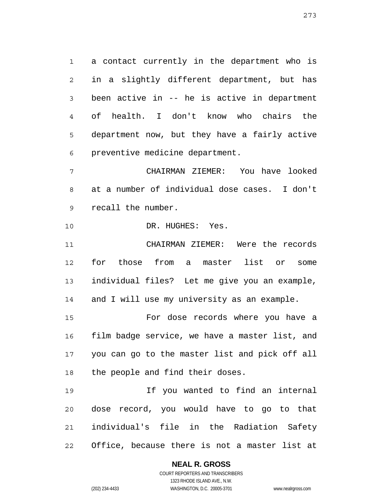1 2 3 4 5 6 a contact currently in the department who is in a slightly different department, but has been active in -- he is active in department of health. I don't know who chairs the department now, but they have a fairly active preventive medicine department.

7 8 9 CHAIRMAN ZIEMER: You have looked at a number of individual dose cases. I don't recall the number.

10 DR. HUGHES: Yes.

11 12 13 14 CHAIRMAN ZIEMER: Were the records for those from a master list or some individual files? Let me give you an example, and I will use my university as an example.

15 16 17 18 For dose records where you have a film badge service, we have a master list, and you can go to the master list and pick off all the people and find their doses.

19 20 21 22 If you wanted to find an internal dose record, you would have to go to that individual's file in the Radiation Safety Office, because there is not a master list at

**NEAL R. GROSS**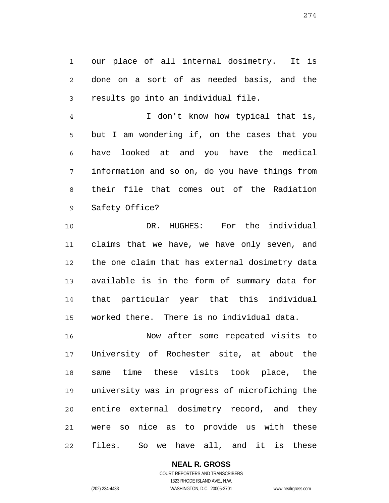1 2 3 our place of all internal dosimetry. It is done on a sort of as needed basis, and the results go into an individual file.

4 5 6 7 8 9 I don't know how typical that is, but I am wondering if, on the cases that you have looked at and you have the medical information and so on, do you have things from their file that comes out of the Radiation Safety Office?

10 11 12 13 14 15 DR. HUGHES: For the individual claims that we have, we have only seven, and the one claim that has external dosimetry data available is in the form of summary data for that particular year that this individual worked there. There is no individual data.

16 17 18 19 20 21 22 Now after some repeated visits to University of Rochester site, at about the same time these visits took place, the university was in progress of microfiching the entire external dosimetry record, and they were so nice as to provide us with these files. So we have all, and it is these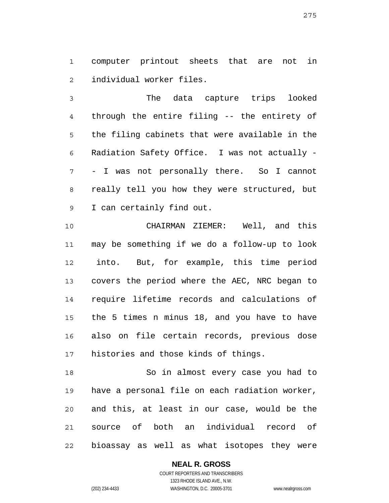1 2 computer printout sheets that are not in individual worker files.

3 4 5 6 7 8 9 The data capture trips looked through the entire filing -- the entirety of the filing cabinets that were available in the Radiation Safety Office. I was not actually - - I was not personally there. So I cannot really tell you how they were structured, but I can certainly find out.

10 11 12 13 14 15 16 17 CHAIRMAN ZIEMER: Well, and this may be something if we do a follow-up to look into. But, for example, this time period covers the period where the AEC, NRC began to require lifetime records and calculations of the 5 times n minus 18, and you have to have also on file certain records, previous dose histories and those kinds of things.

18 19 20 21 22 So in almost every case you had to have a personal file on each radiation worker, and this, at least in our case, would be the source of both an individual record of bioassay as well as what isotopes they were

#### **NEAL R. GROSS**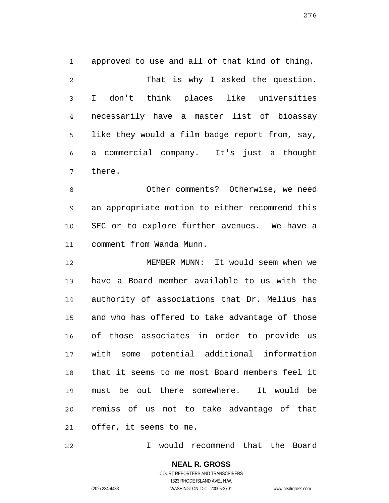1 2 3 4 5 6 7 approved to use and all of that kind of thing. That is why I asked the question. I don't think places like universities necessarily have a master list of bioassay like they would a film badge report from, say, a commercial company. It's just a thought there.

8 9 10 11 Other comments? Otherwise, we need an appropriate motion to either recommend this SEC or to explore further avenues. We have a comment from Wanda Munn.

12 13 14 15 16 17 18 19 20 21 MEMBER MUNN: It would seem when we have a Board member available to us with the authority of associations that Dr. Melius has and who has offered to take advantage of those of those associates in order to provide us with some potential additional information that it seems to me most Board members feel it must be out there somewhere. It would be remiss of us not to take advantage of that offer, it seems to me.

22 I would recommend that the Board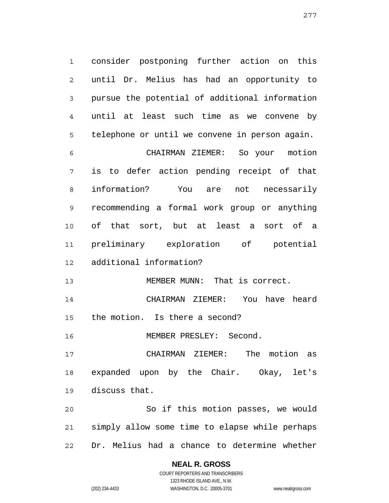1 2 3 4 5 consider postponing further action on this until Dr. Melius has had an opportunity to pursue the potential of additional information until at least such time as we convene by telephone or until we convene in person again.

6 7 8 9 10 11 12 CHAIRMAN ZIEMER: So your motion is to defer action pending receipt of that information? You are not necessarily recommending a formal work group or anything of that sort, but at least a sort of a preliminary exploration of potential additional information?

13 MEMBER MUNN: That is correct.

14 15 CHAIRMAN ZIEMER: You have heard the motion. Is there a second?

16 MEMBER PRESLEY: Second.

17 18 19 CHAIRMAN ZIEMER: The motion as expanded upon by the Chair. Okay, let's discuss that.

20 21 22 So if this motion passes, we would simply allow some time to elapse while perhaps Dr. Melius had a chance to determine whether

## **NEAL R. GROSS**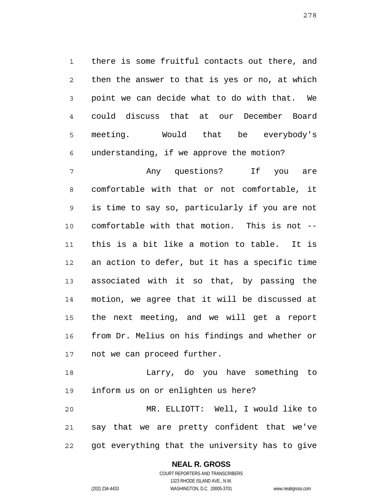1 2 3 4 5 6 there is some fruitful contacts out there, and then the answer to that is yes or no, at which point we can decide what to do with that. We could discuss that at our December Board meeting. Would that be everybody's understanding, if we approve the motion?

7 8 9 10 11 12 13 14 15 16 17 Any questions? If you are comfortable with that or not comfortable, it is time to say so, particularly if you are not comfortable with that motion. This is not - this is a bit like a motion to table. It is an action to defer, but it has a specific time associated with it so that, by passing the motion, we agree that it will be discussed at the next meeting, and we will get a report from Dr. Melius on his findings and whether or not we can proceed further.

18 19 20 Larry, do you have something to inform us on or enlighten us here? MR. ELLIOTT: Well, I would like to

21 22 say that we are pretty confident that we've got everything that the university has to give

# **NEAL R. GROSS**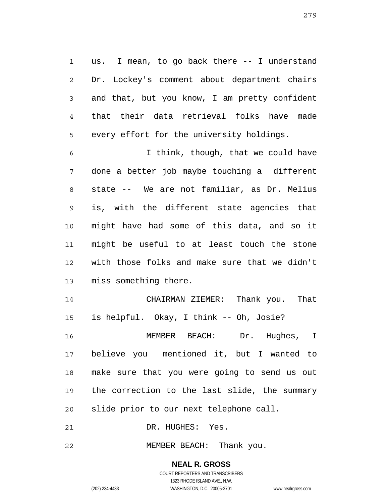1 2 3 4 5 us. I mean, to go back there -- I understand Dr. Lockey's comment about department chairs and that, but you know, I am pretty confident that their data retrieval folks have made every effort for the university holdings.

6 7 8 9 10 11 12 13 I think, though, that we could have done a better job maybe touching a different state -- We are not familiar, as Dr. Melius is, with the different state agencies that might have had some of this data, and so it might be useful to at least touch the stone with those folks and make sure that we didn't miss something there.

14 15 16 17 18 19 CHAIRMAN ZIEMER: Thank you. That is helpful. Okay, I think -- Oh, Josie? MEMBER BEACH: Dr. Hughes, I believe you mentioned it, but I wanted to make sure that you were going to send us out the correction to the last slide, the summary

20 slide prior to our next telephone call.

21 DR. HUGHES: Yes.

22 MEMBER BEACH: Thank you.

> **NEAL R. GROSS** COURT REPORTERS AND TRANSCRIBERS 1323 RHODE ISLAND AVE., N.W.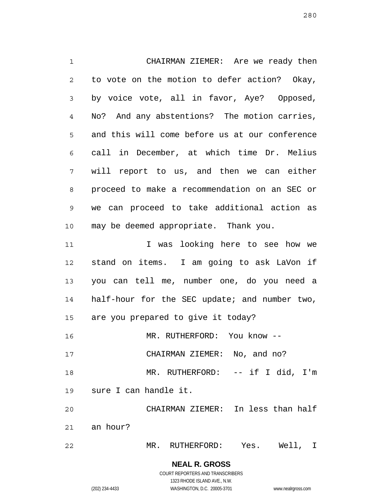1 2 3 4 5 6 7 8 9 10 11 12 13 14 15 16 17 18 19 20 21 22 CHAIRMAN ZIEMER: Are we ready then to vote on the motion to defer action? Okay, by voice vote, all in favor, Aye? Opposed, No? And any abstentions? The motion carries, and this will come before us at our conference call in December, at which time Dr. Melius will report to us, and then we can either proceed to make a recommendation on an SEC or we can proceed to take additional action as may be deemed appropriate. Thank you. I was looking here to see how we stand on items. I am going to ask LaVon if you can tell me, number one, do you need a half-hour for the SEC update; and number two, are you prepared to give it today? MR. RUTHERFORD: You know -- CHAIRMAN ZIEMER: No, and no? MR. RUTHERFORD: -- if I did, I'm sure I can handle it. CHAIRMAN ZIEMER: In less than half an hour? MR. RUTHERFORD: Yes. Well, I

> **NEAL R. GROSS** COURT REPORTERS AND TRANSCRIBERS 1323 RHODE ISLAND AVE., N.W.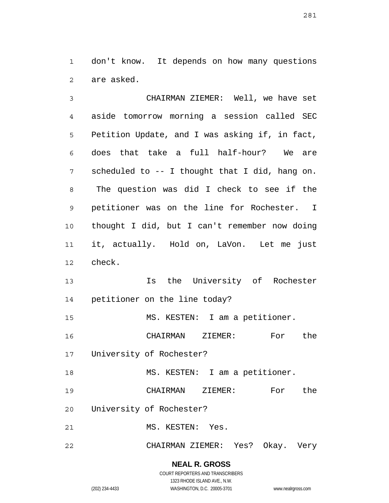1 2 don't know. It depends on how many questions are asked.

3 4 5 6 7 8 9 10 11 12 CHAIRMAN ZIEMER: Well, we have set aside tomorrow morning a session called SEC Petition Update, and I was asking if, in fact, does that take a full half-hour? We are scheduled to -- I thought that I did, hang on. The question was did I check to see if the petitioner was on the line for Rochester. I thought I did, but I can't remember now doing it, actually. Hold on, LaVon. Let me just check.

13 14 Is the University of Rochester petitioner on the line today?

15 MS. KESTEN: I am a petitioner.

16 CHAIRMAN ZIEMER: For the

17 University of Rochester?

18 MS. KESTEN: I am a petitioner.

19 CHAIRMAN ZIEMER: For the

20 University of Rochester?

21 MS. KESTEN: Yes.

22 CHAIRMAN ZIEMER: Yes? Okay. Very

> **NEAL R. GROSS** COURT REPORTERS AND TRANSCRIBERS

> > 1323 RHODE ISLAND AVE., N.W.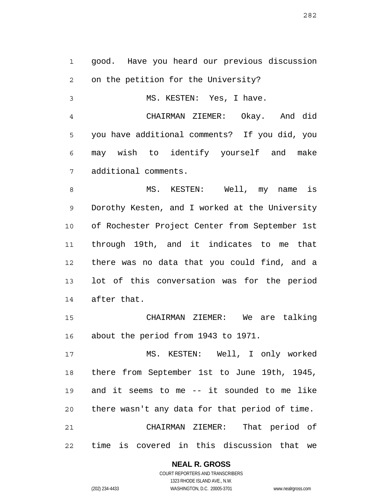1 2 good. Have you heard our previous discussion on the petition for the University?

MS. KESTEN: Yes, I have.

4 5 6 7 CHAIRMAN ZIEMER: Okay. And did you have additional comments? If you did, you may wish to identify yourself and make additional comments.

8 9 10 11 12 13 14 MS. KESTEN: Well, my name is Dorothy Kesten, and I worked at the University of Rochester Project Center from September 1st through 19th, and it indicates to me that there was no data that you could find, and a lot of this conversation was for the period after that.

15 16 CHAIRMAN ZIEMER: We are talking about the period from 1943 to 1971.

17 18 19 20 21 22 MS. KESTEN: Well, I only worked there from September 1st to June 19th, 1945, and it seems to me -- it sounded to me like there wasn't any data for that period of time. CHAIRMAN ZIEMER: That period of time is covered in this discussion that we

**NEAL R. GROSS**

3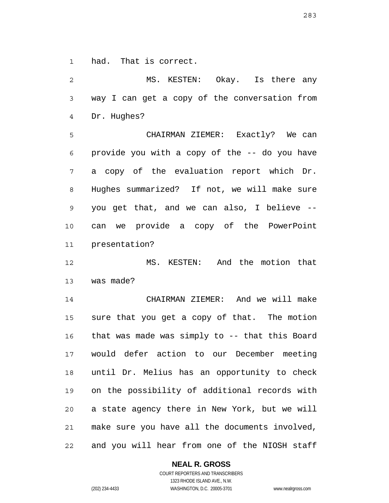1 had. That is correct.

2 3 4 5 6 7 8 9 10 11 12 13 14 15 16 17 18 19 20 21 22 MS. KESTEN: Okay. Is there any way I can get a copy of the conversation from Dr. Hughes? CHAIRMAN ZIEMER: Exactly? We can provide you with a copy of the -- do you have a copy of the evaluation report which Dr. Hughes summarized? If not, we will make sure you get that, and we can also, I believe - can we provide a copy of the PowerPoint presentation? MS. KESTEN: And the motion that was made? CHAIRMAN ZIEMER: And we will make sure that you get a copy of that. The motion that was made was simply to -- that this Board would defer action to our December meeting until Dr. Melius has an opportunity to check on the possibility of additional records with a state agency there in New York, but we will make sure you have all the documents involved, and you will hear from one of the NIOSH staff

**NEAL R. GROSS**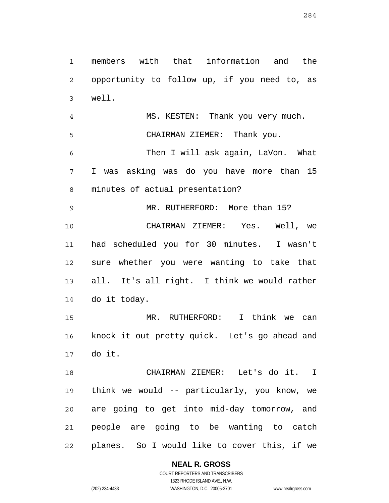1 2 3 4 5 6 7 8 9 10 11 12 13 14 15 16 17 18 19 20 members with that information and the opportunity to follow up, if you need to, as well. MS. KESTEN: Thank you very much. CHAIRMAN ZIEMER: Thank you. Then I will ask again, LaVon. What I was asking was do you have more than 15 minutes of actual presentation? MR. RUTHERFORD: More than 15? CHAIRMAN ZIEMER: Yes. Well, we had scheduled you for 30 minutes. I wasn't sure whether you were wanting to take that all. It's all right. I think we would rather do it today. MR. RUTHERFORD: I think we can knock it out pretty quick. Let's go ahead and do it. CHAIRMAN ZIEMER: Let's do it. I think we would -- particularly, you know, we are going to get into mid-day tomorrow, and

22 planes. So I would like to cover this, if we

**NEAL R. GROSS**

people are going to be wanting to catch

21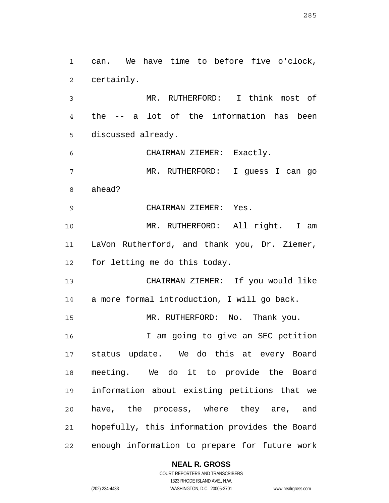1 2 3 can. We have time to before five o'clock, certainly. MR. RUTHERFORD: I think most of

4 5 the -- a lot of the information has been discussed already.

6 7 8 CHAIRMAN ZIEMER: Exactly. MR. RUTHERFORD: I guess I can go ahead?

9 CHAIRMAN ZIEMER: Yes.

10 11 12 MR. RUTHERFORD: All right. I am LaVon Rutherford, and thank you, Dr. Ziemer, for letting me do this today.

13 14 CHAIRMAN ZIEMER: If you would like a more formal introduction, I will go back.

15 MR. RUTHERFORD: No. Thank you.

16 17 18 19 20 21 22 I am going to give an SEC petition status update. We do this at every Board meeting. We do it to provide the Board information about existing petitions that we have, the process, where they are, and hopefully, this information provides the Board enough information to prepare for future work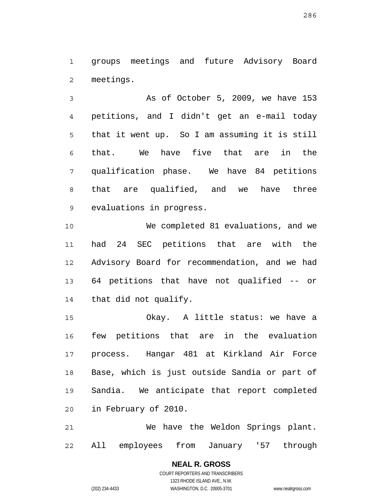1 2 groups meetings and future Advisory Board meetings.

3 4 5 6 7 8 9 As of October 5, 2009, we have 153 petitions, and I didn't get an e-mail today that it went up. So I am assuming it is still that. We have five that are in the qualification phase. We have 84 petitions that are qualified, and we have three evaluations in progress.

10 11 12 13 14 We completed 81 evaluations, and we had 24 SEC petitions that are with the Advisory Board for recommendation, and we had 64 petitions that have not qualified -- or that did not qualify.

15 16 17 18 19 20 Okay. A little status: we have a few petitions that are in the evaluation process. Hangar 481 at Kirkland Air Force Base, which is just outside Sandia or part of Sandia. We anticipate that report completed in February of 2010.

21 22 We have the Weldon Springs plant. All employees from January '57 through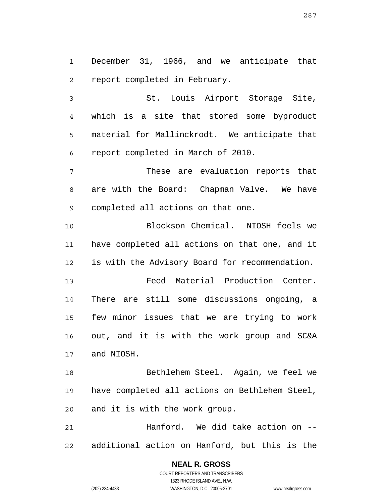1 2 December 31, 1966, and we anticipate that report completed in February.

3 4 5 6 St. Louis Airport Storage Site, which is a site that stored some byproduct material for Mallinckrodt. We anticipate that report completed in March of 2010.

7 8 9 These are evaluation reports that are with the Board: Chapman Valve. We have completed all actions on that one.

10 11 12 Blockson Chemical. NIOSH feels we have completed all actions on that one, and it is with the Advisory Board for recommendation.

13 14 15 16 17 Feed Material Production Center. There are still some discussions ongoing, a few minor issues that we are trying to work out, and it is with the work group and SC&A and NIOSH.

18 19 20 Bethlehem Steel. Again, we feel we have completed all actions on Bethlehem Steel, and it is with the work group.

21 22 Hanford. We did take action on - additional action on Hanford, but this is the

> **NEAL R. GROSS** COURT REPORTERS AND TRANSCRIBERS 1323 RHODE ISLAND AVE., N.W. (202) 234-4433 WASHINGTON, D.C. 20005-3701 www.nealrgross.com

287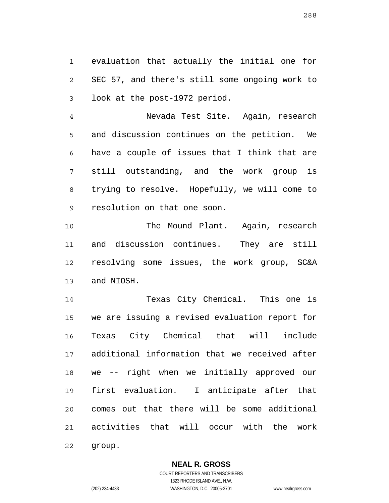1 2 3 evaluation that actually the initial one for SEC 57, and there's still some ongoing work to look at the post-1972 period.

4 5 6 7 8 9 Nevada Test Site. Again, research and discussion continues on the petition. We have a couple of issues that I think that are still outstanding, and the work group is trying to resolve. Hopefully, we will come to resolution on that one soon.

10 11 12 13 The Mound Plant. Again, research and discussion continues. They are still resolving some issues, the work group, SC&A and NIOSH.

14 15 16 17 18 19 20 21 22 Texas City Chemical. This one is we are issuing a revised evaluation report for Texas City Chemical that will include additional information that we received after we -- right when we initially approved our first evaluation. I anticipate after that comes out that there will be some additional activities that will occur with the work group.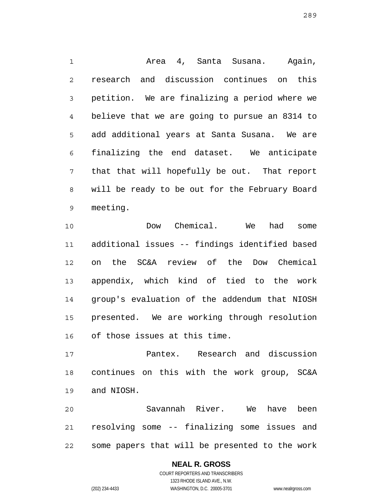1 2 3 4 5 6 7 8 9 Area 4, Santa Susana. Again, research and discussion continues on this petition. We are finalizing a period where we believe that we are going to pursue an 8314 to add additional years at Santa Susana. We are finalizing the end dataset. We anticipate that that will hopefully be out. That report will be ready to be out for the February Board meeting.

10 11 12 13 14 15 16 Dow Chemical. We had some additional issues -- findings identified based on the SC&A review of the Dow Chemical appendix, which kind of tied to the work group's evaluation of the addendum that NIOSH presented. We are working through resolution of those issues at this time.

17 18 19 Pantex. Research and discussion continues on this with the work group, SC&A and NIOSH.

20 21 22 Savannah River. We have been resolving some -- finalizing some issues and some papers that will be presented to the work

## **NEAL R. GROSS**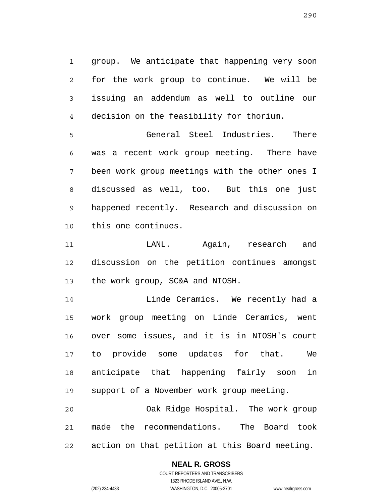1 2 3 4 group. We anticipate that happening very soon for the work group to continue. We will be issuing an addendum as well to outline our decision on the feasibility for thorium.

5 6 7 8 9 10 General Steel Industries. There was a recent work group meeting. There have been work group meetings with the other ones I discussed as well, too. But this one just happened recently. Research and discussion on this one continues.

11 12 13 LANL. Again, research and discussion on the petition continues amongst the work group, SC&A and NIOSH.

14 15 16 17 18 19 Linde Ceramics. We recently had a work group meeting on Linde Ceramics, went over some issues, and it is in NIOSH's court to provide some updates for that. We anticipate that happening fairly soon in support of a November work group meeting.

20 21 22 Oak Ridge Hospital. The work group made the recommendations. The Board took action on that petition at this Board meeting.

### **NEAL R. GROSS**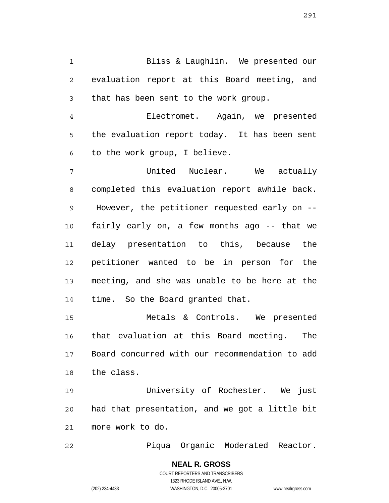1 2 3 Bliss & Laughlin. We presented our evaluation report at this Board meeting, and that has been sent to the work group.

4 5 6 Electromet. Again, we presented the evaluation report today. It has been sent to the work group, I believe.

7 8 9 10 11 12 13 14 United Nuclear. We actually completed this evaluation report awhile back. However, the petitioner requested early on - fairly early on, a few months ago -- that we delay presentation to this, because the petitioner wanted to be in person for the meeting, and she was unable to be here at the time. So the Board granted that.

15 16 17 18 Metals & Controls. We presented that evaluation at this Board meeting. The Board concurred with our recommendation to add the class.

19 20 21 University of Rochester. We just had that presentation, and we got a little bit more work to do.

22 Piqua Organic Moderated Reactor.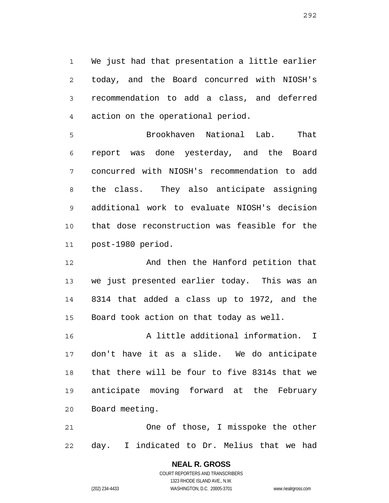1 2 3 4 We just had that presentation a little earlier today, and the Board concurred with NIOSH's recommendation to add a class, and deferred action on the operational period.

5 6 7 8 9 10 11 Brookhaven National Lab. That report was done yesterday, and the Board concurred with NIOSH's recommendation to add the class. They also anticipate assigning additional work to evaluate NIOSH's decision that dose reconstruction was feasible for the post-1980 period.

12 13 14 15 And then the Hanford petition that we just presented earlier today. This was an 8314 that added a class up to 1972, and the Board took action on that today as well.

16 17 18 19 20 A little additional information. I don't have it as a slide. We do anticipate that there will be four to five 8314s that we anticipate moving forward at the February Board meeting.

21 22 One of those, I misspoke the other day. I indicated to Dr. Melius that we had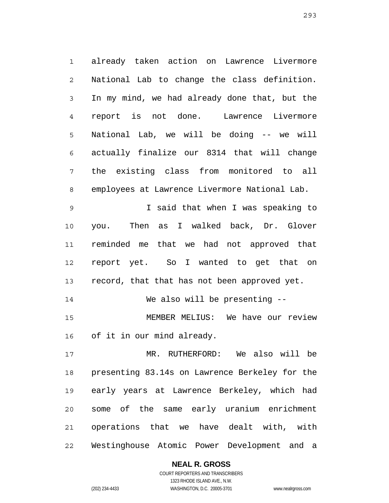1 2 3 4 5 6 7 8 9 already taken action on Lawrence Livermore National Lab to change the class definition. In my mind, we had already done that, but the report is not done. Lawrence Livermore National Lab, we will be doing -- we will actually finalize our 8314 that will change the existing class from monitored to all employees at Lawrence Livermore National Lab. I said that when I was speaking to

10 11 12 13 you. Then as I walked back, Dr. Glover reminded me that we had not approved that report yet. So I wanted to get that on record, that that has not been approved yet.

14 We also will be presenting --

15 16 MEMBER MELIUS: We have our review of it in our mind already.

17 18 19 20 21 22 MR. RUTHERFORD: We also will be presenting 83.14s on Lawrence Berkeley for the early years at Lawrence Berkeley, which had some of the same early uranium enrichment operations that we have dealt with, with Westinghouse Atomic Power Development and a

> **NEAL R. GROSS** COURT REPORTERS AND TRANSCRIBERS

1323 RHODE ISLAND AVE., N.W. (202) 234-4433 WASHINGTON, D.C. 20005-3701 www.nealrgross.com

293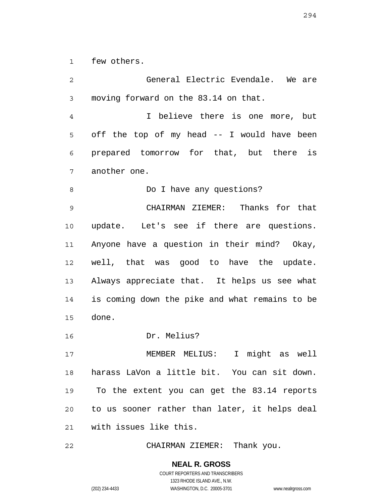1 few others.

2 3 4 5 6 7 8 9 10 11 12 13 14 15 16 17 18 19 20 21 General Electric Evendale. We are moving forward on the 83.14 on that. I believe there is one more, but off the top of my head -- I would have been prepared tomorrow for that, but there is another one. Do I have any questions? CHAIRMAN ZIEMER: Thanks for that update. Let's see if there are questions. Anyone have a question in their mind? Okay, well, that was good to have the update. Always appreciate that. It helps us see what is coming down the pike and what remains to be done. Dr. Melius? MEMBER MELIUS: I might as well harass LaVon a little bit. You can sit down. To the extent you can get the 83.14 reports to us sooner rather than later, it helps deal with issues like this.

22 CHAIRMAN ZIEMER: Thank you.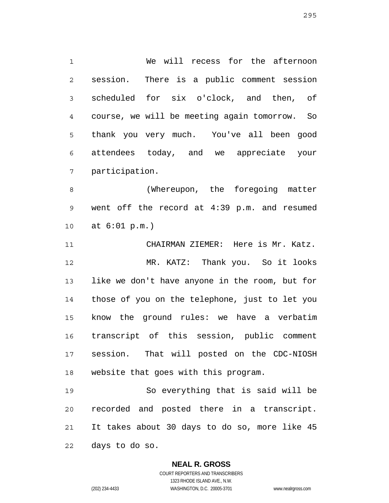1 2 3 4 5 6 7 We will recess for the afternoon session. There is a public comment session scheduled for six o'clock, and then, of course, we will be meeting again tomorrow. So thank you very much. You've all been good attendees today, and we appreciate your participation.

8 9 10 (Whereupon, the foregoing matter went off the record at 4:39 p.m. and resumed at 6:01 p.m.)

11 12 13 14 15 16 17 18 CHAIRMAN ZIEMER: Here is Mr. Katz. MR. KATZ: Thank you. So it looks like we don't have anyone in the room, but for those of you on the telephone, just to let you know the ground rules: we have a verbatim transcript of this session, public comment session. That will posted on the CDC-NIOSH website that goes with this program.

19 20 21 22 So everything that is said will be recorded and posted there in a transcript. It takes about 30 days to do so, more like 45 days to do so.

### **NEAL R. GROSS**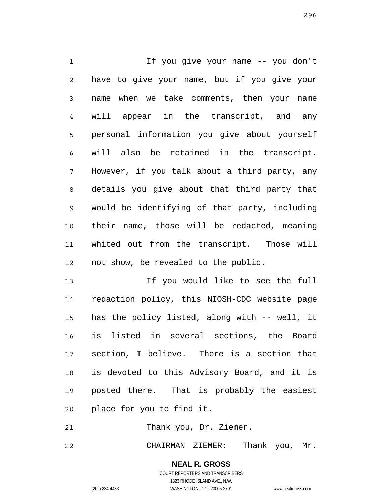1 2 3 4 5 6 7 8 9 10 11 12 If you give your name -- you don't have to give your name, but if you give your name when we take comments, then your name will appear in the transcript, and any personal information you give about yourself will also be retained in the transcript. However, if you talk about a third party, any details you give about that third party that would be identifying of that party, including their name, those will be redacted, meaning whited out from the transcript. Those will not show, be revealed to the public.

13 14 15 16 17 18 19 20 If you would like to see the full redaction policy, this NIOSH-CDC website page has the policy listed, along with -- well, it is listed in several sections, the Board section, I believe. There is a section that is devoted to this Advisory Board, and it is posted there. That is probably the easiest place for you to find it.

21 Thank you, Dr. Ziemer.

22 CHAIRMAN ZIEMER: Thank you, Mr.

296

COURT REPORTERS AND TRANSCRIBERS 1323 RHODE ISLAND AVE., N.W. (202) 234-4433 WASHINGTON, D.C. 20005-3701 www.nealrgross.com

**NEAL R. GROSS**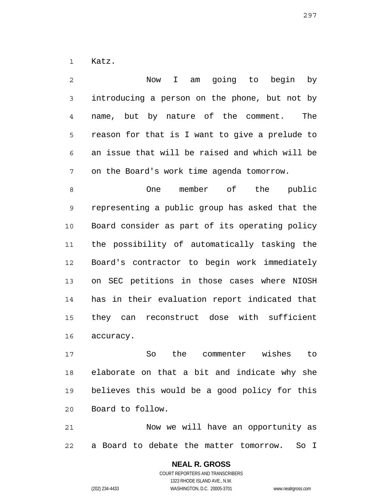1 Katz.

2 3 4 5 6 7 Now I am going to begin by introducing a person on the phone, but not by name, but by nature of the comment. The reason for that is I want to give a prelude to an issue that will be raised and which will be on the Board's work time agenda tomorrow.

8 9 10 11 12 13 14 15 16 One member of the public representing a public group has asked that the Board consider as part of its operating policy the possibility of automatically tasking the Board's contractor to begin work immediately on SEC petitions in those cases where NIOSH has in their evaluation report indicated that they can reconstruct dose with sufficient accuracy.

17 18 19 20 So the commenter wishes to elaborate on that a bit and indicate why she believes this would be a good policy for this Board to follow.

21 22 Now we will have an opportunity as a Board to debate the matter tomorrow. So I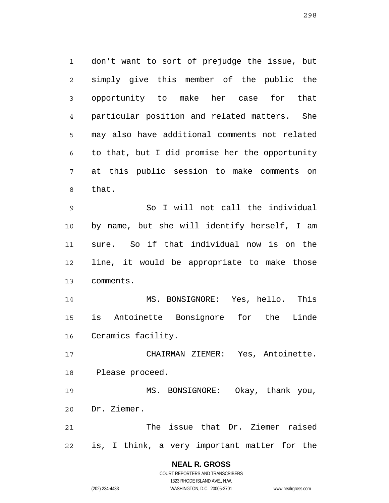1 2 3 4 5 6 7 8 don't want to sort of prejudge the issue, but simply give this member of the public the opportunity to make her case for that particular position and related matters. She may also have additional comments not related to that, but I did promise her the opportunity at this public session to make comments on that.

9 10 11 12 13 So I will not call the individual by name, but she will identify herself, I am sure. So if that individual now is on the line, it would be appropriate to make those comments.

14 15 16 MS. BONSIGNORE: Yes, hello. This is Antoinette Bonsignore for the Linde Ceramics facility.

17 18 CHAIRMAN ZIEMER: Yes, Antoinette. Please proceed.

19 20 MS. BONSIGNORE: Okay, thank you, Dr. Ziemer.

21 22 The issue that Dr. Ziemer raised is, I think, a very important matter for the

## **NEAL R. GROSS**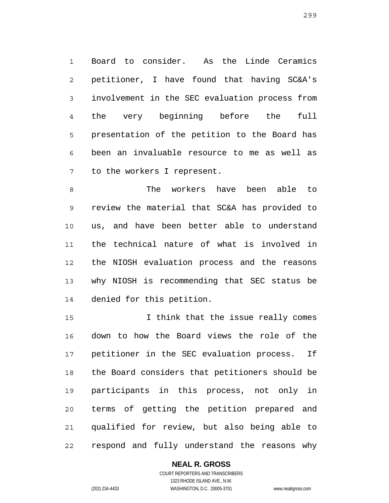1 2 3 4 5 6 7 Board to consider. As the Linde Ceramics petitioner, I have found that having SC&A's involvement in the SEC evaluation process from the very beginning before the full presentation of the petition to the Board has been an invaluable resource to me as well as to the workers I represent.

8 9 10 11 12 13 14 The workers have been able to review the material that SC&A has provided to us, and have been better able to understand the technical nature of what is involved in the NIOSH evaluation process and the reasons why NIOSH is recommending that SEC status be denied for this petition.

15 16 17 18 19 20 21 22 I think that the issue really comes down to how the Board views the role of the petitioner in the SEC evaluation process. If the Board considers that petitioners should be participants in this process, not only in terms of getting the petition prepared and qualified for review, but also being able to respond and fully understand the reasons why

### **NEAL R. GROSS**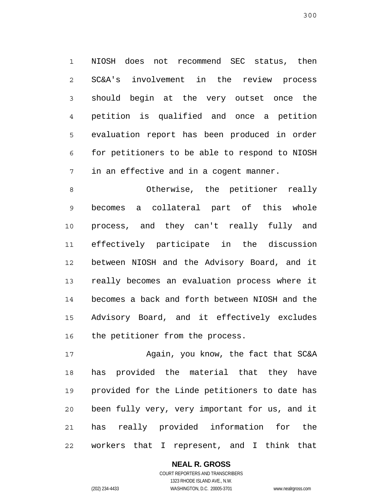1 2 3 4 5 6 7 NIOSH does not recommend SEC status, then SC&A's involvement in the review process should begin at the very outset once the petition is qualified and once a petition evaluation report has been produced in order for petitioners to be able to respond to NIOSH in an effective and in a cogent manner.

8 9 10 11 12 13 14 15 16 Otherwise, the petitioner really becomes a collateral part of this whole process, and they can't really fully and effectively participate in the discussion between NIOSH and the Advisory Board, and it really becomes an evaluation process where it becomes a back and forth between NIOSH and the Advisory Board, and it effectively excludes the petitioner from the process.

17 18 19 20 21 22 Again, you know, the fact that SC&A has provided the material that they have provided for the Linde petitioners to date has been fully very, very important for us, and it has really provided information for the workers that I represent, and I think that

### **NEAL R. GROSS**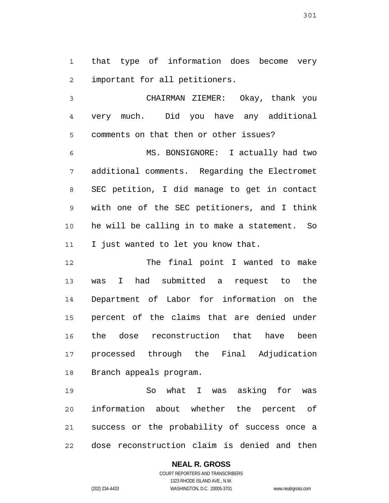1 2 that type of information does become very important for all petitioners.

3 4 5 CHAIRMAN ZIEMER: Okay, thank you very much. Did you have any additional comments on that then or other issues?

6 7 8 9 10 11 MS. BONSIGNORE: I actually had two additional comments. Regarding the Electromet SEC petition, I did manage to get in contact with one of the SEC petitioners, and I think he will be calling in to make a statement. So I just wanted to let you know that.

12 13 14 15 16 17 18 The final point I wanted to make was I had submitted a request to the Department of Labor for information on the percent of the claims that are denied under the dose reconstruction that have been processed through the Final Adjudication Branch appeals program.

19 20 21 22 So what I was asking for was information about whether the percent of success or the probability of success once a dose reconstruction claim is denied and then

### **NEAL R. GROSS**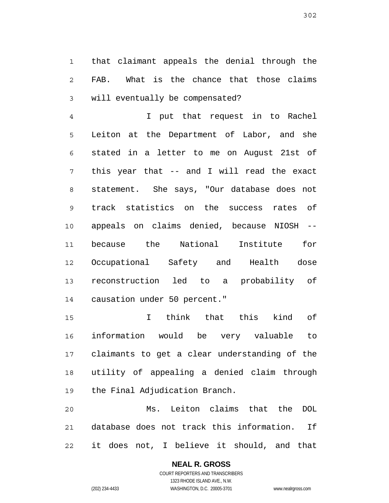1 2 3 that claimant appeals the denial through the FAB. What is the chance that those claims will eventually be compensated?

4 5 6 7 8 9 10 11 12 13 14 I put that request in to Rachel Leiton at the Department of Labor, and she stated in a letter to me on August 21st of this year that -- and I will read the exact statement. She says, "Our database does not track statistics on the success rates of appeals on claims denied, because NIOSH - because the National Institute for Occupational Safety and Health dose reconstruction led to a probability of causation under 50 percent."

15 16 17 18 19 I think that this kind of information would be very valuable to claimants to get a clear understanding of the utility of appealing a denied claim through the Final Adjudication Branch.

20 21 22 Ms. Leiton claims that the DOL database does not track this information. If it does not, I believe it should, and that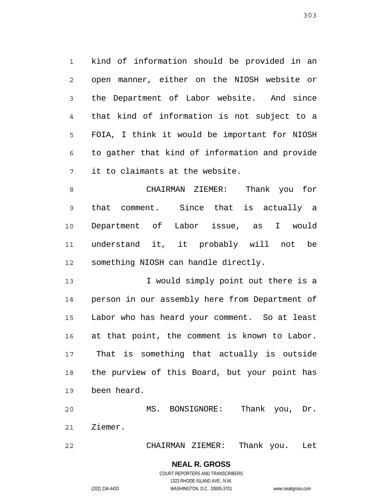1 2 3 4 5 6 7 kind of information should be provided in an open manner, either on the NIOSH website or the Department of Labor website. And since that kind of information is not subject to a FOIA, I think it would be important for NIOSH to gather that kind of information and provide it to claimants at the website.

8 9 10 11 12 CHAIRMAN ZIEMER: Thank you for that comment. Since that is actually a Department of Labor issue, as I would understand it, it probably will not be something NIOSH can handle directly.

13 14 15 16 17 18 19 I would simply point out there is a person in our assembly here from Department of Labor who has heard your comment. So at least at that point, the comment is known to Labor. That is something that actually is outside the purview of this Board, but your point has been heard.

20 21 MS. BONSIGNORE: Thank you, Dr. Ziemer.

22 CHAIRMAN ZIEMER: Thank you. Let

> **NEAL R. GROSS** COURT REPORTERS AND TRANSCRIBERS

> > 1323 RHODE ISLAND AVE., N.W.

(202) 234-4433 WASHINGTON, D.C. 20005-3701 www.nealrgross.com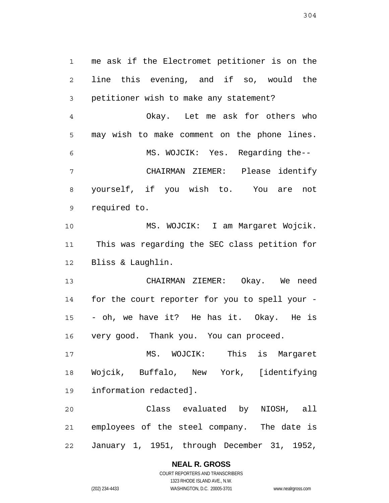1 2 3 4 5 6 7 8 9 10 11 12 13 14 15 16 17 18 19 20 21 me ask if the Electromet petitioner is on the line this evening, and if so, would the petitioner wish to make any statement? Okay. Let me ask for others who may wish to make comment on the phone lines. MS. WOJCIK: Yes. Regarding the-- CHAIRMAN ZIEMER: Please identify yourself, if you wish to. You are not required to. MS. WOJCIK: I am Margaret Wojcik. This was regarding the SEC class petition for Bliss & Laughlin. CHAIRMAN ZIEMER: Okay. We need for the court reporter for you to spell your - - oh, we have it? He has it. Okay. He is very good. Thank you. You can proceed. MS. WOJCIK: This is Margaret Wojcik, Buffalo, New York, [identifying information redacted]. Class evaluated by NIOSH, all employees of the steel company. The date is

22 January 1, 1951, through December 31, 1952,

### **NEAL R. GROSS**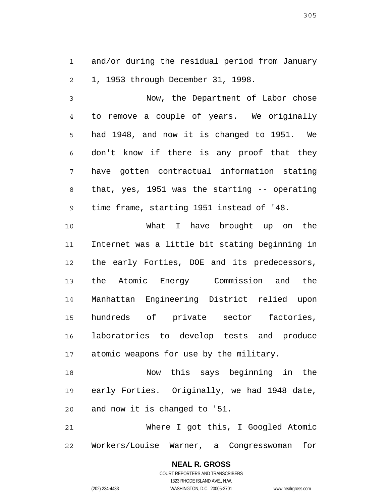1 2 and/or during the residual period from January 1, 1953 through December 31, 1998.

3 4 5 6 7 8 9 Now, the Department of Labor chose to remove a couple of years. We originally had 1948, and now it is changed to 1951. We don't know if there is any proof that they have gotten contractual information stating that, yes, 1951 was the starting -- operating time frame, starting 1951 instead of '48.

10 11 12 13 14 15 16 17 What I have brought up on the Internet was a little bit stating beginning in the early Forties, DOE and its predecessors, the Atomic Energy Commission and the Manhattan Engineering District relied upon hundreds of private sector factories, laboratories to develop tests and produce atomic weapons for use by the military.

18 19 20 Now this says beginning in the early Forties. Originally, we had 1948 date, and now it is changed to '51.

21 22 Where I got this, I Googled Atomic Workers/Louise Warner, a Congresswoman for

> **NEAL R. GROSS** COURT REPORTERS AND TRANSCRIBERS 1323 RHODE ISLAND AVE., N.W. (202) 234-4433 WASHINGTON, D.C. 20005-3701 www.nealrgross.com

305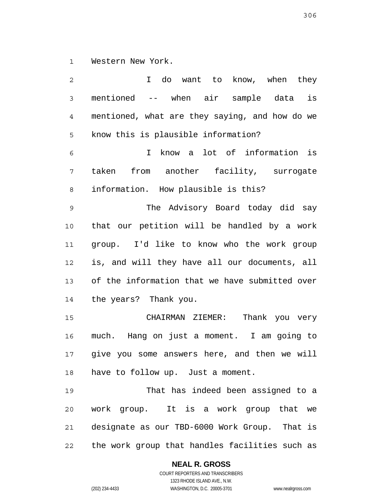1 Western New York.

2 3 4 5 6 7 8 9 10 11 12 13 14 15 16 17 18 19 20 21 22 I do want to know, when they mentioned -- when air sample data is mentioned, what are they saying, and how do we know this is plausible information? I know a lot of information is taken from another facility, surrogate information. How plausible is this? The Advisory Board today did say that our petition will be handled by a work group. I'd like to know who the work group is, and will they have all our documents, all of the information that we have submitted over the years? Thank you. CHAIRMAN ZIEMER: Thank you very much. Hang on just a moment. I am going to give you some answers here, and then we will have to follow up. Just a moment. That has indeed been assigned to a work group. It is a work group that we designate as our TBD-6000 Work Group. That is the work group that handles facilities such as

### **NEAL R. GROSS**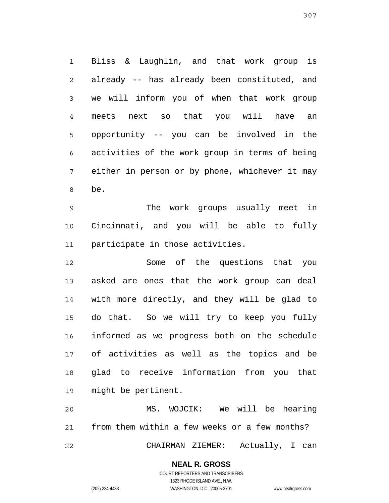1 2 3 4 5 6 7 8 Bliss & Laughlin, and that work group is already -- has already been constituted, and we will inform you of when that work group meets next so that you will have an opportunity -- you can be involved in the activities of the work group in terms of being either in person or by phone, whichever it may be.

9 10 11 The work groups usually meet in Cincinnati, and you will be able to fully participate in those activities.

12 13 14 15 16 17 18 19 Some of the questions that you asked are ones that the work group can deal with more directly, and they will be glad to do that. So we will try to keep you fully informed as we progress both on the schedule of activities as well as the topics and be glad to receive information from you that might be pertinent.

20 21 22 MS. WOJCIK: We will be hearing from them within a few weeks or a few months? CHAIRMAN ZIEMER: Actually, I can

> COURT REPORTERS AND TRANSCRIBERS 1323 RHODE ISLAND AVE., N.W. (202) 234-4433 WASHINGTON, D.C. 20005-3701 www.nealrgross.com

**NEAL R. GROSS**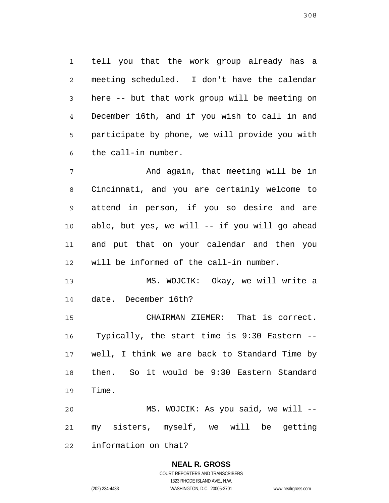1 2 3 4 5 6 tell you that the work group already has a meeting scheduled. I don't have the calendar here -- but that work group will be meeting on December 16th, and if you wish to call in and participate by phone, we will provide you with the call-in number.

7 8 9 10 11 12 And again, that meeting will be in Cincinnati, and you are certainly welcome to attend in person, if you so desire and are able, but yes, we will -- if you will go ahead and put that on your calendar and then you will be informed of the call-in number.

13 14 MS. WOJCIK: Okay, we will write a date. December 16th?

15 16 17 18 19 CHAIRMAN ZIEMER: That is correct. Typically, the start time is 9:30 Eastern - well, I think we are back to Standard Time by then. So it would be 9:30 Eastern Standard Time.

20 21 22 MS. WOJCIK: As you said, we will - my sisters, myself, we will be getting information on that?

# **NEAL R. GROSS**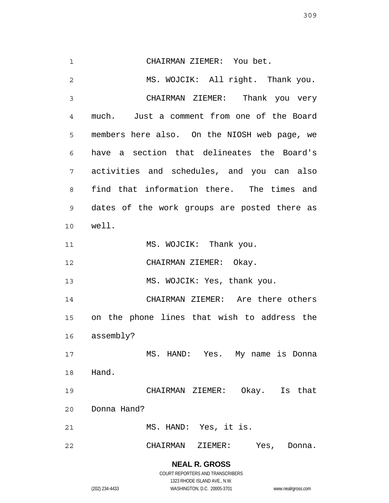1 2 3 4 5 6 7 8 9 10 11 12 13 14 15 16 17 18 19 20 21 CHAIRMAN ZIEMER: You bet. MS. WOJCIK: All right. Thank you. CHAIRMAN ZIEMER: Thank you very much. Just a comment from one of the Board members here also. On the NIOSH web page, we have a section that delineates the Board's activities and schedules, and you can also find that information there. The times and dates of the work groups are posted there as well. MS. WOJCIK: Thank you. CHAIRMAN ZIEMER: Okay. MS. WOJCIK: Yes, thank you. CHAIRMAN ZIEMER: Are there others on the phone lines that wish to address the assembly? MS. HAND: Yes. My name is Donna Hand. CHAIRMAN ZIEMER: Okay. Is that Donna Hand? MS. HAND: Yes, it is.

22 CHAIRMAN ZIEMER: Yes, Donna.

> **NEAL R. GROSS** COURT REPORTERS AND TRANSCRIBERS

> > 1323 RHODE ISLAND AVE., N.W.

(202) 234-4433 WASHINGTON, D.C. 20005-3701 www.nealrgross.com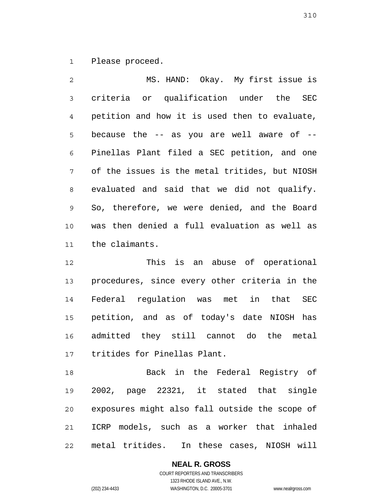1 Please proceed.

2 3 4 5 6 7 8 9 10 11 MS. HAND: Okay. My first issue is criteria or qualification under the SEC petition and how it is used then to evaluate, because the -- as you are well aware of -- Pinellas Plant filed a SEC petition, and one of the issues is the metal tritides, but NIOSH evaluated and said that we did not qualify. So, therefore, we were denied, and the Board was then denied a full evaluation as well as the claimants.

12 13 14 15 16 17 This is an abuse of operational procedures, since every other criteria in the Federal regulation was met in that SEC petition, and as of today's date NIOSH has admitted they still cannot do the metal tritides for Pinellas Plant.

18 19 20 21 22 Back in the Federal Registry of 2002, page 22321, it stated that single exposures might also fall outside the scope of ICRP models, such as a worker that inhaled metal tritides. In these cases, NIOSH will

### **NEAL R. GROSS**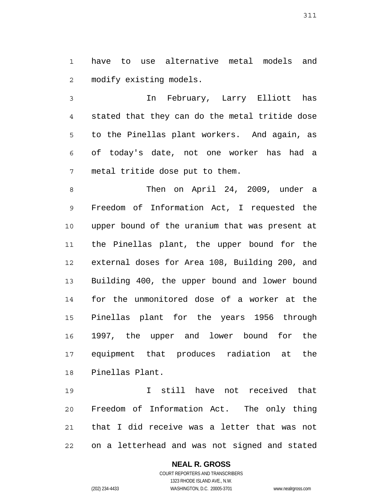1 2 have to use alternative metal models and modify existing models.

3 4 5 6 7 In February, Larry Elliott has stated that they can do the metal tritide dose to the Pinellas plant workers. And again, as of today's date, not one worker has had a metal tritide dose put to them.

8 9 10 11 12 13 14 15 16 17 18 Then on April 24, 2009, under a Freedom of Information Act, I requested the upper bound of the uranium that was present at the Pinellas plant, the upper bound for the external doses for Area 108, Building 200, and Building 400, the upper bound and lower bound for the unmonitored dose of a worker at the Pinellas plant for the years 1956 through 1997, the upper and lower bound for the equipment that produces radiation at the Pinellas Plant.

19 20 21 22 I still have not received that Freedom of Information Act. The only thing that I did receive was a letter that was not on a letterhead and was not signed and stated

### **NEAL R. GROSS**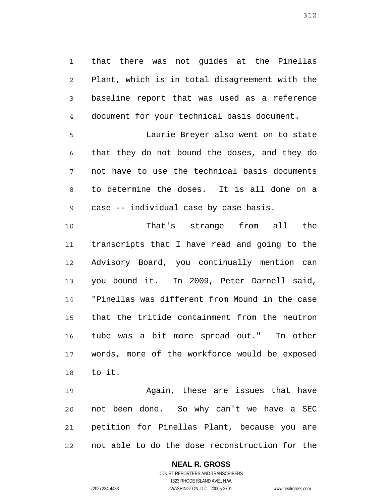1 2 3 4 that there was not guides at the Pinellas Plant, which is in total disagreement with the baseline report that was used as a reference document for your technical basis document.

5 6 7 8 9 Laurie Breyer also went on to state that they do not bound the doses, and they do not have to use the technical basis documents to determine the doses. It is all done on a case -- individual case by case basis.

10 11 12 13 14 15 16 17 18 That's strange from all the transcripts that I have read and going to the Advisory Board, you continually mention can you bound it. In 2009, Peter Darnell said, "Pinellas was different from Mound in the case that the tritide containment from the neutron tube was a bit more spread out." In other words, more of the workforce would be exposed to it.

19 20 21 22 Again, these are issues that have not been done. So why can't we have a SEC petition for Pinellas Plant, because you are not able to do the dose reconstruction for the

### **NEAL R. GROSS**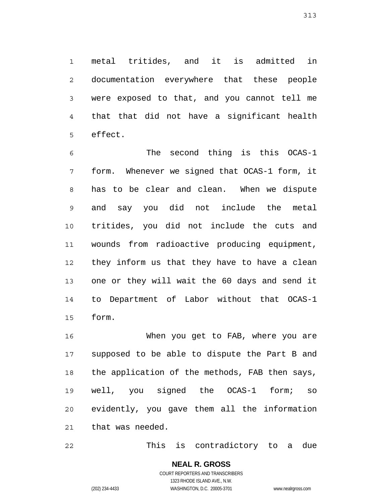1 2 3 4 5 metal tritides, and it is admitted in documentation everywhere that these people were exposed to that, and you cannot tell me that that did not have a significant health effect.

6 7 8 9 10 11 12 13 14 15 The second thing is this OCAS-1 form. Whenever we signed that OCAS-1 form, it has to be clear and clean. When we dispute and say you did not include the metal tritides, you did not include the cuts and wounds from radioactive producing equipment, they inform us that they have to have a clean one or they will wait the 60 days and send it to Department of Labor without that OCAS-1 form.

16 17 18 19 20 21 When you get to FAB, where you are supposed to be able to dispute the Part B and the application of the methods, FAB then says, well, you signed the OCAS-1 form; so evidently, you gave them all the information that was needed.

22 This is contradictory to a due

> **NEAL R. GROSS** COURT REPORTERS AND TRANSCRIBERS

313

1323 RHODE ISLAND AVE., N.W. (202) 234-4433 WASHINGTON, D.C. 20005-3701 www.nealrgross.com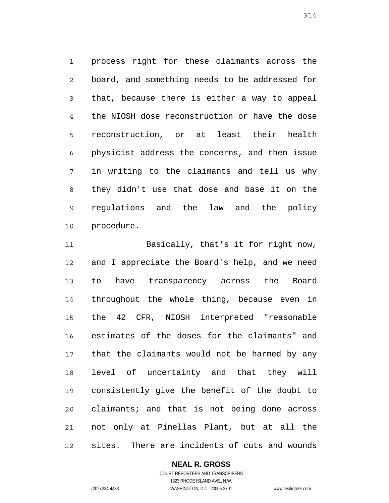1 2 3 4 5 6 7 8 9 10 process right for these claimants across the board, and something needs to be addressed for that, because there is either a way to appeal the NIOSH dose reconstruction or have the dose reconstruction, or at least their health physicist address the concerns, and then issue in writing to the claimants and tell us why they didn't use that dose and base it on the regulations and the law and the policy procedure.

11 12 13 14 15 16 17 18 19 20 21 22 Basically, that's it for right now, and I appreciate the Board's help, and we need to have transparency across the Board throughout the whole thing, because even in the 42 CFR, NIOSH interpreted "reasonable estimates of the doses for the claimants" and that the claimants would not be harmed by any level of uncertainty and that they will consistently give the benefit of the doubt to claimants; and that is not being done across not only at Pinellas Plant, but at all the sites. There are incidents of cuts and wounds

### **NEAL R. GROSS**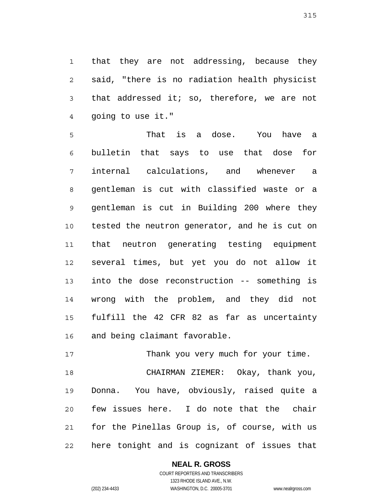1 2 3 4 that they are not addressing, because they said, "there is no radiation health physicist that addressed it; so, therefore, we are not going to use it."

5 6 7 8 9 10 11 12 13 14 15 16 That is a dose. You have a bulletin that says to use that dose for internal calculations, and whenever a gentleman is cut with classified waste or a gentleman is cut in Building 200 where they tested the neutron generator, and he is cut on that neutron generating testing equipment several times, but yet you do not allow it into the dose reconstruction -- something is wrong with the problem, and they did not fulfill the 42 CFR 82 as far as uncertainty and being claimant favorable.

17 18 19 20 21 22 Thank you very much for your time. CHAIRMAN ZIEMER: Okay, thank you, Donna. You have, obviously, raised quite a few issues here. I do note that the chair for the Pinellas Group is, of course, with us here tonight and is cognizant of issues that

> **NEAL R. GROSS** COURT REPORTERS AND TRANSCRIBERS

1323 RHODE ISLAND AVE., N.W. (202) 234-4433 WASHINGTON, D.C. 20005-3701 www.nealrgross.com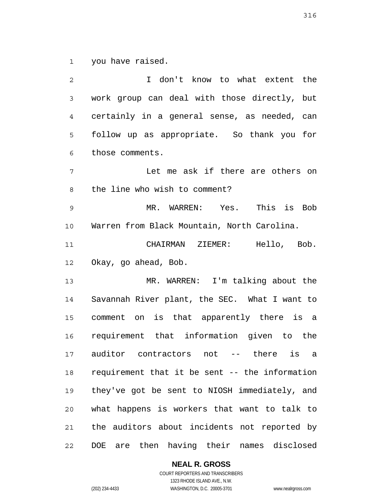1 you have raised.

2 3 4 5 6 7 8 9 10 11 12 13 14 15 16 17 18 19 20 21 22 I don't know to what extent the work group can deal with those directly, but certainly in a general sense, as needed, can follow up as appropriate. So thank you for those comments. Let me ask if there are others on the line who wish to comment? MR. WARREN: Yes. This is Bob Warren from Black Mountain, North Carolina. CHAIRMAN ZIEMER: Hello, Bob. Okay, go ahead, Bob. MR. WARREN: I'm talking about the Savannah River plant, the SEC. What I want to comment on is that apparently there is a requirement that information given to the auditor contractors not -- there is a requirement that it be sent -- the information they've got be sent to NIOSH immediately, and what happens is workers that want to talk to the auditors about incidents not reported by DOE are then having their names disclosed

**NEAL R. GROSS**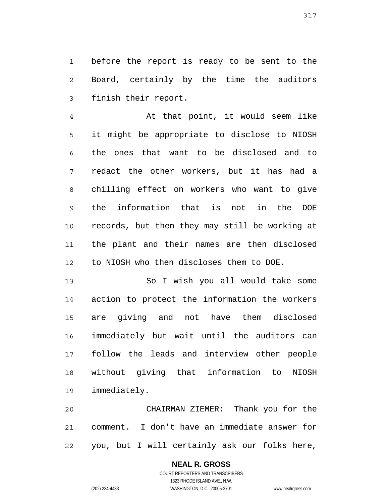1 2 3 before the report is ready to be sent to the Board, certainly by the time the auditors finish their report.

4 5 6 7 8 9 10 11 12 At that point, it would seem like it might be appropriate to disclose to NIOSH the ones that want to be disclosed and to redact the other workers, but it has had a chilling effect on workers who want to give the information that is not in the DOE records, but then they may still be working at the plant and their names are then disclosed to NIOSH who then discloses them to DOE.

13 14 15 16 17 18 19 So I wish you all would take some action to protect the information the workers are giving and not have them disclosed immediately but wait until the auditors can follow the leads and interview other people without giving that information to NIOSH immediately.

20 21 22 CHAIRMAN ZIEMER: Thank you for the comment. I don't have an immediate answer for you, but I will certainly ask our folks here,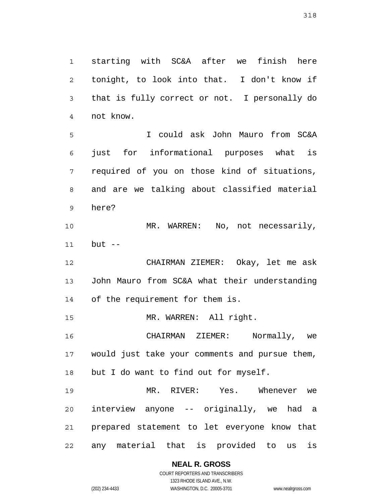1 2 3 4 starting with SC&A after we finish here tonight, to look into that. I don't know if that is fully correct or not. I personally do not know.

5 6 7 8 9 I could ask John Mauro from SC&A just for informational purposes what is required of you on those kind of situations, and are we talking about classified material here?

10 11 MR. WARREN: No, not necessarily, but  $--$ 

12 13 14 CHAIRMAN ZIEMER: Okay, let me ask John Mauro from SC&A what their understanding of the requirement for them is.

15 MR. WARREN: All right.

16 17 18 CHAIRMAN ZIEMER: Normally, we would just take your comments and pursue them, but I do want to find out for myself.

19 20 21 22 MR. RIVER: Yes. Whenever we interview anyone -- originally, we had a prepared statement to let everyone know that any material that is provided to us is

**NEAL R. GROSS**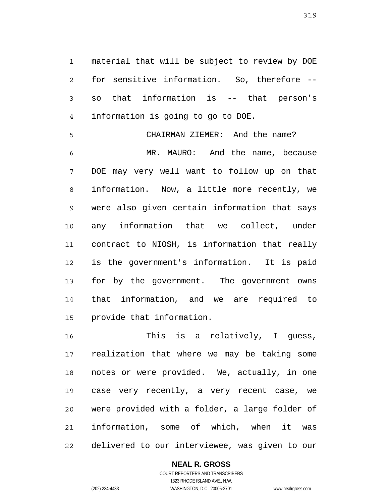1 2 3 4 material that will be subject to review by DOE for sensitive information. So, therefore - so that information is -- that person's information is going to go to DOE.

5 6 7 8 9 10 11 12 13 14 15 CHAIRMAN ZIEMER: And the name? MR. MAURO: And the name, because DOE may very well want to follow up on that information. Now, a little more recently, we were also given certain information that says any information that we collect, under contract to NIOSH, is information that really is the government's information. It is paid for by the government. The government owns that information, and we are required to provide that information.

16 17 18 19 20 21 22 This is a relatively, I quess, realization that where we may be taking some notes or were provided. We, actually, in one case very recently, a very recent case, we were provided with a folder, a large folder of information, some of which, when it was delivered to our interviewee, was given to our

### **NEAL R. GROSS**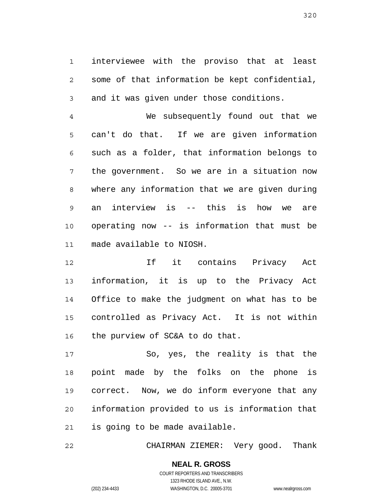1 2 3 interviewee with the proviso that at least some of that information be kept confidential, and it was given under those conditions.

4 5 6 7 8 9 10 11 We subsequently found out that we can't do that. If we are given information such as a folder, that information belongs to the government. So we are in a situation now where any information that we are given during an interview is -- this is how we are operating now -- is information that must be made available to NIOSH.

12 13 14 15 16 If it contains Privacy Act information, it is up to the Privacy Act Office to make the judgment on what has to be controlled as Privacy Act. It is not within the purview of SC&A to do that.

17 18 19 20 21 So, yes, the reality is that the point made by the folks on the phone is correct. Now, we do inform everyone that any information provided to us is information that is going to be made available.

22 CHAIRMAN ZIEMER: Very good. Thank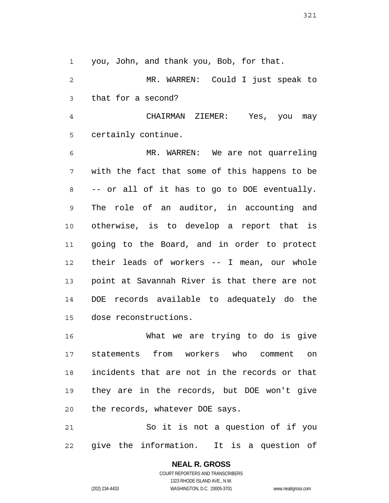1 you, John, and thank you, Bob, for that.

2 3 MR. WARREN: Could I just speak to that for a second?

4 5 CHAIRMAN ZIEMER: Yes, you may certainly continue.

6 7 8 9 10 11 12 13 14 15 MR. WARREN: We are not quarreling with the fact that some of this happens to be -- or all of it has to go to DOE eventually. The role of an auditor, in accounting and otherwise, is to develop a report that is going to the Board, and in order to protect their leads of workers -- I mean, our whole point at Savannah River is that there are not DOE records available to adequately do the dose reconstructions.

16 17 18 19 20 What we are trying to do is give statements from workers who comment on incidents that are not in the records or that they are in the records, but DOE won't give the records, whatever DOE says.

21 22 So it is not a question of if you give the information. It is a question of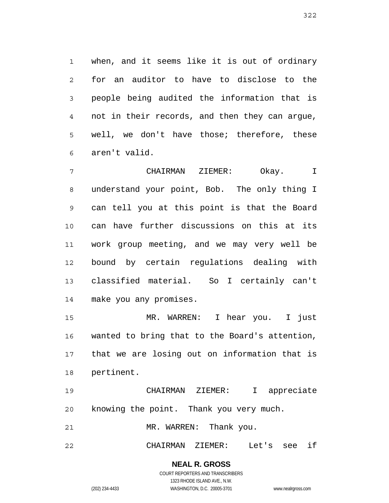1 2 3 4 5 6 when, and it seems like it is out of ordinary for an auditor to have to disclose to the people being audited the information that is not in their records, and then they can argue, well, we don't have those; therefore, these aren't valid.

7 8 9 10 11 12 13 14 CHAIRMAN ZIEMER: Okay. I understand your point, Bob. The only thing I can tell you at this point is that the Board can have further discussions on this at its work group meeting, and we may very well be bound by certain regulations dealing with classified material. So I certainly can't make you any promises.

15 16 17 18 MR. WARREN: I hear you. I just wanted to bring that to the Board's attention, that we are losing out on information that is pertinent.

19 20 CHAIRMAN ZIEMER: I appreciate knowing the point. Thank you very much.

21 MR. WARREN: Thank you.

22 CHAIRMAN ZIEMER: Let's see if

> **NEAL R. GROSS** COURT REPORTERS AND TRANSCRIBERS 1323 RHODE ISLAND AVE., N.W.

(202) 234-4433 WASHINGTON, D.C. 20005-3701 www.nealrgross.com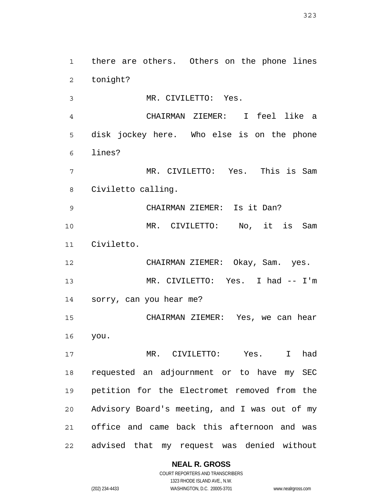323

**NEAL R. GROSS** COURT REPORTERS AND TRANSCRIBERS 3 4 5 6 7 8 9 10 11 12 13 14 15 16 17 18 19 20 21 22 MR. CIVILETTO: Yes. CHAIRMAN ZIEMER: I feel like a disk jockey here. Who else is on the phone lines? MR. CIVILETTO: Yes. This is Sam Civiletto calling. CHAIRMAN ZIEMER: Is it Dan? MR. CIVILETTO: No, it is Sam Civiletto. CHAIRMAN ZIEMER: Okay, Sam. yes. MR. CIVILETTO: Yes. I had -- I'm sorry, can you hear me? CHAIRMAN ZIEMER: Yes, we can hear you. MR. CIVILETTO: Yes. I had requested an adjournment or to have my SEC petition for the Electromet removed from the Advisory Board's meeting, and I was out of my office and came back this afternoon and was advised that my request was denied without

there are others. Others on the phone lines

1

2

tonight?

1323 RHODE ISLAND AVE., N.W. (202) 234-4433 WASHINGTON, D.C. 20005-3701 www.nealrgross.com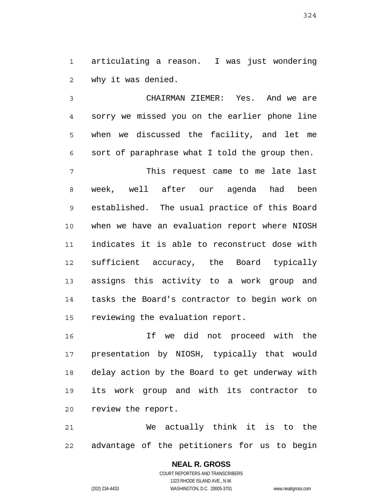1 2 articulating a reason. I was just wondering why it was denied.

3 4 5 6 CHAIRMAN ZIEMER: Yes. And we are sorry we missed you on the earlier phone line when we discussed the facility, and let me sort of paraphrase what I told the group then.

7 8 9 10 11 12 13 14 15 This request came to me late last week, well after our agenda had been established. The usual practice of this Board when we have an evaluation report where NIOSH indicates it is able to reconstruct dose with sufficient accuracy, the Board typically assigns this activity to a work group and tasks the Board's contractor to begin work on reviewing the evaluation report.

16 17 18 19 20 If we did not proceed with the presentation by NIOSH, typically that would delay action by the Board to get underway with its work group and with its contractor to review the report.

21 22 We actually think it is to the advantage of the petitioners for us to begin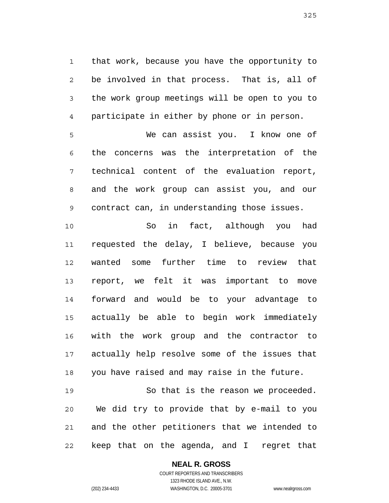1 2 3 4 that work, because you have the opportunity to be involved in that process. That is, all of the work group meetings will be open to you to participate in either by phone or in person.

5 6 7 8 9 We can assist you. I know one of the concerns was the interpretation of the technical content of the evaluation report, and the work group can assist you, and our contract can, in understanding those issues.

10 11 12 13 14 15 16 17 18 So in fact, although you had requested the delay, I believe, because you wanted some further time to review that report, we felt it was important to move forward and would be to your advantage to actually be able to begin work immediately with the work group and the contractor to actually help resolve some of the issues that you have raised and may raise in the future.

19 20 21 22 So that is the reason we proceeded. We did try to provide that by e-mail to you and the other petitioners that we intended to keep that on the agenda, and I regret that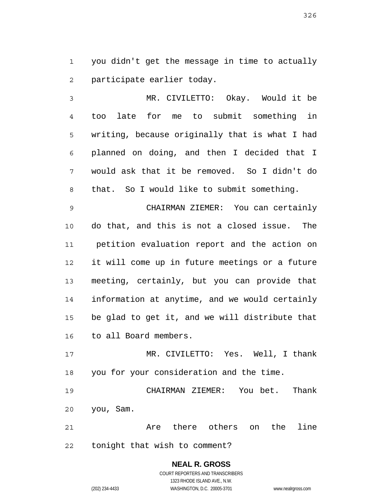1 2 you didn't get the message in time to actually participate earlier today.

3 4 5 6 7 8 MR. CIVILETTO: Okay. Would it be too late for me to submit something in writing, because originally that is what I had planned on doing, and then I decided that I would ask that it be removed. So I didn't do that. So I would like to submit something.

9 10 11 12 13 14 15 16 CHAIRMAN ZIEMER: You can certainly do that, and this is not a closed issue. The petition evaluation report and the action on it will come up in future meetings or a future meeting, certainly, but you can provide that information at anytime, and we would certainly be glad to get it, and we will distribute that to all Board members.

17 18 MR. CIVILETTO: Yes. Well, I thank you for your consideration and the time.

19 20 CHAIRMAN ZIEMER: You bet. Thank you, Sam.

21 22 Are there others on the line tonight that wish to comment?

> **NEAL R. GROSS** COURT REPORTERS AND TRANSCRIBERS 1323 RHODE ISLAND AVE., N.W. (202) 234-4433 WASHINGTON, D.C. 20005-3701 www.nealrgross.com

326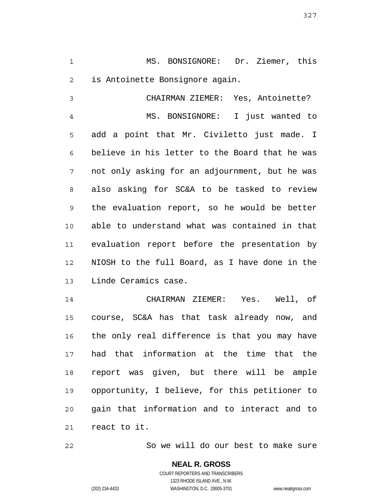1 2 MS. BONSIGNORE: Dr. Ziemer, this is Antoinette Bonsignore again.

3 4 5 6 7 8 9 10 11 12 13 CHAIRMAN ZIEMER: Yes, Antoinette? MS. BONSIGNORE: I just wanted to add a point that Mr. Civiletto just made. I believe in his letter to the Board that he was not only asking for an adjournment, but he was also asking for SC&A to be tasked to review the evaluation report, so he would be better able to understand what was contained in that evaluation report before the presentation by NIOSH to the full Board, as I have done in the Linde Ceramics case.

14 15 16 17 18 19 20 21 CHAIRMAN ZIEMER: Yes. Well, of course, SC&A has that task already now, and the only real difference is that you may have had that information at the time that the report was given, but there will be ample opportunity, I believe, for this petitioner to gain that information and to interact and to react to it.

So we will do our best to make sure

**NEAL R. GROSS** COURT REPORTERS AND TRANSCRIBERS 1323 RHODE ISLAND AVE., N.W. (202) 234-4433 WASHINGTON, D.C. 20005-3701 www.nealrgross.com

22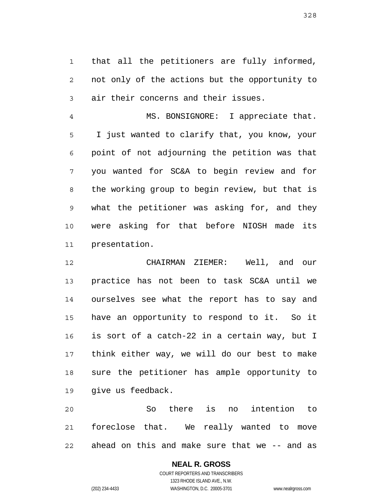1 2 3 that all the petitioners are fully informed, not only of the actions but the opportunity to air their concerns and their issues.

4 5 6 7 8 9 10 11 MS. BONSIGNORE: I appreciate that. I just wanted to clarify that, you know, your point of not adjourning the petition was that you wanted for SC&A to begin review and for the working group to begin review, but that is what the petitioner was asking for, and they were asking for that before NIOSH made its presentation.

12 13 14 15 16 17 18 19 CHAIRMAN ZIEMER: Well, and our practice has not been to task SC&A until we ourselves see what the report has to say and have an opportunity to respond to it. So it is sort of a catch-22 in a certain way, but I think either way, we will do our best to make sure the petitioner has ample opportunity to give us feedback.

20 21 22 So there is no intention to foreclose that. We really wanted to move ahead on this and make sure that we -- and as

## **NEAL R. GROSS**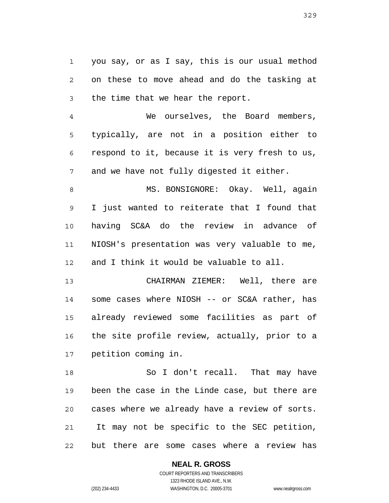1 2 3 you say, or as I say, this is our usual method on these to move ahead and do the tasking at the time that we hear the report.

4 5 6 7 We ourselves, the Board members, typically, are not in a position either to respond to it, because it is very fresh to us, and we have not fully digested it either.

8 9 10 11 12 MS. BONSIGNORE: Okay. Well, again I just wanted to reiterate that I found that having SC&A do the review in advance of NIOSH's presentation was very valuable to me, and I think it would be valuable to all.

13 14 15 16 17 CHAIRMAN ZIEMER: Well, there are some cases where NIOSH -- or SC&A rather, has already reviewed some facilities as part of the site profile review, actually, prior to a petition coming in.

18 19 20 21 22 So I don't recall. That may have been the case in the Linde case, but there are cases where we already have a review of sorts. It may not be specific to the SEC petition, but there are some cases where a review has

## **NEAL R. GROSS**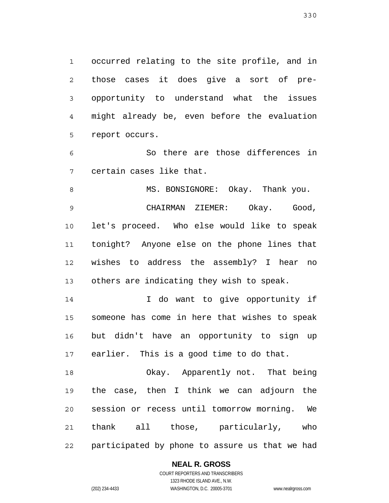1 2 3 4 5 occurred relating to the site profile, and in those cases it does give a sort of preopportunity to understand what the issues might already be, even before the evaluation report occurs.

6 7 So there are those differences in certain cases like that.

8 9 10 11 12 13 MS. BONSIGNORE: Okay. Thank you. CHAIRMAN ZIEMER: Okay. Good, let's proceed. Who else would like to speak tonight? Anyone else on the phone lines that wishes to address the assembly? I hear no others are indicating they wish to speak.

14 15 16 17 I do want to give opportunity if someone has come in here that wishes to speak but didn't have an opportunity to sign up earlier. This is a good time to do that.

18 19 20 21 22 Okay. Apparently not. That being the case, then I think we can adjourn the session or recess until tomorrow morning. We thank all those, particularly, who participated by phone to assure us that we had

## **NEAL R. GROSS**